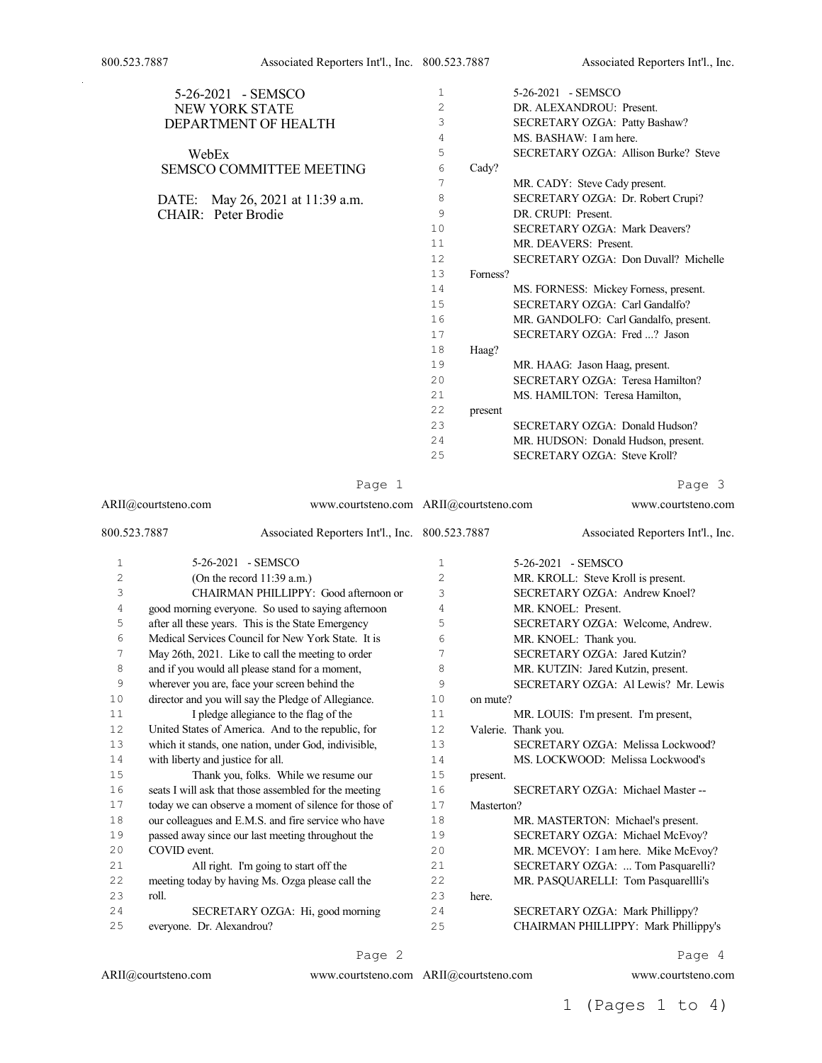|                         | 5-26-2021 - SEMSCO<br>NEW YORK STATE<br>DEPARTMENT OF HEALTH<br>WebEx<br><b>SEMSCO COMMITTEE MEETING</b><br>DATE: May 26, 2021 at 11:39 a.m.<br>CHAIR: Peter Brodie | $\mathbf 1$<br>2<br>3<br>4<br>5<br>6<br>7<br>8<br>9<br>10<br>11<br>12<br>13<br>14<br>15<br>16<br>17 | Cady?<br>Forness? | 5-26-2021 - SEMSCO<br>DR. ALEXANDROU: Present.<br>SECRETARY OZGA: Patty Bashaw?<br>MS. BASHAW: I am here.<br>SECRETARY OZGA: Allison Burke? Steve<br>MR. CADY: Steve Cady present.<br>SECRETARY OZGA: Dr. Robert Crupi?<br>DR. CRUPI: Present.<br>SECRETARY OZGA: Mark Deavers?<br>MR. DEAVERS: Present.<br>SECRETARY OZGA: Don Duvall? Michelle<br>MS. FORNESS: Mickey Forness, present.<br>SECRETARY OZGA: Carl Gandalfo?<br>MR. GANDOLFO: Carl Gandalfo, present.<br>SECRETARY OZGA: Fred ? Jason |
|-------------------------|---------------------------------------------------------------------------------------------------------------------------------------------------------------------|-----------------------------------------------------------------------------------------------------|-------------------|------------------------------------------------------------------------------------------------------------------------------------------------------------------------------------------------------------------------------------------------------------------------------------------------------------------------------------------------------------------------------------------------------------------------------------------------------------------------------------------------------|
|                         |                                                                                                                                                                     | 18<br>19<br>20<br>21<br>22<br>23<br>24<br>25                                                        | Haag?<br>present  | MR. HAAG: Jason Haag, present.<br>SECRETARY OZGA: Teresa Hamilton?<br>MS. HAMILTON: Teresa Hamilton,<br>SECRETARY OZGA: Donald Hudson?<br>MR. HUDSON: Donald Hudson, present.<br><b>SECRETARY OZGA: Steve Kroll?</b>                                                                                                                                                                                                                                                                                 |
|                         | Page 1                                                                                                                                                              |                                                                                                     |                   | Page 3                                                                                                                                                                                                                                                                                                                                                                                                                                                                                               |
|                         | ARII@courtsteno.com<br>www.courtsteno.com ARII@courtsteno.com                                                                                                       |                                                                                                     |                   | www.courtsteno.com                                                                                                                                                                                                                                                                                                                                                                                                                                                                                   |
|                         |                                                                                                                                                                     |                                                                                                     |                   |                                                                                                                                                                                                                                                                                                                                                                                                                                                                                                      |
| 800.523.7887            | Associated Reporters Int'l., Inc. 800.523.7887                                                                                                                      |                                                                                                     |                   | Associated Reporters Int'l., Inc.                                                                                                                                                                                                                                                                                                                                                                                                                                                                    |
| $\mathbf{1}$            | 5-26-2021 - SEMSCO                                                                                                                                                  | 1                                                                                                   |                   | 5-26-2021 - SEMSCO                                                                                                                                                                                                                                                                                                                                                                                                                                                                                   |
| $\overline{\mathbf{c}}$ | (On the record $11:39$ a.m.)                                                                                                                                        | $\overline{c}$                                                                                      |                   | MR. KROLL: Steve Kroll is present.                                                                                                                                                                                                                                                                                                                                                                                                                                                                   |
| 3                       | CHAIRMAN PHILLIPPY: Good afternoon or                                                                                                                               | 3                                                                                                   |                   | SECRETARY OZGA: Andrew Knoel?                                                                                                                                                                                                                                                                                                                                                                                                                                                                        |
| 4                       | good morning everyone. So used to saying afternoon                                                                                                                  | 4                                                                                                   |                   | MR. KNOEL: Present.                                                                                                                                                                                                                                                                                                                                                                                                                                                                                  |
| 5                       | after all these years. This is the State Emergency                                                                                                                  | 5                                                                                                   |                   | SECRETARY OZGA: Welcome, Andrew.                                                                                                                                                                                                                                                                                                                                                                                                                                                                     |
| 6                       | Medical Services Council for New York State. It is                                                                                                                  | 6                                                                                                   |                   | MR. KNOEL: Thank you.                                                                                                                                                                                                                                                                                                                                                                                                                                                                                |
| 7                       | May 26th, 2021. Like to call the meeting to order                                                                                                                   | 7                                                                                                   |                   | SECRETARY OZGA: Jared Kutzin?                                                                                                                                                                                                                                                                                                                                                                                                                                                                        |
| 8                       | and if you would all please stand for a moment,                                                                                                                     | 8                                                                                                   |                   | MR. KUTZIN: Jared Kutzin, present.                                                                                                                                                                                                                                                                                                                                                                                                                                                                   |
| 9                       | wherever you are, face your screen behind the                                                                                                                       | 9                                                                                                   |                   | SECRETARY OZGA: Al Lewis? Mr. Lewis                                                                                                                                                                                                                                                                                                                                                                                                                                                                  |
| 10                      | director and you will say the Pledge of Allegiance.                                                                                                                 | $10$                                                                                                | on mute?          |                                                                                                                                                                                                                                                                                                                                                                                                                                                                                                      |
| 11                      | I pledge allegiance to the flag of the                                                                                                                              | 11                                                                                                  |                   | MR. LOUIS: I'm present. I'm present,                                                                                                                                                                                                                                                                                                                                                                                                                                                                 |
| $12$<br>13              | United States of America. And to the republic, for                                                                                                                  | 12<br>13                                                                                            |                   | Valerie. Thank you.                                                                                                                                                                                                                                                                                                                                                                                                                                                                                  |
| 14                      | which it stands, one nation, under God, indivisible,                                                                                                                | 14                                                                                                  |                   | SECRETARY OZGA: Melissa Lockwood?                                                                                                                                                                                                                                                                                                                                                                                                                                                                    |
| $15$                    | with liberty and justice for all.<br>Thank you, folks. While we resume our                                                                                          | 15                                                                                                  | present.          | MS. LOCKWOOD: Melissa Lockwood's                                                                                                                                                                                                                                                                                                                                                                                                                                                                     |
| 16                      | seats I will ask that those assembled for the meeting                                                                                                               | 16                                                                                                  |                   | SECRETARY OZGA: Michael Master --                                                                                                                                                                                                                                                                                                                                                                                                                                                                    |
| 17                      | today we can observe a moment of silence for those of                                                                                                               | $17$                                                                                                | Masterton?        |                                                                                                                                                                                                                                                                                                                                                                                                                                                                                                      |
| $1\,8$                  | our colleagues and E.M.S. and fire service who have                                                                                                                 | 18                                                                                                  |                   | MR. MASTERTON: Michael's present.                                                                                                                                                                                                                                                                                                                                                                                                                                                                    |
| 19                      | passed away since our last meeting throughout the                                                                                                                   | 19                                                                                                  |                   | SECRETARY OZGA: Michael McEvoy?                                                                                                                                                                                                                                                                                                                                                                                                                                                                      |
| 20                      | COVID event.                                                                                                                                                        | 20                                                                                                  |                   | MR. MCEVOY: I am here. Mike McEvoy?                                                                                                                                                                                                                                                                                                                                                                                                                                                                  |
| 21                      | All right. I'm going to start off the                                                                                                                               | 21                                                                                                  |                   | SECRETARY OZGA:  Tom Pasquarelli?                                                                                                                                                                                                                                                                                                                                                                                                                                                                    |
| 22                      | meeting today by having Ms. Ozga please call the                                                                                                                    | 22                                                                                                  |                   | MR. PASQUARELLI: Tom Pasquarellli's                                                                                                                                                                                                                                                                                                                                                                                                                                                                  |
| 23<br>24                | roll.<br>SECRETARY OZGA: Hi, good morning                                                                                                                           | 23<br>24                                                                                            | here.             | SECRETARY OZGA: Mark Phillippy?                                                                                                                                                                                                                                                                                                                                                                                                                                                                      |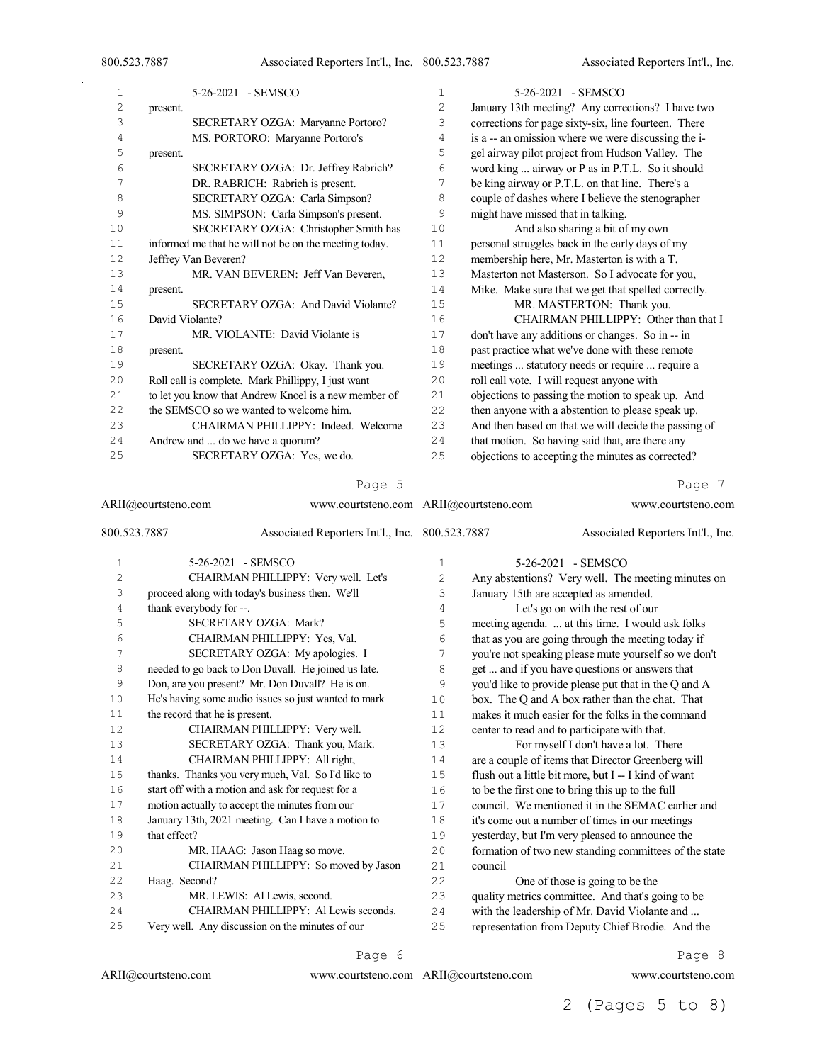| 1              | 5-26-2021 - SEMSCO                                    | $\mathbf 1$    | 5-26-2021 - SEMSCO                                   |
|----------------|-------------------------------------------------------|----------------|------------------------------------------------------|
| $\overline{c}$ | present.                                              | $\overline{c}$ | January 13th meeting? Any corrections? I have two    |
| 3              | SECRETARY OZGA: Maryanne Portoro?                     | 3              | corrections for page sixty-six, line fourteen. There |
| 4              | MS. PORTORO: Maryanne Portoro's                       | 4              | is a -- an omission where we were discussing the i-  |
| 5              | present.                                              | 5              | gel airway pilot project from Hudson Valley. The     |
| 6              | SECRETARY OZGA: Dr. Jeffrey Rabrich?                  | 6              | word king  airway or P as in P.T.L. So it should     |
| 7              | DR. RABRICH: Rabrich is present.                      | 7              | be king airway or P.T.L. on that line. There's a     |
| 8              | SECRETARY OZGA: Carla Simpson?                        | 8              | couple of dashes where I believe the stenographer    |
| 9              | MS. SIMPSON: Carla Simpson's present.                 | 9              | might have missed that in talking.                   |
| 10             | SECRETARY OZGA: Christopher Smith has                 | 10             | And also sharing a bit of my own                     |
| 11             | informed me that he will not be on the meeting today. | 11             | personal struggles back in the early days of my      |
| 12             | Jeffrey Van Beveren?                                  | 12             | membership here, Mr. Masterton is with a T.          |
| 13             | MR. VAN BEVEREN: Jeff Van Beveren,                    | 13             | Masterton not Masterson. So I advocate for you,      |
| 14             | present.                                              | 14             | Mike. Make sure that we get that spelled correctly.  |
| 15             | SECRETARY OZGA: And David Violante?                   | 15             | MR. MASTERTON: Thank you.                            |
| 16             | David Violante?                                       | 16             | CHAIRMAN PHILLIPPY: Other than that I                |
| 17             | MR. VIOLANTE: David Violante is                       | 17             | don't have any additions or changes. So in -- in     |
| 18             | present.                                              | 18             | past practice what we've done with these remote      |
| 19             | SECRETARY OZGA: Okay. Thank you.                      | 19             | meetings  statutory needs or require  require a      |
| 20             | Roll call is complete. Mark Phillippy, I just want    | 20             | roll call vote. I will request anyone with           |
| 21             | to let you know that Andrew Knoel is a new member of  | 21             | objections to passing the motion to speak up. And    |
| 22             | the SEMSCO so we wanted to welcome him.               | 22             | then anyone with a abstention to please speak up.    |
| 23             | CHAIRMAN PHILLIPPY: Indeed. Welcome                   | 23             | And then based on that we will decide the passing of |
| 24             | Andrew and  do we have a quorum?                      | 24             | that motion. So having said that, are there any      |
| 25             | SECRETARY OZGA: Yes, we do.                           | 25             | objections to accepting the minutes as corrected?    |
|                |                                                       |                |                                                      |

ARII@courtsteno.com 800.523.7887 Associated Reporters Int'l., Inc. 5-26-2021 - SEMSCO CHAIRMAN PHILLIPPY: Very well. Let's proceed along with today's business then. We'll thank everybody for --. SECRETARY OZGA: Mark? CHAIRMAN PHILLIPPY: Yes, Val. SECRETARY OZGA: My apologies. I needed to go back to Don Duvall. He joined us late. Don, are you present? Mr. Don Duvall? He is on. He's having some audio issues so just wanted to mark the record that he is present. CHAIRMAN PHILLIPPY: Very well. SECRETARY OZGA: Thank you, Mark. CHAIRMAN PHILLIPPY: All right, thanks. Thanks you very much, Val. So I'd like to start off with a motion and ask for request for a motion actually to accept the minutes from our January 13th, 2021 meeting. Can I have a motion to that effect? MR. HAAG: Jason Haag so move. CHAIRMAN PHILLIPPY: So moved by Jason Haag. Second? MR. LEWIS: Al Lewis, second. CHAIRMAN PHILLIPPY: Al Lewis seconds. Very well. Any discussion on the minutes of our www.courtsteno.com ARII@courtsteno.com www.courtsteno.com Associated Reporters Int'l., Inc. 5-26-2021 - SEMSCO Any abstentions? Very well. The meeting minutes on January 15th are accepted as amended. Let's go on with the rest of our meeting agenda. ... at this time. I would ask folks that as you are going through the meeting today if you're not speaking please mute yourself so we don't get ... and if you have questions or answers that you'd like to provide please put that in the Q and A box. The Q and A box rather than the chat. That makes it much easier for the folks in the command center to read and to participate with that. For myself I don't have a lot. There are a couple of items that Director Greenberg will flush out a little bit more, but I -- I kind of want to be the first one to bring this up to the full council. We mentioned it in the SEMAC earlier and 18 it's come out a number of times in our meetings yesterday, but I'm very pleased to announce the formation of two new standing committees of the state council One of those is going to be the quality metrics committee. And that's going to be with the leadership of Mr. David Violante and ... representation from Deputy Chief Brodie. And the

ARII@courtsteno.com

Page 6

Page 8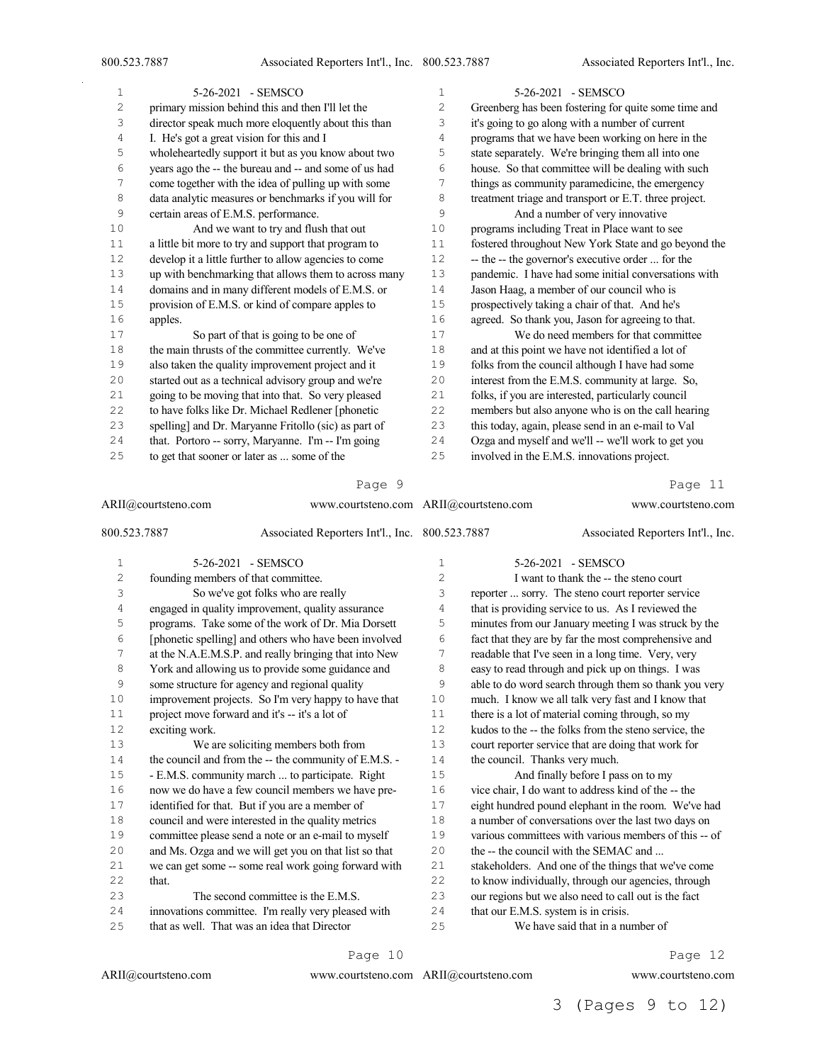| 1            | 5-26-2021 - SEMSCO                                    | 1              | 5-26-2021 - SEMSCO                                    |
|--------------|-------------------------------------------------------|----------------|-------------------------------------------------------|
| $\mathbf{2}$ | primary mission behind this and then I'll let the     | $\overline{c}$ | Greenberg has been fostering for quite some time and  |
| 3            | director speak much more eloquently about this than   | 3              | it's going to go along with a number of current       |
| 4            | I. He's got a great vision for this and I             | 4              | programs that we have been working on here in the     |
| 5            | wholeheartedly support it but as you know about two   | 5              | state separately. We're bringing them all into one    |
| 6            | years ago the -- the bureau and -- and some of us had | 6              | house. So that committee will be dealing with such    |
| 7            | come together with the idea of pulling up with some   | 7              | things as community paramedicine, the emergency       |
| 8            | data analytic measures or benchmarks if you will for  | 8              | treatment triage and transport or E.T. three project. |
| 9            | certain areas of E.M.S. performance.                  | 9              | And a number of very innovative                       |
| 10           | And we want to try and flush that out                 | 10             | programs including Treat in Place want to see         |
| 11           | a little bit more to try and support that program to  | 11             | fostered throughout New York State and go beyond the  |
| 12           | develop it a little further to allow agencies to come | 12             | -- the -- the governor's executive order  for the     |
| 13           | up with benchmarking that allows them to across many  | 13             | pandemic. I have had some initial conversations with  |
| 14           | domains and in many different models of E.M.S. or     | 14             | Jason Haag, a member of our council who is            |
| 15           | provision of E.M.S. or kind of compare apples to      | 15             | prospectively taking a chair of that. And he's        |
| 16           | apples.                                               | 16             | agreed. So thank you, Jason for agreeing to that.     |
| 17           | So part of that is going to be one of                 | 17             | We do need members for that committee                 |
| 18           | the main thrusts of the committee currently. We've    | 18             | and at this point we have not identified a lot of     |
| 19           | also taken the quality improvement project and it     | 19             | folks from the council although I have had some       |
| 20           | started out as a technical advisory group and we're   | 20             | interest from the E.M.S. community at large. So,      |
| 21           | going to be moving that into that. So very pleased    | 21             | folks, if you are interested, particularly council    |
| 22           | to have folks like Dr. Michael Redlener [phonetic     | 22             | members but also anyone who is on the call hearing    |
| 23           | spelling] and Dr. Maryanne Fritollo (sic) as part of  | 23             | this today, again, please send in an e-mail to Val    |
| 24           | that. Portoro -- sorry, Maryanne. I'm -- I'm going    | 24             | Ozga and myself and we'll -- we'll work to get you    |
| 25           | to get that sooner or later as  some of the           | 25             | involved in the E.M.S. innovations project.           |
|              |                                                       |                |                                                       |

#### ARII@courtsteno.com 800.523.7887 Associated Reporters Int'l., Inc. 5-26-2021 - SEMSCO founding members of that committee. So we've got folks who are really engaged in quality improvement, quality assurance programs. Take some of the work of Dr. Mia Dorsett [phonetic spelling] and others who have been involved at the N.A.E.M.S.P. and really bringing that into New York and allowing us to provide some guidance and some structure for agency and regional quality improvement projects. So I'm very happy to have that project move forward and it's -- it's a lot of exciting work. We are soliciting members both from 14 the council and from the -- the community of E.M.S. - - E.M.S. community march ... to participate. Right now we do have a few council members we have pre- identified for that. But if you are a member of council and were interested in the quality metrics committee please send a note or an e-mail to myself and Ms. Ozga and we will get you on that list so that we can get some -- some real work going forward with that. The second committee is the E.M.S. innovations committee. I'm really very pleased with that as well. That was an idea that Director www.courtsteno.com ARII@courtsteno.com www.courtsteno.com Associated Reporters Int'l., Inc. 5-26-2021 - SEMSCO I want to thank the -- the steno court reporter ... sorry. The steno court reporter service that is providing service to us. As I reviewed the minutes from our January meeting I was struck by the fact that they are by far the most comprehensive and readable that I've seen in a long time. Very, very easy to read through and pick up on things. I was able to do word search through them so thank you very much. I know we all talk very fast and I know that 11 there is a lot of material coming through, so my kudos to the -- the folks from the steno service, the court reporter service that are doing that work for 14 the council. Thanks very much.<br>15 And finally before I pa And finally before I pass on to my vice chair, I do want to address kind of the -- the eight hundred pound elephant in the room. We've had a number of conversations over the last two days on various committees with various members of this -- of the -- the council with the SEMAC and ... stakeholders. And one of the things that we've come to know individually, through our agencies, through our regions but we also need to call out is the fact that our E.M.S. system is in crisis. We have said that in a number of

# Page 10

www.courtsteno.com ARII@courtsteno.com www.courtsteno.com

### Page 12

Page 11

3 (Pages 9 to 12)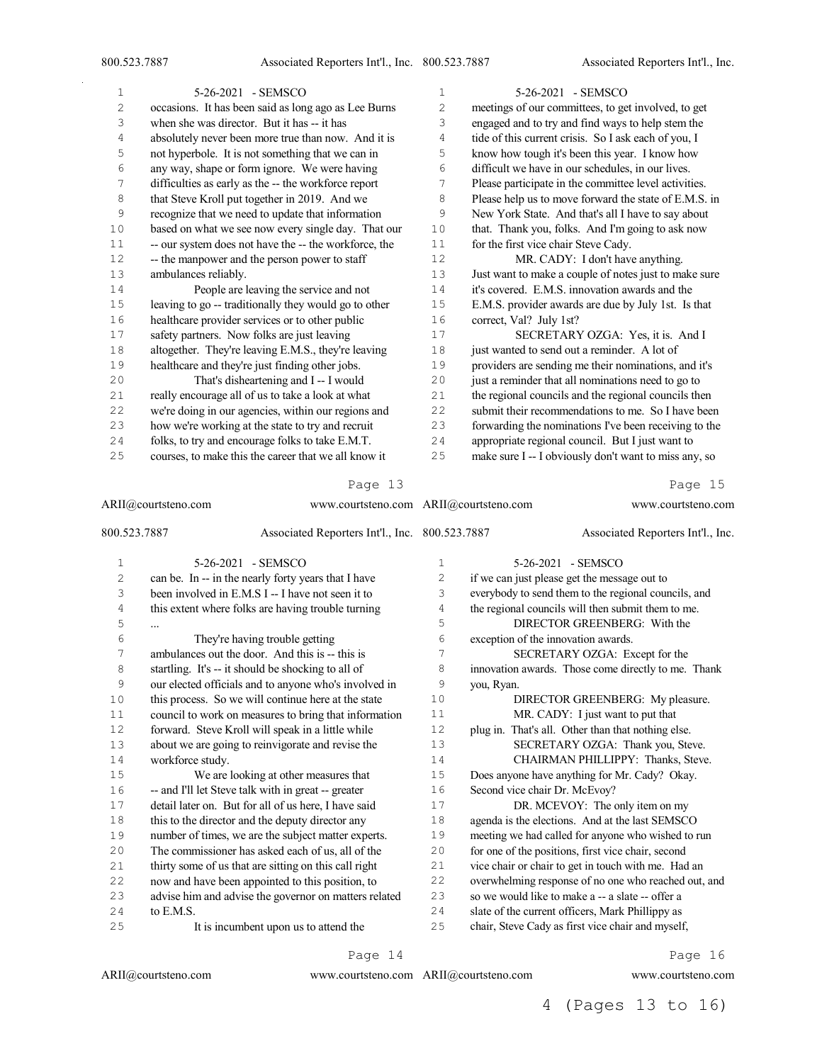$\bar{z}$ 

| 1  | 5-26-2021 - SEMSCO                                    | 1  | 5-26-2021 - SEMSCO                                    |
|----|-------------------------------------------------------|----|-------------------------------------------------------|
| 2  | occasions. It has been said as long ago as Lee Burns  | 2  | meetings of our committees, to get involved, to get   |
| 3  | when she was director. But it has -- it has           | 3  | engaged and to try and find ways to help stem the     |
| 4  | absolutely never been more true than now. And it is   | 4  | tide of this current crisis. So I ask each of you, I  |
| 5  | not hyperbole. It is not something that we can in     | 5  | know how tough it's been this year. I know how        |
| 6  | any way, shape or form ignore. We were having         | 6  | difficult we have in our schedules, in our lives.     |
| 7  | difficulties as early as the -- the workforce report  | 7  | Please participate in the committee level activities. |
| 8  | that Steve Kroll put together in 2019. And we         | 8  | Please help us to move forward the state of E.M.S. in |
| 9  | recognize that we need to update that information     | 9  | New York State. And that's all I have to say about    |
| 10 | based on what we see now every single day. That our   | 10 | that. Thank you, folks. And I'm going to ask now      |
| 11 | -- our system does not have the -- the workforce, the | 11 | for the first vice chair Steve Cady.                  |
| 12 | -- the manpower and the person power to staff         | 12 | MR. CADY: I don't have anything.                      |
| 13 | ambulances reliably.                                  | 13 | Just want to make a couple of notes just to make sure |
| 14 | People are leaving the service and not                | 14 | it's covered. E.M.S. innovation awards and the        |
| 15 | leaving to go -- traditionally they would go to other | 15 | E.M.S. provider awards are due by July 1st. Is that   |
| 16 | healthcare provider services or to other public       | 16 | correct, Val? July 1st?                               |
| 17 | safety partners. Now folks are just leaving           | 17 | SECRETARY OZGA: Yes, it is. And I                     |
| 18 | altogether. They're leaving E.M.S., they're leaving   | 18 | just wanted to send out a reminder. A lot of          |
| 19 | healthcare and they're just finding other jobs.       | 19 | providers are sending me their nominations, and it's  |
| 20 | That's disheartening and I-- I would                  | 20 | just a reminder that all nominations need to go to    |
| 21 | really encourage all of us to take a look at what     | 21 | the regional councils and the regional councils then  |
| 22 | we're doing in our agencies, within our regions and   | 22 | submit their recommendations to me. So I have been    |
| 23 | how we're working at the state to try and recruit     | 23 | forwarding the nominations I've been receiving to the |
| 24 | folks, to try and encourage folks to take E.M.T.      | 24 | appropriate regional council. But I just want to      |
| 25 | courses, to make this the career that we all know it  | 25 | make sure I -- I obviously don't want to miss any, so |
|    |                                                       |    |                                                       |

# Page 13

| ARII@courtsteno.com<br>800.523.7887 |                  |                                                       | www.courtsteno.com ARII@courtsteno.com |                                     | www.courtsteno.com                                   |  |
|-------------------------------------|------------------|-------------------------------------------------------|----------------------------------------|-------------------------------------|------------------------------------------------------|--|
|                                     |                  | Associated Reporters Int'l., Inc. 800.523.7887        |                                        |                                     | Associated Reporters Int'l., Inc.                    |  |
| $\mathbf{1}$                        |                  | 5-26-2021 - SEMSCO                                    | $\mathbf 1$                            |                                     | 5-26-2021 - SEMSCO                                   |  |
| $\overline{c}$                      |                  | can be. In -- in the nearly forty years that I have   | $\mathbf{2}$                           |                                     | if we can just please get the message out to         |  |
| 3                                   |                  | been involved in E.M.S I -- I have not seen it to     | 3                                      |                                     | everybody to send them to the regional councils, and |  |
| 4                                   |                  | this extent where folks are having trouble turning    | 4                                      |                                     | the regional councils will then submit them to me.   |  |
| 5                                   | $\cdots$         |                                                       | 5                                      |                                     | DIRECTOR GREENBERG: With the                         |  |
| 6                                   |                  | They're having trouble getting                        | 6                                      | exception of the innovation awards. |                                                      |  |
| 7                                   |                  | ambulances out the door. And this is -- this is       | 7                                      |                                     | SECRETARY OZGA: Except for the                       |  |
| 8                                   |                  | startling. It's -- it should be shocking to all of    | 8                                      |                                     | innovation awards. Those come directly to me. Thank  |  |
| 9                                   |                  | our elected officials and to anyone who's involved in | 9                                      | you, Ryan.                          |                                                      |  |
| 10                                  |                  | this process. So we will continue here at the state   | 10                                     |                                     | DIRECTOR GREENBERG: My pleasure.                     |  |
| 11                                  |                  | council to work on measures to bring that information | 11                                     |                                     | MR. CADY: I just want to put that                    |  |
| 12                                  |                  | forward. Steve Kroll will speak in a little while     | 12                                     |                                     | plug in. That's all. Other than that nothing else.   |  |
| 13                                  |                  | about we are going to reinvigorate and revise the     | 13                                     |                                     | SECRETARY OZGA: Thank you, Steve.                    |  |
| 14                                  | workforce study. |                                                       | 14                                     |                                     | CHAIRMAN PHILLIPPY: Thanks, Steve.                   |  |
| 15                                  |                  | We are looking at other measures that                 | 15                                     |                                     | Does anyone have anything for Mr. Cady? Okay.        |  |
| 16                                  |                  | -- and I'll let Steve talk with in great -- greater   | 16                                     | Second vice chair Dr. McEvoy?       |                                                      |  |
| 17                                  |                  | detail later on. But for all of us here, I have said  | 17                                     |                                     | DR. MCEVOY: The only item on my                      |  |
| 18                                  |                  | this to the director and the deputy director any      | 18                                     |                                     | agenda is the elections. And at the last SEMSCO      |  |
| 19                                  |                  | number of times, we are the subject matter experts.   | 19                                     |                                     | meeting we had called for anyone who wished to run   |  |
| 20                                  |                  | The commissioner has asked each of us, all of the     | 20                                     |                                     | for one of the positions, first vice chair, second   |  |
| 21                                  |                  | thirty some of us that are sitting on this call right | 21                                     |                                     | vice chair or chair to get in touch with me. Had an  |  |
| 22                                  |                  | now and have been appointed to this position, to      | 22                                     |                                     | overwhelming response of no one who reached out, and |  |
| 23                                  |                  | advise him and advise the governor on matters related | 23                                     |                                     | so we would like to make a -- a slate -- offer a     |  |
| 24                                  | to E.M.S.        |                                                       | 24                                     |                                     | slate of the current officers, Mark Phillippy as     |  |
| 25                                  |                  | It is incumbent upon us to attend the                 | 25                                     |                                     | chair, Steve Cady as first vice chair and myself,    |  |

Page 14

ARII@courtsteno.com www.courtsteno.com ARII@courtsteno.com

### Page 16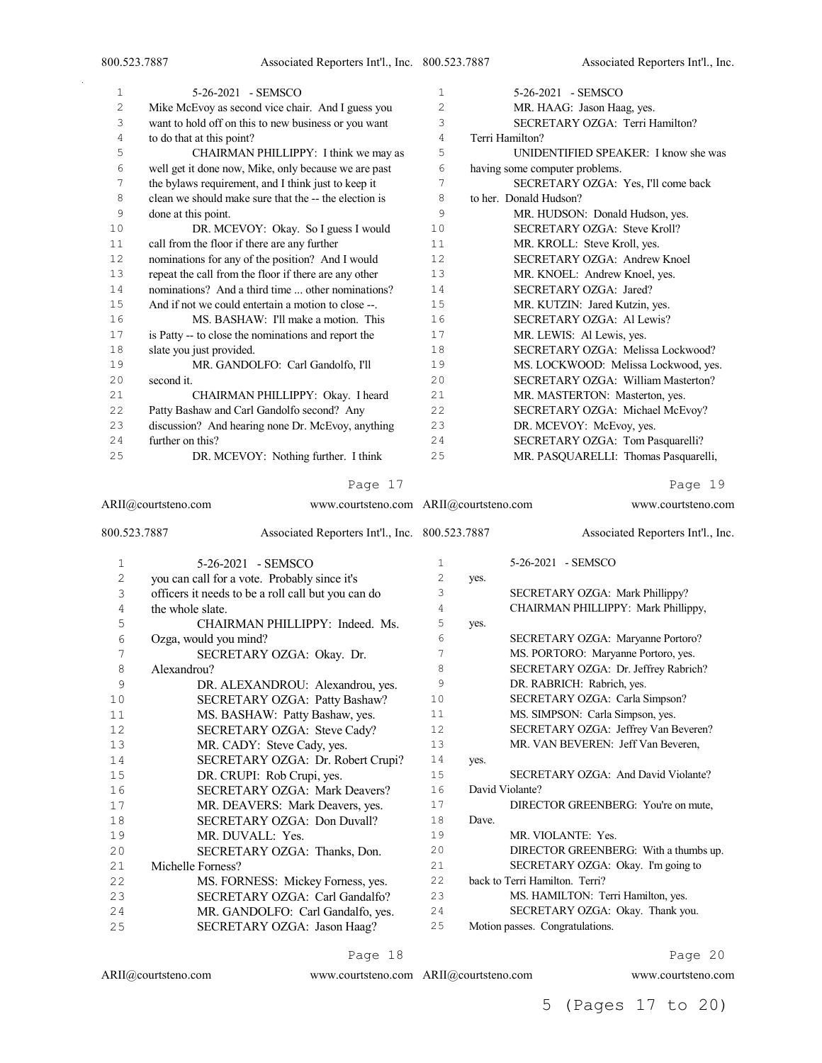$\bar{z}$ 

| $\mathbf{1}$ | 5-26-2021 - SEMSCO                                    | $\mathbf{1}$   | 5-26-2021 - SEMSCO                        |
|--------------|-------------------------------------------------------|----------------|-------------------------------------------|
| 2            | Mike McEvoy as second vice chair. And I guess you     | $\overline{c}$ | MR. HAAG: Jason Haag, yes.                |
| 3            | want to hold off on this to new business or you want  | 3              | SECRETARY OZGA: Terri Hamilton?           |
| 4            | to do that at this point?                             | 4              | Terri Hamilton?                           |
| 5            | CHAIRMAN PHILLIPPY: I think we may as                 | 5              | UNIDENTIFIED SPEAKER: I know she was      |
| 6            | well get it done now, Mike, only because we are past  | 6              | having some computer problems.            |
| 7            | the bylaws requirement, and I think just to keep it   | 7              | SECRETARY OZGA: Yes, I'll come back       |
| 8            | clean we should make sure that the -- the election is | 8              | to her. Donald Hudson?                    |
| 9            | done at this point.                                   | 9              | MR. HUDSON: Donald Hudson, yes.           |
| 10           | DR. MCEVOY: Okay. So I guess I would                  | 10             | SECRETARY OZGA: Steve Kroll?              |
| 11           | call from the floor if there are any further          | 11             | MR. KROLL: Steve Kroll, yes.              |
| 12           | nominations for any of the position? And I would      | 12             | SECRETARY OZGA: Andrew Knoel              |
| 13           | repeat the call from the floor if there are any other | 13             | MR. KNOEL: Andrew Knoel, yes.             |
| 14           | nominations? And a third time  other nominations?     | 14             | SECRETARY OZGA: Jared?                    |
| 15           | And if not we could entertain a motion to close --.   | 15             | MR. KUTZIN: Jared Kutzin, yes.            |
| 16           | MS. BASHAW: I'll make a motion. This                  | 16             | SECRETARY OZGA: Al Lewis?                 |
| 17           | is Patty -- to close the nominations and report the   | 17             | MR. LEWIS: Al Lewis, yes.                 |
| 18           | slate you just provided.                              | 18             | SECRETARY OZGA: Melissa Lockwood?         |
| 19           | MR. GANDOLFO: Carl Gandolfo, I'll                     | 19             | MS. LOCKWOOD: Melissa Lockwood, yes.      |
| 20           | second it.                                            | 20             | <b>SECRETARY OZGA: William Masterton?</b> |
| 21           | CHAIRMAN PHILLIPPY: Okay. I heard                     | 21             | MR. MASTERTON: Masterton, yes.            |
| 22           | Patty Bashaw and Carl Gandolfo second? Any            | 22             | SECRETARY OZGA: Michael McEvoy?           |
| 23           | discussion? And hearing none Dr. McEvoy, anything     | 23             | DR. MCEVOY: McEvoy, yes.                  |
| 24           | further on this?                                      | 24             | SECRETARY OZGA: Tom Pasquarelli?          |
| 25           | DR. MCEVOY: Nothing further. I think                  | 25             | MR. PASQUARELLI: Thomas Pasquarelli,      |
|              |                                                       |                |                                           |

### Page 17

| ARII@courtsteno.com |                       | www.courtsteno.com ARII@courtsteno.com             |                |       | www.courtsteno.com                    |
|---------------------|-----------------------|----------------------------------------------------|----------------|-------|---------------------------------------|
| 800.523.7887        |                       | Associated Reporters Int'l., Inc. 800.523.7887     |                |       | Associated Reporters Int'l., Inc.     |
| $\mathbf{1}$        |                       | 5-26-2021 - SEMSCO                                 | 1              |       | 5-26-2021 - SEMSCO                    |
| $\overline{c}$      |                       | you can call for a vote. Probably since it's       | $\overline{c}$ | yes.  |                                       |
| 3                   |                       | officers it needs to be a roll call but you can do | 3              |       | SECRETARY OZGA: Mark Phillippy?       |
| 4                   | the whole slate.      |                                                    | 4              |       | CHAIRMAN PHILLIPPY: Mark Phillippy,   |
| 5                   |                       | CHAIRMAN PHILLIPPY: Indeed. Ms.                    | 5              | yes.  |                                       |
| 6                   | Ozga, would you mind? |                                                    | 6              |       | SECRETARY OZGA: Maryanne Portoro?     |
| 7                   |                       | SECRETARY OZGA: Okay. Dr.                          | 7              |       | MS. PORTORO: Maryanne Portoro, yes.   |
| $\,8\,$             | Alexandrou?           |                                                    | 8              |       | SECRETARY OZGA: Dr. Jeffrey Rabrich?  |
| 9                   |                       | DR. ALEXANDROU: Alexandrou, yes.                   | 9              |       | DR. RABRICH: Rabrich, yes.            |
| 10                  |                       | SECRETARY OZGA: Patty Bashaw?                      | 10             |       | SECRETARY OZGA: Carla Simpson?        |
| 11                  |                       | MS. BASHAW: Patty Bashaw, yes.                     | 11             |       | MS. SIMPSON: Carla Simpson, yes.      |
| 12                  |                       | SECRETARY OZGA: Steve Cady?                        | 12             |       | SECRETARY OZGA: Jeffrey Van Beveren?  |
| 13                  |                       | MR. CADY: Steve Cady, yes.                         | 13             |       | MR. VAN BEVEREN: Jeff Van Beveren,    |
| 14                  |                       | SECRETARY OZGA: Dr. Robert Crupi?                  | 14             | yes.  |                                       |
| 15                  |                       | DR. CRUPI: Rob Crupi, yes.                         | 15             |       | SECRETARY OZGA: And David Violante?   |
| 16                  |                       | <b>SECRETARY OZGA: Mark Deavers?</b>               | 16             |       | David Violante?                       |
| 17                  |                       | MR. DEAVERS: Mark Deavers, yes.                    | 17             |       | DIRECTOR GREENBERG: You're on mute,   |
| 18                  |                       | SECRETARY OZGA: Don Duvall?                        | 18             | Dave. |                                       |
| 19                  | MR. DUVALL: Yes.      |                                                    | 19             |       | MR. VIOLANTE: Yes.                    |
| 20                  |                       | SECRETARY OZGA: Thanks, Don.                       | 20             |       | DIRECTOR GREENBERG: With a thumbs up. |
| 21                  | Michelle Forness?     |                                                    | 21             |       | SECRETARY OZGA: Okay. I'm going to    |
| 22                  |                       | MS. FORNESS: Mickey Forness, yes.                  | 2.2.           |       | back to Terri Hamilton. Terri?        |
| 23                  |                       | SECRETARY OZGA: Carl Gandalfo?                     | 23             |       | MS. HAMILTON: Terri Hamilton, yes.    |
| 24                  |                       | MR. GANDOLFO: Carl Gandalfo, yes.                  | 2.4            |       | SECRETARY OZGA: Okay. Thank you.      |
| 25                  |                       | SECRETARY OZGA: Jason Haag?                        | 25             |       | Motion passes. Congratulations.       |

### Page 18

ARII@courtsteno.com www.courtsteno.com ARII@courtsteno.com www.courtsteno.com

Page 20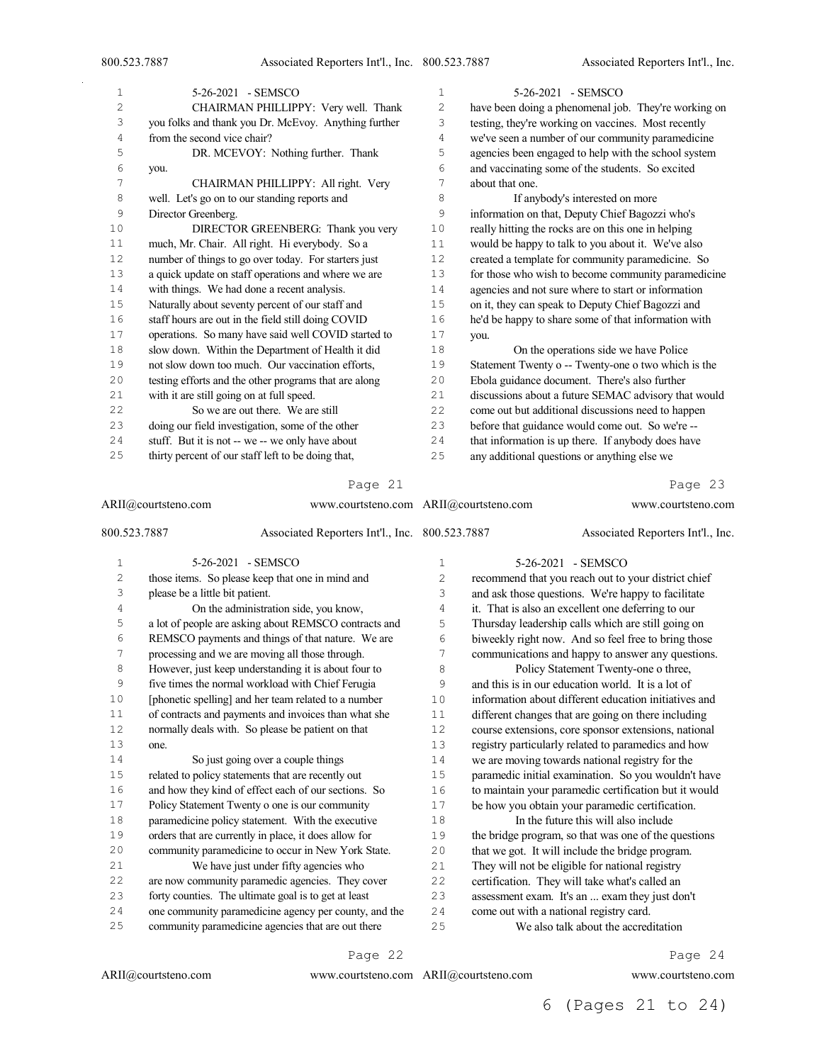| 1              | 5-26-2021 - SEMSCO                                    | 1                 | 5-26-2021 - SEMSCO                                   |
|----------------|-------------------------------------------------------|-------------------|------------------------------------------------------|
| $\overline{c}$ | CHAIRMAN PHILLIPPY: Very well. Thank                  | $\overline{c}$    | have been doing a phenomenal job. They're working on |
| 3              | you folks and thank you Dr. McEvoy. Anything further  | 3                 | testing, they're working on vaccines. Most recently  |
| 4              | from the second vice chair?                           | 4                 | we've seen a number of our community paramedicine    |
| 5              | DR. MCEVOY: Nothing further. Thank                    | 5                 | agencies been engaged to help with the school system |
| 6              | you.                                                  | 6                 | and vaccinating some of the students. So excited     |
| 7              | CHAIRMAN PHILLIPPY: All right. Very                   | 7                 | about that one.                                      |
| 8              | well. Let's go on to our standing reports and         | 8                 | If anybody's interested on more                      |
| 9              | Director Greenberg.                                   | 9                 | information on that, Deputy Chief Bagozzi who's      |
| 10             | DIRECTOR GREENBERG: Thank you very                    | 10                | really hitting the rocks are on this one in helping  |
| 11             | much, Mr. Chair. All right. Hi everybody. So a        | 11                | would be happy to talk to you about it. We've also   |
| 12             | number of things to go over today. For starters just  | $12 \overline{c}$ | created a template for community paramedicine. So    |
| 13             | a quick update on staff operations and where we are   | 13                | for those who wish to become community paramedicine  |
| 14             | with things. We had done a recent analysis.           | 14                | agencies and not sure where to start or information  |
| 15             | Naturally about seventy percent of our staff and      | 15                | on it, they can speak to Deputy Chief Bagozzi and    |
| 16             | staff hours are out in the field still doing COVID    | 16                | he'd be happy to share some of that information with |
| 17             | operations. So many have said well COVID started to   | 17                | you.                                                 |
| 18             | slow down. Within the Department of Health it did     | 18                | On the operations side we have Police                |
| 19             | not slow down too much. Our vaccination efforts,      | 19                | Statement Twenty o -- Twenty-one o two which is the  |
| 20             | testing efforts and the other programs that are along | 20                | Ebola guidance document. There's also further        |
| 21             | with it are still going on at full speed.             | 21                | discussions about a future SEMAC advisory that would |
| 22             | So we are out there. We are still                     | 22                | come out but additional discussions need to happen   |
| 23             | doing our field investigation, some of the other      | 23                | before that guidance would come out. So we're --     |
| 24             | stuff. But it is not -- we -- we only have about      | 24                | that information is up there. If anybody does have   |
| 25             | thirty percent of our staff left to be doing that,    | 25                | any additional questions or anything else we         |

ARII@courtsteno.com 800.523.7887 Associated Reporters Int'l., Inc. 5-26-2021 - SEMSCO those items. So please keep that one in mind and please be a little bit patient. On the administration side, you know, a lot of people are asking about REMSCO contracts and REMSCO payments and things of that nature. We are processing and we are moving all those through. However, just keep understanding it is about four to five times the normal workload with Chief Ferugia [phonetic spelling] and her team related to a number of contracts and payments and invoices than what she normally deals with. So please be patient on that one. So just going over a couple things related to policy statements that are recently out and how they kind of effect each of our sections. So 17 Policy Statement Twenty o one is our community paramedicine policy statement. With the executive orders that are currently in place, it does allow for community paramedicine to occur in New York State. We have just under fifty agencies who are now community paramedic agencies. They cover forty counties. The ultimate goal is to get at least one community paramedicine agency per county, and the community paramedicine agencies that are out there www.courtsteno.com ARII@courtsteno.com www.courtsteno.com Associated Reporters Int'l., Inc. 5-26-2021 - SEMSCO recommend that you reach out to your district chief and ask those questions. We're happy to facilitate it. That is also an excellent one deferring to our Thursday leadership calls which are still going on biweekly right now. And so feel free to bring those communications and happy to answer any questions. 8 Policy Statement Twenty-one o three, and this is in our education world. It is a lot of information about different education initiatives and different changes that are going on there including course extensions, core sponsor extensions, national registry particularly related to paramedics and how we are moving towards national registry for the paramedic initial examination. So you wouldn't have to maintain your paramedic certification but it would be how you obtain your paramedic certification. In the future this will also include the bridge program, so that was one of the questions that we got. It will include the bridge program. They will not be eligible for national registry certification. They will take what's called an assessment exam. It's an ... exam they just don't come out with a national registry card. We also talk about the accreditation

Page 22

www.courtsteno.com ARII@courtsteno.com www.courtsteno.com

Page 24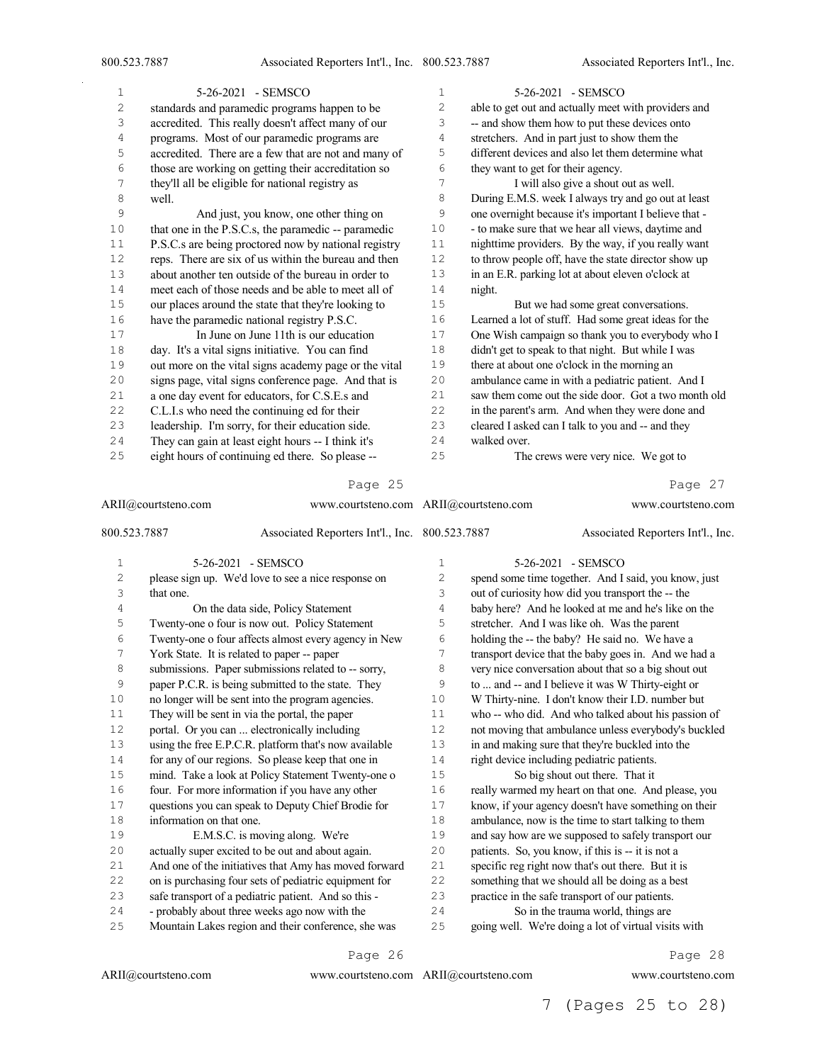$\bar{\gamma}$ 

| 1      | 5-26-2021 - SEMSCO                                    | 1  | 5-26-2021 - SEMSCO                                    |
|--------|-------------------------------------------------------|----|-------------------------------------------------------|
| 2      | standards and paramedic programs happen to be         | 2  | able to get out and actually meet with providers and  |
| 3      | accredited. This really doesn't affect many of our    | 3  | -- and show them how to put these devices onto        |
| 4      | programs. Most of our paramedic programs are          | 4  | stretchers. And in part just to show them the         |
| 5      | accredited. There are a few that are not and many of  | 5  | different devices and also let them determine what    |
| 6      | those are working on getting their accreditation so   | 6  | they want to get for their agency.                    |
| 7      | they'll all be eligible for national registry as      | 7  | I will also give a shout out as well.                 |
| 8      | well.                                                 | 8  | During E.M.S. week I always try and go out at least   |
| 9      | And just, you know, one other thing on                | 9  | one overnight because it's important I believe that - |
| 10     | that one in the P.S.C.s, the paramedic -- paramedic   | 10 | - to make sure that we hear all views, daytime and    |
| $1\,1$ | P.S.C.s are being proctored now by national registry  | 11 | nighttime providers. By the way, if you really want   |
| 12     | reps. There are six of us within the bureau and then  | 12 | to throw people off, have the state director show up  |
| 13     | about another ten outside of the bureau in order to   | 13 | in an E.R. parking lot at about eleven o'clock at     |
| 14     | meet each of those needs and be able to meet all of   | 14 | night.                                                |
| 15     | our places around the state that they're looking to   | 15 | But we had some great conversations.                  |
| 16     | have the paramedic national registry P.S.C.           | 16 | Learned a lot of stuff. Had some great ideas for the  |
| 17     | In June on June 11th is our education                 | 17 | One Wish campaign so thank you to everybody who I     |
| 18     | day. It's a vital signs initiative. You can find      | 18 | didn't get to speak to that night. But while I was    |
| 19     | out more on the vital signs academy page or the vital | 19 | there at about one o'clock in the morning an          |
| 20     | signs page, vital signs conference page. And that is  | 20 | ambulance came in with a pediatric patient. And I     |
| 21     | a one day event for educators, for C.S.E.s and        | 21 | saw them come out the side door. Got a two month old  |
| 22     | C.L.I.s who need the continuing ed for their          | 22 | in the parent's arm. And when they were done and      |
| 23     | leadership. I'm sorry, for their education side.      | 23 | cleared I asked can I talk to you and -- and they     |
| 24     | They can gain at least eight hours -- I think it's    | 24 | walked over.                                          |
| 25     | eight hours of continuing ed there. So please --      | 25 | The crews were very nice. We got to                   |

#### Page 25

| ARII@courtsteno.com |                          | www.courtsteno.com ARII@courtsteno.com                |              | www.courtsteno.com |                                                      |
|---------------------|--------------------------|-------------------------------------------------------|--------------|--------------------|------------------------------------------------------|
| 800.523.7887        |                          | Associated Reporters Int'l., Inc. 800.523.7887        |              |                    | Associated Reporters Int'l., Inc.                    |
| $\mathbf{1}$        |                          | 5-26-2021 - SEMSCO                                    | $\mathbf{1}$ |                    | 5-26-2021 - SEMSCO                                   |
| $\sqrt{2}$          |                          | please sign up. We'd love to see a nice response on   | 2            |                    | spend some time together. And I said, you know, just |
| 3                   | that one.                |                                                       | 3            |                    | out of curiosity how did you transport the -- the    |
| $\sqrt{4}$          |                          | On the data side, Policy Statement                    | 4            |                    | baby here? And he looked at me and he's like on the  |
| 5                   |                          | Twenty-one o four is now out. Policy Statement        | 5            |                    | stretcher. And I was like oh. Was the parent         |
| 6                   |                          | Twenty-one o four affects almost every agency in New  | 6            |                    | holding the -- the baby? He said no. We have a       |
| 7                   |                          | York State. It is related to paper -- paper           | 7            |                    | transport device that the baby goes in. And we had a |
| $\,8\,$             |                          | submissions. Paper submissions related to -- sorry,   | 8            |                    | very nice conversation about that so a big shout out |
| 9                   |                          | paper P.C.R. is being submitted to the state. They    | 9            |                    | to  and -- and I believe it was W Thirty-eight or    |
| 10                  |                          | no longer will be sent into the program agencies.     | 10           |                    | W Thirty-nine. I don't know their I.D. number but    |
| 11                  |                          | They will be sent in via the portal, the paper        | 11           |                    | who -- who did. And who talked about his passion of  |
| 12                  |                          | portal. Or you can  electronically including          | 12           |                    | not moving that ambulance unless everybody's buckled |
| 13                  |                          | using the free E.P.C.R. platform that's now available | 13           |                    | in and making sure that they're buckled into the     |
| 14                  |                          | for any of our regions. So please keep that one in    | 14           |                    | right device including pediatric patients.           |
| 15                  |                          | mind. Take a look at Policy Statement Twenty-one o    | 15           |                    | So big shout out there. That it                      |
| 16                  |                          | four. For more information if you have any other      | 16           |                    | really warmed my heart on that one. And please, you  |
| 17                  |                          | questions you can speak to Deputy Chief Brodie for    | 17           |                    | know, if your agency doesn't have something on their |
| 18                  | information on that one. |                                                       | 18           |                    | ambulance, now is the time to start talking to them  |
| 19                  |                          | E.M.S.C. is moving along. We're                       | 19           |                    | and say how are we supposed to safely transport our  |
| 20                  |                          | actually super excited to be out and about again.     | 20           |                    | patients. So, you know, if this is -- it is not a    |
| 21                  |                          | And one of the initiatives that Amy has moved forward | 21           |                    | specific reg right now that's out there. But it is   |
| 22                  |                          | on is purchasing four sets of pediatric equipment for | 22           |                    | something that we should all be doing as a best      |
| 23                  |                          | safe transport of a pediatric patient. And so this -  | 23           |                    | practice in the safe transport of our patients.      |
| 24                  |                          | - probably about three weeks ago now with the         | 24           |                    | So in the trauma world, things are                   |
| 25                  |                          | Mountain Lakes region and their conference, she was   | 25           |                    | going well. We're doing a lot of virtual visits with |

Page 26

ARII@courtsteno.com www.courtsteno.com ARII@courtsteno.com

ARII@courtsteno.com www.courtsteno.com Page 28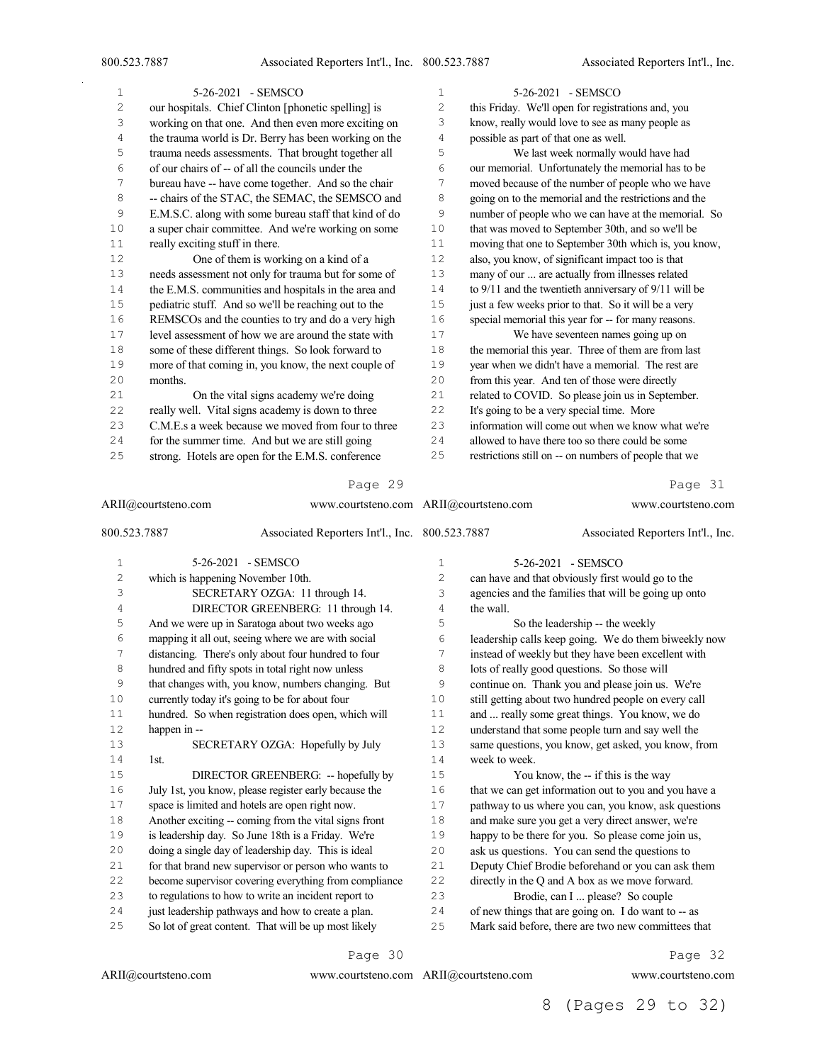| $\mathbf 1$    | 5-26-2021 - SEMSCO                                            | 1                       | 5-26-2021 - SEMSCO                                    |
|----------------|---------------------------------------------------------------|-------------------------|-------------------------------------------------------|
| $\overline{c}$ | our hospitals. Chief Clinton [phonetic spelling] is           | $\overline{\mathbf{c}}$ | this Friday. We'll open for registrations and, you    |
| 3              | working on that one. And then even more exciting on           | 3                       | know, really would love to see as many people as      |
| 4              | the trauma world is Dr. Berry has been working on the         | 4                       | possible as part of that one as well.                 |
| 5              | trauma needs assessments. That brought together all           | 5                       | We last week normally would have had                  |
| 6              | of our chairs of -- of all the councils under the             | 6                       | our memorial. Unfortunately the memorial has to be    |
| 7              | bureau have -- have come together. And so the chair           | 7                       | moved because of the number of people who we have     |
| 8              | -- chairs of the STAC, the SEMAC, the SEMSCO and              | 8                       | going on to the memorial and the restrictions and the |
| 9              | E.M.S.C. along with some bureau staff that kind of do         | 9                       | number of people who we can have at the memorial. So  |
| $10$           | a super chair committee. And we're working on some            | 10                      | that was moved to September 30th, and so we'll be     |
| 11             | really exciting stuff in there.                               | 11                      | moving that one to September 30th which is, you know, |
| 12             | One of them is working on a kind of a                         | 12                      | also, you know, of significant impact too is that     |
| 13             | needs assessment not only for trauma but for some of          | 13                      | many of our  are actually from illnesses related      |
| 14             | the E.M.S. communities and hospitals in the area and          | $1\,4$                  | to 9/11 and the twentieth anniversary of 9/11 will be |
| 15             | pediatric stuff. And so we'll be reaching out to the          | 15                      | just a few weeks prior to that. So it will be a very  |
| 16             | REMSCOs and the counties to try and do a very high            | 16                      | special memorial this year for -- for many reasons.   |
| 17             | level assessment of how we are around the state with          | 17                      | We have seventeen names going up on                   |
| 18             | some of these different things. So look forward to            | 18                      | the memorial this year. Three of them are from last   |
| 19             | more of that coming in, you know, the next couple of          | 19                      | year when we didn't have a memorial. The rest are     |
| 20             | months.                                                       | 20                      | from this year. And ten of those were directly        |
| 21             | On the vital signs academy we're doing                        | 21                      | related to COVID. So please join us in September.     |
| 22             | really well. Vital signs academy is down to three             | 22                      | It's going to be a very special time. More            |
| 23             | C.M.E.s a week because we moved from four to three            | 23                      | information will come out when we know what we're     |
| 24             | for the summer time. And but we are still going               | 24                      | allowed to have there too so there could be some      |
| 25             | strong. Hotels are open for the E.M.S. conference             | 25                      | restrictions still on -- on numbers of people that we |
|                | Page 29                                                       |                         | Page 31                                               |
|                | ARII@courtsteno.com<br>www.courtsteno.com ARII@courtsteno.com |                         | www.courtsteno.com                                    |
| 800.523.7887   | Associated Reporters Int'l., Inc. 800.523.7887                |                         | Associated Reporters Int'l., Inc.                     |
| $\mathbf 1$    | 5-26-2021 - SEMSCO                                            | 1                       | 5-26-2021 - SEMSCO                                    |
| $\mathbf{2}$   | which is happening November 10th.                             | 2                       | can have and that obviously first would go to the     |
| 3              | SECRETARY OZGA: 11 through 14.                                | 3                       | agencies and the families that will be going up onto  |
| 4              | $DIRECTOR GREFNRFRG-11$ through 14                            | 4                       | the wall                                              |

|    | 5-26-2021 - SEMSCO                                    | 1  | 5-26-2021 - SEMSCO                                    |
|----|-------------------------------------------------------|----|-------------------------------------------------------|
| 2  | which is happening November 10th.                     | 2  | can have and that obviously first would go to the     |
| 3  | SECRETARY OZGA: 11 through 14.                        | 3  | agencies and the families that will be going up onto  |
| 4  | DIRECTOR GREENBERG: 11 through 14.                    | 4  | the wall.                                             |
| 5  | And we were up in Saratoga about two weeks ago        | 5  | So the leadership -- the weekly                       |
| 6  | mapping it all out, seeing where we are with social   | 6  | leadership calls keep going. We do them biweekly now  |
| 7  | distancing. There's only about four hundred to four   | 7  | instead of weekly but they have been excellent with   |
| 8  | hundred and fifty spots in total right now unless     | 8  | lots of really good questions. So those will          |
| 9  | that changes with, you know, numbers changing. But    | 9  | continue on. Thank you and please join us. We're      |
| 10 | currently today it's going to be for about four       | 10 | still getting about two hundred people on every call  |
| 11 | hundred. So when registration does open, which will   | 11 | and  really some great things. You know, we do        |
| 12 | happen in --                                          | 12 | understand that some people turn and say well the     |
| 13 | SECRETARY OZGA: Hopefully by July                     | 13 | same questions, you know, get asked, you know, from   |
| 14 | 1st.                                                  | 14 | week to week.                                         |
| 15 | DIRECTOR GREENBERG: -- hopefully by                   | 15 | You know, the -- if this is the way                   |
| 16 | July 1st, you know, please register early because the | 16 | that we can get information out to you and you have a |
| 17 | space is limited and hotels are open right now.       | 17 | pathway to us where you can, you know, ask questions  |
| 18 | Another exciting -- coming from the vital signs front | 18 | and make sure you get a very direct answer, we're     |
| 19 | is leadership day. So June 18th is a Friday. We're    | 19 | happy to be there for you. So please come join us,    |
| 20 | doing a single day of leadership day. This is ideal   | 20 | ask us questions. You can send the questions to       |
| 21 | for that brand new supervisor or person who wants to  | 21 | Deputy Chief Brodie beforehand or you can ask them    |
| 22 | become supervisor covering everything from compliance | 22 | directly in the Q and A box as we move forward.       |
| 23 | to regulations to how to write an incident report to  | 23 | Brodie, can I  please? So couple                      |
| 24 | just leadership pathways and how to create a plan.    | 24 | of new things that are going on. I do want to -- as   |
| 25 | So lot of great content. That will be up most likely  | 25 | Mark said before, there are two new committees that   |
|    |                                                       |    |                                                       |

ARII@courtsteno.com www.courtsteno.com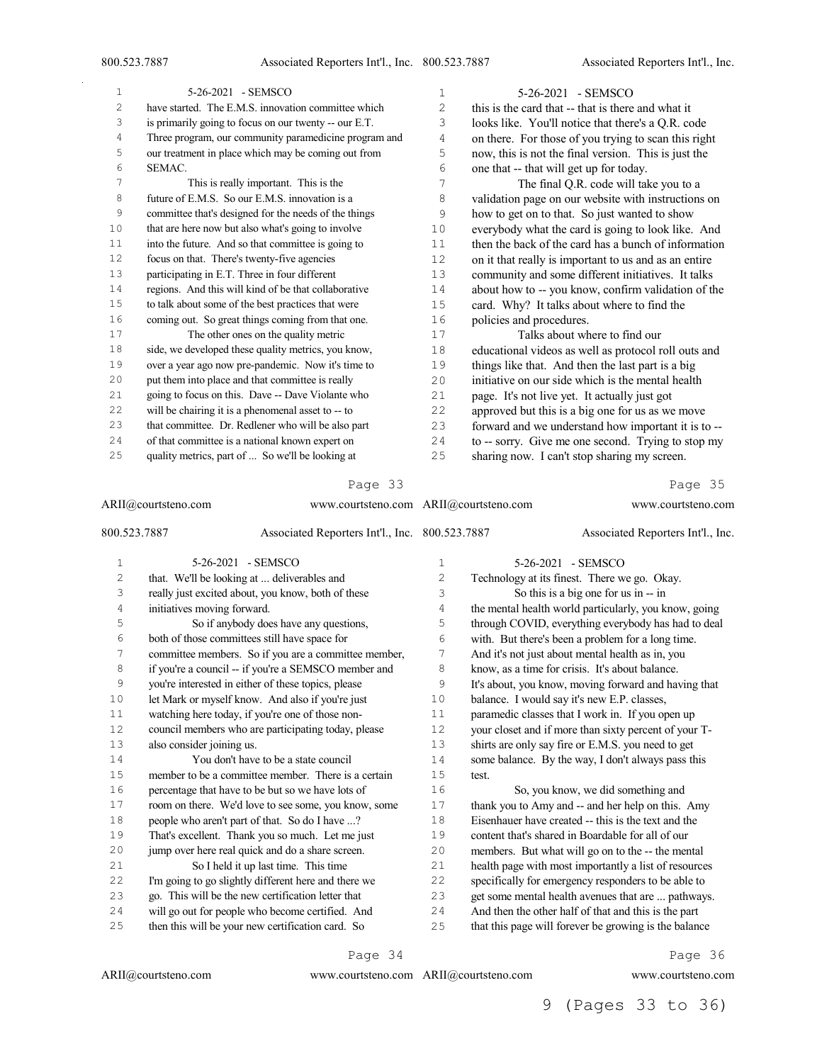| 1  | 5-26-2021 - SEMSCO                                    | 1              | 5-26-2021 - SEMSCO                                    |
|----|-------------------------------------------------------|----------------|-------------------------------------------------------|
| 2  | have started. The E.M.S. innovation committee which   | $\overline{2}$ | this is the card that -- that is there and what it    |
| 3  | is primarily going to focus on our twenty -- our E.T. | 3              | looks like. You'll notice that there's a Q.R. code    |
| 4  | Three program, our community paramedicine program and | 4              | on there. For those of you trying to scan this right  |
| 5  | our treatment in place which may be coming out from   | 5              | now, this is not the final version. This is just the  |
| 6  | SEMAC.                                                | 6              | one that -- that will get up for today.               |
| 7  | This is really important. This is the                 | 7              | The final Q.R. code will take you to a                |
| 8  | future of E.M.S. So our E.M.S. innovation is a        | 8              | validation page on our website with instructions on   |
| 9  | committee that's designed for the needs of the things | 9              | how to get on to that. So just wanted to show         |
| 10 | that are here now but also what's going to involve    | 10             | everybody what the card is going to look like. And    |
| 11 | into the future. And so that committee is going to    | 11             | then the back of the card has a bunch of information  |
| 12 | focus on that. There's twenty-five agencies           | 12             | on it that really is important to us and as an entire |
| 13 | participating in E.T. Three in four different         | 13             | community and some different initiatives. It talks    |
| 14 | regions. And this will kind of be that collaborative  | 14             | about how to -- you know, confirm validation of the   |
| 15 | to talk about some of the best practices that were    | 15             | card. Why? It talks about where to find the           |
| 16 | coming out. So great things coming from that one.     | 16             | policies and procedures.                              |
| 17 | The other ones on the quality metric                  | 17             | Talks about where to find our                         |
| 18 | side, we developed these quality metrics, you know,   | 18             | educational videos as well as protocol roll outs and  |
| 19 | over a year ago now pre-pandemic. Now it's time to    | 19             | things like that. And then the last part is a big     |
| 20 | put them into place and that committee is really      | 20             | initiative on our side which is the mental health     |
| 21 | going to focus on this. Dave -- Dave Violante who     | 21             | page. It's not live yet. It actually just got         |
| 22 | will be chairing it is a phenomenal asset to -- to    | 22             | approved but this is a big one for us as we move      |
| 23 | that committee. Dr. Redlener who will be also part    | 23             | forward and we understand how important it is to --   |
| 24 | of that committee is a national known expert on       | 24             | to -- sorry. Give me one second. Trying to stop my    |
| 25 | quality metrics, part of  So we'll be looking at      | 25             | sharing now. I can't stop sharing my screen.          |

ARII@courtsteno.com 800.523.7887 Associated Reporters Int'l., Inc. 5-26-2021 - SEMSCO that. We'll be looking at ... deliverables and really just excited about, you know, both of these initiatives moving forward. So if anybody does have any questions, both of those committees still have space for committee members. So if you are a committee member, if you're a council -- if you're a SEMSCO member and you're interested in either of these topics, please let Mark or myself know. And also if you're just watching here today, if you're one of those non- council members who are participating today, please also consider joining us. You don't have to be a state council member to be a committee member. There is a certain percentage that have to be but so we have lots of room on there. We'd love to see some, you know, some people who aren't part of that. So do I have ...? That's excellent. Thank you so much. Let me just jump over here real quick and do a share screen. So I held it up last time. This time I'm going to go slightly different here and there we www.courtsteno.com ARII@courtsteno.com www.courtsteno.com Associated Reporters Int'l., Inc. 5-26-2021 - SEMSCO Technology at its finest. There we go. Okay. So this is a big one for us in -- in the mental health world particularly, you know, going through COVID, everything everybody has had to deal with. But there's been a problem for a long time. And it's not just about mental health as in, you know, as a time for crisis. It's about balance. It's about, you know, moving forward and having that balance. I would say it's new E.P. classes, paramedic classes that I work in. If you open up your closet and if more than sixty percent of your T- shirts are only say fire or E.M.S. you need to get some balance. By the way, I don't always pass this test. So, you know, we did something and thank you to Amy and -- and her help on this. Amy Eisenhauer have created -- this is the text and the content that's shared in Boardable for all of our members. But what will go on to the -- the mental health page with most importantly a list of resources specifically for emergency responders to be able to

- go. This will be the new certification letter that
- will go out for people who become certified. And then this will be your new certification card. So

Page 34

ARII@courtsteno.com

www.courtsteno.com ARII@courtsteno.com www.courtsteno.com

Page 36

Page 35

 get some mental health avenues that are ... pathways. And then the other half of that and this is the part that this page will forever be growing is the balance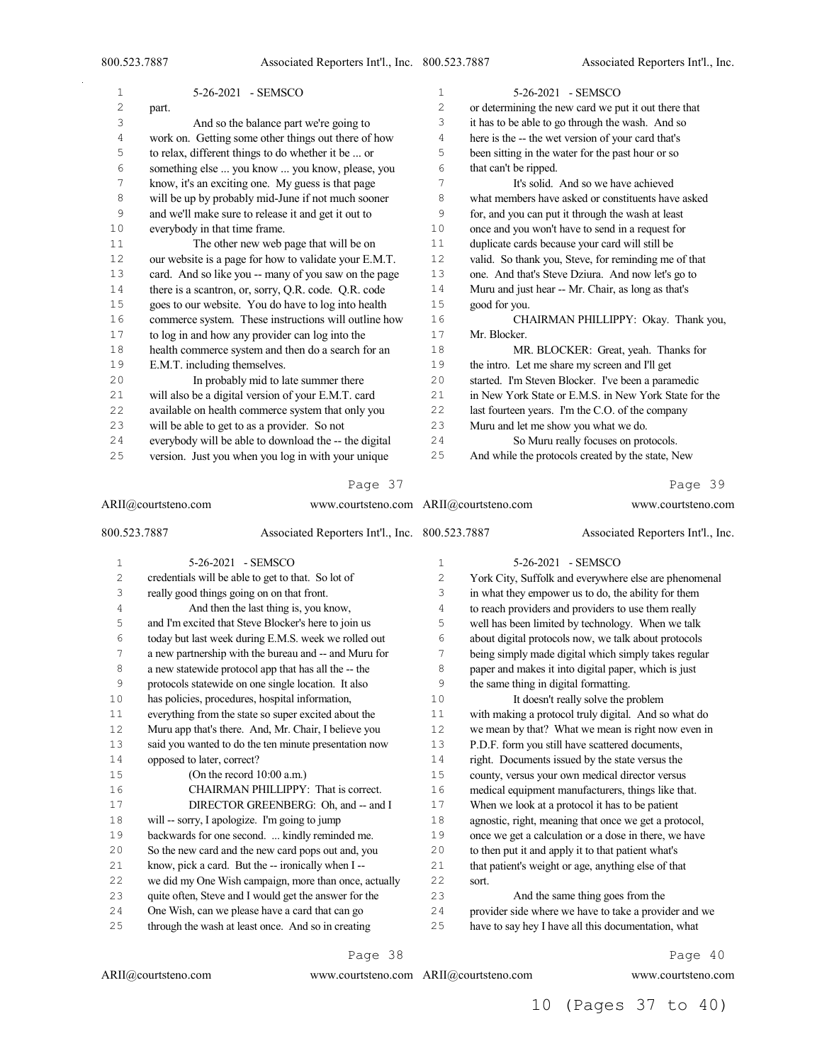$\sim$ 

| 1  | 5-26-2021 - SEMSCO                                    | $\mathbf{1}$   | 5-26-2021 - SEMSCO                                    |
|----|-------------------------------------------------------|----------------|-------------------------------------------------------|
| 2  | part.                                                 | $\overline{2}$ | or determining the new card we put it out there that  |
| 3  | And so the balance part we're going to                | 3              | it has to be able to go through the wash. And so      |
| 4  | work on. Getting some other things out there of how   | 4              | here is the -- the wet version of your card that's    |
| 5  | to relax, different things to do whether it be  or    | 5              | been sitting in the water for the past hour or so     |
| 6  | something else  you know  you know, please, you       | 6              | that can't be ripped.                                 |
| 7  | know, it's an exciting one. My guess is that page     | 7              | It's solid. And so we have achieved                   |
| 8  | will be up by probably mid-June if not much sooner    | 8              | what members have asked or constituents have asked    |
| 9  | and we'll make sure to release it and get it out to   | 9              | for, and you can put it through the wash at least     |
| 10 | everybody in that time frame.                         | 10             | once and you won't have to send in a request for      |
| 11 | The other new web page that will be on                | 11             | duplicate cards because your card will still be       |
| 12 | our website is a page for how to validate your E.M.T. | 12             | valid. So thank you, Steve, for reminding me of that  |
| 13 | card. And so like you -- many of you saw on the page  | 13             | one. And that's Steve Dziura. And now let's go to     |
| 14 | there is a scantron, or, sorry, Q.R. code. Q.R. code  | 14             | Muru and just hear -- Mr. Chair, as long as that's    |
| 15 | goes to our website. You do have to log into health   | 15             | good for you.                                         |
| 16 | commerce system. These instructions will outline how  | 16             | CHAIRMAN PHILLIPPY: Okay. Thank you,                  |
| 17 | to log in and how any provider can log into the       | 17             | Mr. Blocker.                                          |
| 18 | health commerce system and then do a search for an    | 18             | MR. BLOCKER: Great, yeah. Thanks for                  |
| 19 | E.M.T. including themselves.                          | 19             | the intro. Let me share my screen and I'll get        |
| 20 | In probably mid to late summer there                  | 20             | started. I'm Steven Blocker. I've been a paramedic    |
| 21 | will also be a digital version of your E.M.T. card    | 21             | in New York State or E.M.S. in New York State for the |
| 22 | available on health commerce system that only you     | 22             | last fourteen years. I'm the C.O. of the company      |
| 23 | will be able to get to as a provider. So not          | 23             | Muru and let me show you what we do.                  |
| 24 | everybody will be able to download the -- the digital | 24             | So Muru really focuses on protocols.                  |
| 25 | version. Just you when you log in with your unique    | 25             | And while the protocols created by the state, New     |
|    | Page 37                                               |                | Page 39                                               |

# Page 37

| ARII@courtsteno.com<br>www.courtsteno.com ARII@courtsteno.com |                            |                                                       |              | www.courtsteno.com                    |                                                       |
|---------------------------------------------------------------|----------------------------|-------------------------------------------------------|--------------|---------------------------------------|-------------------------------------------------------|
| 800.523.7887                                                  |                            | Associated Reporters Int'l., Inc. 800.523.7887        |              |                                       | Associated Reporters Int'l., Inc.                     |
| $\mathbf{1}$                                                  |                            | 5-26-2021 - SEMSCO                                    | $\mathbf{1}$ |                                       | 5-26-2021 - SEMSCO                                    |
| $\mathbf{2}$                                                  |                            | credentials will be able to get to that. So lot of    | 2            |                                       | York City, Suffolk and everywhere else are phenomenal |
| 3                                                             |                            | really good things going on on that front.            | 3            |                                       | in what they empower us to do, the ability for them   |
| $\sqrt{4}$                                                    |                            | And then the last thing is, you know,                 | 4            |                                       | to reach providers and providers to use them really   |
| 5                                                             |                            | and I'm excited that Steve Blocker's here to join us  | 5            |                                       | well has been limited by technology. When we talk     |
| 6                                                             |                            | today but last week during E.M.S. week we rolled out  | 6            |                                       | about digital protocols now, we talk about protocols  |
| 7                                                             |                            | a new partnership with the bureau and -- and Muru for | 7            |                                       | being simply made digital which simply takes regular  |
| 8                                                             |                            | a new statewide protocol app that has all the -- the  | 8            |                                       | paper and makes it into digital paper, which is just  |
| 9                                                             |                            | protocols statewide on one single location. It also   | 9            | the same thing in digital formatting. |                                                       |
| 10                                                            |                            | has policies, procedures, hospital information,       | 10           |                                       | It doesn't really solve the problem                   |
| 11                                                            |                            | everything from the state so super excited about the  | 11           |                                       | with making a protocol truly digital. And so what do  |
| 12                                                            |                            | Muru app that's there. And, Mr. Chair, I believe you  | 12           |                                       | we mean by that? What we mean is right now even in    |
| 13                                                            |                            | said you wanted to do the ten minute presentation now | 13           |                                       | P.D.F. form you still have scattered documents,       |
| 14                                                            | opposed to later, correct? |                                                       | 14           |                                       | right. Documents issued by the state versus the       |
| 15                                                            |                            | (On the record 10:00 a.m.)                            | 15           |                                       | county, versus your own medical director versus       |
| 16                                                            |                            | CHAIRMAN PHILLIPPY: That is correct.                  | 16           |                                       | medical equipment manufacturers, things like that.    |
| 17                                                            |                            | DIRECTOR GREENBERG: Oh, and -- and I                  | 17           |                                       | When we look at a protocol it has to be patient       |
| 18                                                            |                            | will -- sorry, I apologize. I'm going to jump         | 18           |                                       | agnostic, right, meaning that once we get a protocol, |
| 19                                                            |                            | backwards for one second.  kindly reminded me.        | 19           |                                       | once we get a calculation or a dose in there, we have |
| 20                                                            |                            | So the new card and the new card pops out and, you    | 20           |                                       | to then put it and apply it to that patient what's    |
| 21                                                            |                            | know, pick a card. But the -- ironically when I --    | 21           |                                       | that patient's weight or age, anything else of that   |
| 22                                                            |                            | we did my One Wish campaign, more than once, actually | 22           | sort.                                 |                                                       |
| 23                                                            |                            | quite often, Steve and I would get the answer for the | 23           |                                       | And the same thing goes from the                      |
| 24                                                            |                            | One Wish, can we please have a card that can go       | 24           |                                       | provider side where we have to take a provider and we |
| 25                                                            |                            | through the wash at least once. And so in creating    | 25           |                                       | have to say hey I have all this documentation, what   |

Page 38

www.courtsteno.com ARII@courtsteno.com www.courtsteno.com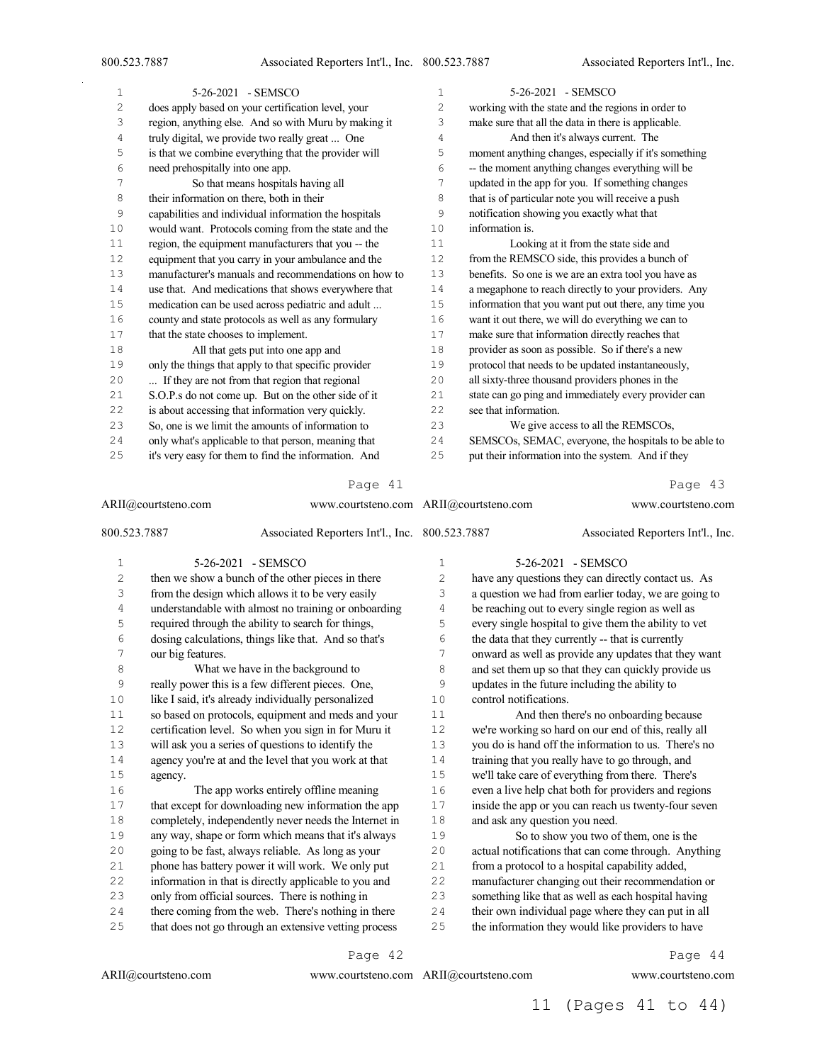$\bar{z}$ 

| 1  | 5-26-2021 - SEMSCO                                    | $\mathbf 1$ | 5-26-2021 - SEMSCO                                    |
|----|-------------------------------------------------------|-------------|-------------------------------------------------------|
| 2  | does apply based on your certification level, your    | 2           | working with the state and the regions in order to    |
| 3  | region, anything else. And so with Muru by making it  | 3           | make sure that all the data in there is applicable.   |
| 4  | truly digital, we provide two really great  One       | 4           | And then it's always current. The                     |
| 5  | is that we combine everything that the provider will  | 5           | moment anything changes, especially if it's something |
| 6  | need prehospitally into one app.                      | 6           | -- the moment anything changes everything will be     |
| 7  | So that means hospitals having all                    | 7           | updated in the app for you. If something changes      |
| 8  | their information on there, both in their             | 8           | that is of particular note you will receive a push    |
| 9  | capabilities and individual information the hospitals | 9           | notification showing you exactly what that            |
| 10 | would want. Protocols coming from the state and the   | 10          | information is.                                       |
| 11 | region, the equipment manufacturers that you -- the   | 11          | Looking at it from the state side and                 |
| 12 | equipment that you carry in your ambulance and the    | 12          | from the REMSCO side, this provides a bunch of        |
| 13 | manufacturer's manuals and recommendations on how to  | 13          | benefits. So one is we are an extra tool you have as  |
| 14 | use that. And medications that shows everywhere that  | 14          | a megaphone to reach directly to your providers. Any  |
| 15 | medication can be used across pediatric and adult     | 15          | information that you want put out there, any time you |
| 16 | county and state protocols as well as any formulary   | 16          | want it out there, we will do everything we can to    |
| 17 | that the state chooses to implement.                  | 17          | make sure that information directly reaches that      |
| 18 | All that gets put into one app and                    | 18          | provider as soon as possible. So if there's a new     |
| 19 | only the things that apply to that specific provider  | 19          | protocol that needs to be updated instantaneously,    |
| 20 | If they are not from that region that regional        | 20          | all sixty-three thousand providers phones in the      |
| 21 | S.O.P.s do not come up. But on the other side of it   | 21          | state can go ping and immediately every provider can  |
| 22 | is about accessing that information very quickly.     | 22          | see that information.                                 |
| 23 | So, one is we limit the amounts of information to     | 23          | We give access to all the REMSCOs,                    |
| 24 | only what's applicable to that person, meaning that   | 24          | SEMSCOs, SEMAC, everyone, the hospitals to be able to |
| 25 | it's very easy for them to find the information. And  | 25          | put their information into the system. And if they    |
|    | Page 41                                               |             | Page 43                                               |

### Page 41

| ARII@courtsteno.com |                   |                                                       |  | www.courtsteno.com ARII@courtsteno.com |                                | www.courtsteno.com                                    |
|---------------------|-------------------|-------------------------------------------------------|--|----------------------------------------|--------------------------------|-------------------------------------------------------|
| 800.523.7887        |                   | Associated Reporters Int'l., Inc. 800.523.7887        |  |                                        |                                | Associated Reporters Int'l., Inc.                     |
| $\,1$               |                   | 5-26-2021 - SEMSCO                                    |  | $\mathbf{1}$                           |                                | 5-26-2021 - SEMSCO                                    |
| $\mathbf{2}$        |                   | then we show a bunch of the other pieces in there     |  | 2                                      |                                | have any questions they can directly contact us. As   |
| 3                   |                   | from the design which allows it to be very easily     |  | 3                                      |                                | a question we had from earlier today, we are going to |
| $\sqrt{4}$          |                   | understandable with almost no training or onboarding  |  | 4                                      |                                | be reaching out to every single region as well as     |
| 5                   |                   | required through the ability to search for things,    |  | 5                                      |                                | every single hospital to give them the ability to vet |
| 6                   |                   | dosing calculations, things like that. And so that's  |  | 6                                      |                                | the data that they currently -- that is currently     |
| 7                   | our big features. |                                                       |  | 7                                      |                                | onward as well as provide any updates that they want  |
| $\,8\,$             |                   | What we have in the background to                     |  | 8                                      |                                | and set them up so that they can quickly provide us   |
| 9                   |                   | really power this is a few different pieces. One,     |  | 9                                      |                                | updates in the future including the ability to        |
| $10$                |                   | like I said, it's already individually personalized   |  | 10                                     | control notifications.         |                                                       |
| 11                  |                   | so based on protocols, equipment and meds and your    |  | 11                                     |                                | And then there's no onboarding because                |
| 12                  |                   | certification level. So when you sign in for Muru it  |  | 12                                     |                                | we're working so hard on our end of this, really all  |
| 13                  |                   | will ask you a series of questions to identify the    |  | 13                                     |                                | you do is hand off the information to us. There's no  |
| $1\,4$              |                   | agency you're at and the level that you work at that  |  | 14                                     |                                | training that you really have to go through, and      |
| $15$                | agency.           |                                                       |  | 15                                     |                                | we'll take care of everything from there. There's     |
| 16                  |                   | The app works entirely offline meaning                |  | 16                                     |                                | even a live help chat both for providers and regions  |
| 17                  |                   | that except for downloading new information the app   |  | 17                                     |                                | inside the app or you can reach us twenty-four seven  |
| 18                  |                   | completely, independently never needs the Internet in |  | 18                                     | and ask any question you need. |                                                       |
| 19                  |                   | any way, shape or form which means that it's always   |  | 19                                     |                                | So to show you two of them, one is the                |
| 20                  |                   | going to be fast, always reliable. As long as your    |  | 20                                     |                                | actual notifications that can come through. Anything  |
| 21                  |                   | phone has battery power it will work. We only put     |  | 21                                     |                                | from a protocol to a hospital capability added,       |
| 22                  |                   | information in that is directly applicable to you and |  | 22                                     |                                | manufacturer changing out their recommendation or     |
| 23                  |                   | only from official sources. There is nothing in       |  | 23                                     |                                | something like that as well as each hospital having   |
| 24                  |                   | there coming from the web. There's nothing in there   |  | 24                                     |                                | their own individual page where they can put in all   |
| 25                  |                   | that does not go through an extensive vetting process |  | 25                                     |                                | the information they would like providers to have     |

Page 42

ARII@courtsteno.com

www.courtsteno.com ARII@courtsteno.com www.courtsteno.com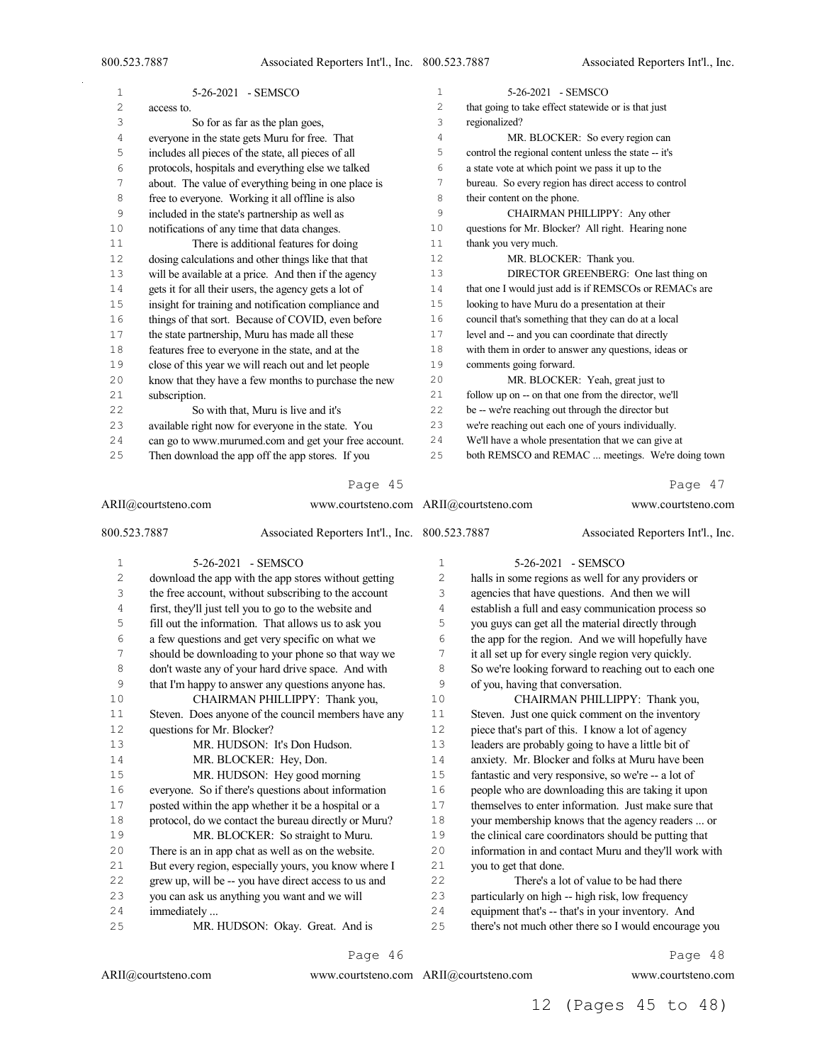| $\mathbf 1$      | 5-26-2021 - SEMSCO                                            | $1\,$          | 5-26-2021 - SEMSCO                                    |
|------------------|---------------------------------------------------------------|----------------|-------------------------------------------------------|
| $\mathbf{2}$     | access to.                                                    | $\overline{c}$ | that going to take effect statewide or is that just   |
| 3                | So for as far as the plan goes,                               | 3              | regionalized?                                         |
| $\overline{4}$   | everyone in the state gets Muru for free. That                | $\overline{4}$ | MR. BLOCKER: So every region can                      |
| 5                | includes all pieces of the state, all pieces of all           | 5              | control the regional content unless the state -- it's |
| 6                | protocols, hospitals and everything else we talked            | $\epsilon$     | a state vote at which point we pass it up to the      |
| 7                | about. The value of everything being in one place is          | 7              | bureau. So every region has direct access to control  |
| $\,8\,$          | free to everyone. Working it all offline is also              | 8              | their content on the phone.                           |
| 9                | included in the state's partnership as well as                | 9              | CHAIRMAN PHILLIPPY: Any other                         |
| 10               | notifications of any time that data changes.                  | 10             | questions for Mr. Blocker? All right. Hearing none    |
| 11               | There is additional features for doing                        | 11             | thank you very much.                                  |
| 12               | dosing calculations and other things like that that           | 12             | MR. BLOCKER: Thank you.                               |
| 13               | will be available at a price. And then if the agency          | 13             | DIRECTOR GREENBERG: One last thing on                 |
| 14               | gets it for all their users, the agency gets a lot of         | 14             | that one I would just add is if REMSCOs or REMACs are |
| $1\,5$           | insight for training and notification compliance and          | 15             | looking to have Muru do a presentation at their       |
| 16               | things of that sort. Because of COVID, even before            | 16             | council that's something that they can do at a local  |
| 17               | the state partnership, Muru has made all these                | 17             | level and -- and you can coordinate that directly     |
| 18               | features free to everyone in the state, and at the            | 18             | with them in order to answer any questions, ideas or  |
| 19               | close of this year we will reach out and let people           | 19             | comments going forward.                               |
| 20               | know that they have a few months to purchase the new          | 20             | MR. BLOCKER: Yeah, great just to                      |
| 21               | subscription.                                                 | 21             | follow up on -- on that one from the director, we'll  |
| 22               | So with that, Muru is live and it's                           | 22             | be -- we're reaching out through the director but     |
| 23               | available right now for everyone in the state. You            | 23             | we're reaching out each one of yours individually.    |
| 24               | can go to www.murumed.com and get your free account.          | 24             | We'll have a whole presentation that we can give at   |
| 25               | Then download the app off the app stores. If you              | 25             | both REMSCO and REMAC  meetings. We're doing town     |
|                  | Page 45                                                       |                | Page 47                                               |
|                  | ARII@courtsteno.com<br>www.courtsteno.com ARII@courtsteno.com |                | www.courtsteno.com                                    |
| 800.523.7887     | Associated Reporters Int'l., Inc. 800.523.7887                |                | Associated Reporters Int'l., Inc.                     |
| 1                | 5-26-2021 - SEMSCO                                            | $\mathbf 1$    | 5-26-2021 - SEMSCO                                    |
| $\mathbf{2}$     | download the app with the app stores without getting          | $\overline{c}$ | halls in some regions as well for any providers or    |
| 3                | the free account, without subscribing to the account          | 3              | agencies that have questions. And then we will        |
| $\overline{4}$   | first, they'll just tell you to go to the website and         | $\sqrt{4}$     | establish a full and easy communication process so    |
| 5                | fill out the information. That allows us to ask you           | 5              | you guys can get all the material directly through    |
| 6                | a few questions and get very specific on what we              | $\epsilon$     | the app for the region. And we will hopefully have    |
| $\boldsymbol{7}$ | should be downloading to your phone so that way we            | 7              | it all set up for every single region very quickly.   |
| $\,8\,$          | don't waste any of your hard drive space. And with            | 8              | So we're looking forward to reaching out to each one  |
| 9                | that I'm happy to answer any questions anyone has.            | 9              | of you, having that conversation.                     |
| $1\,0$           | CHAIRMAN PHILLIPPY: Thank you,                                | 10             | CHAIRMAN PHILLIPPY: Thank you,                        |
| 11               | Steven. Does anyone of the council members have any           | 11             | Steven. Just one quick comment on the inventory       |
| 12               | questions for Mr. Blocker?                                    | 12             | piece that's part of this. I know a lot of agency     |
| 13               | MR. HUDSON: It's Don Hudson.                                  | 13             | leaders are probably going to have a little bit of    |

| 13 | MR. HUDSON: It's Don Hudson.                         | 13 | leaders are probably going to have a little bit of    |
|----|------------------------------------------------------|----|-------------------------------------------------------|
| 14 | MR. BLOCKER: Hey, Don.                               | 14 | anxiety. Mr. Blocker and folks at Muru have been      |
| 15 | MR. HUDSON: Hey good morning                         | 15 | fantastic and very responsive, so we're -- a lot of   |
| 16 | everyone. So if there's questions about information  | 16 | people who are downloading this are taking it upon    |
| 17 | posted within the app whether it be a hospital or a  | 17 | themselves to enter information. Just make sure that  |
| 18 | protocol, do we contact the bureau directly or Muru? | 18 | your membership knows that the agency readers  or     |
| 19 | MR. BLOCKER: So straight to Muru.                    | 19 | the clinical care coordinators should be putting that |
| 20 | There is an in app chat as well as on the website.   | 20 | information in and contact Muru and they'll work with |
| 21 | But every region, especially yours, you know where I | 21 | you to get that done.                                 |
| 22 | grew up, will be -- you have direct access to us and | 22 | There's a lot of value to be had there                |
| 23 | you can ask us anything you want and we will         | 23 | particularly on high -- high risk, low frequency      |
| 24 | immediately                                          | 24 | equipment that's -- that's in your inventory. And     |
| 25 | MR. HUDSON: Okay. Great. And is                      | 25 | there's not much other there so I would encourage you |

ARII@courtsteno.com

ARII@courtsteno.com www.courtsteno.com

Page 48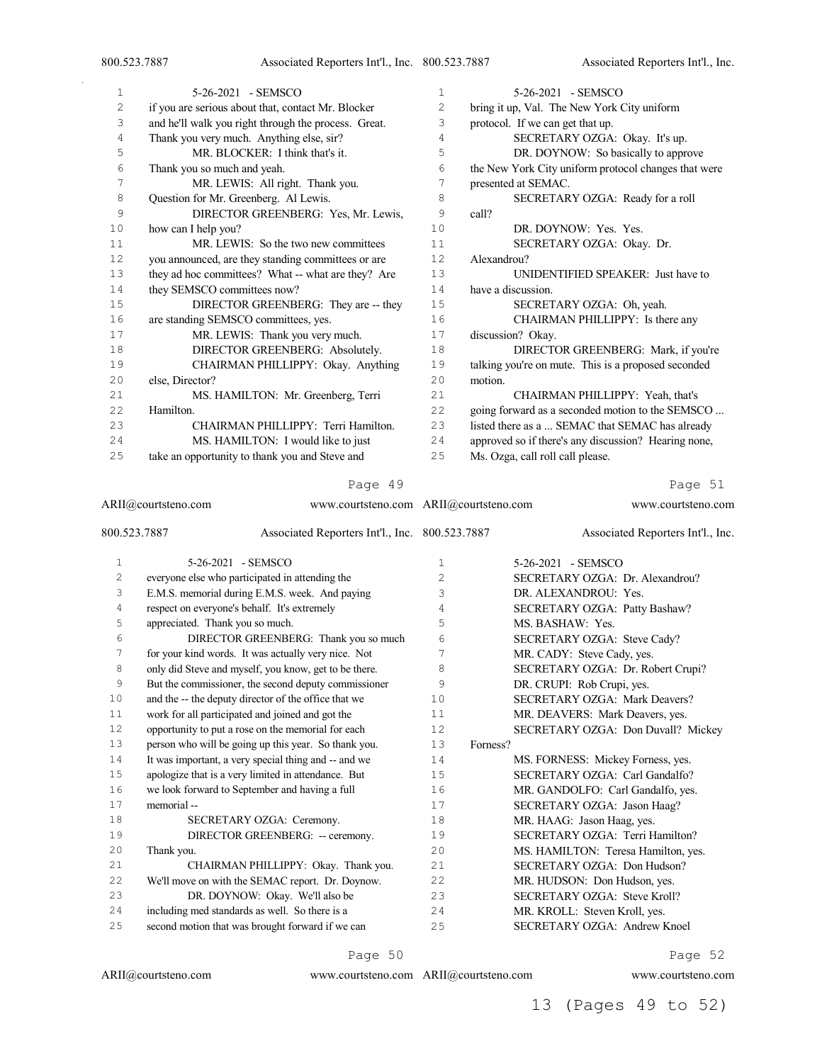$5-26-2021$  - SEMSCO

 $5-26-2021 -$  SEMSCO

|    | 2-20-2021 - DLINDCO                                  |                | $2 - 20 - 20 = 1 - 9$                                |
|----|------------------------------------------------------|----------------|------------------------------------------------------|
| 2  | if you are serious about that, contact Mr. Blocker   | $\overline{c}$ | bring it up, Val. The New York City uniform          |
| 3  | and he'll walk you right through the process. Great. | 3              | protocol. If we can get that up.                     |
| 4  | Thank you very much. Anything else, sir?             | 4              | SECRETARY OZGA: Okay. It's up.                       |
| 5  | MR. BLOCKER: I think that's it.                      | 5              | DR. DOYNOW: So basically to approve                  |
| 6  | Thank you so much and yeah.                          | 6              | the New York City uniform protocol changes that were |
| 7  | MR. LEWIS: All right. Thank you.                     | 7              | presented at SEMAC.                                  |
| 8  | Question for Mr. Greenberg. Al Lewis.                | 8              | SECRETARY OZGA: Ready for a roll                     |
| 9  | DIRECTOR GREENBERG: Yes, Mr. Lewis,                  | 9              | call?                                                |
| 10 | how can I help you?                                  | 10             | DR. DOYNOW: Yes. Yes.                                |
| 11 | MR. LEWIS: So the two new committees                 | 11             | SECRETARY OZGA: Okay. Dr.                            |
| 12 | you announced, are they standing committees or are   | 12             | Alexandrou?                                          |
| 13 | they ad hoc committees? What -- what are they? Are   | 13             | UNIDENTIFIED SPEAKER: Just have to                   |
| 14 | they SEMSCO committees now?                          | 14             | have a discussion.                                   |
| 15 | DIRECTOR GREENBERG: They are -- they                 | 15             | SECRETARY OZGA: Oh, yeah.                            |
| 16 | are standing SEMSCO committees, yes.                 | 16             | CHAIRMAN PHILLIPPY: Is there any                     |
| 17 | MR. LEWIS: Thank you very much.                      | 17             | discussion? Okay.                                    |
| 18 | DIRECTOR GREENBERG: Absolutely.                      | 18             | DIRECTOR GREENBERG: Mark, if you're                  |
| 19 | CHAIRMAN PHILLIPPY: Okay. Anything                   | 19             | talking you're on mute. This is a proposed seconded  |
| 20 | else, Director?                                      | 20             | motion.                                              |
| 21 | MS. HAMILTON: Mr. Greenberg, Terri                   | 21             | CHAIRMAN PHILLIPPY: Yeah, that's                     |
| 22 | Hamilton.                                            | 22             | going forward as a seconded motion to the SEMSCO     |
| 23 | CHAIRMAN PHILLIPPY: Terri Hamilton.                  | 23             | listed there as a  SEMAC that SEMAC has already      |
| 24 | MS. HAMILTON: I would like to just                   | 24             | approved so if there's any discussion? Hearing none, |
| 25 | take an opportunity to thank you and Steve and       | 25             | Ms. Ozga, call roll call please.                     |
|    | Page 49                                              |                | Page 51                                              |

#### Page 49

ARII@courtsteno.com 800.523.7887 Associated Reporters Int'l., Inc. 5-26-2021 - SEMSCO everyone else who participated in attending the E.M.S. memorial during E.M.S. week. And paying respect on everyone's behalf. It's extremely appreciated. Thank you so much. DIRECTOR GREENBERG: Thank you so much for your kind words. It was actually very nice. Not only did Steve and myself, you know, get to be there. But the commissioner, the second deputy commissioner and the -- the deputy director of the office that we work for all participated and joined and got the opportunity to put a rose on the memorial for each person who will be going up this year. So thank you. It was important, a very special thing and -- and we apologize that is a very limited in attendance. But we look forward to September and having a full memorial -- SECRETARY OZGA: Ceremony. **DIRECTOR GREENBERG:** -- ceremony. Thank you. CHAIRMAN PHILLIPPY: Okay. Thank you. We'll move on with the SEMAC report. Dr. Doynow. DR. DOYNOW: Okay. We'll also be including med standards as well. So there is a second motion that was brought forward if we can www.courtsteno.com ARII@courtsteno.com www.courtsteno.com Associated Reporters Int'l., Inc. 5-26-2021 - SEMSCO SECRETARY OZGA: Dr. Alexandrou? DR. ALEXANDROU: Yes. SECRETARY OZGA: Patty Bashaw? MS. BASHAW: Yes. SECRETARY OZGA: Steve Cady? 7 MR. CADY: Steve Cady, yes. SECRETARY OZGA: Dr. Robert Crupi? DR. CRUPI: Rob Crupi, yes. SECRETARY OZGA: Mark Deavers? 11 MR. DEAVERS: Mark Deavers, yes. SECRETARY OZGA: Don Duvall? Mickey Forness? 14 MS. FORNESS: Mickey Forness, yes.<br>15 SECRETARY OZGA: Carl Gandalfo? SECRETARY OZGA: Carl Gandalfo? MR. GANDOLFO: Carl Gandalfo, yes. SECRETARY OZGA: Jason Haag? 18 MR. HAAG: Jason Haag, yes. SECRETARY OZGA: Terri Hamilton? MS. HAMILTON: Teresa Hamilton, yes. SECRETARY OZGA: Don Hudson? MR. HUDSON: Don Hudson, yes. SECRETARY OZGA: Steve Kroll? MR. KROLL: Steven Kroll, yes. SECRETARY OZGA: Andrew Knoel

#### Page 50

### ARII@courtsteno.com

www.courtsteno.com ARII@courtsteno.com www.courtsteno.com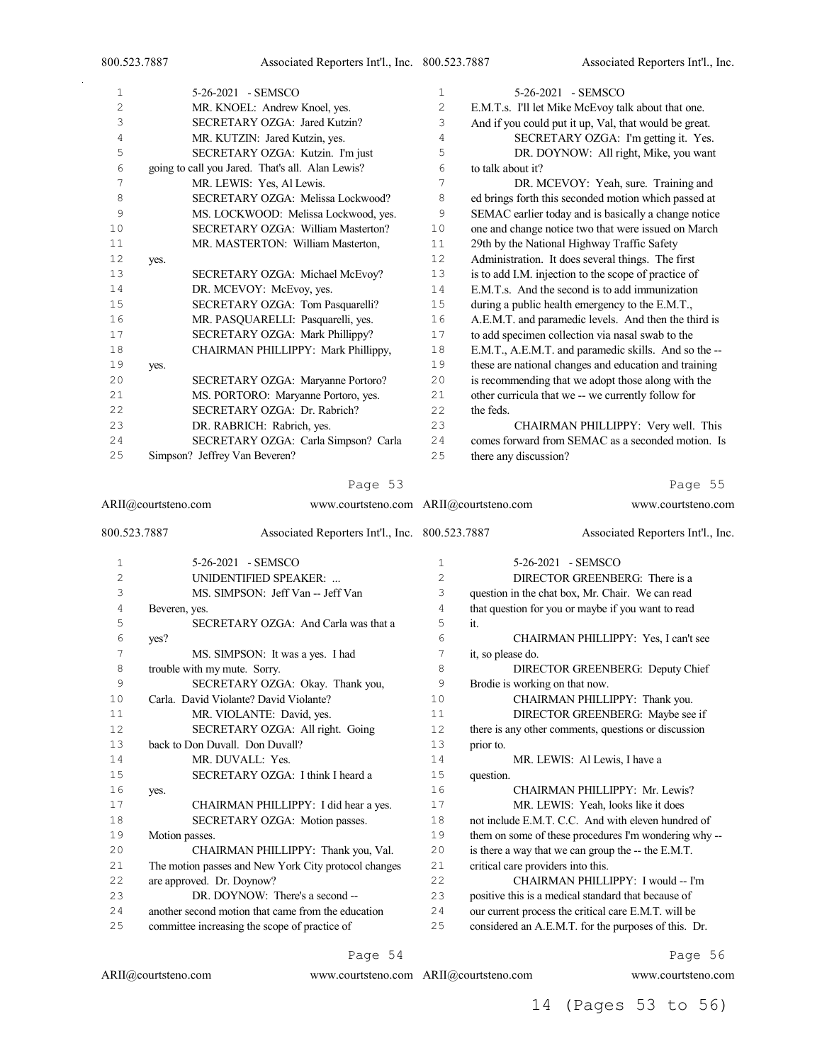| $\mathbf 1$    | 5-26-2021 - SEMSCO                               | 1              | 5-26-2021 - SEMSCO                                    |
|----------------|--------------------------------------------------|----------------|-------------------------------------------------------|
| $\overline{c}$ | MR. KNOEL: Andrew Knoel, yes.                    | $\overline{c}$ | E.M.T.s. I'll let Mike McEvoy talk about that one.    |
| 3              | SECRETARY OZGA: Jared Kutzin?                    | 3              | And if you could put it up, Val, that would be great. |
| 4              | MR. KUTZIN: Jared Kutzin, yes.                   | 4              | SECRETARY OZGA: I'm getting it. Yes.                  |
| 5              | SECRETARY OZGA: Kutzin. I'm just                 | 5              | DR. DOYNOW: All right, Mike, you want                 |
| 6              | going to call you Jared. That's all. Alan Lewis? | 6              | to talk about it?                                     |
| 7              | MR. LEWIS: Yes, Al Lewis.                        | 7              | DR. MCEVOY: Yeah, sure. Training and                  |
| 8              | SECRETARY OZGA: Melissa Lockwood?                | 8              | ed brings forth this seconded motion which passed at  |
| 9              | MS. LOCKWOOD: Melissa Lockwood, yes.             | 9              | SEMAC earlier today and is basically a change notice  |
| 10             | SECRETARY OZGA: William Masterton?               | 10             | one and change notice two that were issued on March   |
| 11             | MR. MASTERTON: William Masterton,                | 11             | 29th by the National Highway Traffic Safety           |
| 12             | yes.                                             | 12             | Administration. It does several things. The first     |
| 13             | SECRETARY OZGA: Michael McEvoy?                  | 13             | is to add I.M. injection to the scope of practice of  |
| 14             | DR. MCEVOY: McEvoy, yes.                         | 14             | E.M.T.s. And the second is to add immunization        |
| 15             | SECRETARY OZGA: Tom Pasquarelli?                 | 15             | during a public health emergency to the E.M.T.,       |
| 16             | MR. PASQUARELLI: Pasquarelli, yes.               | 16             | A.E.M.T. and paramedic levels. And then the third is  |
| 17             | SECRETARY OZGA: Mark Phillippy?                  | 17             | to add specimen collection via nasal swab to the      |
| 18             | CHAIRMAN PHILLIPPY: Mark Phillippy,              | 18             | E.M.T., A.E.M.T. and paramedic skills. And so the --  |
| 19             | yes.                                             | 19             | these are national changes and education and training |
| 20             | SECRETARY OZGA: Maryanne Portoro?                | 20             | is recommending that we adopt those along with the    |
| 21             | MS. PORTORO: Maryanne Portoro, yes.              | 21             | other curricula that we -- we currently follow for    |
| 22             | SECRETARY OZGA: Dr. Rabrich?                     | 22             | the feds.                                             |
| 23             | DR. RABRICH: Rabrich, yes.                       | 23             | CHAIRMAN PHILLIPPY: Very well. This                   |
| 24             | SECRETARY OZGA: Carla Simpson? Carla             | 24             | comes forward from SEMAC as a seconded motion. Is     |
| 25             | Simpson? Jeffrey Van Beveren?                    | 25             | there any discussion?                                 |
|                |                                                  |                |                                                       |

ARII@courtsteno.com 800.523.7887 Associated Reporters Int'l., Inc. 5-26-2021 - SEMSCO UNIDENTIFIED SPEAKER: ... MS. SIMPSON: Jeff Van -- Jeff Van Beveren, yes. SECRETARY OZGA: And Carla was that a yes? MS. SIMPSON: It was a yes. I had trouble with my mute. Sorry. SECRETARY OZGA: Okay. Thank you, Carla. David Violante? David Violante? 11 MR. VIOLANTE: David, yes. SECRETARY OZGA: All right. Going back to Don Duvall. Don Duvall? MR. DUVALL: Yes. SECRETARY OZGA: I think I heard a yes. CHAIRMAN PHILLIPPY: I did hear a yes. SECRETARY OZGA: Motion passes. Motion passes. CHAIRMAN PHILLIPPY: Thank you, Val. The motion passes and New York City protocol changes are approved. Dr. Doynow? DR. DOYNOW: There's a second -- another second motion that came from the education committee increasing the scope of practice of www.courtsteno.com ARII@courtsteno.com www.courtsteno.com Associated Reporters Int'l., Inc. 5-26-2021 - SEMSCO 2 DIRECTOR GREENBERG: There is a question in the chat box, Mr. Chair. We can read that question for you or maybe if you want to read it. CHAIRMAN PHILLIPPY: Yes, I can't see it, so please do. 8 DIRECTOR GREENBERG: Deputy Chief Brodie is working on that now. CHAIRMAN PHILLIPPY: Thank you. 11 DIRECTOR GREENBERG: Maybe see if there is any other comments, questions or discussion prior to. 14 MR. LEWIS: Al Lewis, I have a<br>15 ouestion. question. CHAIRMAN PHILLIPPY: Mr. Lewis? MR. LEWIS: Yeah, looks like it does not include E.M.T. C.C. And with eleven hundred of them on some of these procedures I'm wondering why -- is there a way that we can group the -- the E.M.T. critical care providers into this. 22 CHAIRMAN PHILLIPPY: I would -- I'm positive this is a medical standard that because of our current process the critical care E.M.T. will be considered an A.E.M.T. for the purposes of this. Dr.

#### Page 54

www.courtsteno.com ARII@courtsteno.com www.courtsteno.com

Page 56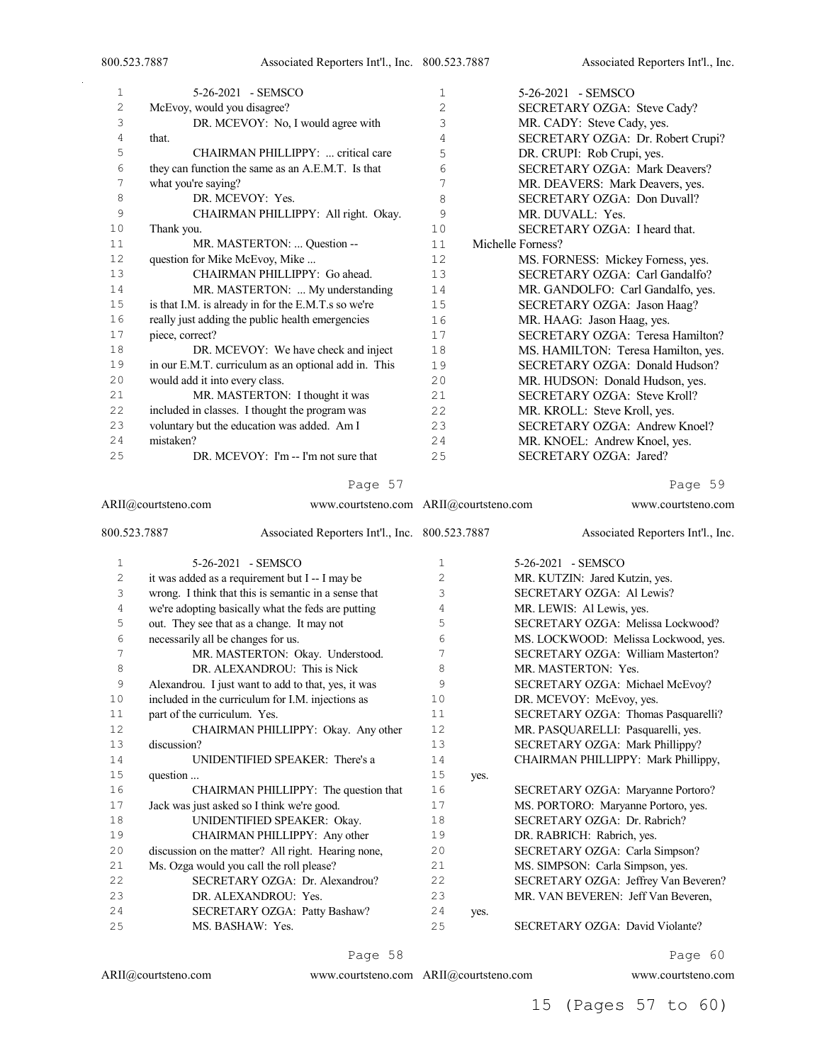Associated Reporters Int'l., Inc.

| $\mathbf{1}$ | 5-26-2021 - SEMSCO                                   | 1  | 5-26-2021 - SEMSCO                   |
|--------------|------------------------------------------------------|----|--------------------------------------|
| $\mathbf{2}$ | McEvoy, would you disagree?                          | 2  | SECRETARY OZGA: Steve Cady?          |
| 3            | DR. MCEVOY: No, I would agree with                   | 3  | MR. CADY: Steve Cady, yes.           |
| 4            | that.                                                | 4  | SECRETARY OZGA: Dr. Robert Crupi?    |
| 5            | CHAIRMAN PHILLIPPY:  critical care                   | 5  | DR. CRUPI: Rob Crupi, yes.           |
| 6            | they can function the same as an A.E.M.T. Is that    | 6  | <b>SECRETARY OZGA: Mark Deavers?</b> |
| 7            | what you're saying?                                  | 7  | MR. DEAVERS: Mark Deavers, yes.      |
| 8            | DR. MCEVOY: Yes.                                     | 8  | SECRETARY OZGA: Don Duvall?          |
| 9            | CHAIRMAN PHILLIPPY: All right. Okay.                 | 9  | MR. DUVALL: Yes.                     |
| 10           | Thank you.                                           | 10 | SECRETARY OZGA: I heard that.        |
| 11           | MR. MASTERTON:  Question --                          | 11 | Michelle Forness?                    |
| 12           | question for Mike McEvoy, Mike                       | 12 | MS. FORNESS: Mickey Forness, yes.    |
| 13           | CHAIRMAN PHILLIPPY: Go ahead.                        | 13 | SECRETARY OZGA: Carl Gandalfo?       |
| 14           | MR. MASTERTON:  My understanding                     | 14 | MR. GANDOLFO: Carl Gandalfo, yes.    |
| 15           | is that I.M. is already in for the E.M.T.s so we're  | 15 | SECRETARY OZGA: Jason Haag?          |
| 16           | really just adding the public health emergencies     | 16 | MR. HAAG: Jason Haag, yes.           |
| 17           | piece, correct?                                      | 17 | SECRETARY OZGA: Teresa Hamilton?     |
| 18           | DR. MCEVOY: We have check and inject                 | 18 | MS. HAMILTON: Teresa Hamilton, yes.  |
| 19           | in our E.M.T. curriculum as an optional add in. This | 19 | SECRETARY OZGA: Donald Hudson?       |
| 20           | would add it into every class.                       | 20 | MR. HUDSON: Donald Hudson, yes.      |
| 21           | MR. MASTERTON: I thought it was                      | 21 | SECRETARY OZGA: Steve Kroll?         |
| 22           | included in classes. I thought the program was       | 22 | MR. KROLL: Steve Kroll, yes.         |
| 23           | voluntary but the education was added. Am I          | 23 | SECRETARY OZGA: Andrew Knoel?        |
| 24           | mistaken?                                            | 24 | MR. KNOEL: Andrew Knoel, yes.        |
| 25           | DR. MCEVOY: I'm -- I'm not sure that                 | 25 | SECRETARY OZGA: Jared?               |
|              | Page 57                                              |    | Page 59                              |

#### Page 57

ARII@courtsteno.com 800.523.7887 Associated Reporters Int'l., Inc. 5-26-2021 - SEMSCO it was added as a requirement but I -- I may be wrong. I think that this is semantic in a sense that we're adopting basically what the feds are putting out. They see that as a change. It may not necessarily all be changes for us. MR. MASTERTON: Okay. Understood. DR. ALEXANDROU: This is Nick Alexandrou. I just want to add to that, yes, it was included in the curriculum for I.M. injections as 11 part of the curriculum. Yes. CHAIRMAN PHILLIPPY: Okay. Any other discussion? UNIDENTIFIED SPEAKER: There's a question ... CHAIRMAN PHILLIPPY: The question that Jack was just asked so I think we're good. UNIDENTIFIED SPEAKER: Okay. CHAIRMAN PHILLIPPY: Any other discussion on the matter? All right. Hearing none, Ms. Ozga would you call the roll please? SECRETARY OZGA: Dr. Alexandrou? DR. ALEXANDROU: Yes. SECRETARY OZGA: Patty Bashaw? MS. BASHAW: Yes. www.courtsteno.com ARII@courtsteno.com www.courtsteno.com Associated Reporters Int'l., Inc. 5-26-2021 - SEMSCO MR. KUTZIN: Jared Kutzin, yes. SECRETARY OZGA: Al Lewis? MR. LEWIS: Al Lewis, yes. SECRETARY OZGA: Melissa Lockwood? MS. LOCKWOOD: Melissa Lockwood, yes. SECRETARY OZGA: William Masterton? 8 MR. MASTERTON: Yes. SECRETARY OZGA: Michael McEvoy? 10 DR. MCEVOY: McEvoy, yes. SECRETARY OZGA: Thomas Pasquarelli? MR. PASQUARELLI: Pasquarelli, yes. SECRETARY OZGA: Mark Phillippy? CHAIRMAN PHILLIPPY: Mark Phillippy, yes. SECRETARY OZGA: Maryanne Portoro? MS. PORTORO: Maryanne Portoro, yes. SECRETARY OZGA: Dr. Rabrich? DR. RABRICH: Rabrich, yes. SECRETARY OZGA: Carla Simpson? MS. SIMPSON: Carla Simpson, yes. SECRETARY OZGA: Jeffrey Van Beveren? MR. VAN BEVEREN: Jeff Van Beveren, yes. SECRETARY OZGA: David Violante?

Page 58

www.courtsteno.com ARII@courtsteno.com www.courtsteno.com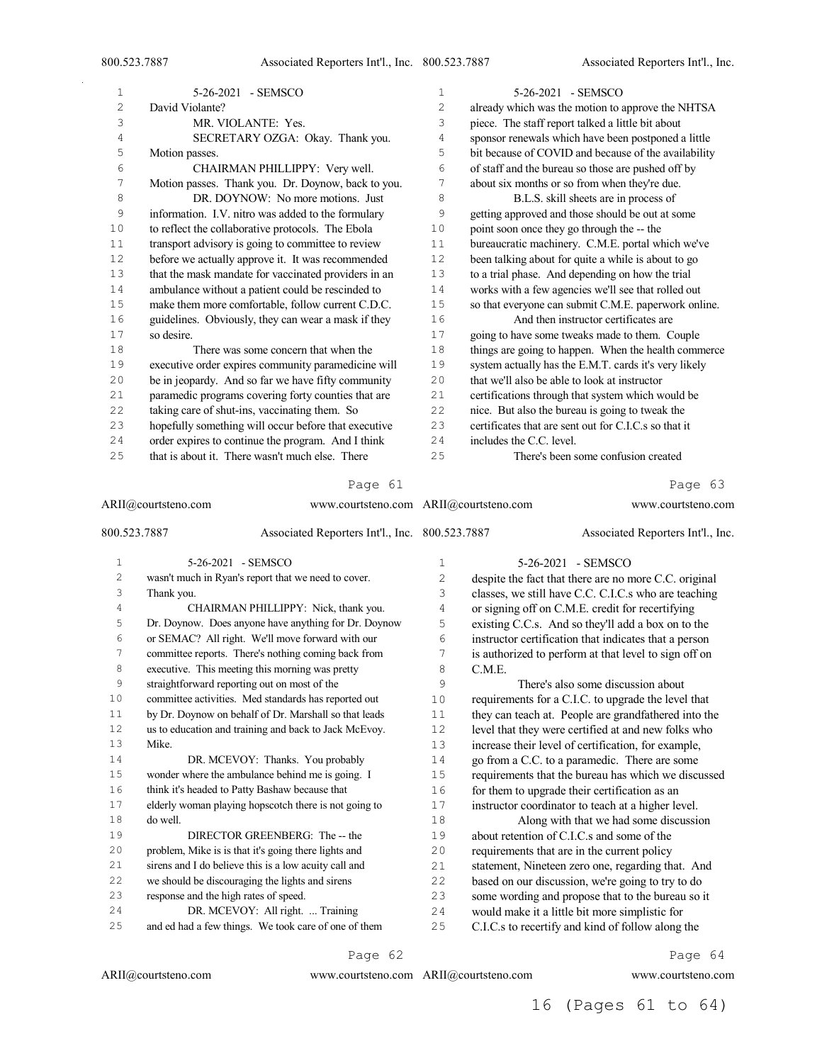| 1              | 5-26-2021 - SEMSCO                                            | 1              | 5-26-2021 - SEMSCO                                    |
|----------------|---------------------------------------------------------------|----------------|-------------------------------------------------------|
| $\overline{c}$ | David Violante?                                               | $\overline{c}$ | already which was the motion to approve the NHTSA     |
| 3              | MR. VIOLANTE: Yes.                                            | 3              | piece. The staff report talked a little bit about     |
| 4              | SECRETARY OZGA: Okay. Thank you.                              | 4              | sponsor renewals which have been postponed a little   |
| 5              | Motion passes.                                                | 5              | bit because of COVID and because of the availability  |
| 6              | CHAIRMAN PHILLIPPY: Very well.                                | 6              | of staff and the bureau so those are pushed off by    |
| 7              | Motion passes. Thank you. Dr. Doynow, back to you.            | 7              | about six months or so from when they're due.         |
| $\,8\,$        | DR. DOYNOW: No more motions. Just                             | 8              | B.L.S. skill sheets are in process of                 |
| 9              | information. I.V. nitro was added to the formulary            | 9              | getting approved and those should be out at some      |
| 10             | to reflect the collaborative protocols. The Ebola             | 10             | point soon once they go through the -- the            |
| 11             | transport advisory is going to committee to review            | 11             | bureaucratic machinery. C.M.E. portal which we've     |
| 12             | before we actually approve it. It was recommended             | 12             | been talking about for quite a while is about to go   |
| 13             | that the mask mandate for vaccinated providers in an          | 13             | to a trial phase. And depending on how the trial      |
| 14             | ambulance without a patient could be rescinded to             | 14             | works with a few agencies we'll see that rolled out   |
| 15             | make them more comfortable, follow current C.D.C.             | 15             | so that everyone can submit C.M.E. paperwork online.  |
| 16             | guidelines. Obviously, they can wear a mask if they           | 16             | And then instructor certificates are                  |
| 17             | so desire.                                                    | 17             | going to have some tweaks made to them. Couple        |
| 18             | There was some concern that when the                          | 18             | things are going to happen. When the health commerce  |
| 19             | executive order expires community paramedicine will           | 19             | system actually has the E.M.T. cards it's very likely |
| 20             | be in jeopardy. And so far we have fifty community            | 20             | that we'll also be able to look at instructor         |
| 21             | paramedic programs covering forty counties that are           | 21             | certifications through that system which would be     |
| 22             | taking care of shut-ins, vaccinating them. So                 | 22             | nice. But also the bureau is going to tweak the       |
| 23             | hopefully something will occur before that executive          | 23             | certificates that are sent out for C.I.C.s so that it |
| 24             | order expires to continue the program. And I think            | 24             | includes the C.C. level.                              |
| 25             | that is about it. There wasn't much else. There               | 25             | There's been some confusion created                   |
|                | Page 61                                                       |                | Page 63                                               |
|                | ARII@courtsteno.com<br>www.courtsteno.com ARII@courtsteno.com |                | www.courtsteno.com                                    |

| $\mathbf 1$ | 5-26-2021 - SEMSCO                                    | 1  | 5-26-2021 - SEMSCO                                    |
|-------------|-------------------------------------------------------|----|-------------------------------------------------------|
| 2           | wasn't much in Ryan's report that we need to cover.   | 2  | despite the fact that there are no more C.C. original |
| 3           | Thank you.                                            | 3  | classes, we still have C.C. C.I.C.s who are teaching  |
| 4           | CHAIRMAN PHILLIPPY: Nick, thank you.                  | 4  | or signing off on C.M.E. credit for recertifying      |
| 5           | Dr. Doynow. Does anyone have anything for Dr. Doynow  | 5  | existing C.C.s. And so they'll add a box on to the    |
| 6           | or SEMAC? All right. We'll move forward with our      | 6  | instructor certification that indicates that a person |
| 7           | committee reports. There's nothing coming back from   | 7  | is authorized to perform at that level to sign off on |
| 8           | executive. This meeting this morning was pretty       | 8  | C.M.E.                                                |
| 9           | straightforward reporting out on most of the          | 9  | There's also some discussion about                    |
| 10          | committee activities. Med standards has reported out  | 10 | requirements for a C.I.C. to upgrade the level that   |
| 11          | by Dr. Doynow on behalf of Dr. Marshall so that leads | 11 | they can teach at. People are grandfathered into the  |
| 12          | us to education and training and back to Jack McEvoy. | 12 | level that they were certified at and new folks who   |
| 13          | Mike.                                                 | 13 | increase their level of certification, for example,   |
| 14          | DR. MCEVOY: Thanks. You probably                      | 14 | go from a C.C. to a paramedic. There are some         |
| 15          | wonder where the ambulance behind me is going. I      | 15 | requirements that the bureau has which we discussed   |
| 16          | think it's headed to Patty Bashaw because that        | 16 | for them to upgrade their certification as an         |
| 17          | elderly woman playing hopscotch there is not going to | 17 | instructor coordinator to teach at a higher level.    |
| 18          | do well.                                              | 18 | Along with that we had some discussion                |
| 19          | DIRECTOR GREENBERG: The -- the                        | 19 | about retention of C.I.C.s and some of the            |
| 20          | problem, Mike is is that it's going there lights and  | 20 | requirements that are in the current policy           |
| 21          | sirens and I do believe this is a low acuity call and | 21 | statement, Nineteen zero one, regarding that. And     |
| 22          | we should be discouraging the lights and sirens       | 22 | based on our discussion, we're going to try to do     |

800.523.7887 Associated Reporters Int'l., Inc.

 response and the high rates of speed. DR. MCEVOY: All right. ... Training and ed had a few things. We took care of one of them some wording and propose that to the bureau so it would make it a little bit more simplistic for C.I.C.s to recertify and kind of follow along the

Page 62

ARII@courtsteno.com

ARII@courtsteno.com www.courtsteno.com

Page 64

based on our discussion, we're going to try to do

Associated Reporters Int'l., Inc.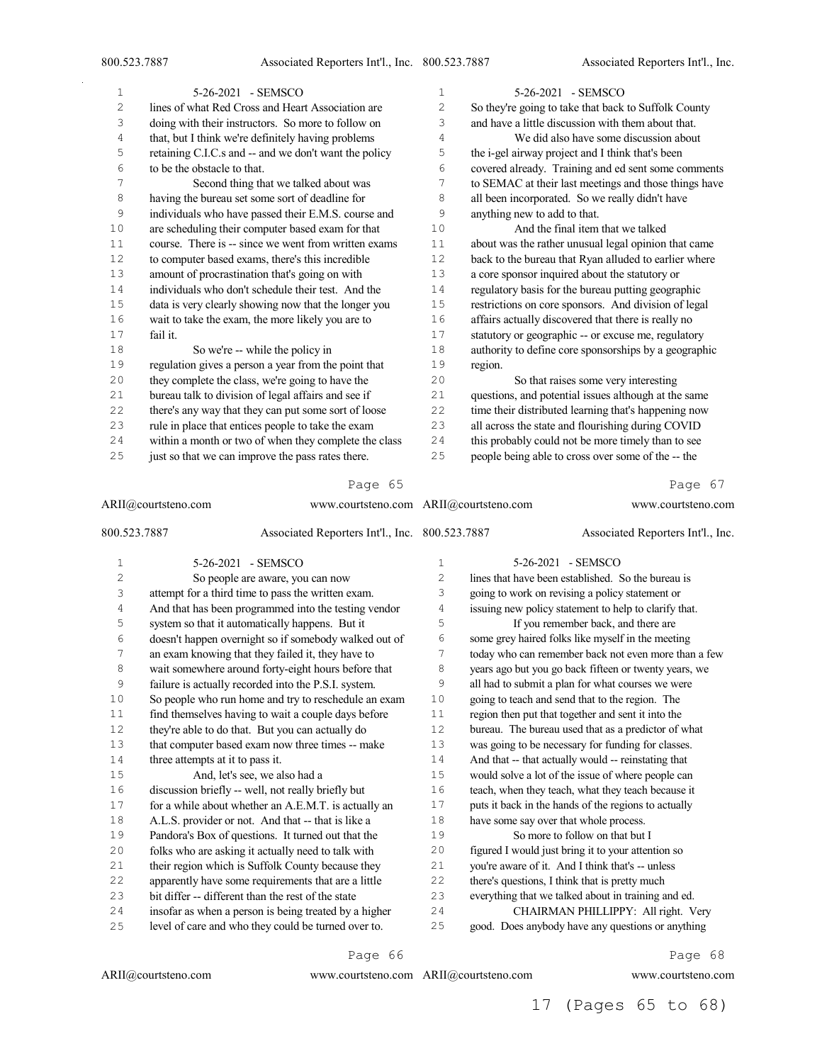| 5-26-2021 - SEMSCO                                    | $\mathbf 1$                                         | 5-26-2021 - SEMSCO                                    |
|-------------------------------------------------------|-----------------------------------------------------|-------------------------------------------------------|
| lines of what Red Cross and Heart Association are     | $\overline{c}$                                      | So they're going to take that back to Suffolk County  |
| doing with their instructors. So more to follow on    | 3                                                   | and have a little discussion with them about that.    |
| that, but I think we're definitely having problems    | 4                                                   | We did also have some discussion about                |
| retaining C.I.C.s and -- and we don't want the policy | 5                                                   | the i-gel airway project and I think that's been      |
| to be the obstacle to that.                           | 6                                                   | covered already. Training and ed sent some comments   |
| Second thing that we talked about was                 |                                                     | to SEMAC at their last meetings and those things have |
| having the bureau set some sort of deadline for       | 8                                                   | all been incorporated. So we really didn't have       |
| individuals who have passed their E.M.S. course and   | 9                                                   | anything new to add to that.                          |
| are scheduling their computer based exam for that     | 10                                                  | And the final item that we talked                     |
| course. There is -- since we went from written exams  | 11                                                  | about was the rather unusual legal opinion that came  |
| to computer based exams, there's this incredible      | 12                                                  | back to the bureau that Ryan alluded to earlier where |
| amount of procrastination that's going on with        | 13                                                  | a core sponsor inquired about the statutory or        |
| individuals who don't schedule their test. And the    | 14                                                  | regulatory basis for the bureau putting geographic    |
| data is very clearly showing now that the longer you  | 15                                                  | restrictions on core sponsors. And division of legal  |
| wait to take the exam, the more likely you are to     | 16                                                  | affairs actually discovered that there is really no   |
| fail it.                                              | 17                                                  | statutory or geographic -- or excuse me, regulatory   |
| So we're -- while the policy in                       | 18                                                  | authority to define core sponsorships by a geographic |
| regulation gives a person a year from the point that  | 19                                                  | region.                                               |
| they complete the class, we're going to have the      | 20                                                  | So that raises some very interesting                  |
|                                                       | 21                                                  | questions, and potential issues although at the same  |
| there's any way that they can put some sort of loose  | 22                                                  | time their distributed learning that's happening now  |
| rule in place that entices people to take the exam    | 23                                                  | all across the state and flourishing during COVID     |
| within a month or two of when they complete the class | 24                                                  | this probably could not be more timely than to see    |
| just so that we can improve the pass rates there.     | 25                                                  | people being able to cross over some of the -- the    |
|                                                       | bureau talk to division of legal affairs and see if |                                                       |

|                | ARII@courtsteno.com              | www.courtsteno.com ARII@courtsteno.com                |    | www.courtsteno.com                                    |
|----------------|----------------------------------|-------------------------------------------------------|----|-------------------------------------------------------|
| 800.523.7887   |                                  | Associated Reporters Int'l., Inc. 800.523.7887        |    | Associated Reporters Int'l., Inc.                     |
| $\mathbf 1$    |                                  | 5-26-2021 - SEMSCO                                    | 1  | 5-26-2021 - SEMSCO                                    |
| $\overline{c}$ |                                  | So people are aware, you can now                      | 2  | lines that have been established. So the bureau is    |
| 3              |                                  | attempt for a third time to pass the written exam.    | 3  | going to work on revising a policy statement or       |
| 4              |                                  | And that has been programmed into the testing vendor  | 4  | issuing new policy statement to help to clarify that. |
| 5              |                                  | system so that it automatically happens. But it       | 5  | If you remember back, and there are                   |
| 6              |                                  | doesn't happen overnight so if somebody walked out of | 6  | some grey haired folks like myself in the meeting     |
| 7              |                                  | an exam knowing that they failed it, they have to     | 7  | today who can remember back not even more than a few  |
| 8              |                                  | wait somewhere around forty-eight hours before that   | 8  | years ago but you go back fifteen or twenty years, we |
| 9              |                                  | failure is actually recorded into the P.S.I. system.  | 9  | all had to submit a plan for what courses we were     |
| 10             |                                  | So people who run home and try to reschedule an exam  | 10 | going to teach and send that to the region. The       |
| 11             |                                  | find themselves having to wait a couple days before   | 11 | region then put that together and sent it into the    |
| 12             |                                  | they're able to do that. But you can actually do      | 12 | bureau. The bureau used that as a predictor of what   |
| 13             |                                  | that computer based exam now three times -- make      | 13 | was going to be necessary for funding for classes.    |
| 14             | three attempts at it to pass it. |                                                       | 14 | And that -- that actually would -- reinstating that   |
| 15             |                                  | And, let's see, we also had a                         | 15 | would solve a lot of the issue of where people can    |
| 16             |                                  | discussion briefly -- well, not really briefly but    | 16 | teach, when they teach, what they teach because it    |
| 17             |                                  | for a while about whether an A.E.M.T. is actually an  | 17 | puts it back in the hands of the regions to actually  |
| 18             |                                  | A.L.S. provider or not. And that -- that is like a    | 18 | have some say over that whole process.                |
| 19             |                                  | Pandora's Box of questions. It turned out that the    | 19 | So more to follow on that but I                       |
| 20             |                                  | folks who are asking it actually need to talk with    | 20 | figured I would just bring it to your attention so    |
| 21             |                                  | their region which is Suffolk County because they     | 21 | you're aware of it. And I think that's -- unless      |
| 22             |                                  | apparently have some requirements that are a little   | 22 | there's questions, I think that is pretty much        |
| 23             |                                  | bit differ -- different than the rest of the state    | 23 | everything that we talked about in training and ed.   |
| 24             |                                  | insofar as when a person is being treated by a higher | 24 | CHAIRMAN PHILLIPPY: All right. Very                   |
| 25             |                                  | level of care and who they could be turned over to.   | 25 | good. Does anybody have any questions or anything     |

Page 66

ARII@courtsteno.com

ARII@courtsteno.com www.courtsteno.com

Page 68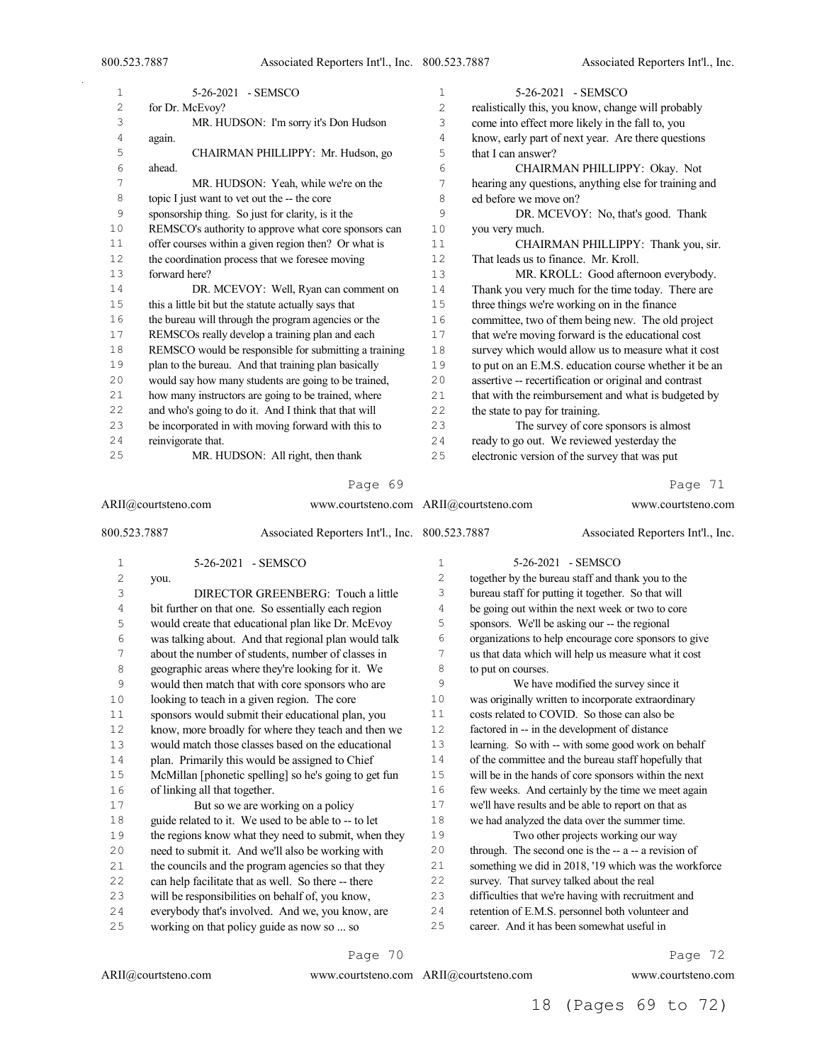| 1           | 5-26-2021 - SEMSCO                                           | $\,1\,$      | 5-26-2021 - SEMSCO                                    |
|-------------|--------------------------------------------------------------|--------------|-------------------------------------------------------|
| 2           | for Dr. McEvoy?                                              | $\mathbf 2$  | realistically this, you know, change will probably    |
| 3           | MR. HUDSON: I'm sorry it's Don Hudson                        | 3            | come into effect more likely in the fall to, you      |
| 4           | again.                                                       | 4            | know, early part of next year. Are there questions    |
| 5           | CHAIRMAN PHILLIPPY: Mr. Hudson, go                           | 5            | that I can answer?                                    |
| 6           | ahead.                                                       | 6            | CHAIRMAN PHILLIPPY: Okay. Not                         |
| 7           | MR. HUDSON: Yeah, while we're on the                         | 7            | hearing any questions, anything else for training and |
| 8           | topic I just want to vet out the -- the core                 | 8            | ed before we move on?                                 |
| 9           | sponsorship thing. So just for clarity, is it the            | 9            | DR. MCEVOY: No, that's good. Thank                    |
| $1\,0$      | REMSCO's authority to approve what core sponsors can         | $10$         | you very much.                                        |
| $1\,1$      | offer courses within a given region then? Or what is         | 11           | CHAIRMAN PHILLIPPY: Thank you, sir.                   |
| $12$        | the coordination process that we foresee moving              | 12           | That leads us to finance. Mr. Kroll.                  |
| 13          | forward here?                                                | 13           | MR. KROLL: Good afternoon everybody.                  |
| $1\,4$      | DR. MCEVOY: Well, Ryan can comment on                        | 14           | Thank you very much for the time today. There are     |
| 15          | this a little bit but the statute actually says that         | 15           | three things we're working on in the finance          |
| 16          | the bureau will through the program agencies or the          | 16           | committee, two of them being new. The old project     |
| $1\,7$      | REMSCOs really develop a training plan and each              | 17           | that we're moving forward is the educational cost     |
| 18          | REMSCO would be responsible for submitting a training        | $1\,8$       | survey which would allow us to measure what it cost   |
| 19          | plan to the bureau. And that training plan basically         | 19           | to put on an E.M.S. education course whether it be an |
| $20$        | would say how many students are going to be trained,         | 20           | assertive -- recertification or original and contrast |
| 21          | how many instructors are going to be trained, where          | 21           | that with the reimbursement and what is budgeted by   |
| 22          | and who's going to do it. And I think that that will         | 22           | the state to pay for training.                        |
| 23          | be incorporated in with moving forward with this to          | 23           | The survey of core sponsors is almost                 |
| 24          | reinvigorate that.                                           | 24           | ready to go out. We reviewed yesterday the            |
| 25          | MR. HUDSON: All right, then thank                            | 25           | electronic version of the survey that was put         |
|             | Page 69                                                      |              | Page 71                                               |
|             | RII@courtsteno.com<br>www.courtsteno.com ARII@courtsteno.com |              | www.courtsteno.cor                                    |
| 00.523.7887 | Associated Reporters Int'l., Inc. 800.523.7887               |              | Associated Reporters Int'l., Inc                      |
| 1           | 5-26-2021 - SEMSCO                                           | 1            | 5-26-2021 - SEMSCO                                    |
| $\sqrt{2}$  | you.                                                         | $\mathbf{2}$ | together by the bureau staff and thank you to the     |
| 3           | DIRECTOR GREENBERG: Touch a little                           | 3            | bureau staff for putting it together. So that will    |
| $\sqrt{4}$  | bit further on that one. So essentially each region          | 4            | be going out within the next week or two to core      |
| 5           | would create that educational plan like Dr. McEvoy           | 5            | sponsors. We'll be asking our -- the regional         |
| 6           | was talking about. And that regional plan would talk         | 6            | organizations to help encourage core sponsors to give |
|             |                                                              |              |                                                       |

| ARII@courtsteno.com |                               | www.courtsteno.com ARII@courtsteno.com                |    | www.courtsteno.com |                                                       |
|---------------------|-------------------------------|-------------------------------------------------------|----|--------------------|-------------------------------------------------------|
| 800.523.7887        |                               | Associated Reporters Int'l., Inc. 800.523.7887        |    |                    | Associated Reporters Int'l., Inc.                     |
| 1                   |                               | 5-26-2021 - SEMSCO                                    | 1  |                    | 5-26-2021 - SEMSCO                                    |
| $\overline{c}$      | you.                          |                                                       | 2  |                    | together by the bureau staff and thank you to the     |
| 3                   |                               | DIRECTOR GREENBERG: Touch a little                    | 3  |                    | bureau staff for putting it together. So that will    |
| 4                   |                               | bit further on that one. So essentially each region   | 4  |                    | be going out within the next week or two to core      |
| 5                   |                               | would create that educational plan like Dr. McEvoy    | 5  |                    | sponsors. We'll be asking our -- the regional         |
| 6                   |                               | was talking about. And that regional plan would talk  | 6  |                    | organizations to help encourage core sponsors to give |
| 7                   |                               | about the number of students, number of classes in    | 7  |                    | us that data which will help us measure what it cost  |
| 8                   |                               | geographic areas where they're looking for it. We     | 8  | to put on courses. |                                                       |
| 9                   |                               | would then match that with core sponsors who are      | 9  |                    | We have modified the survey since it                  |
| 10                  |                               | looking to teach in a given region. The core          | 10 |                    | was originally written to incorporate extraordinary   |
| 11                  |                               | sponsors would submit their educational plan, you     | 11 |                    | costs related to COVID. So those can also be          |
| 12                  |                               | know, more broadly for where they teach and then we   | 12 |                    | factored in -- in the development of distance         |
| 13                  |                               | would match those classes based on the educational    | 13 |                    | learning. So with -- with some good work on behalf    |
| 14                  |                               | plan. Primarily this would be assigned to Chief       | 14 |                    | of the committee and the bureau staff hopefully that  |
| $1\,5$              |                               | McMillan [phonetic spelling] so he's going to get fun | 15 |                    | will be in the hands of core sponsors within the next |
| 16                  | of linking all that together. |                                                       | 16 |                    | few weeks. And certainly by the time we meet again    |
| 17                  |                               | But so we are working on a policy                     | 17 |                    | we'll have results and be able to report on that as   |
| $1\,8$              |                               | guide related to it. We used to be able to -- to let  | 18 |                    | we had analyzed the data over the summer time.        |
| 19                  |                               | the regions know what they need to submit, when they  | 19 |                    | Two other projects working our way                    |
| 20                  |                               | need to submit it. And we'll also be working with     | 20 |                    | through. The second one is the -- a -- a revision of  |
| 21                  |                               | the councils and the program agencies so that they    | 21 |                    | something we did in 2018, '19 which was the workforce |
| 22                  |                               | can help facilitate that as well. So there -- there   | 22 |                    | survey. That survey talked about the real             |
| 23                  |                               | will be responsibilities on behalf of, you know,      | 23 |                    | difficulties that we're having with recruitment and   |
| 24                  |                               | everybody that's involved. And we, you know, are      | 24 |                    | retention of E.M.S. personnel both volunteer and      |
| 25                  |                               | working on that policy guide as now so  so            | 25 |                    | career. And it has been somewhat useful in            |

 $\mathrm{ARII}\xspace\!\! \mathcal{Q}\xspace$  courtsteno.com

ARII@courtsteno.com www.courtsteno.com

Page 70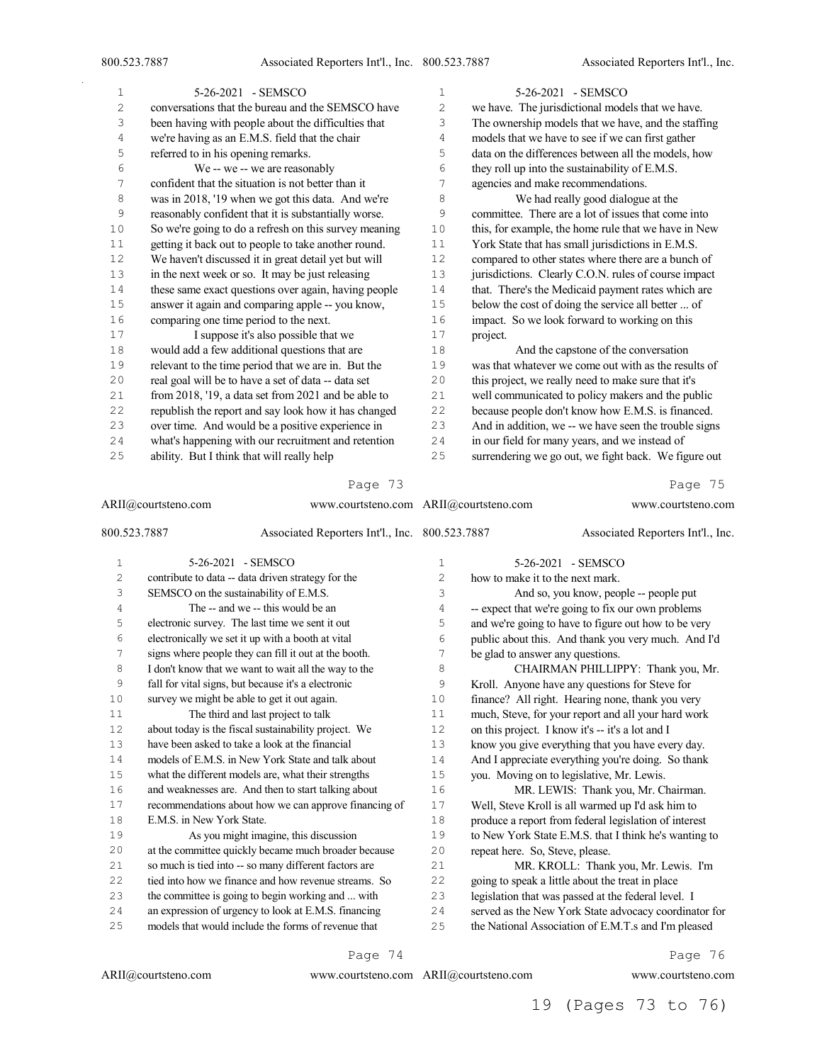| 1  | 5-26-2021 - SEMSCO                                    | $\mathbf{1}$   | 5-26-2021 - SEMSCO                                    |
|----|-------------------------------------------------------|----------------|-------------------------------------------------------|
| 2  | conversations that the bureau and the SEMSCO have     | $\overline{2}$ | we have. The jurisdictional models that we have.      |
| 3  | been having with people about the difficulties that   | 3              | The ownership models that we have, and the staffing   |
| 4  | we're having as an E.M.S. field that the chair        | 4              | models that we have to see if we can first gather     |
| 5  | referred to in his opening remarks.                   | 5              | data on the differences between all the models, how   |
| 6  | We -- we -- we are reasonably                         | 6              | they roll up into the sustainability of E.M.S.        |
| 7  | confident that the situation is not better than it    | 7              | agencies and make recommendations.                    |
| 8  | was in 2018, '19 when we got this data. And we're     | 8              | We had really good dialogue at the                    |
| 9  | reasonably confident that it is substantially worse.  | 9              | committee. There are a lot of issues that come into   |
| 10 | So we're going to do a refresh on this survey meaning | 10             | this, for example, the home rule that we have in New  |
| 11 | getting it back out to people to take another round.  | 11             | York State that has small jurisdictions in E.M.S.     |
| 12 | We haven't discussed it in great detail yet but will  | 12             | compared to other states where there are a bunch of   |
| 13 | in the next week or so. It may be just releasing      | 13             | jurisdictions. Clearly C.O.N. rules of course impact  |
| 14 | these same exact questions over again, having people  | 14             | that. There's the Medicaid payment rates which are    |
| 15 | answer it again and comparing apple -- you know,      | 15             | below the cost of doing the service all better  of    |
| 16 | comparing one time period to the next.                | 16             | impact. So we look forward to working on this         |
| 17 | I suppose it's also possible that we                  | 17             | project.                                              |
| 18 | would add a few additional questions that are         | 18             | And the capstone of the conversation                  |
| 19 | relevant to the time period that we are in. But the   | 19             | was that whatever we come out with as the results of  |
| 20 | real goal will be to have a set of data -- data set   | 20             | this project, we really need to make sure that it's   |
| 21 | from 2018, '19, a data set from 2021 and be able to   | 21             | well communicated to policy makers and the public     |
| 22 | republish the report and say look how it has changed  | 22             | because people don't know how E.M.S. is financed.     |
| 23 | over time. And would be a positive experience in      | 23             | And in addition, we -- we have seen the trouble signs |
| 24 | what's happening with our recruitment and retention   | 24             | in our field for many years, and we instead of        |
| 25 | ability. But I think that will really help            | 25             | surrendering we go out, we fight back. We figure out  |

|              | Page 73                                                       |    | Page 75                                               |
|--------------|---------------------------------------------------------------|----|-------------------------------------------------------|
|              | ARII@courtsteno.com<br>www.courtsteno.com ARII@courtsteno.com |    | www.courtsteno.com                                    |
| 800.523.7887 | Associated Reporters Int'l., Inc. 800.523.7887                |    | Associated Reporters Int'l., Inc.                     |
| $\mathbf{1}$ | 5-26-2021 - SEMSCO                                            | 1  | 5-26-2021 - SEMSCO                                    |
| $\mathbf{2}$ | contribute to data -- data driven strategy for the            | 2  | how to make it to the next mark.                      |
| 3            | SEMSCO on the sustainability of E.M.S.                        | 3  | And so, you know, people -- people put                |
| 4            | The -- and we -- this would be an                             | 4  | -- expect that we're going to fix our own problems    |
| 5            | electronic survey. The last time we sent it out               | 5  | and we're going to have to figure out how to be very  |
| 6            | electronically we set it up with a booth at vital             | 6  | public about this. And thank you very much. And I'd   |
| 7            | signs where people they can fill it out at the booth.         | 7  | be glad to answer any questions.                      |
| 8            | I don't know that we want to wait all the way to the          | 8  | CHAIRMAN PHILLIPPY: Thank you, Mr.                    |
| 9            | fall for vital signs, but because it's a electronic           | 9  | Kroll. Anyone have any questions for Steve for        |
| 10           | survey we might be able to get it out again.                  | 10 | finance? All right. Hearing none, thank you very      |
| 11           | The third and last project to talk                            | 11 | much, Steve, for your report and all your hard work   |
| 12           | about today is the fiscal sustainability project. We          | 12 | on this project. I know it's -- it's a lot and I      |
| 13           | have been asked to take a look at the financial               | 13 | know you give everything that you have every day.     |
| 14           | models of E.M.S. in New York State and talk about             | 14 | And I appreciate everything you're doing. So thank    |
| 15           | what the different models are, what their strengths           | 15 | you. Moving on to legislative, Mr. Lewis.             |
| 16           | and weaknesses are. And then to start talking about           | 16 | MR. LEWIS: Thank you, Mr. Chairman.                   |
| 17           | recommendations about how we can approve financing of         | 17 | Well, Steve Kroll is all warmed up I'd ask him to     |
| 18           | E.M.S. in New York State.                                     | 18 | produce a report from federal legislation of interest |
| 19           | As you might imagine, this discussion                         | 19 | to New York State E.M.S. that I think he's wanting to |
| 20           | at the committee quickly became much broader because          | 20 | repeat here. So, Steve, please.                       |
| 21           | so much is tied into -- so many different factors are         | 21 | MR. KROLL: Thank you, Mr. Lewis. I'm                  |
| 22           | tied into how we finance and how revenue streams. So          | 22 | going to speak a little about the treat in place      |
| 23           | the committee is going to begin working and  with             | 23 | legislation that was passed at the federal level. I   |
| 24           | an expression of urgency to look at E.M.S. financing          | 24 | served as the New York State advocacy coordinator for |
| 25           | models that would include the forms of revenue that           | 25 | the National Association of E.M.T.s and I'm pleased   |

Page 74

ARII@courtsteno.com www.courtsteno.com ARII@courtsteno.com www.courtsteno.com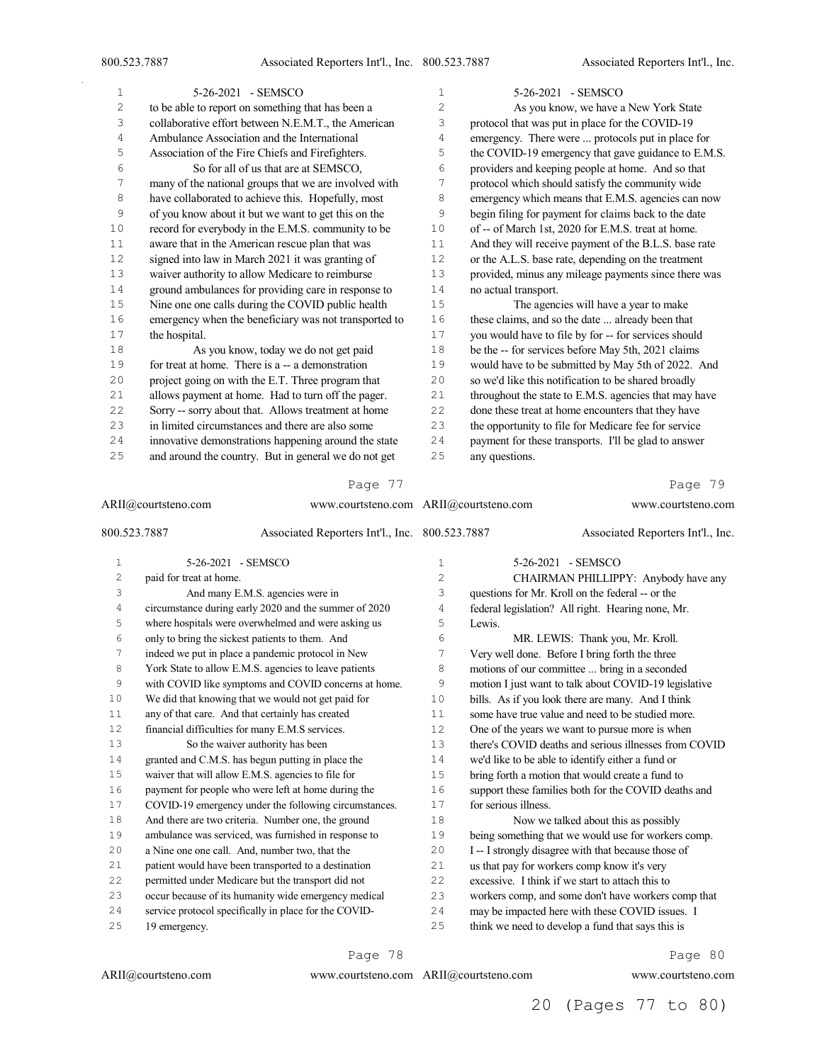Associated Reporters Int'l., Inc.

| $\mathbf 1$    | 5-26-2021 - SEMSCO                                            | $\mathbf{1}$   | 5-26-2021 - SEMSCO                                                |
|----------------|---------------------------------------------------------------|----------------|-------------------------------------------------------------------|
| $\mathbf{2}$   | to be able to report on something that has been a             | $\overline{c}$ | As you know, we have a New York State                             |
| 3              | collaborative effort between N.E.M.T., the American           | 3              | protocol that was put in place for the COVID-19                   |
| 4              | Ambulance Association and the International                   | 4              | emergency. There were  protocols put in place for                 |
| 5              | Association of the Fire Chiefs and Firefighters.              | 5              | the COVID-19 emergency that gave guidance to E.M.S.               |
| 6              | So for all of us that are at SEMSCO,                          | 6              | providers and keeping people at home. And so that                 |
| 7              | many of the national groups that we are involved with         | 7              | protocol which should satisfy the community wide                  |
| $\,8\,$        | have collaborated to achieve this. Hopefully, most            | 8              | emergency which means that E.M.S. agencies can now                |
| $\mathsf 9$    | of you know about it but we want to get this on the           | 9              | begin filing for payment for claims back to the date              |
| $10$           | record for everybody in the E.M.S. community to be            | 10             | of -- of March 1st, 2020 for E.M.S. treat at home.                |
| 11             | aware that in the American rescue plan that was               | 11             | And they will receive payment of the B.L.S. base rate             |
| 12             | signed into law in March 2021 it was granting of              | 12             | or the A.L.S. base rate, depending on the treatment               |
| 13             | waiver authority to allow Medicare to reimburse               | 13             | provided, minus any mileage payments since there was              |
| 14             | ground ambulances for providing care in response to           | 14             | no actual transport.                                              |
| 15             | Nine one one calls during the COVID public health             | 15             | The agencies will have a year to make                             |
| 16             | emergency when the beneficiary was not transported to         | 16             | these claims, and so the date  already been that                  |
| 17             | the hospital.                                                 | 17             | you would have to file by for -- for services should              |
| $1\,8$         | As you know, today we do not get paid                         | 18             | be the -- for services before May 5th, 2021 claims                |
| 19             | for treat at home. There is a -- a demonstration              | 19             | would have to be submitted by May 5th of 2022. And                |
| 20             | project going on with the E.T. Three program that             | 20             | so we'd like this notification to be shared broadly               |
| 21             | allows payment at home. Had to turn off the pager.            | 21             | throughout the state to E.M.S. agencies that may have             |
| 22             | Sorry -- sorry about that. Allows treatment at home           | 22             | done these treat at home encounters that they have                |
| 23             | in limited circumstances and there are also some              | 23             | the opportunity to file for Medicare fee for service              |
| 24             | innovative demonstrations happening around the state          | 24             | payment for these transports. I'll be glad to answer              |
| 25             | and around the country. But in general we do not get          | 25             | any questions.                                                    |
|                | Page 77                                                       |                | Page 79                                                           |
|                | ARII@courtsteno.com<br>www.courtsteno.com ARII@courtsteno.com |                | www.courtsteno.com                                                |
| 800.523.7887   | Associated Reporters Int'l., Inc. 800.523.7887                |                | Associated Reporters Int'l., Inc.                                 |
| $\mathbf 1$    | 5-26-2021 - SEMSCO                                            | $\mathbf{1}$   | 5-26-2021 - SEMSCO                                                |
| $\overline{c}$ | paid for treat at home.                                       | $\overline{2}$ | CHAIRMAN PHILLIPPY: Anybody have any                              |
| $\overline{a}$ | And mony EMC against wars in                                  | $\mathbf{r}$   | questions for $M_{\rm B}$ , $V_{\rm sol}$ on the following on the |

| 2  | paid for treat at home.                               | 2  | CHAIRMAN PHILLIPPY: Anybody have any                  |
|----|-------------------------------------------------------|----|-------------------------------------------------------|
| 3  | And many E.M.S. agencies were in                      | 3  | questions for Mr. Kroll on the federal -- or the      |
| 4  | circumstance during early 2020 and the summer of 2020 | 4  | federal legislation? All right. Hearing none, Mr.     |
| 5  | where hospitals were overwhelmed and were asking us   | 5  | Lewis.                                                |
| 6  | only to bring the sickest patients to them. And       | 6  | MR. LEWIS: Thank you, Mr. Kroll.                      |
| 7  | indeed we put in place a pandemic protocol in New     | 7  | Very well done. Before I bring forth the three        |
| 8  | York State to allow E.M.S. agencies to leave patients | 8  | motions of our committee  bring in a seconded         |
| 9  | with COVID like symptoms and COVID concerns at home.  | 9  | motion I just want to talk about COVID-19 legislative |
| 10 | We did that knowing that we would not get paid for    | 10 | bills. As if you look there are many. And I think     |
| 11 | any of that care. And that certainly has created      | 11 | some have true value and need to be studied more.     |
| 12 | financial difficulties for many E.M.S services.       | 12 | One of the years we want to pursue more is when       |
| 13 | So the waiver authority has been                      | 13 | there's COVID deaths and serious illnesses from COVID |
| 14 | granted and C.M.S. has begun putting in place the     | 14 | we'd like to be able to identify either a fund or     |
| 15 | waiver that will allow E.M.S. agencies to file for    | 15 | bring forth a motion that would create a fund to      |
| 16 | payment for people who were left at home during the   | 16 | support these families both for the COVID deaths and  |
| 17 | COVID-19 emergency under the following circumstances. | 17 | for serious illness.                                  |
| 18 | And there are two criteria. Number one, the ground    | 18 | Now we talked about this as possibly                  |
| 19 | ambulance was serviced, was furnished in response to  | 19 | being something that we would use for workers comp.   |
| 20 | a Nine one one call. And, number two, that the        | 20 | I -- I strongly disagree with that because those of   |
| 21 | patient would have been transported to a destination  | 21 | us that pay for workers comp know it's very           |
| 22 | permitted under Medicare but the transport did not    | 22 | excessive. I think if we start to attach this to      |
| 23 | occur because of its humanity wide emergency medical  | 23 | workers comp, and some don't have workers comp that   |
| 24 | service protocol specifically in place for the COVID- | 24 | may be impacted here with these COVID issues. I       |
| 25 | 19 emergency.                                         | 25 | think we need to develop a fund that says this is     |
|    |                                                       |    |                                                       |

### Page 78

ARII@courtsteno.com www.courtsteno.com

ARII@courtsteno.com www.courtsteno.com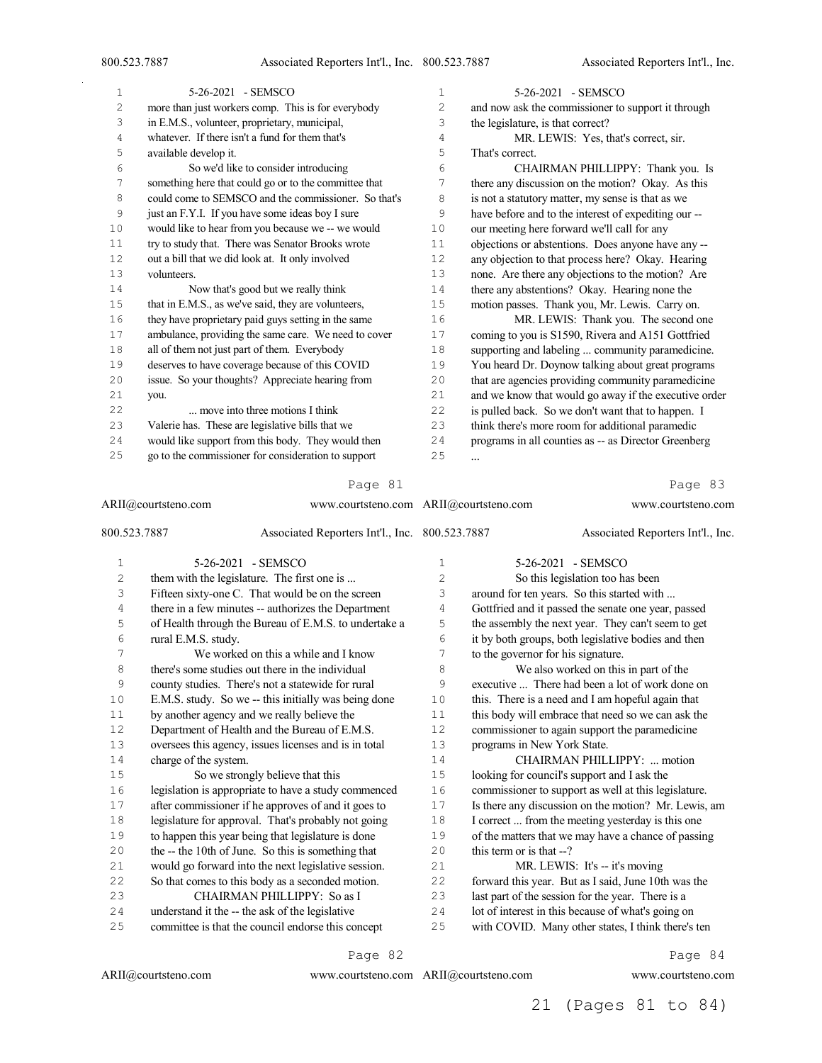| 1    | 5-26-2021 - SEMSCO                                    | 1  | 5-26-2021 - SEMSCO                                    |
|------|-------------------------------------------------------|----|-------------------------------------------------------|
| 2    | more than just workers comp. This is for everybody    | 2  | and now ask the commissioner to support it through    |
| 3    | in E.M.S., volunteer, proprietary, municipal,         | 3  | the legislature, is that correct?                     |
| 4    | whatever. If there isn't a fund for them that's       | 4  | MR. LEWIS: Yes, that's correct, sir.                  |
| 5    | available develop it.                                 | 5  | That's correct.                                       |
| 6    | So we'd like to consider introducing                  | 6  | CHAIRMAN PHILLIPPY: Thank you. Is                     |
| 7    | something here that could go or to the committee that | 7  | there any discussion on the motion? Okay. As this     |
| 8    | could come to SEMSCO and the commissioner. So that's  | 8  | is not a statutory matter, my sense is that as we     |
| 9    | just an F.Y.I. If you have some ideas boy I sure      | 9  | have before and to the interest of expediting our --  |
| 10   | would like to hear from you because we -- we would    | 10 | our meeting here forward we'll call for any           |
| 11   | try to study that. There was Senator Brooks wrote     | 11 | objections or abstentions. Does anyone have any --    |
| $12$ | out a bill that we did look at. It only involved      | 12 | any objection to that process here? Okay. Hearing     |
| 13   | volunteers.                                           | 13 | none. Are there any objections to the motion? Are     |
| 14   | Now that's good but we really think                   | 14 | there any abstentions? Okay. Hearing none the         |
| 15   | that in E.M.S., as we've said, they are volunteers,   | 15 | motion passes. Thank you, Mr. Lewis. Carry on.        |
| 16   | they have proprietary paid guys setting in the same   | 16 | MR. LEWIS: Thank you. The second one                  |
| 17   | ambulance, providing the same care. We need to cover  | 17 | coming to you is S1590, Rivera and A151 Gottfried     |
| 18   | all of them not just part of them. Everybody          | 18 | supporting and labeling  community paramedicine.      |
| 19   | deserves to have coverage because of this COVID       | 19 | You heard Dr. Doynow talking about great programs     |
| 20   | issue. So your thoughts? Appreciate hearing from      | 20 | that are agencies providing community paramedicine    |
| 21   | you.                                                  | 21 | and we know that would go away if the executive order |
| 22   | move into three motions I think                       | 22 | is pulled back. So we don't want that to happen. I    |
| 23   | Valerie has. These are legislative bills that we      | 23 | think there's more room for additional paramedic      |
| 24   | would like support from this body. They would then    | 24 | programs in all counties as -- as Director Greenberg  |
| 25   | go to the commissioner for consideration to support   | 25 |                                                       |

|                | ARII@courtsteno.com   | www.courtsteno.com ARII@courtsteno.com                |                |                                             | www.courtsteno.com                                   |
|----------------|-----------------------|-------------------------------------------------------|----------------|---------------------------------------------|------------------------------------------------------|
| 800.523.7887   |                       | Associated Reporters Int'l., Inc. 800.523.7887        |                |                                             | Associated Reporters Int'l., Inc.                    |
| 1              |                       | 5-26-2021 - SEMSCO                                    | 1              | 5-26-2021 - SEMSCO                          |                                                      |
| $\overline{c}$ |                       | them with the legislature. The first one is           | $\overline{c}$ |                                             | So this legislation too has been                     |
| 3              |                       | Fifteen sixty-one C. That would be on the screen      | 3              | around for ten years. So this started with  |                                                      |
| 4              |                       | there in a few minutes -- authorizes the Department   | 4              |                                             | Gottfried and it passed the senate one year, passed  |
| 5              |                       | of Health through the Bureau of E.M.S. to undertake a | 5              |                                             | the assembly the next year. They can't seem to get   |
| 6              | rural E.M.S. study.   |                                                       | 6              |                                             | it by both groups, both legislative bodies and then  |
| 7              |                       | We worked on this a while and I know                  | 7              | to the governor for his signature.          |                                                      |
| 8              |                       | there's some studies out there in the individual      | 8              |                                             | We also worked on this in part of the                |
| 9              |                       | county studies. There's not a statewide for rural     | 9              |                                             | executive  There had been a lot of work done on      |
| 10             |                       | E.M.S. study. So we -- this initially was being done  | 10             |                                             | this. There is a need and I am hopeful again that    |
| 11             |                       | by another agency and we really believe the           | 11             |                                             | this body will embrace that need so we can ask the   |
| 12             |                       | Department of Health and the Bureau of E.M.S.         | 12             |                                             | commissioner to again support the paramedicine       |
| 13             |                       | oversees this agency, issues licenses and is in total | 13             | programs in New York State.                 |                                                      |
| 14             | charge of the system. |                                                       | 14             |                                             | CHAIRMAN PHILLIPPY:  motion                          |
| 15             |                       | So we strongly believe that this                      | 15             | looking for council's support and I ask the |                                                      |
| 16             |                       | legislation is appropriate to have a study commenced  | 16             |                                             | commissioner to support as well at this legislature. |
| 17             |                       | after commissioner if he approves of and it goes to   | 17             |                                             | Is there any discussion on the motion? Mr. Lewis, am |
| 18             |                       | legislature for approval. That's probably not going   | 18             |                                             | I correct  from the meeting yesterday is this one    |
| 19             |                       | to happen this year being that legislature is done    | 19             |                                             | of the matters that we may have a chance of passing  |
| 20             |                       | the -- the 10th of June. So this is something that    | 20             | this term or is that --?                    |                                                      |
| 21             |                       | would go forward into the next legislative session.   | 21             |                                             | MR. LEWIS: It's -- it's moving                       |
| 22             |                       | So that comes to this body as a seconded motion.      | 22             |                                             | forward this year. But as I said, June 10th was the  |
| 23             |                       | CHAIRMAN PHILLIPPY: So as I                           | 23             |                                             | last part of the session for the year. There is a    |
| 24             |                       | understand it the -- the ask of the legislative       | 24             |                                             | lot of interest in this because of what's going on   |
| 25             |                       | committee is that the council endorse this concept    | 25             |                                             | with COVID. Many other states, I think there's ten   |

Page 82

Page 84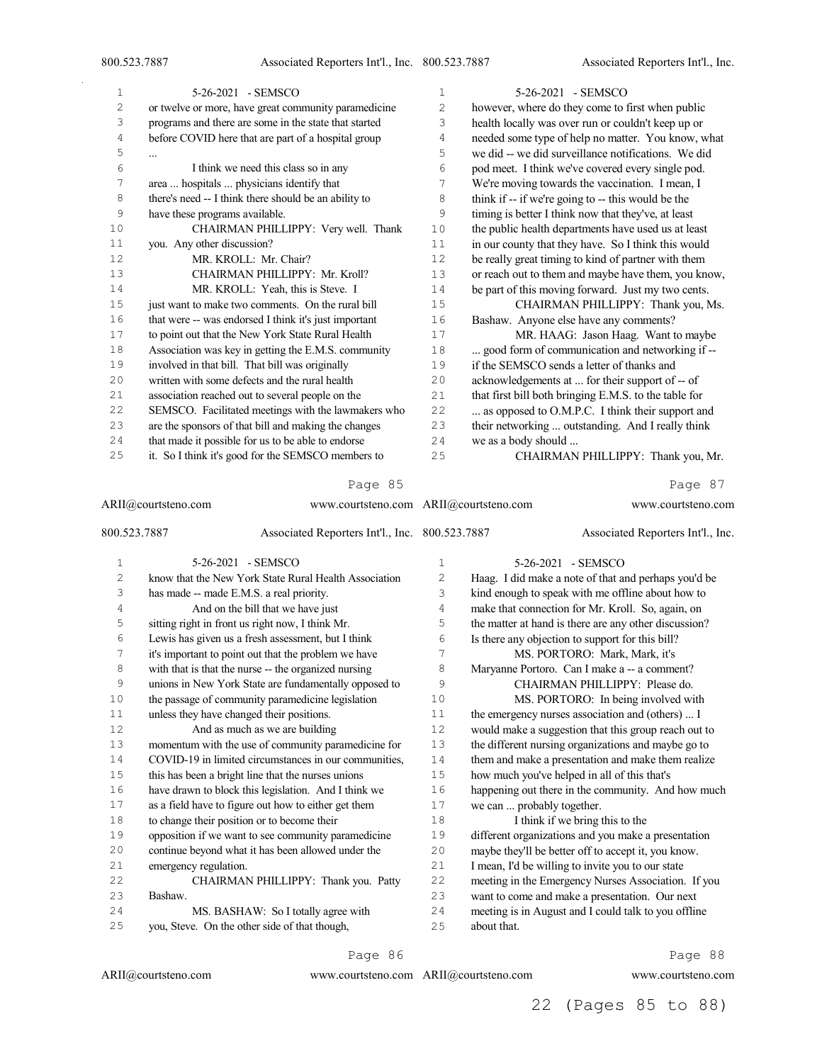| $\mathbf 1$ | 5-26-2021 - SEMSCO                                    | $\mathbf{1}$ | 5-26-2021 - SEMSCO                                    |
|-------------|-------------------------------------------------------|--------------|-------------------------------------------------------|
| 2           | or twelve or more, have great community paramedicine  | 2            | however, where do they come to first when public      |
| 3           | programs and there are some in the state that started | 3            | health locally was over run or couldn't keep up or    |
| 4           | before COVID here that are part of a hospital group   | 4            | needed some type of help no matter. You know, what    |
| 5           |                                                       | 5            | we did -- we did surveillance notifications. We did   |
| 6           | I think we need this class so in any                  | 6            | pod meet. I think we've covered every single pod.     |
| 7           | area  hospitals  physicians identify that             | 7            | We're moving towards the vaccination. I mean, I       |
| 8           | there's need -- I think there should be an ability to | 8            | think if -- if we're going to -- this would be the    |
| 9           | have these programs available.                        | 9            | timing is better I think now that they've, at least   |
| 10          | CHAIRMAN PHILLIPPY: Very well. Thank                  | 10           | the public health departments have used us at least   |
| 11          | you. Any other discussion?                            | 11           | in our county that they have. So I think this would   |
| 12          | MR. KROLL: Mr. Chair?                                 | 12           | be really great timing to kind of partner with them   |
| 13          | CHAIRMAN PHILLIPPY: Mr. Kroll?                        | 13           | or reach out to them and maybe have them, you know,   |
| 14          | MR. KROLL: Yeah, this is Steve. I                     | 14           | be part of this moving forward. Just my two cents.    |
| 15          | just want to make two comments. On the rural bill     | 15           | CHAIRMAN PHILLIPPY: Thank you, Ms.                    |
| 16          | that were -- was endorsed I think it's just important | 16           | Bashaw. Anyone else have any comments?                |
| 17          | to point out that the New York State Rural Health     | 17           | MR. HAAG: Jason Haag. Want to maybe                   |
| 18          | Association was key in getting the E.M.S. community   | 18           | good form of communication and networking if --       |
| 19          | involved in that bill. That bill was originally       | 19           | if the SEMSCO sends a letter of thanks and            |
| 20          | written with some defects and the rural health        | 20           | acknowledgements at  for their support of -- of       |
| 21          | association reached out to several people on the      | 21           | that first bill both bringing E.M.S. to the table for |
| 22          | SEMSCO. Facilitated meetings with the lawmakers who   | 22           | as opposed to O.M.P.C. I think their support and      |
| 23          | are the sponsors of that bill and making the changes  | 23           | their networking  outstanding. And I really think     |
| 24          | that made it possible for us to be able to endorse    | 24           | we as a body should                                   |
| 25          | it. So I think it's good for the SEMSCO members to    | 25           | CHAIRMAN PHILLIPPY: Thank you, Mr.                    |

|                | ARII@courtsteno.com                      | www.courtsteno.com ARII@courtsteno.com                |    |                            | www.courtsteno.com                                    |
|----------------|------------------------------------------|-------------------------------------------------------|----|----------------------------|-------------------------------------------------------|
| 800.523.7887   |                                          | Associated Reporters Int'l., Inc. 800.523.7887        |    |                            | Associated Reporters Int'l., Inc.                     |
| $\mathbf{1}$   |                                          | 5-26-2021 - SEMSCO                                    | 1  |                            | 5-26-2021 - SEMSCO                                    |
| $\overline{c}$ |                                          | know that the New York State Rural Health Association | 2  |                            | Haag. I did make a note of that and perhaps you'd be  |
| 3              | has made -- made E.M.S. a real priority. |                                                       | 3  |                            | kind enough to speak with me offline about how to     |
| 4              |                                          | And on the bill that we have just                     | 4  |                            | make that connection for Mr. Kroll. So, again, on     |
| 5              |                                          | sitting right in front us right now, I think Mr.      | 5  |                            | the matter at hand is there are any other discussion? |
| 6              |                                          | Lewis has given us a fresh assessment, but I think    | 6  |                            | Is there any objection to support for this bill?      |
| 7              |                                          | it's important to point out that the problem we have  | 7  |                            | MS. PORTORO: Mark, Mark, it's                         |
| 8              |                                          | with that is that the nurse -- the organized nursing  | 8  |                            | Maryanne Portoro. Can I make a -- a comment?          |
| 9              |                                          | unions in New York State are fundamentally opposed to | 9  |                            | CHAIRMAN PHILLIPPY: Please do.                        |
| 10             |                                          | the passage of community paramedicine legislation     | 10 |                            | MS. PORTORO: In being involved with                   |
| 11             |                                          | unless they have changed their positions.             | 11 |                            | the emergency nurses association and (others)  I      |
| 12             |                                          | And as much as we are building                        | 12 |                            | would make a suggestion that this group reach out to  |
| 13             |                                          | momentum with the use of community paramedicine for   | 13 |                            | the different nursing organizations and maybe go to   |
| 14             |                                          | COVID-19 in limited circumstances in our communities, | 14 |                            | them and make a presentation and make them realize    |
| 15             |                                          | this has been a bright line that the nurses unions    | 15 |                            | how much you've helped in all of this that's          |
| 16             |                                          | have drawn to block this legislation. And I think we  | 16 |                            | happening out there in the community. And how much    |
| 17             |                                          | as a field have to figure out how to either get them  | 17 | we can  probably together. |                                                       |
| 18             |                                          | to change their position or to become their           | 18 |                            | I think if we bring this to the                       |
| 19             |                                          | opposition if we want to see community paramedicine   | 19 |                            | different organizations and you make a presentation   |
| 20             |                                          | continue beyond what it has been allowed under the    | 20 |                            | maybe they'll be better off to accept it, you know.   |
| 21             | emergency regulation.                    |                                                       | 21 |                            | I mean, I'd be willing to invite you to our state     |
| 22             |                                          | CHAIRMAN PHILLIPPY: Thank you. Patty                  | 22 |                            | meeting in the Emergency Nurses Association. If you   |
| 23             | Bashaw.                                  |                                                       | 23 |                            | want to come and make a presentation. Our next        |
| 24             |                                          | MS. BASHAW: So I totally agree with                   | 24 |                            | meeting is in August and I could talk to you offline  |
| 25             |                                          | you, Steve. On the other side of that though,         | 25 | about that.                |                                                       |
|                |                                          |                                                       |    |                            |                                                       |

Page 86

Page 88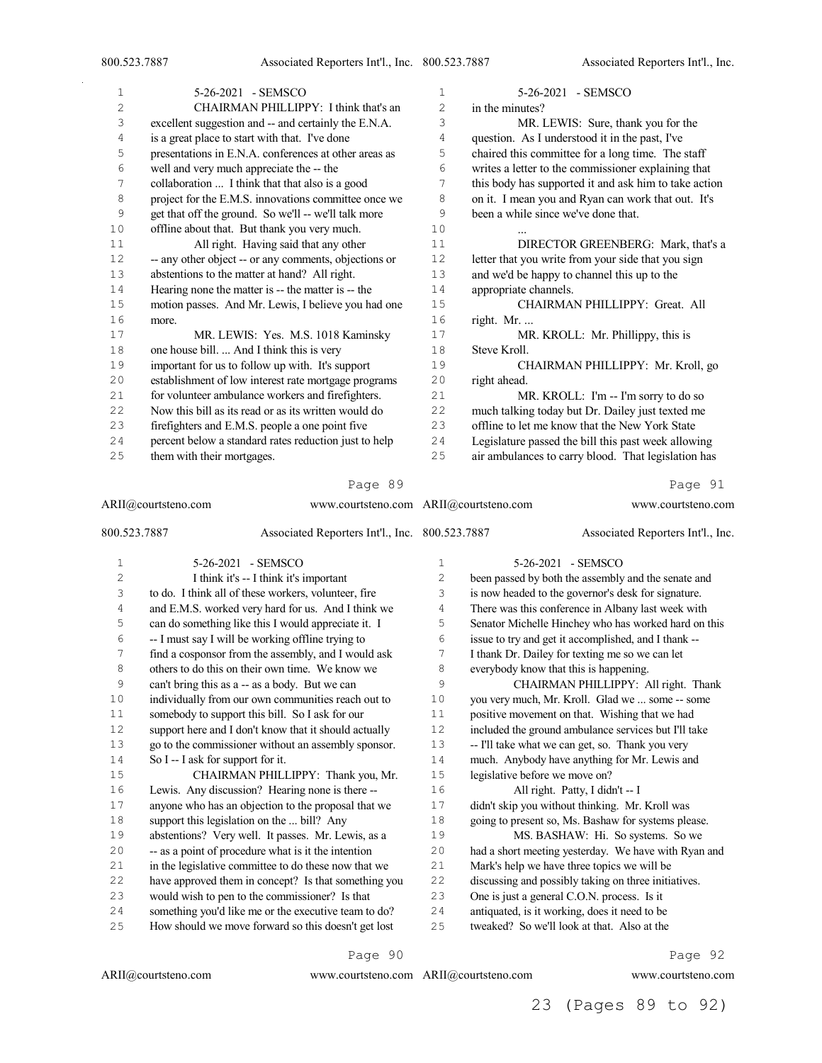| 1  | 5-26-2021 - SEMSCO                                    | 1  | 5-26-2021 - SEMSCO                                    |
|----|-------------------------------------------------------|----|-------------------------------------------------------|
| 2  | CHAIRMAN PHILLIPPY: I think that's an                 | 2  | in the minutes?                                       |
| 3  | excellent suggestion and -- and certainly the E.N.A.  | 3  | MR. LEWIS: Sure, thank you for the                    |
| 4  | is a great place to start with that. I've done        | 4  | question. As I understood it in the past, I've        |
| 5  | presentations in E.N.A. conferences at other areas as | 5  | chaired this committee for a long time. The staff     |
| 6  | well and very much appreciate the -- the              | 6  | writes a letter to the commissioner explaining that   |
| 7  | collaboration  I think that that also is a good       | 7  | this body has supported it and ask him to take action |
| 8  | project for the E.M.S. innovations committee once we  | 8  | on it. I mean you and Ryan can work that out. It's    |
| 9  | get that off the ground. So we'll -- we'll talk more  | 9  | been a while since we've done that.                   |
| 10 | offline about that. But thank you very much.          | 10 |                                                       |
| 11 | All right. Having said that any other                 | 11 | DIRECTOR GREENBERG: Mark, that's a                    |
| 12 | -- any other object -- or any comments, objections or | 12 | letter that you write from your side that you sign    |
| 13 | abstentions to the matter at hand? All right.         | 13 | and we'd be happy to channel this up to the           |
| 14 | Hearing none the matter is -- the matter is -- the    | 14 | appropriate channels.                                 |
| 15 | motion passes. And Mr. Lewis, I believe you had one   | 15 | CHAIRMAN PHILLIPPY: Great. All                        |
| 16 | more.                                                 | 16 | right. Mr.                                            |
| 17 | MR. LEWIS: Yes. M.S. 1018 Kaminsky                    | 17 | MR. KROLL: Mr. Phillippy, this is                     |
| 18 | one house bill.  And I think this is very             | 18 | Steve Kroll.                                          |
| 19 | important for us to follow up with. It's support      | 19 | CHAIRMAN PHILLIPPY: Mr. Kroll, go                     |
| 20 | establishment of low interest rate mortgage programs  | 20 | right ahead.                                          |
| 21 | for volunteer ambulance workers and firefighters.     | 21 | MR. KROLL: I'm -- I'm sorry to do so                  |
| 22 | Now this bill as its read or as its written would do  | 22 | much talking today but Dr. Dailey just texted me      |
| 23 | firefighters and E.M.S. people a one point five       | 23 | offline to let me know that the New York State        |
| 24 | percent below a standard rates reduction just to help | 24 | Legislature passed the bill this past week allowing   |
| 25 | them with their mortgages.                            | 25 | air ambulances to carry blood. That legislation has   |
|    | Page 89                                               |    | Page 91                                               |

| ARII@courtsteno.com<br>800.523.7887 |                                   |                                                       | www.courtsteno.com ARII@courtsteno.com |                                | www.courtsteno.com<br>Associated Reporters Int'l., Inc. |
|-------------------------------------|-----------------------------------|-------------------------------------------------------|----------------------------------------|--------------------------------|---------------------------------------------------------|
|                                     |                                   | Associated Reporters Int'l., Inc. 800.523.7887        |                                        |                                |                                                         |
| 1                                   |                                   | 5-26-2021 - SEMSCO                                    | 1                                      |                                | 5-26-2021 - SEMSCO                                      |
| $\overline{c}$                      |                                   | I think it's -- I think it's important                | $\overline{c}$                         |                                | been passed by both the assembly and the senate and     |
| 3                                   |                                   | to do. I think all of these workers, volunteer, fire  | 3                                      |                                | is now headed to the governor's desk for signature.     |
| 4                                   |                                   | and E.M.S. worked very hard for us. And I think we    | 4                                      |                                | There was this conference in Albany last week with      |
| 5                                   |                                   | can do something like this I would appreciate it. I   | 5                                      |                                | Senator Michelle Hinchey who has worked hard on this    |
| 6                                   |                                   | -- I must say I will be working offline trying to     | 6                                      |                                | issue to try and get it accomplished, and I thank --    |
| 7                                   |                                   | find a cosponsor from the assembly, and I would ask   | 7                                      |                                | I thank Dr. Dailey for texting me so we can let         |
| 8                                   |                                   | others to do this on their own time. We know we       | 8                                      |                                | everybody know that this is happening.                  |
| 9                                   |                                   | can't bring this as a -- as a body. But we can        | 9                                      |                                | CHAIRMAN PHILLIPPY: All right. Thank                    |
| 10                                  |                                   | individually from our own communities reach out to    | 10                                     |                                | you very much, Mr. Kroll. Glad we  some -- some         |
| 11                                  |                                   | somebody to support this bill. So I ask for our       | 11                                     |                                | positive movement on that. Wishing that we had          |
| 12                                  |                                   | support here and I don't know that it should actually | 12                                     |                                | included the ground ambulance services but I'll take    |
| 13                                  |                                   | go to the commissioner without an assembly sponsor.   | 13                                     |                                | -- I'll take what we can get, so. Thank you very        |
| $1\,4$                              | So I -- I ask for support for it. |                                                       | 14                                     |                                | much. Anybody have anything for Mr. Lewis and           |
| 15                                  |                                   | CHAIRMAN PHILLIPPY: Thank you, Mr.                    | 15                                     | legislative before we move on? |                                                         |
| 16                                  |                                   | Lewis. Any discussion? Hearing none is there --       | 16                                     |                                | All right. Patty, I didn't -- I                         |
| 17                                  |                                   | anyone who has an objection to the proposal that we   | 17                                     |                                | didn't skip you without thinking. Mr. Kroll was         |
| 18                                  |                                   | support this legislation on the  bill? Any            | 18                                     |                                | going to present so, Ms. Bashaw for systems please.     |
| 19                                  |                                   | abstentions? Very well. It passes. Mr. Lewis, as a    | 19                                     |                                | MS. BASHAW: Hi. So systems. So we                       |
| 20                                  |                                   | -- as a point of procedure what is it the intention   | 20                                     |                                | had a short meeting yesterday. We have with Ryan and    |
| 21                                  |                                   | in the legislative committee to do these now that we  | 21                                     |                                | Mark's help we have three topics we will be             |
| 22                                  |                                   | have approved them in concept? Is that something you  | 22                                     |                                | discussing and possibly taking on three initiatives.    |
| 23                                  |                                   | would wish to pen to the commissioner? Is that        | 23                                     |                                | One is just a general C.O.N. process. Is it             |
| 24                                  |                                   | something you'd like me or the executive team to do?  | 24                                     |                                | antiquated, is it working, does it need to be           |
| 25                                  |                                   | How should we move forward so this doesn't get lost   | 25                                     |                                | tweaked? So we'll look at that. Also at the             |

Page 90

ARII@courtsteno.com

www.courtsteno.com ARII@courtsteno.com www.courtsteno.com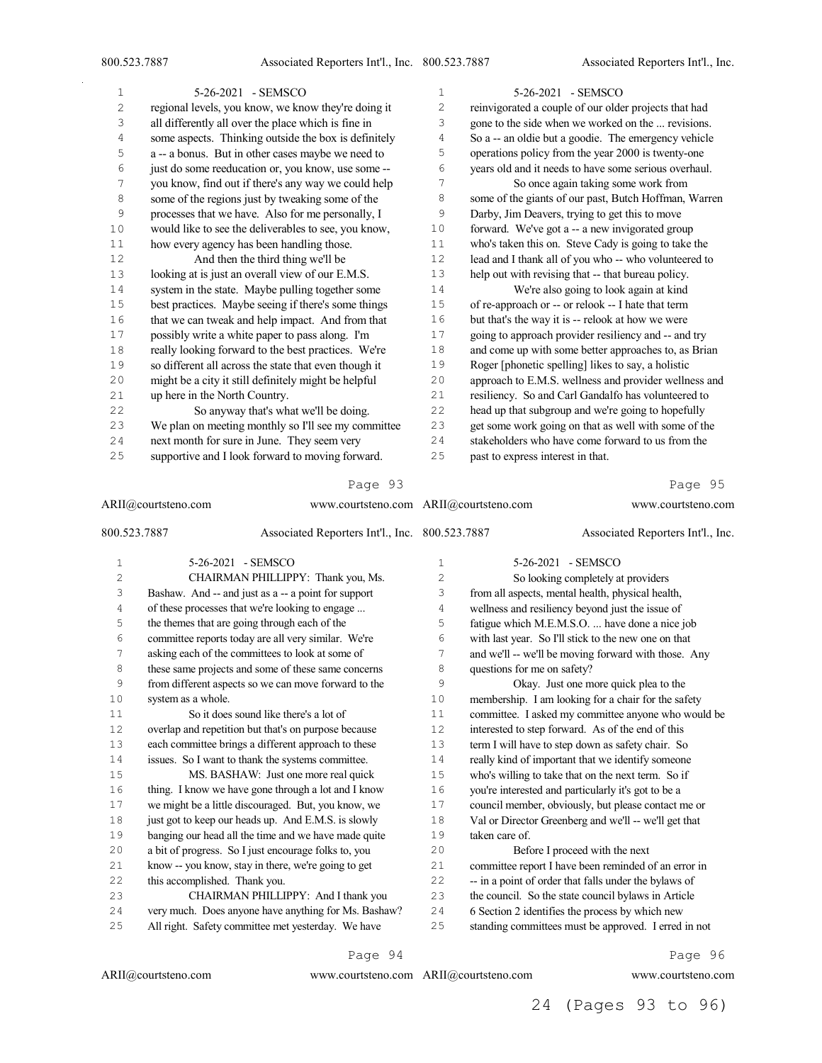| 1              | 5-26-2021 - SEMSCO                                            | 1                       | 5-26-2021 - SEMSCO                                                                                     |
|----------------|---------------------------------------------------------------|-------------------------|--------------------------------------------------------------------------------------------------------|
| $\overline{c}$ | regional levels, you know, we know they're doing it           | 2                       | reinvigorated a couple of our older projects that had                                                  |
| 3              | all differently all over the place which is fine in           | 3                       | gone to the side when we worked on the  revisions.                                                     |
| $\overline{4}$ | some aspects. Thinking outside the box is definitely          | $\overline{4}$          | So a -- an oldie but a goodie. The emergency vehicle                                                   |
| 5              | a -- a bonus. But in other cases maybe we need to             | 5                       | operations policy from the year 2000 is twenty-one                                                     |
| 6              | just do some reeducation or, you know, use some --            | 6                       | years old and it needs to have some serious overhaul.                                                  |
| 7              | you know, find out if there's any way we could help           | 7                       | So once again taking some work from                                                                    |
| 8              | some of the regions just by tweaking some of the              | 8                       | some of the giants of our past, Butch Hoffman, Warren                                                  |
| 9              | processes that we have. Also for me personally, I             | 9                       | Darby, Jim Deavers, trying to get this to move                                                         |
| 10             | would like to see the deliverables to see, you know,          | $10$                    | forward. We've got a -- a new invigorated group                                                        |
| 11             | how every agency has been handling those.                     | 11                      | who's taken this on. Steve Cady is going to take the                                                   |
| 12             | And then the third thing we'll be                             | 12                      | lead and I thank all of you who -- who volunteered to                                                  |
| 13             | looking at is just an overall view of our E.M.S.              | 13                      | help out with revising that -- that bureau policy.                                                     |
| 14             | system in the state. Maybe pulling together some              | $1\,4$                  | We're also going to look again at kind                                                                 |
| $1\,5$         | best practices. Maybe seeing if there's some things           | 15                      | of re-approach or -- or relook -- I hate that term                                                     |
| 16             | that we can tweak and help impact. And from that              | 16                      | but that's the way it is -- relook at how we were                                                      |
| $17$           | possibly write a white paper to pass along. I'm               | 17                      | going to approach provider resiliency and -- and try                                                   |
| $1\,8$         | really looking forward to the best practices. We're           | $1\,8$                  | and come up with some better approaches to, as Brian                                                   |
| 19             | so different all across the state that even though it         | 19                      | Roger [phonetic spelling] likes to say, a holistic                                                     |
| 20             | might be a city it still definitely might be helpful          | 20                      | approach to E.M.S. wellness and provider wellness and                                                  |
| 21             | up here in the North Country.                                 | 21                      | resiliency. So and Carl Gandalfo has volunteered to                                                    |
| 22             | So anyway that's what we'll be doing.                         | 22                      | head up that subgroup and we're going to hopefully                                                     |
| 23             | We plan on meeting monthly so I'll see my committee           | 23                      | get some work going on that as well with some of the                                                   |
| 24             | next month for sure in June. They seem very                   | 24                      | stakeholders who have come forward to us from the                                                      |
| 25             | supportive and I look forward to moving forward.              | 25                      | past to express interest in that.                                                                      |
|                |                                                               |                         |                                                                                                        |
|                | Page 93                                                       |                         |                                                                                                        |
|                |                                                               |                         | Page 95                                                                                                |
|                | ARII@courtsteno.com<br>www.courtsteno.com ARII@courtsteno.com |                         | www.courtsteno.com                                                                                     |
|                |                                                               |                         |                                                                                                        |
| 800.523.7887   | Associated Reporters Int'l., Inc. 800.523.7887                |                         | Associated Reporters Int'l., Inc.                                                                      |
| $\mathbf 1$    | 5-26-2021 - SEMSCO                                            | 1                       | 5-26-2021 - SEMSCO                                                                                     |
| $\overline{c}$ | CHAIRMAN PHILLIPPY: Thank you, Ms.                            | $\overline{\mathbf{c}}$ | So looking completely at providers                                                                     |
| 3              | Bashaw. And -- and just as a -- a point for support           | 3                       | from all aspects, mental health, physical health,                                                      |
| $\overline{4}$ | of these processes that we're looking to engage               | 4                       | wellness and resiliency beyond just the issue of                                                       |
| 5              | the themes that are going through each of the                 | 5                       | fatigue which M.E.M.S.O.  have done a nice job                                                         |
| 6              | committee reports today are all very similar. We're           | 6                       | with last year. So I'll stick to the new one on that                                                   |
| 7              | asking each of the committees to look at some of              | 7                       | and we'll -- we'll be moving forward with those. Any                                                   |
| 8              | these same projects and some of these same concerns           | 8                       | questions for me on safety?                                                                            |
| 9              | from different aspects so we can move forward to the          | $\mathsf 9$             | Okay. Just one more quick plea to the                                                                  |
| $10$           | system as a whole.                                            | 10                      | membership. I am looking for a chair for the safety                                                    |
| 11             | So it does sound like there's a lot of                        | $1\,1$                  | committee. I asked my committee anyone who would be                                                    |
| 12             | overlap and repetition but that's on purpose because          | 12                      | interested to step forward. As of the end of this                                                      |
| 13             | each committee brings a different approach to these           | 13                      | term I will have to step down as safety chair. So                                                      |
| 14             | issues. So I want to thank the systems committee.             | 14                      | really kind of important that we identify someone                                                      |
| 15             | MS. BASHAW: Just one more real quick                          | 15                      | who's willing to take that on the next term. So if                                                     |
| 16             | thing. I know we have gone through a lot and I know           | 16                      | you're interested and particularly it's got to be a                                                    |
| $17$           | we might be a little discouraged. But, you know, we           | $17$                    | council member, obviously, but please contact me or                                                    |
| $1\,8$         | just got to keep our heads up. And E.M.S. is slowly           | $1\,8$                  | Val or Director Greenberg and we'll -- we'll get that                                                  |
| 19             | banging our head all the time and we have made quite          | 19                      | taken care of.                                                                                         |
| 20             | a bit of progress. So I just encourage folks to, you          | 20                      | Before I proceed with the next                                                                         |
| 21             | know -- you know, stay in there, we're going to get           | 21                      | committee report I have been reminded of an error in                                                   |
| 22             | this accomplished. Thank you.                                 | 22                      | -- in a point of order that falls under the bylaws of                                                  |
| 23             | CHAIRMAN PHILLIPPY: And I thank you                           | 23                      | the council. So the state council bylaws in Article<br>6 Section 2 identifies the process by which new |

- very much. Does anyone have anything for Ms. Bashaw?
- All right. Safety committee met yesterday. We have
	- Page 94

ARII@courtsteno.com www.courtsteno.com

Page 96

24 (Pages 93 to 96)

standing committees must be approved. I erred in not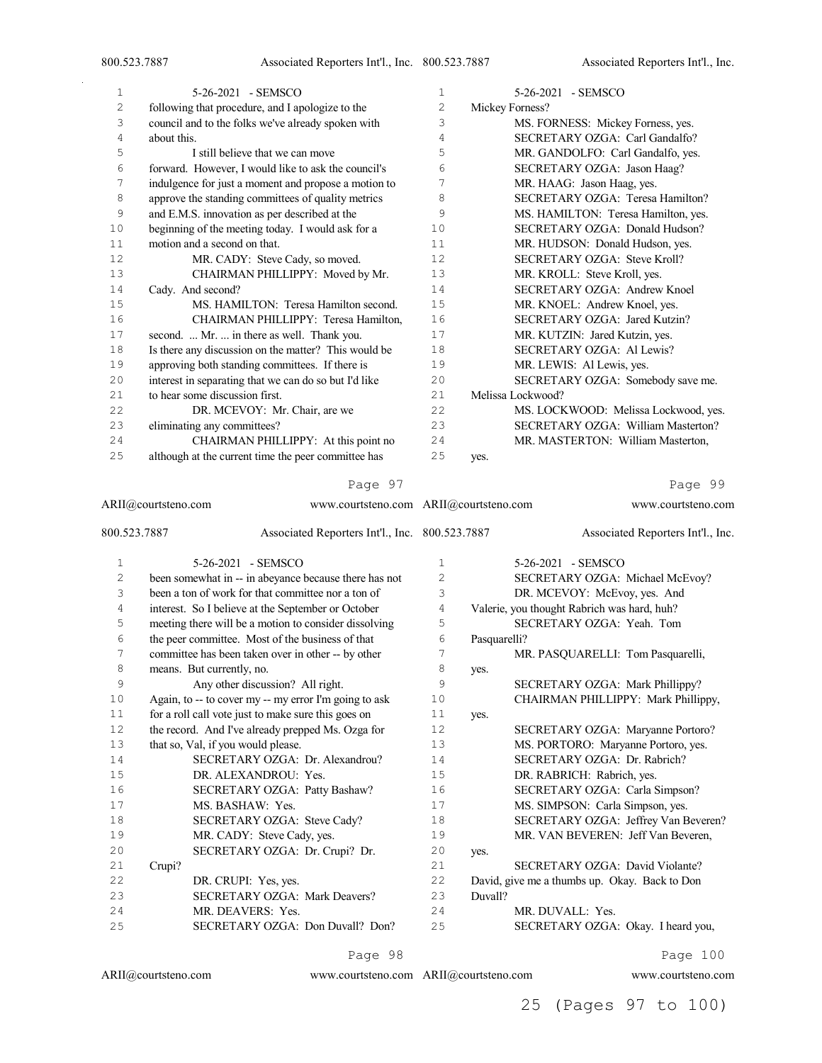$\bar{\gamma}$ 

| 1  | 5-26-2021 - SEMSCO                                    | $\mathbf 1$ | 5-26-2021 - SEMSCO                   |
|----|-------------------------------------------------------|-------------|--------------------------------------|
| 2  | following that procedure, and I apologize to the      | 2           | Mickey Forness?                      |
| 3  | council and to the folks we've already spoken with    | 3           | MS. FORNESS: Mickey Forness, yes.    |
| 4  | about this.                                           | 4           | SECRETARY OZGA: Carl Gandalfo?       |
| 5  | I still believe that we can move                      | 5           | MR. GANDOLFO: Carl Gandalfo, yes.    |
| 6  | forward. However, I would like to ask the council's   | 6           | SECRETARY OZGA: Jason Haag?          |
| 7  | indulgence for just a moment and propose a motion to  | 7           | MR. HAAG: Jason Haag, yes.           |
| 8  | approve the standing committees of quality metrics    | 8           | SECRETARY OZGA: Teresa Hamilton?     |
| 9  | and E.M.S. innovation as per described at the         | 9           | MS. HAMILTON: Teresa Hamilton, yes.  |
| 10 | beginning of the meeting today. I would ask for a     | 10          | SECRETARY OZGA: Donald Hudson?       |
| 11 | motion and a second on that.                          | 11          | MR. HUDSON: Donald Hudson, yes.      |
| 12 | MR. CADY: Steve Cady, so moved.                       | 12          | SECRETARY OZGA: Steve Kroll?         |
| 13 | CHAIRMAN PHILLIPPY: Moved by Mr.                      | 13          | MR. KROLL: Steve Kroll, yes.         |
| 14 | Cady. And second?                                     | 14          | SECRETARY OZGA: Andrew Knoel         |
| 15 | MS. HAMILTON: Teresa Hamilton second.                 | 15          | MR. KNOEL: Andrew Knoel, yes.        |
| 16 | CHAIRMAN PHILLIPPY: Teresa Hamilton,                  | 16          | SECRETARY OZGA: Jared Kutzin?        |
| 17 | second.  Mr.  in there as well. Thank you.            | 17          | MR. KUTZIN: Jared Kutzin, yes.       |
| 18 | Is there any discussion on the matter? This would be  | 18          | SECRETARY OZGA: Al Lewis?            |
| 19 | approving both standing committees. If there is       | 19          | MR. LEWIS: Al Lewis, yes.            |
| 20 | interest in separating that we can do so but I'd like | 2.0         | SECRETARY OZGA: Somebody save me.    |
| 21 | to hear some discussion first.                        | 2.1         | Melissa Lockwood?                    |
| 22 | DR. MCEVOY: Mr. Chair, are we                         | 2.2         | MS. LOCKWOOD: Melissa Lockwood, yes. |
| 23 | eliminating any committees?                           | 2.3         | SECRETARY OZGA: William Masterton?   |
| 24 | CHAIRMAN PHILLIPPY: At this point no                  | 24          | MR. MASTERTON: William Masterton,    |
| 25 | although at the current time the peer committee has   | 25          | yes.                                 |

# Page 97

| ARII@courtsteno.com |                                    | www.courtsteno.com ARII@courtsteno.com                |                |              | www.courtsteno.com                            |
|---------------------|------------------------------------|-------------------------------------------------------|----------------|--------------|-----------------------------------------------|
| 800.523.7887        |                                    | Associated Reporters Int'l., Inc. 800.523.7887        |                |              | Associated Reporters Int'l., Inc.             |
| $\mathbf{1}$        |                                    | 5-26-2021 - SEMSCO                                    | $\mathbf{1}$   |              | 5-26-2021 - SEMSCO                            |
| $\overline{c}$      |                                    | been somewhat in -- in abeyance because there has not | $\overline{c}$ |              | SECRETARY OZGA: Michael McEvoy?               |
| 3                   |                                    | been a ton of work for that committee nor a ton of    | 3              |              | DR. MCEVOY: McEvoy, yes. And                  |
| 4                   |                                    | interest. So I believe at the September or October    | 4              |              | Valerie, you thought Rabrich was hard, huh?   |
| 5                   |                                    | meeting there will be a motion to consider dissolving | 5              |              | SECRETARY OZGA: Yeah. Tom                     |
| 6                   |                                    | the peer committee. Most of the business of that      | 6              | Pasquarelli? |                                               |
| 7                   |                                    | committee has been taken over in other -- by other    | 7              |              | MR. PASQUARELLI: Tom Pasquarelli,             |
| 8                   | means. But currently, no.          |                                                       | 8              | yes.         |                                               |
| 9                   |                                    | Any other discussion? All right.                      | 9              |              | SECRETARY OZGA: Mark Phillippy?               |
| 10                  |                                    | Again, to -- to cover my -- my error I'm going to ask | 10             |              | CHAIRMAN PHILLIPPY: Mark Phillippy,           |
| 11                  |                                    | for a roll call vote just to make sure this goes on   | 11             | yes.         |                                               |
| 12                  |                                    | the record. And I've already prepped Ms. Ozga for     | 12             |              | SECRETARY OZGA: Maryanne Portoro?             |
| 13                  | that so, Val, if you would please. |                                                       | 13             |              | MS. PORTORO: Maryanne Portoro, yes.           |
| 14                  |                                    | SECRETARY OZGA: Dr. Alexandrou?                       | 14             |              | SECRETARY OZGA: Dr. Rabrich?                  |
| 15                  |                                    | DR. ALEXANDROU: Yes.                                  | 15             |              | DR. RABRICH: Rabrich, yes.                    |
| 16                  |                                    | SECRETARY OZGA: Patty Bashaw?                         | 16             |              | SECRETARY OZGA: Carla Simpson?                |
| 17                  |                                    | MS. BASHAW: Yes.                                      | 17             |              | MS. SIMPSON: Carla Simpson, yes.              |
| 18                  |                                    | SECRETARY OZGA: Steve Cady?                           | 18             |              | SECRETARY OZGA: Jeffrey Van Beveren?          |
| 19                  |                                    | MR. CADY: Steve Cady, yes.                            | 19             |              | MR. VAN BEVEREN: Jeff Van Beveren,            |
| 20                  |                                    | SECRETARY OZGA: Dr. Crupi? Dr.                        | 20             | yes.         |                                               |
| 21                  | Crupi?                             |                                                       | 21             |              | SECRETARY OZGA: David Violante?               |
| 22                  |                                    | DR. CRUPI: Yes, yes.                                  | 22             |              | David, give me a thumbs up. Okay. Back to Don |
| 23                  |                                    | <b>SECRETARY OZGA: Mark Deavers?</b>                  | 23             | Duvall?      |                                               |
| 24                  |                                    | MR. DEAVERS: Yes.                                     | 24             |              | MR. DUVALL: Yes.                              |
| 25                  |                                    | SECRETARY OZGA: Don Duvall? Don?                      | 25             |              | SECRETARY OZGA: Okay. I heard you,            |

Page 98

ARII@courtsteno.com

www.courtsteno.com ARII@courtsteno.com www.courtsteno.com

Page 100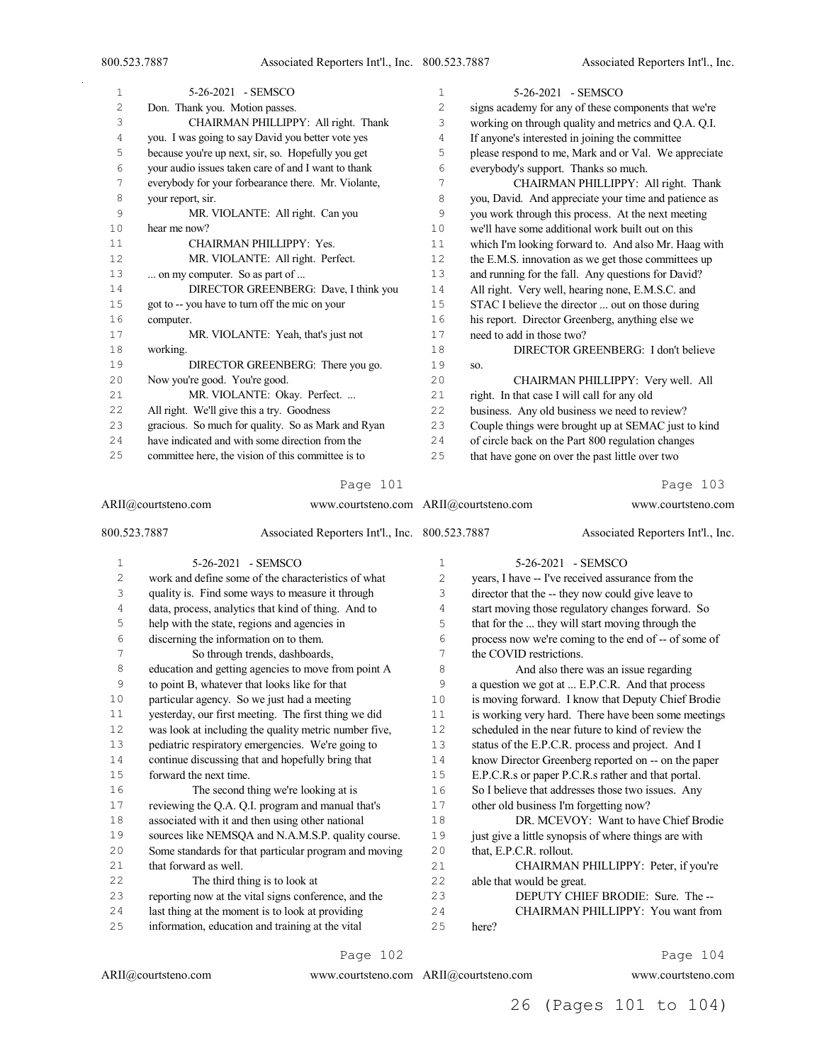| 1  | 5-26-2021 - SEMSCO                                  | 1                 | 5-26-2021 - SEMSCO                                   |
|----|-----------------------------------------------------|-------------------|------------------------------------------------------|
| 2  | Don. Thank you. Motion passes.                      | 2                 | signs academy for any of these components that we're |
| 3  | CHAIRMAN PHILLIPPY: All right. Thank                | 3                 | working on through quality and metrics and Q.A. Q.I. |
| 4  | you. I was going to say David you better vote yes   | 4                 | If anyone's interested in joining the committee      |
| 5  | because you're up next, sir, so. Hopefully you get  | 5                 | please respond to me, Mark and or Val. We appreciate |
| 6  | your audio issues taken care of and I want to thank | 6                 | everybody's support. Thanks so much.                 |
| 7  | everybody for your forbearance there. Mr. Violante, | 7                 | CHAIRMAN PHILLIPPY: All right. Thank                 |
| 8  | your report, sir.                                   | 8                 | you, David. And appreciate your time and patience as |
| 9  | MR. VIOLANTE: All right. Can you                    | 9                 | you work through this process. At the next meeting   |
| 10 | hear me now?                                        | 10                | we'll have some additional work built out on this    |
| 11 | CHAIRMAN PHILLIPPY: Yes.                            | 11                | which I'm looking forward to. And also Mr. Haag with |
| 12 | MR. VIOLANTE: All right. Perfect.                   | $12 \overline{ }$ | the E.M.S. innovation as we get those committees up  |
| 13 | on my computer. So as part of                       | 13                | and running for the fall. Any questions for David?   |
| 14 | DIRECTOR GREENBERG: Dave, I think you               | 14                | All right. Very well, hearing none, E.M.S.C. and     |
| 15 | got to -- you have to turn off the mic on your      | 15                | STAC I believe the director  out on those during     |
| 16 | computer.                                           | 16                | his report. Director Greenberg, anything else we     |
| 17 | MR. VIOLANTE: Yeah, that's just not                 | 17                | need to add in those two?                            |
| 18 | working.                                            | 18                | DIRECTOR GREENBERG: I don't believe                  |
| 19 | DIRECTOR GREENBERG: There you go.                   | 19                | SO.                                                  |
| 20 | Now you're good. You're good.                       | 20                | CHAIRMAN PHILLIPPY: Very well. All                   |
| 21 | MR. VIOLANTE: Okay. Perfect.                        | 21                | right. In that case I will call for any old          |
| 22 | All right. We'll give this a try. Goodness          | 22                | business. Any old business we need to review?        |
| 23 | gracious. So much for quality. So as Mark and Ryan  | 23                | Couple things were brought up at SEMAC just to kind  |
| 24 | have indicated and with some direction from the     | 24                | of circle back on the Part 800 regulation changes    |
| 25 | committee here, the vision of this committee is to  | 25                | that have gone on over the past little over two      |
|    |                                                     |                   |                                                      |

ARII@courtsteno.com 800.523.7887 Associated Reporters Int'l., Inc. 5-26-2021 - SEMSCO work and define some of the characteristics of what quality is. Find some ways to measure it through data, process, analytics that kind of thing. And to help with the state, regions and agencies in discerning the information on to them. So through trends, dashboards, education and getting agencies to move from point A to point B, whatever that looks like for that particular agency. So we just had a meeting yesterday, our first meeting. The first thing we did was look at including the quality metric number five, pediatric respiratory emergencies. We're going to continue discussing that and hopefully bring that forward the next time. The second thing we're looking at is reviewing the Q.A. Q.I. program and manual that's associated with it and then using other national sources like NEMSQA and N.A.M.S.P. quality course. Some standards for that particular program and moving that forward as well. The third thing is to look at reporting now at the vital signs conference, and the last thing at the moment is to look at providing information, education and training at the vital www.courtsteno.com ARII@courtsteno.com www.courtsteno.com Associated Reporters Int'l., Inc. 5-26-2021 - SEMSCO years, I have -- I've received assurance from the director that the -- they now could give leave to start moving those regulatory changes forward. So that for the ... they will start moving through the process now we're coming to the end of -- of some of the COVID restrictions. And also there was an issue regarding a question we got at ... E.P.C.R. And that process is moving forward. I know that Deputy Chief Brodie is working very hard. There have been some meetings scheduled in the near future to kind of review the status of the E.P.C.R. process and project. And I know Director Greenberg reported on -- on the paper E.P.C.R.s or paper P.C.R.s rather and that portal. So I believe that addresses those two issues. Any other old business I'm forgetting now? DR. MCEVOY: Want to have Chief Brodie just give a little synopsis of where things are with that, E.P.C.R. rollout. CHAIRMAN PHILLIPPY: Peter, if you're able that would be great. DEPUTY CHIEF BRODIE: Sure. The -- CHAIRMAN PHILLIPPY: You want from here?

Page 102

ARII@courtsteno.com

www.courtsteno.com ARII@courtsteno.com www.courtsteno.com

Page 104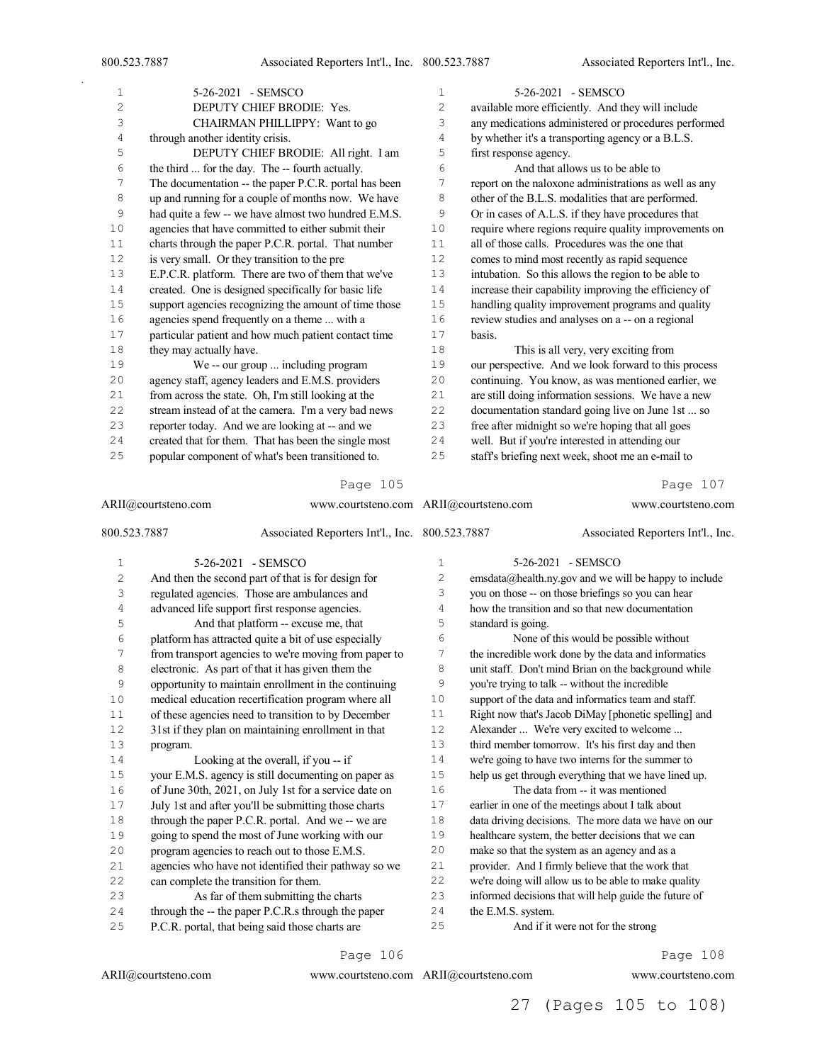$\sim$ 

| 1              | $5-26-2021 -$ SEMSCO                                  | $\mathbf{1}$   | 5-26-2021 - SEMSCO                                    |
|----------------|-------------------------------------------------------|----------------|-------------------------------------------------------|
| $\overline{c}$ | DEPUTY CHIEF BRODIE: Yes.                             | $\overline{c}$ | available more efficiently. And they will include     |
| 3              | CHAIRMAN PHILLIPPY: Want to go                        | 3              | any medications administered or procedures performed  |
| 4              | through another identity crisis.                      | 4              | by whether it's a transporting agency or a B.L.S.     |
| 5              | DEPUTY CHIEF BRODIE: All right. I am                  | 5              | first response agency.                                |
| 6              | the third  for the day. The -- fourth actually.       | 6              | And that allows us to be able to                      |
| 7              | The documentation -- the paper P.C.R. portal has been | 7              | report on the naloxone administrations as well as any |
| 8              | up and running for a couple of months now. We have    | 8              | other of the B.L.S. modalities that are performed.    |
| 9              | had quite a few -- we have almost two hundred E.M.S.  | 9              | Or in cases of A.L.S. if they have procedures that    |
| 10             | agencies that have committed to either submit their   | 10             | require where regions require quality improvements on |
| 11             | charts through the paper P.C.R. portal. That number   | 11             | all of those calls. Procedures was the one that       |
| 12             | is very small. Or they transition to the pre          | 12.            | comes to mind most recently as rapid sequence         |
| 13             | E.P.C.R. platform. There are two of them that we've   | 13             | intubation. So this allows the region to be able to   |
| 14             | created. One is designed specifically for basic life  | 14             | increase their capability improving the efficiency of |
| 15             | support agencies recognizing the amount of time those | 15             | handling quality improvement programs and quality     |
| 16             | agencies spend frequently on a theme  with a          | 16             | review studies and analyses on a -- on a regional     |
| 17             | particular patient and how much patient contact time  | 17             | basis.                                                |
| 18             | they may actually have.                               | 18             | This is all very, very exciting from                  |
| 19             | We -- our group  including program                    | 19             | our perspective. And we look forward to this process  |
| 20             | agency staff, agency leaders and E.M.S. providers     | 20             | continuing. You know, as was mentioned earlier, we    |
| 21             | from across the state. Oh, I'm still looking at the   | 2.1            | are still doing information sessions. We have a new   |
| 22             | stream instead of at the camera. I'm a very bad news  | 22             | documentation standard going live on June 1st  so     |
| 23             | reporter today. And we are looking at -- and we       | 23             | free after midnight so we're hoping that all goes     |
| 24             | created that for them. That has been the single most  | 24             | well. But if you're interested in attending our       |
| 25             | popular component of what's been transitioned to.     | 25             | staff's briefing next week, shoot me an e-mail to     |

# Page 105

| ARII@courtsteno.com |          |                                                       | www.courtsteno.com ARII@courtsteno.com |                    | www.courtsteno.com                                    |
|---------------------|----------|-------------------------------------------------------|----------------------------------------|--------------------|-------------------------------------------------------|
| 800.523.7887        |          | Associated Reporters Int'l., Inc. 800.523.7887        |                                        |                    | Associated Reporters Int'l., Inc.                     |
| $\mathbf{1}$        |          | 5-26-2021 - SEMSCO                                    | $\mathbf{1}$                           |                    | 5-26-2021 - SEMSCO                                    |
| $\overline{c}$      |          | And then the second part of that is for design for    | 2                                      |                    | emsdata@health.ny.gov and we will be happy to include |
| 3                   |          | regulated agencies. Those are ambulances and          | 3                                      |                    | you on those -- on those briefings so you can hear    |
| 4                   |          | advanced life support first response agencies.        | 4                                      |                    | how the transition and so that new documentation      |
| 5                   |          | And that platform -- excuse me, that                  | 5                                      | standard is going. |                                                       |
| 6                   |          | platform has attracted quite a bit of use especially  | 6                                      |                    | None of this would be possible without                |
| 7                   |          | from transport agencies to we're moving from paper to | 7                                      |                    | the incredible work done by the data and informatics  |
| 8                   |          | electronic. As part of that it has given them the     | 8                                      |                    | unit staff. Don't mind Brian on the background while  |
| 9                   |          | opportunity to maintain enrollment in the continuing  | 9                                      |                    | you're trying to talk -- without the incredible       |
| 10                  |          | medical education recertification program where all   | 10                                     |                    | support of the data and informatics team and staff.   |
| 11                  |          | of these agencies need to transition to by December   | 11                                     |                    | Right now that's Jacob DiMay [phonetic spelling] and  |
| 12                  |          | 31st if they plan on maintaining enrollment in that   | 12                                     |                    | Alexander  We're very excited to welcome              |
| 13                  | program. |                                                       | 13                                     |                    | third member tomorrow. It's his first day and then    |
| 14                  |          | Looking at the overall, if you -- if                  | 14                                     |                    | we're going to have two interns for the summer to     |
| $1\,5$              |          | your E.M.S. agency is still documenting on paper as   | 15                                     |                    | help us get through everything that we have lined up. |
| 16                  |          | of June 30th, 2021, on July 1st for a service date on | 16                                     |                    | The data from -- it was mentioned                     |
| 17                  |          | July 1st and after you'll be submitting those charts  | 17                                     |                    | earlier in one of the meetings about I talk about     |
| 18                  |          | through the paper P.C.R. portal. And we -- we are     | 18                                     |                    | data driving decisions. The more data we have on our  |
| 19                  |          | going to spend the most of June working with our      | 19                                     |                    | healthcare system, the better decisions that we can   |
| 20                  |          | program agencies to reach out to those E.M.S.         | 20                                     |                    | make so that the system as an agency and as a         |
| 21                  |          | agencies who have not identified their pathway so we  | 21                                     |                    | provider. And I firmly believe that the work that     |
| 22                  |          | can complete the transition for them.                 | 22                                     |                    | we're doing will allow us to be able to make quality  |
| 23                  |          | As far of them submitting the charts                  | 23                                     |                    | informed decisions that will help guide the future of |
| 24                  |          | through the -- the paper P.C.R.s through the paper    | 24                                     | the E.M.S. system. |                                                       |
| 25                  |          | P.C.R. portal, that being said those charts are       | 25                                     |                    | And if it were not for the strong                     |

Page 106

### ARII@courtsteno.com

www.courtsteno.com ARII@courtsteno.com www.courtsteno.com

### Page 108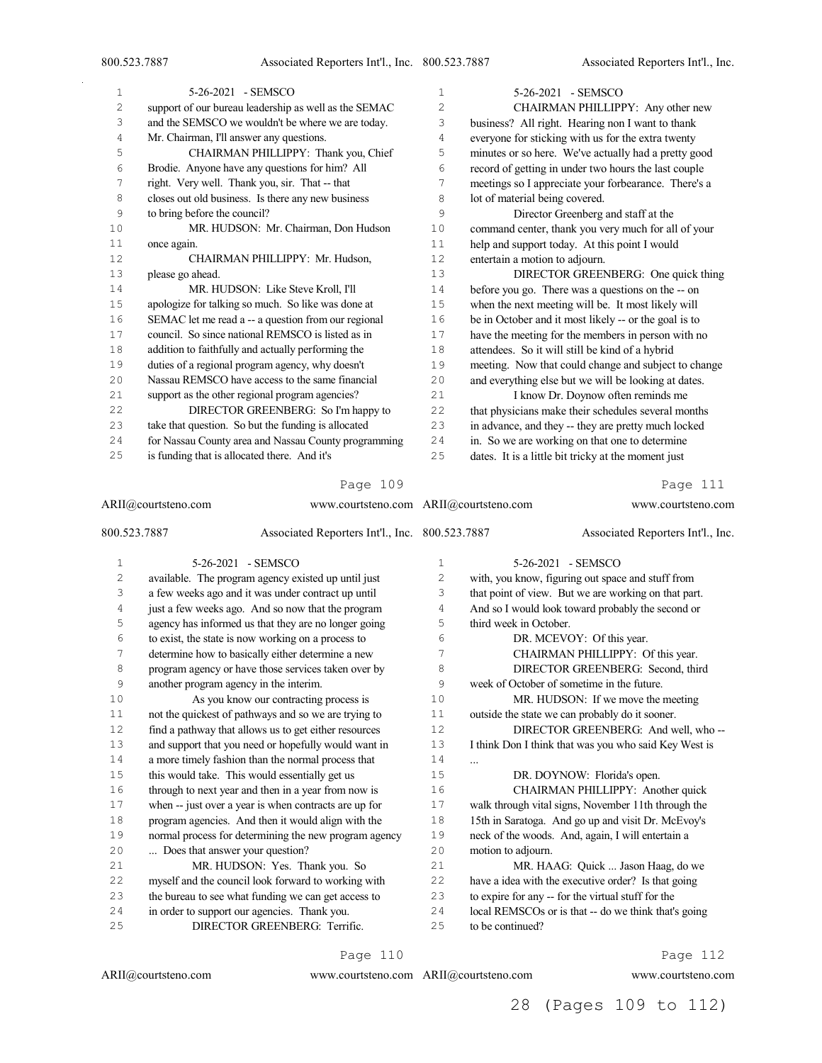$\bar{z}$ 

| 1  | 5-26-2021 - SEMSCO                                    | $\mathbf{1}$   | 5-26-2021 - SEMSCO                                    |
|----|-------------------------------------------------------|----------------|-------------------------------------------------------|
| 2  | support of our bureau leadership as well as the SEMAC | $\overline{c}$ | CHAIRMAN PHILLIPPY: Any other new                     |
| 3  | and the SEMSCO we wouldn't be where we are today.     | 3              | business? All right. Hearing non I want to thank      |
| 4  | Mr. Chairman, I'll answer any questions.              | 4              | everyone for sticking with us for the extra twenty    |
| 5  | CHAIRMAN PHILLIPPY: Thank you, Chief                  | 5              | minutes or so here. We've actually had a pretty good  |
| 6  | Brodie. Anyone have any questions for him? All        | 6              | record of getting in under two hours the last couple  |
| 7  | right. Very well. Thank you, sir. That -- that        | 7              | meetings so I appreciate your forbearance. There's a  |
| 8  | closes out old business. Is there any new business    | 8              | lot of material being covered.                        |
| 9  | to bring before the council?                          | 9              | Director Greenberg and staff at the                   |
| 10 | MR. HUDSON: Mr. Chairman, Don Hudson                  | 10             | command center, thank you very much for all of your   |
| 11 | once again.                                           | 11             | help and support today. At this point I would         |
| 12 | CHAIRMAN PHILLIPPY: Mr. Hudson,                       | 12.            | entertain a motion to adjourn.                        |
| 13 | please go ahead.                                      | 13             | DIRECTOR GREENBERG: One quick thing                   |
| 14 | MR. HUDSON: Like Steve Kroll, I'll                    | 14             | before you go. There was a questions on the -- on     |
| 15 | apologize for talking so much. So like was done at    | 15             | when the next meeting will be. It most likely will    |
| 16 | SEMAC let me read a -- a question from our regional   | 16             | be in October and it most likely -- or the goal is to |
| 17 | council. So since national REMSCO is listed as in     | 17             | have the meeting for the members in person with no    |
| 18 | addition to faithfully and actually performing the    | 18             | attendees. So it will still be kind of a hybrid       |
| 19 | duties of a regional program agency, why doesn't      | 19             | meeting. Now that could change and subject to change  |
| 20 | Nassau REMSCO have access to the same financial       | 20             | and everything else but we will be looking at dates.  |
| 21 | support as the other regional program agencies?       | 21             | I know Dr. Doynow often reminds me                    |
| 22 | DIRECTOR GREENBERG: So I'm happy to                   | 22             | that physicians make their schedules several months   |
| 23 | take that question. So but the funding is allocated   | 23             | in advance, and they -- they are pretty much locked   |
| 24 | for Nassau County area and Nassau County programming  | 24             | in. So we are working on that one to determine        |
| 25 | is funding that is allocated there. And it's          | 25             | dates. It is a little bit tricky at the moment just   |
|    |                                                       |                |                                                       |

# Page 109

| ARII@courtsteno.com |                                        |                                                       | www.courtsteno.com ARII@courtsteno.com |                        | www.courtsteno.com                                    |
|---------------------|----------------------------------------|-------------------------------------------------------|----------------------------------------|------------------------|-------------------------------------------------------|
| 800.523.7887        |                                        | Associated Reporters Int'l., Inc. 800.523.7887        |                                        |                        | Associated Reporters Int'l., Inc.                     |
| 1                   |                                        | 5-26-2021 - SEMSCO                                    | 1                                      |                        | 5-26-2021 - SEMSCO                                    |
| $\overline{2}$      |                                        | available. The program agency existed up until just   | $\overline{c}$                         |                        | with, you know, figuring out space and stuff from     |
| 3                   |                                        | a few weeks ago and it was under contract up until    | 3                                      |                        | that point of view. But we are working on that part.  |
| 4                   |                                        | just a few weeks ago. And so now that the program     | 4                                      |                        | And so I would look toward probably the second or     |
| 5                   |                                        | agency has informed us that they are no longer going  | 5                                      | third week in October. |                                                       |
| 6                   |                                        | to exist, the state is now working on a process to    | 6                                      |                        | DR. MCEVOY: Of this year.                             |
| 7                   |                                        | determine how to basically either determine a new     | 7                                      |                        | CHAIRMAN PHILLIPPY: Of this year.                     |
| 8                   |                                        | program agency or have those services taken over by   | 8                                      |                        | DIRECTOR GREENBERG: Second, third                     |
| 9                   | another program agency in the interim. |                                                       | 9                                      |                        | week of October of sometime in the future.            |
| 10                  |                                        | As you know our contracting process is                | 10                                     |                        | MR. HUDSON: If we move the meeting                    |
| 11                  |                                        | not the quickest of pathways and so we are trying to  | 11                                     |                        | outside the state we can probably do it sooner.       |
| 12                  |                                        | find a pathway that allows us to get either resources | 12                                     |                        | DIRECTOR GREENBERG: And well, who--                   |
| 13                  |                                        | and support that you need or hopefully would want in  | 13                                     |                        | I think Don I think that was you who said Key West is |
| 14                  |                                        | a more timely fashion than the normal process that    | 14                                     | $\cdots$               |                                                       |
| 15                  |                                        | this would take. This would essentially get us        | 15                                     |                        | DR. DOYNOW: Florida's open.                           |
| 16                  |                                        | through to next year and then in a year from now is   | 16                                     |                        | CHAIRMAN PHILLIPPY: Another quick                     |
| 17                  |                                        | when -- just over a year is when contracts are up for | 17                                     |                        | walk through vital signs, November 11th through the   |
| 18                  |                                        | program agencies. And then it would align with the    | 18                                     |                        | 15th in Saratoga. And go up and visit Dr. McEvoy's    |
| 19                  |                                        | normal process for determining the new program agency | 19                                     |                        | neck of the woods. And, again, I will entertain a     |
| 20                  | Does that answer your question?        |                                                       | 20                                     | motion to adjourn.     |                                                       |
| 21                  |                                        | MR. HUDSON: Yes. Thank you. So                        | 21                                     |                        | MR. HAAG: Quick  Jason Haag, do we                    |
| 22                  |                                        | myself and the council look forward to working with   | 22                                     |                        | have a idea with the executive order? Is that going   |
| 23                  |                                        | the bureau to see what funding we can get access to   | 23                                     |                        | to expire for any -- for the virtual stuff for the    |
| 24                  |                                        | in order to support our agencies. Thank you.          | 24                                     |                        | local REMSCOs or is that -- do we think that's going  |
| 25                  |                                        | DIRECTOR GREENBERG: Terrific.                         | 25                                     | to be continued?       |                                                       |

Page 110

www.courtsteno.com ARII@courtsteno.com www.courtsteno.com

Page 112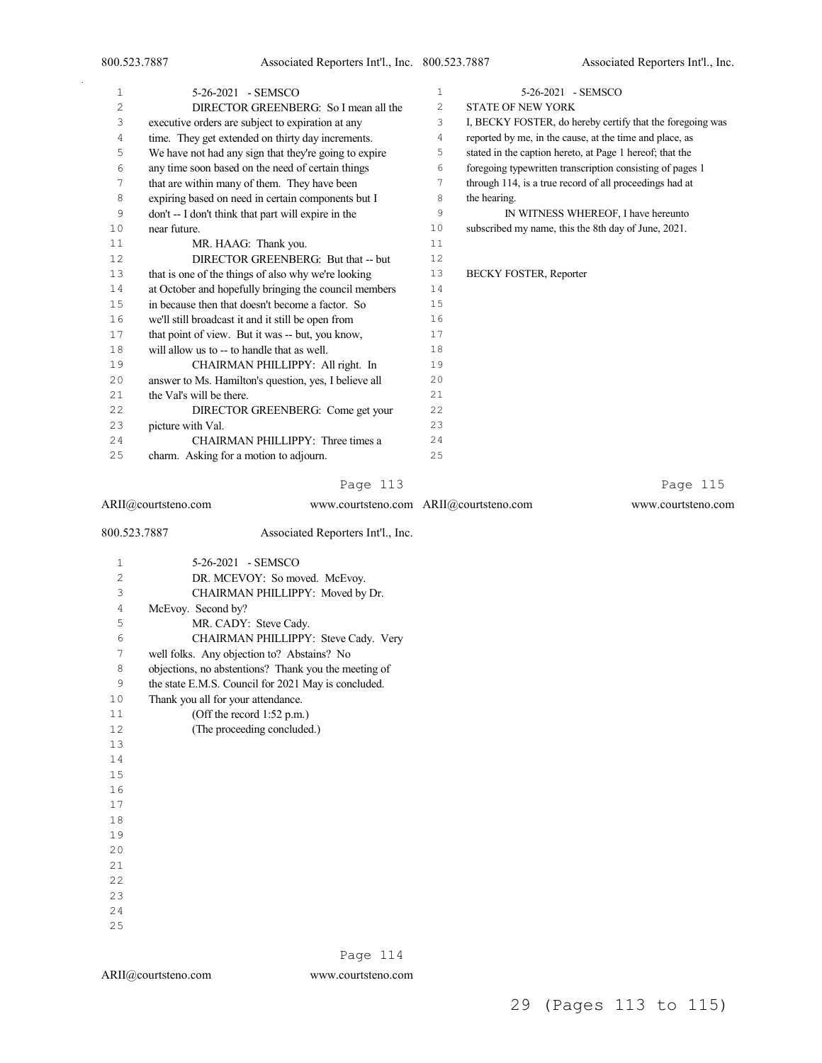Associated Reporters Int'l., Inc.

Page 115

| 1              | 5-26-2021 - SEMSCO                                    | $\mathbf{1}$   | 5-26-2021 - SEMSCO                                        |
|----------------|-------------------------------------------------------|----------------|-----------------------------------------------------------|
| $\overline{c}$ | DIRECTOR GREENBERG: So I mean all the                 | $\overline{c}$ | <b>STATE OF NEW YORK</b>                                  |
| 3              | executive orders are subject to expiration at any     | 3              | I, BECKY FOSTER, do hereby certify that the foregoing was |
| 4              | time. They get extended on thirty day increments.     | 4              | reported by me, in the cause, at the time and place, as   |
| 5              | We have not had any sign that they're going to expire | 5              | stated in the caption hereto, at Page 1 hereof; that the  |
| 6              | any time soon based on the need of certain things     | 6              | foregoing typewritten transcription consisting of pages 1 |
| 7              | that are within many of them. They have been          | 7              | through 114, is a true record of all proceedings had at   |
| 8              | expiring based on need in certain components but I    | 8              | the hearing.                                              |
| 9              | don't -- I don't think that part will expire in the   | 9              | IN WITNESS WHEREOF, I have hereunto                       |
| 10             | near future.                                          | 10             | subscribed my name, this the 8th day of June, 2021.       |
| 11             | MR. HAAG: Thank you.                                  | 11             |                                                           |
| 12             | DIRECTOR GREENBERG: But that -- but                   | 12             |                                                           |
| 13             | that is one of the things of also why we're looking   | 13             | <b>BECKY FOSTER, Reporter</b>                             |
| 14             | at October and hopefully bringing the council members | 14             |                                                           |
| 15             | in because then that doesn't become a factor. So      | 15             |                                                           |
| 16             | we'll still broadcast it and it still be open from    | 16             |                                                           |
| 17             | that point of view. But it was -- but, you know,      | 17             |                                                           |
| 18             | will allow us to -- to handle that as well.           | 18             |                                                           |
| 19             | CHAIRMAN PHILLIPPY: All right. In                     | 19             |                                                           |
| 20             | answer to Ms. Hamilton's question, yes, I believe all | 20             |                                                           |
| 21             | the Val's will be there.                              | 21             |                                                           |
| 22             | DIRECTOR GREENBERG: Come get your                     | 22             |                                                           |
| 23             | picture with Val.                                     | 23             |                                                           |
| 24             | CHAIRMAN PHILLIPPY: Three times a                     | 24             |                                                           |
| 25             | charm. Asking for a motion to adjourn.                | 25             |                                                           |

### Page 113

ARII@courtsteno.com ARII@courtsteno.com www.courtsteno.com

800.523.7887 Associated Reporters Int'l., Inc.

| 1   | 5-26-2021 - SEMSCO                                   |
|-----|------------------------------------------------------|
| 2   | DR. MCEVOY: So moved. McEvoy.                        |
| 3   | CHAIRMAN PHILLIPPY: Moved by Dr.                     |
| 4   | McEvoy. Second by?                                   |
| 5   | MR. CADY: Steve Cady.                                |
| 6   | CHAIRMAN PHILLIPPY: Steve Cady. Very                 |
| 7   | well folks. Any objection to? Abstains? No           |
| 8   | objections, no abstentions? Thank you the meeting of |
| 9   | the state E.M.S. Council for 2021 May is concluded.  |
| 10  | Thank you all for your attendance.                   |
| 11  | (Off the record $1:52$ p.m.)                         |
| 12  | (The proceeding concluded.)                          |
| 13  |                                                      |
| 14  |                                                      |
| 15  |                                                      |
| 16  |                                                      |
| 17  |                                                      |
| 18  |                                                      |
| 19  |                                                      |
| 2.0 |                                                      |
| 2.1 |                                                      |
| 2.2 |                                                      |
| 23  |                                                      |
| 2.4 |                                                      |
| 25  |                                                      |
|     |                                                      |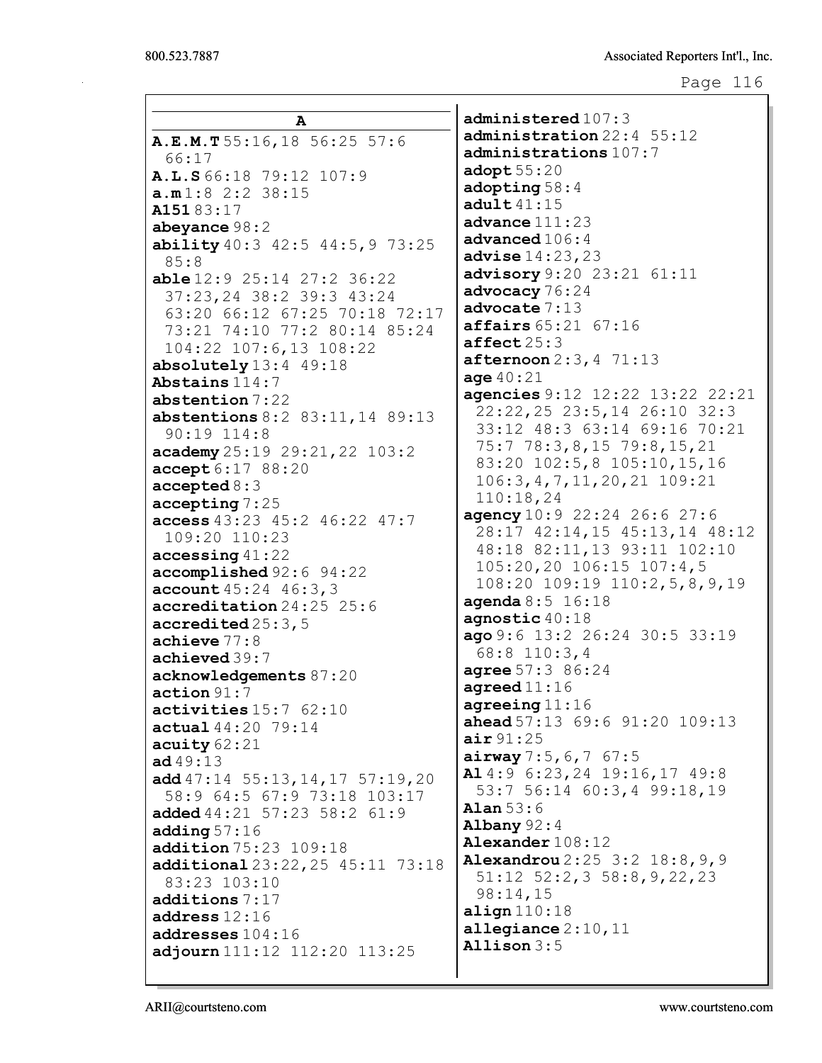| A                                               | administered107:3                                                |
|-------------------------------------------------|------------------------------------------------------------------|
| A.E.M.T55:16,18 56:25 57:6                      | administration 22:4 55:12                                        |
| 66:17                                           | administrations 107:7                                            |
| A.L.S 66:18 79:12 107:9                         | adopt $55:20$                                                    |
| a.m1:82::238:15                                 | adopting $58:4$                                                  |
| A15183:17                                       | adult $41:15$                                                    |
| abeyance 98:2                                   | advance $111:23$                                                 |
| ability 40:3 42:5 44:5, 9 73:25                 | advanced $106:4$                                                 |
| 85:8                                            | advise 14:23,23                                                  |
| <b>able</b> $12:9$ $25:14$ $27:2$ $36:22$       | advisory 9:20 23:21 61:11                                        |
| 37:23, 24 38:2 39:3 43:24                       | advocacy $76:24$                                                 |
| 63:20 66:12 67:25 70:18 72:17                   | advocate 7:13                                                    |
| 73:21 74:10 77:2 80:14 85:24                    | affairs 65:21 67:16                                              |
| 104:22 107:6,13 108:22                          | $\texttt{affect}25:3$                                            |
| absolutely $13:4$ $49:18$                       | afternoon 2:3, 4 71:13                                           |
| Abstains $114:7$                                | age 40:21                                                        |
| abstention $7:22$                               | agencies 9:12 12:22 13:22 22:21<br>22:22, 25 23:5, 14 26:10 32:3 |
| abstentions $8:2$ $83:11,14$ $89:13$            | 33:12 48:3 63:14 69:16 70:21                                     |
| 90:19 114:8                                     | 75:7 78:3,8,15 79:8,15,21                                        |
| academy 25:19 29:21, 22 103:2                   | 83:20 102:5,8 105:10,15,16                                       |
| accept 6:17 88:20                               | 106:3, 4, 7, 11, 20, 21 109: 21                                  |
| accepted 8:3                                    | 110:18,24                                                        |
| accepting 7:25                                  | agency 10:9 22:24 26:6 27:6                                      |
| access 43:23 45:2 46:22 47:7                    | 28:17 42:14,15 45:13,14 48:12                                    |
| 109:20 110:23                                   | 48:18 82:11,13 93:11 102:10                                      |
| $accessing$ 41:22                               | 105:20,20 106:15 107:4,5                                         |
| accomplished 92:6 94:22<br>account 45:24 46:3,3 | 108:20 109:19 110:2,5,8,9,19                                     |
| accreditation 24:25 25:6                        | <b>agenda</b> $8:5$ $16:18$                                      |
| accredicted25:3,5                               | agnostic $40:18$                                                 |
| achieve $77:8$                                  | ago 9:6 13:2 26:24 30:5 33:19                                    |
| achieved 39:7                                   | $68:8$ 110:3,4                                                   |
| acknowledgements 87:20                          | agree 57:3 86:24                                                 |
| $\texttt{action} 91:7$                          | aqreed11:16                                                      |
| activities 15:7 62:10                           | agrecing 11:16                                                   |
| actual 44:20 79:14                              | ahead 57:13 69:6 91:20 109:13                                    |
| acuity $62:21$                                  | air 91:25                                                        |
| ad49:13                                         | airway 7:5, 6, 7 67:5                                            |
| add $47:14$ 55:13, 14, 17 57:19, 20             | Al 4:9 6:23, 24 19:16, 17 49:8                                   |
| 58:9 64:5 67:9 73:18 103:17                     | 53:7 56:14 60:3,4 99:18,19                                       |
| added $44:21$ 57:23 58:2 61:9                   | Alan $53:6$                                                      |
| adding $57:16$                                  | Albany 92:4                                                      |
| addition 75:23 109:18                           | Alexander 108:12                                                 |
| additional 23:22, 25 45:11 73:18                | Alexandrou 2:25 3:2 18:8, 9, 9                                   |
| 83:23 103:10                                    | $51:12$ $52:2,3$ $58:8,9,22,23$<br>98:14,15                      |
| additions $7:17$                                | align $110:18$                                                   |
| address $12:16$                                 | allegiance $2:10,11$                                             |
| addresses104:16                                 | Allison $3:5$                                                    |
| adjourn 111:12 112:20 113:25                    |                                                                  |
|                                                 |                                                                  |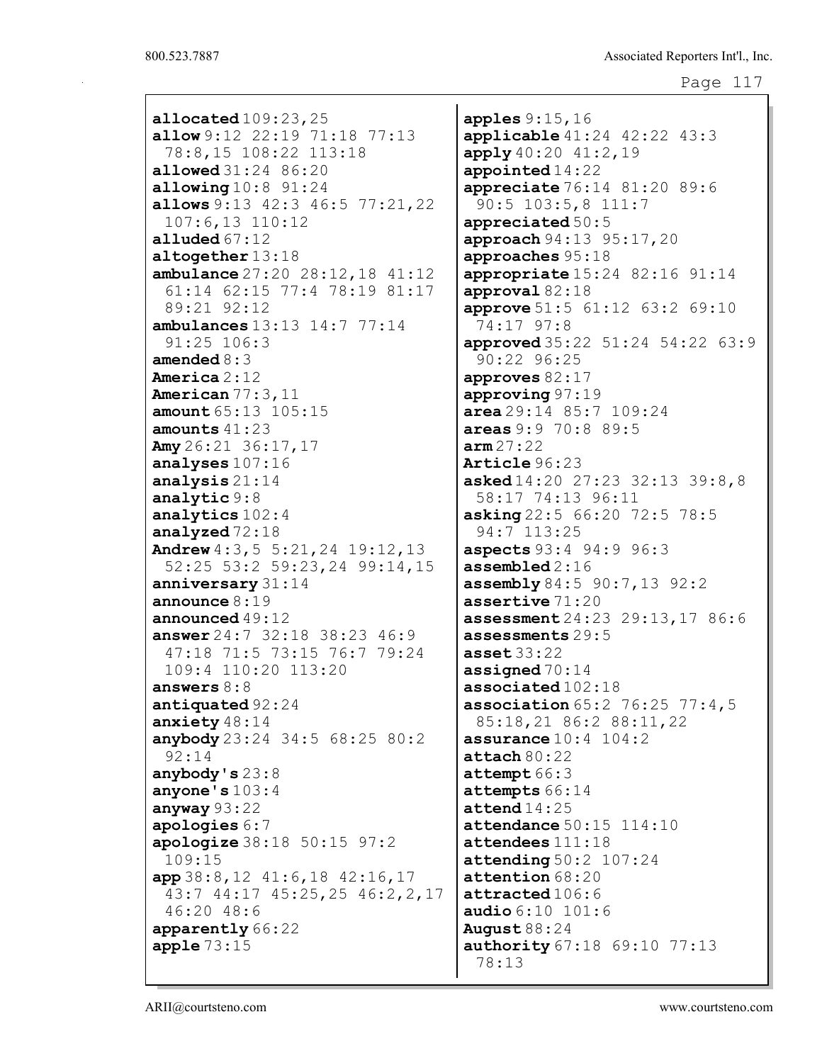```
Page 117
```
allocated 109:23,25 allow 9:12 22:19 71:18 77:13 78:8,15 108:22 113:18 allowed 31:24 86:20 allowing 10:8 91:24 allows 9:13 42:3 46:5 77:21,22 107:6,13 110:12 alluded 67:12 altogether 13:18 ambulance 27:20 28:12,18 41:12 61:14 62:15 77:4 78:19 81:17 89:21 92:12 ambulances 13:13 14:7 77:14 91:25 106:3 amended 8:3 America 2:12 American 77:3,11 amount 65:13 105:15 amounts 41:23 Amy 26:21 36:17, 17 analyses 107:16 analysis 21:14 analytic 9:8 analytics 102:4 analyzed 72:18 **Andrew** 4:3,5 5:21,24 19:12,13 52:25 53:2 59:23,24 99:14,15 anniversary 31:14 announce 8:19 announced 49:12 answer 24:7 32:18 38:23 46:9 47:18 71:5 73:15 76:7 79:24 109:4 110:20 113:20 answers 8:8 antiquated 92:24 anxiety 48:14 anybody 23:24 34:5 68:25 80:2 92:14 anybody's 23:8 anyone's 103:4 anyway  $93:22$ apologies 6:7 apologize 38:18 50:15 97:2 109:15 app 38:8,12 41:6,18 42:16,17 43:7 44:17 45:25,25 46:2,2,17 46:20 48:6 apparently 66:22 apple 73:15

```
apples 9:15,16
applicable 41:24 42:22 43:3
apply 40:20 41:2,19
appointed 14:22
appreciate 76:14 81:20 89:6
 90:5 103:5,8 111:7
appreciated 50:5
approach 94:13 95:17,20
approaches 95:18
appropriate 15:24 82:16 91:14
approval 82:18
approve 51:5 61:12 63:2 69:10
 74:17 97:8
approved 35:22 51:24 54:22 63:9
 90:22 96:25
approves 82:17
approving 97:19
area 29:14 85:7 109:24
areas 9:9 70:8 89:5
arm 27:22
Article 96:23
asked 14:20 27:23 32:13 39:8,8
 58:17 74:13 96:11
asking 22:5 66:20 72:5 78:5
 94:7 113:25
aspects 93:4 94:9 96:3
assembled 2:16
assembly 84:5 90:7,13 92:2
assertive 71:20
assessment 24:23 29:13,17 86:6
assessments 29:5
asset 33:22
assigned 70:14
associated 102:18
association 65:2 76:25 77:4, 5
 85:18,21 86:2 88:11,22
assurance 10:4 104:2
attach 80:22
attempt 66:3
attempts 66:14
attend 14:25attendance 50:15 114:10
attendees 111:18
attending 50:2 107:24
attention 68:20
attracted 106:6
audio 6:10, 101:6August 88:24
authority 67:18 69:10 77:13
 78:13
```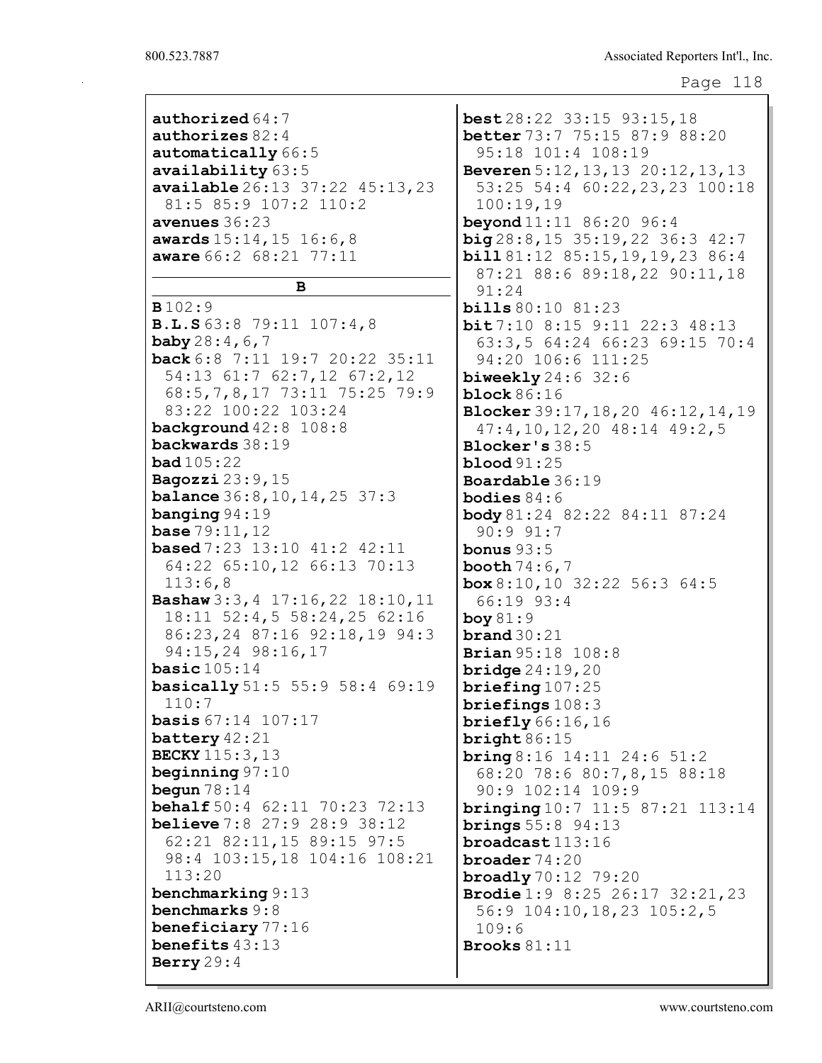authorized 64:7 authorizes 82:4 automatically 66:5 availability 63:5 available 26:13 37:22 45:13,23 81:5 85:9 107:2 110:2 avenues 36:23 awards 15:14,15 16:6,8 aware 66:2 68:21 77:11 B **B** 102:9 B.L.S 63:8 79:11 107:4,8 **baby**  $28:4,6,7$ back 6:8 7:11 19:7 20:22 35:11 54:13 61:7 62:7,12 67:2,12 68:5,7,8,17 73:11 75:25 79:9 83:22 100:22 103:24 background 42:8 108:8 backwards 38:19 bad 105:22 Bagozzi 23:9,15 **balance** 36:8, 10, 14, 25 37:3 banging 94:19 base 79:11,12 **based** 7:23 13:10 41:2 42:11 64:22 65:10,12 66:13 70:13 113:6,8 Bashaw 3:3,4 17:16,22 18:10,11 18:11 52:4,5 58:24,25 62:16 86:23,24 87:16 92:18,19 94:3 94:15,24 98:16,17 basic 105:14 basically 51:5 55:9 58:4 69:19 110:7 basis 67:14 107:17 battery 42:21 BECKY 115:3,13 beginning 97:10 **begun** 78:14 behalf 50:4 62:11 70:23 72:13 **believe** 7:8 27:9 28:9 38:12 62:21 82:11,15 89:15 97:5 98:4 103:15,18 104:16 108:21 113:20 benchmarking 9:13 benchmarks 9:8 beneficiary 77:16 benefits 43:13 Berry 29:4

best 28:22 33:15 93:15,18 better 73:7 75:15 87:9 88:20 95:18 101:4 108:19 Beveren 5:12,13,13 20:12,13,13 53:25 54:4 60:22,23,23 100:18 100:19,19 beyond 11:11 86:20 96:4 big 28:8,15 35:19,22 36:3 42:7 bill 81:12 85:15,19,19,23 86:4 87:21 88:6 89:18,22 90:11,18 91:24 bills 80:10 81:23 bit 7:10 8:15 9:11 22:3 48:13 63:3,5 64:24 66:23 69:15 70:4 94:20 106:6 111:25 **biweekly** 24:6 32:6 **block** 86:16 Blocker 39:17,18,20 46:12,14,19 47:4,10,12,20 48:14 49:2,5 Blocker's 38:5 **blood** 91:25 Boardable 36:19 bodies 84:6 body 81:24 82:22 84:11 87:24 90:9 91:7 bonus  $93:5$ booth 74:6,7  $box 8:10, 10 32:22 56:3 64:5$ 66:19 93:4 boy 81:9 **brand** 30:21 **Brian** 95:18 108:8 bridge 24:19,20 briefing 107:25 briefings 108:3 briefly 66:16,16 bright 86:15 bring 8:16 14:11 24:6 51:2 68:20 78:6 80:7,8,15 88:18 90:9 102:14 109:9 **bringing** 10:7 11:5 87:21 113:14 **brings** 55:8 94:13 broadcast 113:16 broader 74:20 **broadly** 70:12 79:20 Brodie 1:9 8:25 26:17 32:21,23 56:9 104:10,18,23 105:2,5 109:6 Brooks 81:11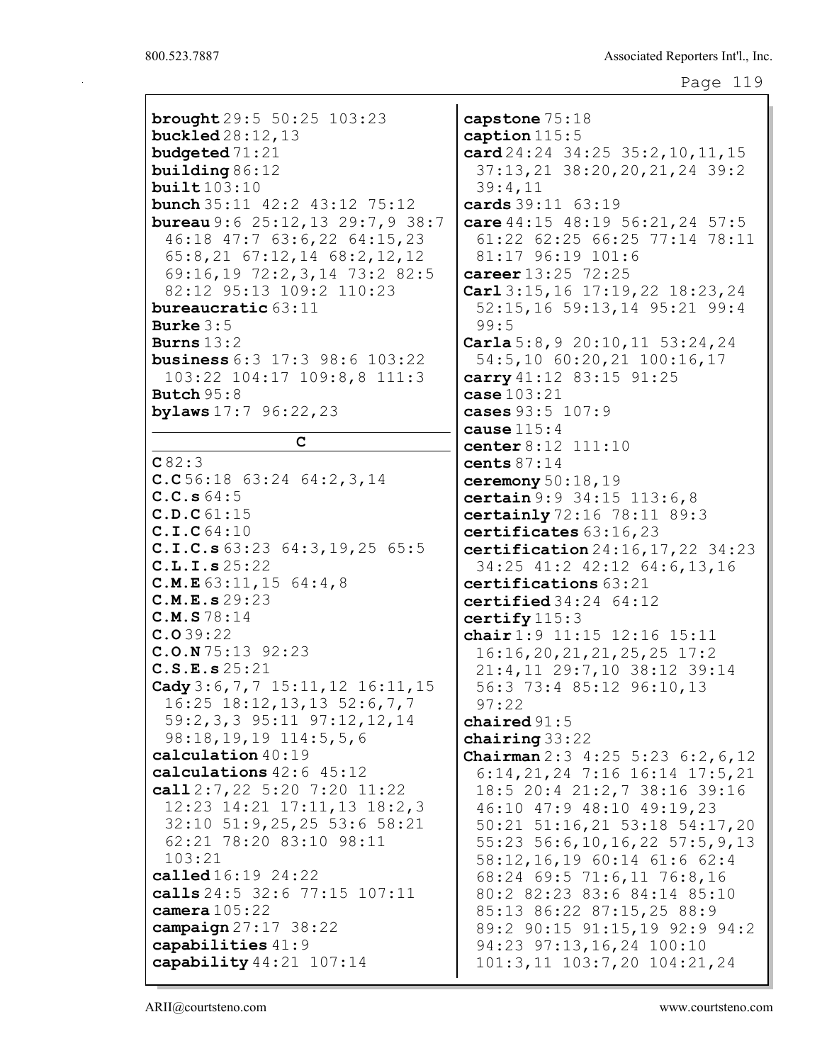| <b>brought</b> 29:5 50:25 103:23               | capstone 75:18                             |
|------------------------------------------------|--------------------------------------------|
| <b>buckled</b> 28:12, 13                       | caption $115:5$                            |
| budgeted 71:21                                 | card $24:24$ 34:25 35:2, 10, 11, 15        |
| building $86:12$                               | 37:13, 21 38:20, 20, 21, 24 39:2           |
| built103:10                                    | 39:4,11                                    |
| <b>bunch</b> 35:11 42:2 43:12 75:12            | cards 39:11 63:19                          |
| <b>bureau</b> $9:6$ $25:12,13$ $29:7,9$ $38:7$ | care $44:15$ $48:19$ $56:21,24$ $57:5$     |
| 46:18 47:7 63:6,22 64:15,23                    | 61:22 62:25 66:25 77:14 78:11              |
| $65:8, 21$ $67:12, 14$ $68:2, 12, 12$          | 81:17 96:19 101:6                          |
| 69:16,19 72:2,3,14 73:2 82:5                   | career 13:25 72:25                         |
| 82:12 95:13 109:2 110:23                       | Carl $3:15,16$ 17:19,22 18:23,24           |
| bureaucratic 63:11                             | 52:15,16 59:13,14 95:21 99:4               |
| Burke $3:5$                                    | 99:5                                       |
| Burns $13:2$                                   | Carla 5:8, 9 20:10, 11 53:24, 24           |
| <b>business</b> 6:3 17:3 98:6 103:22           | 54:5,10 60:20,21 100:16,17                 |
| 103:22 104:17 109:8,8 111:3                    | carry 41:12 83:15 91:25                    |
| Butch $95:8$                                   | case $103:21$                              |
| bylaws 17:7 96:22, 23                          | cases 93:5 107:9<br>cause $115:4$          |
| C                                              | center 8:12 111:10                         |
| C82:3                                          | cents $87:14$                              |
| C.C.56:18 63:24 64:2,3,14                      | ceremony $50:18,19$                        |
| C.C.s64:5                                      | certain 9:9 34:15 113:6,8                  |
| C.D.C61:15                                     | certainly 72:16 78:11 89:3                 |
| C.I.C64:10                                     | certificates 63:16,23                      |
| C.I.C.s 63:23 64:3, 19, 25 65:5                | certification $24:16, 17, 22$ 34:23        |
| C.L.I.s 25:22                                  | 34:25 41:2 42:12 64:6,13,16                |
| C.M.E 63:11, 15 64:4, 8                        | certifications 63:21                       |
| C.M.E.s 29:23                                  | certified $34:24$ $64:12$                  |
| C.M.S.78:14                                    | certify $115:3$                            |
| C.039:22                                       | chair 1:9 11:15 12:16 15:11                |
| C.0. N75:1392:23                               | 16:16, 20, 21, 21, 25, 25, 17:2            |
| C.S.E.s.25:21                                  | 21:4,11 29:7,10 38:12 39:14                |
| Cady 3:6, 7, 7 15:11, 12 16:11, 15             | 56:3 73:4 85:12 96:10,13                   |
| $16:25$ $18:12,13,13$ $52:6,7,7$               | 97:22                                      |
| 59:2,3,3 95:11 97:12,12,14                     | chaired $91:5$                             |
| 98:18,19,19 114:5,5,6                          | chairing $33:22$                           |
| calculation 40:19                              | <b>Chairman</b> $2:3$ 4:25 5:23 6:2, 6, 12 |
| calculations 42:6 45:12                        | $6:14,21,24$ 7:16 16:14 17:5,21            |
| call $2:7,22$ 5:20 7:20 11:22                  | 18:5 20:4 21:2,7 38:16 39:16               |
| $12:23$ $14:21$ $17:11,13$ $18:2,3$            | 46:10 47:9 48:10 49:19,23                  |
| 32:10 51:9,25,25 53:6 58:21                    | 50:21 51:16,21 53:18 54:17,20              |
| 62:21 78:20 83:10 98:11                        | 55:23 56:6, 10, 16, 22 57:5, 9, 13         |
| 103:21                                         | 58:12,16,19 60:14 61:6 62:4                |
| called $16:19$ 24:22                           | 68:24 69:5 71:6,11 76:8,16                 |
| calls 24:5 32:6 77:15 107:11                   | 80:2 82:23 83:6 84:14 85:10                |
| camera $105:22$                                | 85:13 86:22 87:15,25 88:9                  |
| campaign $27:17$ 38:22                         | 89:2 90:15 91:15,19 92:9 94:2              |
| capabilities $41:9$                            | 94:23 97:13, 16, 24 100:10                 |
| capability 44:21 107:14                        | 101:3,11 103:7,20 104:21,24                |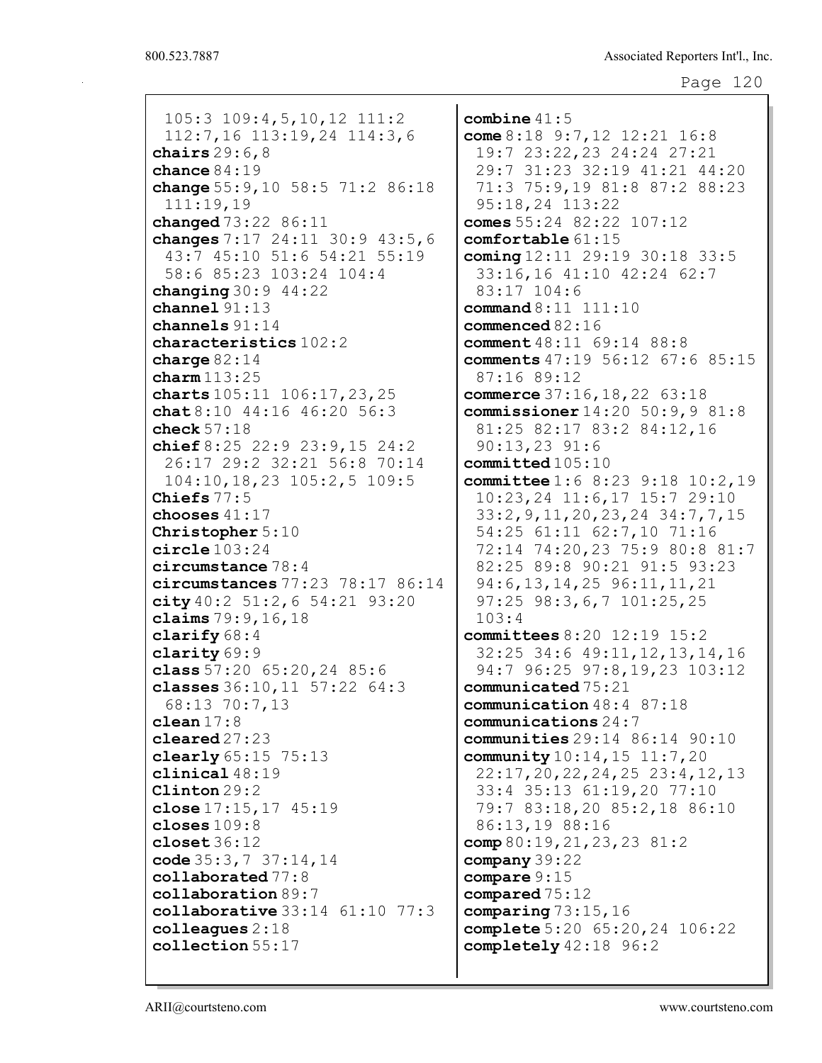```
Page 120
```
105:3 109:4,5,10,12 111:2 112:7,16 113:19,24 114:3,6 chairs 29:6,8 chance 84:19 change 55:9,10 58:5 71:2 86:18 111:19,19 changed 73:22 86:11 changes 7:17 24:11 30:9 43:5,6 43:7 45:10 51:6 54:21 55:19 58:6 85:23 103:24 104:4 changing  $30:9$  44:22 channel 91:13 channels 91:14 characteristics 102:2 charge 82:14 charm 113:25 charts 105:11 106:17,23,25 chat 8:10 44:16 46:20 56:3 check 57:18 chief 8:25 22:9 23:9,15 24:2 26:17 29:2 32:21 56:8 70:14 104:10,18,23 105:2,5 109:5 Chiefs 77:5 chooses 41:17 Christopher 5:10 circle 103:24 circumstance 78:4 circumstances 77:23 78:17 86:14 city 40:2 51:2,6 54:21 93:20 claims 79:9,16,18 clarify 68:4 clarity 69:9 class 57:20 65:20,24 85:6 classes 36:10,11 57:22 64:3 68:13 70:7,13 clean 17:8 cleared 27:23 clearly 65:15 75:13 clinical 48:19 Clinton 29:2 close 17:15,17 45:19 closes 109:8 closet 36:12 code  $35:3,7$   $37:14,14$ collaborated 77:8 collaboration 89:7 collaborative 33:14 61:10 77:3 colleagues 2:18 collection 55:17

combine 41:5 come 8:18 9:7,12 12:21 16:8 19:7 23:22,23 24:24 27:21 29:7 31:23 32:19 41:21 44:20 71:3 75:9,19 81:8 87:2 88:23 95:18,24 113:22 comes 55:24 82:22 107:12 comfortable 61:15 coming 12:11 29:19 30:18 33:5 33:16,16 41:10 42:24 62:7 83:17 104:6 command 8:11 111:10 commenced 82:16 comment 48:11 69:14 88:8 comments 47:19 56:12 67:6 85:15 87:16 89:12 commerce 37:16,18,22 63:18 commissioner 14:20 50:9,9 81:8 81:25 82:17 83:2 84:12,16 90:13,23 91:6 committed 105:10 committee 1:6 8:23 9:18 10:2,19 10:23,24 11:6,17 15:7 29:10 33:2,9,11,20,23,24 34:7,7,15 54:25 61:11 62:7,10 71:16 72:14 74:20,23 75:9 80:8 81:7 82:25 89:8 90:21 91:5 93:23 94:6,13,14,25 96:11,11,21 97:25 98:3,6,7 101:25,25 103:4 committees 8:20 12:19 15:2 32:25 34:6 49:11,12,13,14,16 94:7 96:25 97:8,19,23 103:12 communicated 75:21 communication 48:4 87:18 communications 24:7 communities 29:14 86:14 90:10 community 10:14,15 11:7,20 22:17,20,22,24,25 23:4,12,13 33:4 35:13 61:19,20 77:10 79:7 83:18,20 85:2,18 86:10 86:13,19 88:16 comp 80:19,21,23,23 81:2 company 39:22 compare 9:15 compared 75:12 comparing 73:15,16 complete 5:20 65:20,24 106:22 completely 42:18 96:2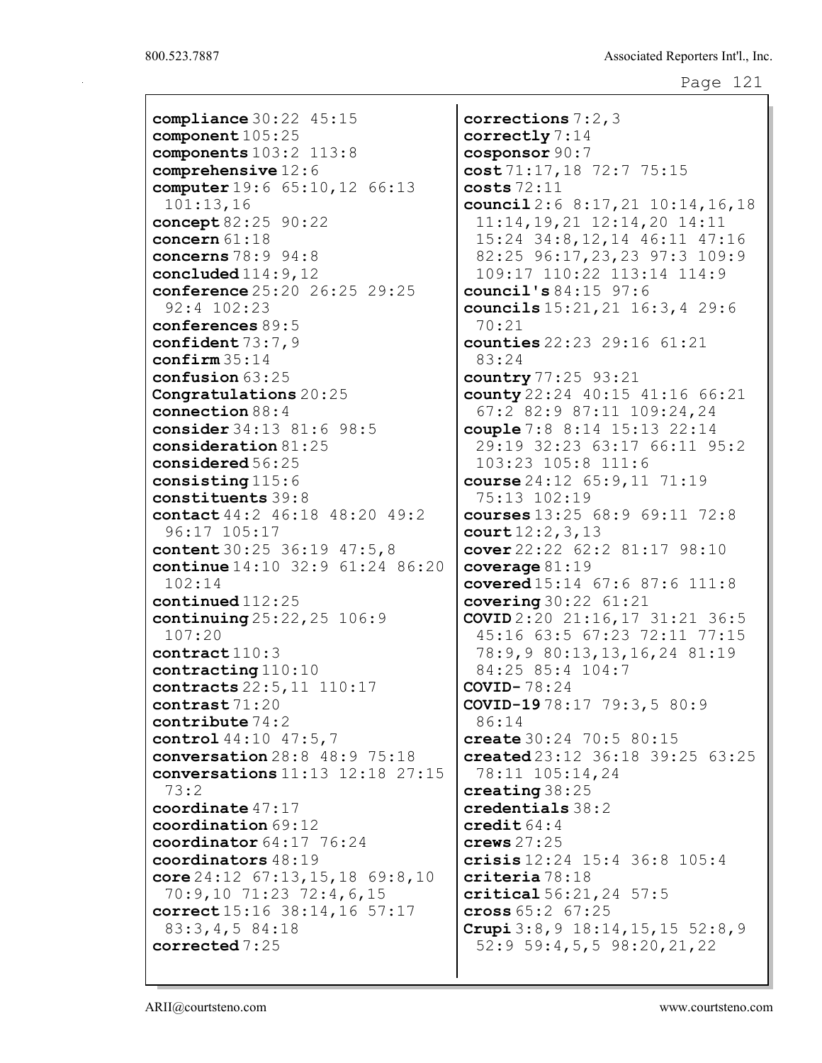compliance 30:22 45:15 component 105:25 components 103:2 113:8 comprehensive 12:6 computer 19:6 65:10,12 66:13 101:13,16 concept 82:25 90:22 concern 61:18 concerns 78:9 94:8 concluded 114:9,12 conference 25:20 26:25 29:25 92:4 102:23 conferences 89:5 confident 73:7,9 confirm 35:14 confusion 63:25 Congratulations 20:25 connection 88:4 consider 34:13 81:6 98:5 consideration 81:25 considered 56:25 consisting 115:6 constituents 39:8 contact 44:2 46:18 48:20 49:2 96:17 105:17 content 30:25 36:19 47:5,8 continue 14:10 32:9 61:24 86:20 102:14 continued 112:25 continuing 25:22,25 106:9 107:20 contract 110:3 contracting 110:10 contracts 22:5,11 110:17 contrast 71:20 contribute 74:2 control 44:10 47:5,7 conversation 28:8 48:9 75:18 conversations 11:13 12:18 27:15 73:2 coordinate 47:17 coordination 69:12 coordinator 64:17 76:24 coordinators 48:19 core 24:12 67:13,15,18 69:8,10 70:9,10 71:23 72:4,6,15 correct 15:16 38:14,16 57:17 83:3,4,5 84:18 corrected 7:25

corrections 7:2,3 correctly 7:14 cosponsor 90:7 cost 71:17,18 72:7 75:15 costs 72:11 council 2:6 8:17,21 10:14,16,18 11:14,19,21 12:14,20 14:11 15:24 34:8,12,14 46:11 47:16 82:25 96:17,23,23 97:3 109:9 109:17 110:22 113:14 114:9 council's 84:15 97:6 councils 15:21,21 16:3,4 29:6 70:21 counties 22:23 29:16 61:21 83:24 country 77:25 93:21 county 22:24 40:15 41:16 66:21 67:2 82:9 87:11 109:24,24 couple 7:8 8:14 15:13 22:14 29:19 32:23 63:17 66:11 95:2 103:23 105:8 111:6 course 24:12 65:9,11 71:19 75:13 102:19 courses 13:25 68:9 69:11 72:8  $court 12:2,3,13$ cover 22:22 62:2 81:17 98:10 coverage 81:19 covered 15:14 67:6 87:6 111:8 covering 30:22 61:21 COVID 2:20 21:16,17 31:21 36:5 45:16 63:5 67:23 72:11 77:15 78:9,9 80:13,13,16,24 81:19 84:25 85:4 104:7 COVID- 78:24 COVID-19 78:17 79:3,5 80:9 86:14 create 30:24 70:5 80:15 created 23:12 36:18 39:25 63:25 78:11 105:14,24 creating 38:25 credentials 38:2 credit 64:4 crews 27:25 crisis 12:24 15:4 36:8 105:4 criteria 78:18 critical 56:21,24 57:5 cross 65:2 67:25 Crupi  $3:8,9$   $18:14,15,15$   $52:8,9$ 52:9 59:4,5,5 98:20,21,22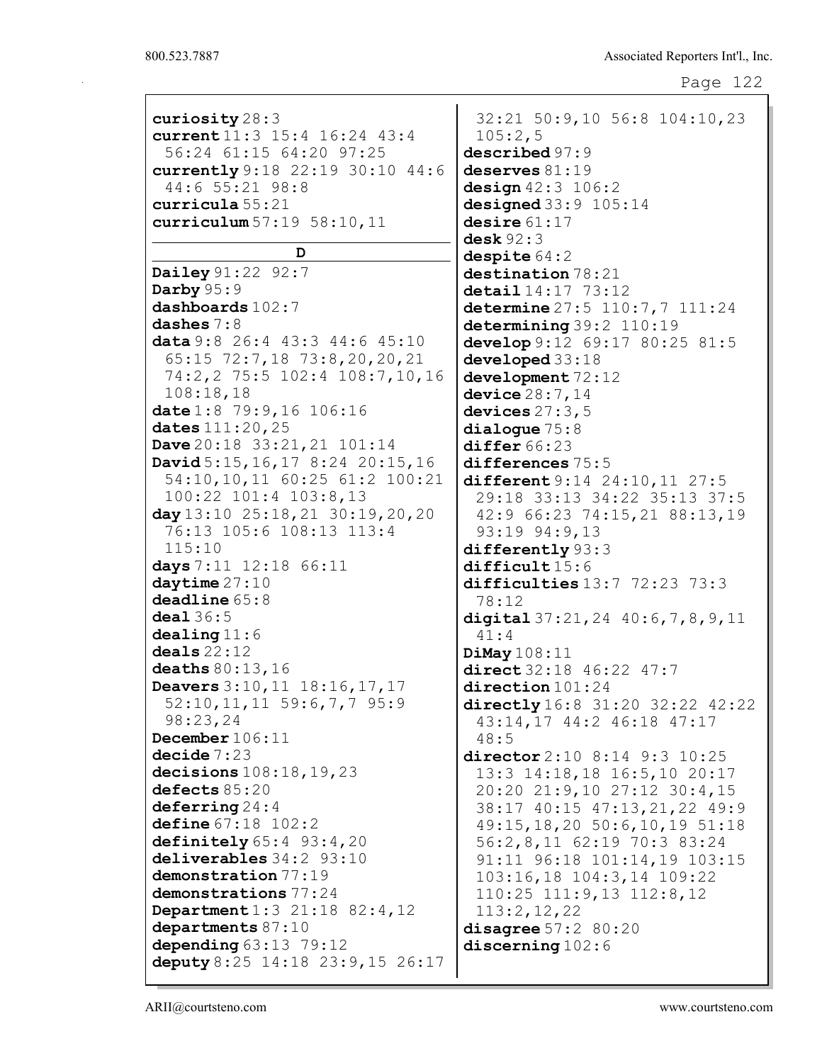```
Page 122
```

| curiosity 28:3                                   | 32:21 50:9,10 56:8 104:10,23        |
|--------------------------------------------------|-------------------------------------|
| current 11:3 15:4 16:24 43:4                     | 105:2,5                             |
| 56:24 61:15 64:20 97:25                          | described 97:9                      |
|                                                  |                                     |
| currently 9:18 22:19 30:10 44:6                  | deserves $81:19$                    |
| 44:6 55:21 98:8                                  | design $42:3$ $106:2$               |
| curricula 55:21                                  | designed $33:9$ $105:14$            |
| curriculum $57:19$ $58:10,11$                    | desire $61:17$<br>desk $92:3$       |
| D                                                | despite $64:2$                      |
| Dailey 91:22 92:7                                | destination 78:21                   |
| Darby $95:9$                                     | detail 14:17 73:12                  |
| dashboards 102:7                                 | determine $27:5$ $110:7,7$ $111:24$ |
| dashes $7:8$                                     | determining 39:2 110:19             |
| data 9:8 26:4 43:3 44:6 45:10                    | develop 9:12 69:17 80:25 81:5       |
| 65:15 72:7,18 73:8,20,20,21                      | developed 33:18                     |
| 74:2,2 75:5 102:4 108:7,10,16                    | development 72:12                   |
| 108:18,18                                        | device $28:7,14$                    |
| date $1:8$ 79:9,16 106:16                        | devices $27:3,5$                    |
| dates 111:20, 25                                 | dialogue $75:8$                     |
| Dave 20:18 33:21, 21 101:14                      | differ 66:23                        |
| David $5:15, 16, 17$ 8:24 20:15, 16              | differences 75:5                    |
| 54:10,10,11 60:25 61:2 100:21                    | different $9:14$ $24:10,11$ $27:5$  |
| 100:22 101:4 103:8,13                            | 29:18 33:13 34:22 35:13 37:5        |
| day $13:10$ $25:18$ , $21$ $30:19$ , $20$ , $20$ | 42:9 66:23 74:15,21 88:13,19        |
| 76:13 105:6 108:13 113:4                         | 93:19 94:9,13                       |
| 115:10                                           | differently 93:3                    |
| days 7:11 12:18 66:11                            | difficult15:6                       |
| daytime $27:10$                                  | difficulties $13:7$ $72:23$ $73:3$  |
| deadline 65:8                                    | 78:12                               |
| deal $36:5$                                      | digital $37:21,24$ $40:6,7,8,9,11$  |
| $\texttt{dealing}$ 11:6                          | 41:4                                |
| deals $22:12$                                    | $D$ iMay $108:11$                   |
| deaths $80:13,16$                                | direct 32:18 46:22 47:7             |
| Deavers 3:10, 11 18:16, 17, 17                   | $\mathtt{direction}\,101\!:\!24$    |
| 52:10, 11, 11 59:6, 7, 7 95:9                    | directly 16:8 31:20 32:22 42:22     |
| 98:23,24                                         | 43:14,17 44:2 46:18 47:17           |
| December 106:11                                  | 48:5                                |
| decide 7:23                                      | director 2:10 8:14 9:3 10:25        |
| decisions $108:18, 19, 23$                       | 13:3 14:18,18 16:5,10 20:17         |
| defects 85:20                                    | 20:20 21:9,10 27:12 30:4,15         |
| deferring 24:4                                   | 38:17 40:15 47:13, 21, 22 49:9      |
| define $67:18$ $102:2$                           | 49:15, 18, 20 50:6, 10, 19 51:18    |
| definitely $65:4$ $93:4$ , $20$                  | 56:2,8,11 62:19 70:3 83:24          |
| deliverables $34:2$ $93:10$                      | 91:11 96:18 101:14,19 103:15        |
| demonstration 77:19                              | 103:16,18 104:3,14 109:22           |
| demonstrations 77:24                             | $110:25$ $111:9,13$ $112:8,12$      |
| Department 1:3 21:18 82:4, 12                    | 113:2,12,22                         |
| departments 87:10                                | disagree $57:280:20$                |
| depending $63:13$ $79:12$                        | discerning 102:6                    |
| deputy 8:25 14:18 23:9,15 26:17                  |                                     |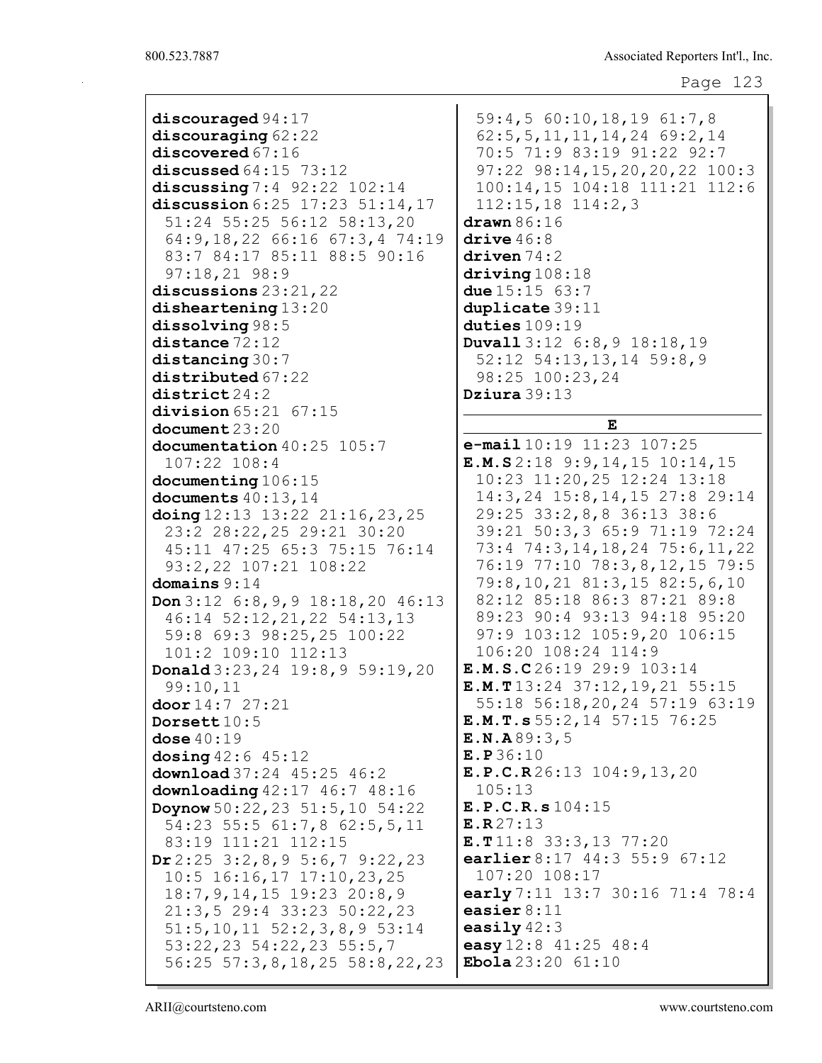| discouraged $94:17$                           | 59:4, 5 60:10, 18, 19 61:7, 8       |
|-----------------------------------------------|-------------------------------------|
| discouraging 62:22                            | $62:5, 5, 11, 11, 14, 24$ 69:2, 14  |
| discovered $67:16$                            | 70:5 71:9 83:19 91:22 92:7          |
| discussed $64:15$ $73:12$                     | $97:22$ $98:14,15,20,20,22$ $100:3$ |
| discussing $7:4$ 92:22 102:14                 | 100:14,15 104:18 111:21 112:6       |
| discussion $6:25$ 17:23 $51:14,17$            | $112:15,18$ $114:2,3$               |
| 51:24 55:25 56:12 58:13,20                    | drawn $86:16$                       |
|                                               |                                     |
| 64:9,18,22 66:16 67:3,4 74:19                 | drive $46:8$                        |
| 83:7 84:17 85:11 88:5 90:16                   | driven $74:2$                       |
| $97:18,21$ 98:9                               | driving 108:18                      |
| discussions $23:21,22$                        | due $15:15$ $63:7$                  |
| $disheartening$ 13:20                         | duplicate 39:11                     |
| dissolving 98:5                               | duties $109:19$                     |
| $distance$ 72:12                              | Duvall 3:12 6:8, 9 18:18, 19        |
| distancing 30:7                               | $52:12$ $54:13,13,14$ $59:8,9$      |
| distributed 67:22                             | 98:25 100:23,24                     |
| district24:2                                  | Dziura $39:13$                      |
| division $65:21$ $67:15$                      |                                     |
| document23:20                                 | Е                                   |
| documentation 40:25 105:7                     | $e$ -mail $10:19$ 11:23 107:25      |
| 107:22 108:4                                  | E.M.S.2:189::9,14,1510:14,15        |
|                                               | 10:23 11:20,25 12:24 13:18          |
| documenting $106:15$                          |                                     |
| documents $40:13,14$                          | 14:3,24 15:8,14,15 27:8 29:14       |
| doing $12:13$ $13:22$ $21:16$ , $23$ , $25$   | 29:25 33:2,8,8 36:13 38:6           |
| 23:2 28:22, 25 29:21 30:20                    | 39:21 50:3,3 65:9 71:19 72:24       |
| 45:11 47:25 65:3 75:15 76:14                  | 73:4 74:3, 14, 18, 24 75:6, 11, 22  |
| 93:2,22 107:21 108:22                         | 76:19 77:10 78:3,8,12,15 79:5       |
| domains $9:14$                                | 79:8,10,21 81:3,15 82:5,6,10        |
| Don 3:12 6:8, 9, 9 18:18, 20 46:13            | 82:12 85:18 86:3 87:21 89:8         |
| 46:14 52:12, 21, 22 54:13, 13                 | 89:23 90:4 93:13 94:18 95:20        |
| 59:8 69:3 98:25,25 100:22                     | 97:9 103:12 105:9,20 106:15         |
| 101:2 109:10 112:13                           | 106:20 108:24 114:9                 |
| Donald $3:23, 24$ 19:8, 9 59:19, 20           | E.M.S.C26:19 29:9 103:14            |
| 99:10,11                                      | E.M.T 13:24 37:12,19,21 55:15       |
| door $14:7$ 27:21                             | 55:18 56:18,20,24 57:19 63:19       |
| Dorsett $10:5$                                | E.M.T.s $55:2$ , 14 57:15 76:25     |
| dose $40:19$                                  | E.N.A89:3,5                         |
| dosing $42:6$ $45:12$                         | E.P36:10                            |
|                                               | E.P.C.R26:13 104:9,13,20            |
| download 37:24 45:25 46:2                     |                                     |
| downloading $42:17$ $46:7$ $48:16$            | 105:13                              |
| Doynow $50:22$ , $23\ \ 51:5$ , $10\ \ 54:22$ | E.P.C.R.s 104:15                    |
| 54:23 55:5 61:7,8 62:5,5,11                   | E.R27:13                            |
| 83:19 111:21 112:15                           | E.T 11:8 33:3,13 77:20              |
| $Dr2:25$ 3:2,8,9 5:6,7 9:22,23                | earlier 8:17 44:3 55:9 67:12        |
| $10:5$ 16:16, 17 17:10, 23, 25                | 107:20 108:17                       |
| $18:7, 9, 14, 15$ 19:23 20:8,9                | early 7:11 13:7 30:16 71:4 78:4     |
| 21:3,5 29:4 33:23 50:22,23                    | easier $8:11$                       |
| $51:5, 10, 11$ $52:2, 3, 8, 9$ $53:14$        | easily $42:3$                       |
| 53:22,23 54:22,23 55:5,7                      | easy 12:8 41:25 48:4                |
| 56:25 57:3,8,18,25 58:8,22,23                 | Ebola 23:20 61:10                   |
|                                               |                                     |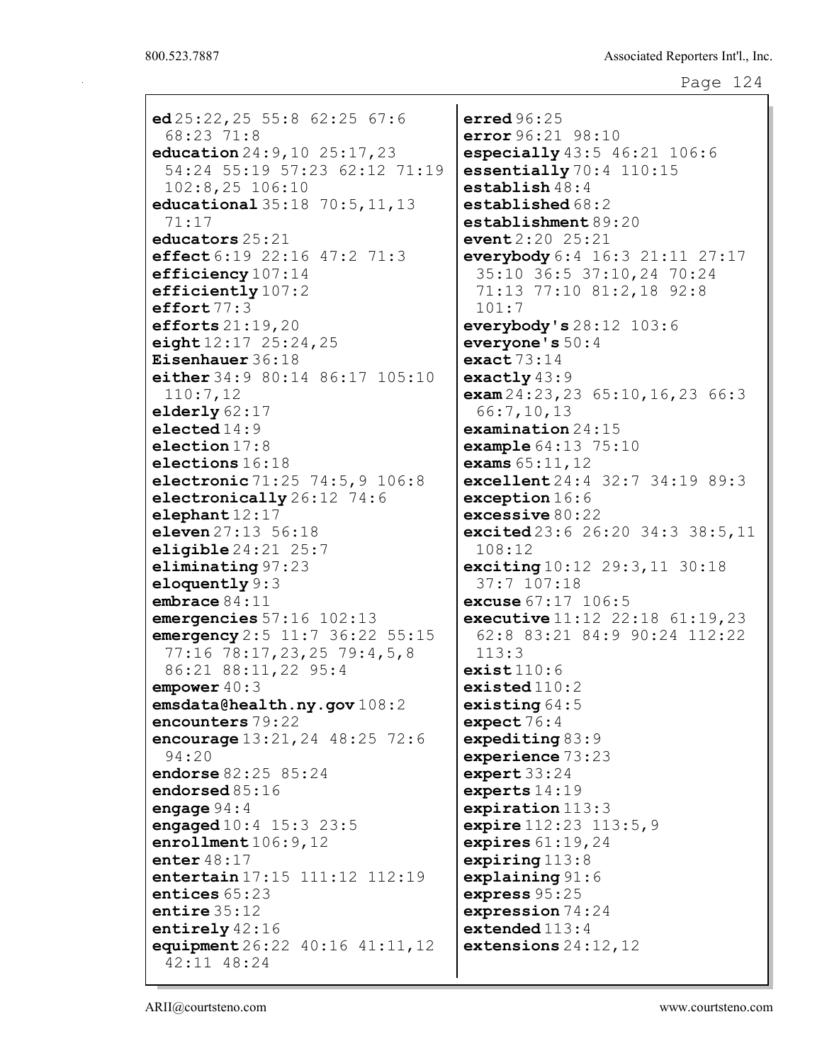```
Page 124
```
ed 25:22,25 55:8 62:25 67:6 68:23 71:8 education 24:9,10 25:17,23 54:24 55:19 57:23 62:12 71:19 102:8,25 106:10 educational 35:18 70:5,11,13 71:17 educators 25:21 effect 6:19 22:16 47:2 71:3 efficiency 107:14 efficiently 107:2 effort 77:3 efforts 21:19,20 eight  $12:17$   $25:24$ ,  $25$ Eisenhauer 36:18 either 34:9 80:14 86:17 105:10 110:7,12 elderly 62:17 elected 14:9 election 17:8 elections 16:18 electronic 71:25 74:5,9 106:8 electronically 26:12 74:6 elephant 12:17 eleven 27:13 56:18 eligible 24:21 25:7 eliminating 97:23 eloquently 9:3 embrace 84:11 emergencies 57:16 102:13 emergency 2:5 11:7 36:22 55:15 77:16 78:17,23,25 79:4,5,8 86:21 88:11,22 95:4 empower 40:3 emsdata@health.ny.gov 108:2 encounters 79:22 encourage 13:21,24 48:25 72:6 94:20 endorse 82:25 85:24 endorsed 85:16 engage 94:4 engaged 10:4 15:3 23:5 enrollment 106:9,12 enter 48:17 entertain 17:15 111:12 112:19 entices 65:23 entire 35:12 entirely 42:16 equipment 26:22 40:16 41:11,12 42:11 48:24

erred 96:25 error 96:21 98:10 especially 43:5 46:21 106:6 essentially 70:4 110:15 establish 48:4 established 68:2 establishment 89:20 event 2:20 25:21 everybody 6:4 16:3 21:11 27:17 35:10 36:5 37:10,24 70:24 71:13 77:10 81:2,18 92:8 101:7 everybody's 28:12 103:6 everyone's 50:4 exact 73:14 exactly 43:9 **exam**  $24:23$ ,  $23$  65:10, 16, 23 66:3 66:7,10,13 examination 24:15 example 64:13 75:10 exams 65:11,12 excellent 24:4 32:7 34:19 89:3 exception 16:6 excessive 80:22 excited 23:6 26:20 34:3 38:5,11 108:12 exciting 10:12 29:3,11 30:18 37:7 107:18 excuse 67:17 106:5 executive 11:12 22:18 61:19,23 62:8 83:21 84:9 90:24 112:22 113:3 exist  $110:6$ existed 110:2 existing 64:5 expect 76:4 expediting 83:9 experience 73:23 expert 33:24 experts 14:19 expiration 113:3 expire  $112:23$  113:5, 9 expires  $61:19,24$ expiring 113:8 explaining 91:6 express 95:25 expression 74:24 extended 113:4 extensions 24:12,12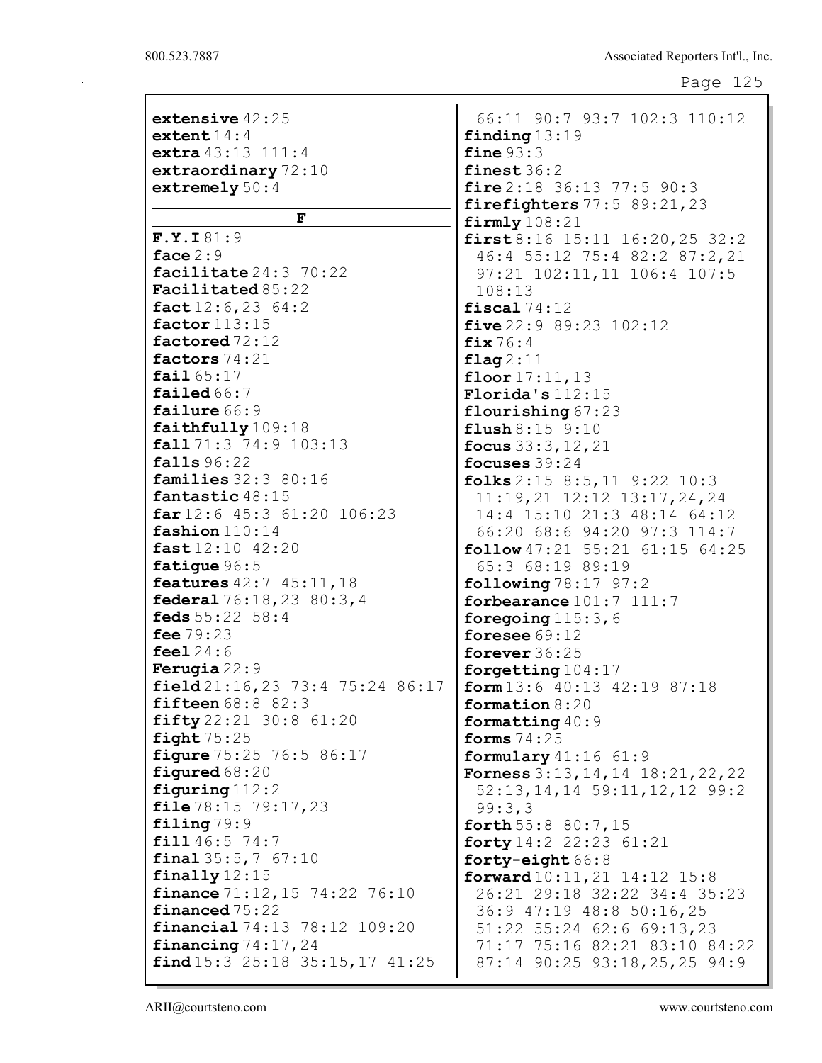| extensive $42:25$                  | 66:11 90:7 93:7 102:3 110:12              |
|------------------------------------|-------------------------------------------|
| extent14:4                         | finding $13:19$                           |
| extra $43:13$ $111:4$              | fine $93:3$                               |
| extraordinary 72:10                | finest $36:2$                             |
| extremely 50:4                     | fire $2:18$ 36:13 77:5 90:3               |
| F                                  | firefighters $77:589:21,23$               |
|                                    | firmly108:21                              |
| F.Y.I81:9<br>face $2:9$            | first $8:16$ 15:11 16:20, 25 32:2         |
| facilitate $24:3$ $70:22$          | 46:4 55:12 75:4 82:2 87:2, 21             |
| Facilitated 85:22                  | 97:21 102:11,11 106:4 107:5<br>108:13     |
| fact $12:6,2364:2$                 | fiscal $74:12$                            |
| factor 113:15                      | five $22:9$ 89:23 102:12                  |
| factored 72:12                     | fix76:4                                   |
| factors 74:21                      | flag2:11                                  |
| fail 65:17                         | floor $17:11,13$                          |
| failed $66:7$                      | Florida's 112:15                          |
| failure 66:9                       | flourishing $67:23$                       |
| faithfully 109:18                  | flush 8:15 9:10                           |
| fall 71:3 74:9 103:13              | focus $33:3, 12, 21$                      |
| falls $96:22$                      | focuses $39:24$                           |
| families 32:3 80:16                | folks $2:15$ 8:5, 11 9:22 10:3            |
| fantastic 48:15                    | 11:19,21 12:12 13:17,24,24                |
| $far$ 12:6 45:3 61:20 106:23       | 14:4 15:10 21:3 48:14 64:12               |
| fashion $110:14$                   | 66:20 68:6 94:20 97:3 114:7               |
| fast 12:10 42:20                   | follow $47:21$ 55:21 61:15 64:25          |
| fatique 96:5                       | 65:3 68:19 89:19                          |
| <b>features</b> $42:7$ $45:11,18$  | following $78:17$ 97:2                    |
| federal 76:18, 23 80:3, 4          | forbearance $101:7$ $111:7$               |
| feds $55:22$ $58:4$<br>fee $79:23$ | foregoing $115:3$ , $6$                   |
| feel $24:6$                        | foresee $69:12$<br>forever $36:25$        |
| Ferugia $22:9$                     | forgetting $104:17$                       |
| field $21:16,23$ 73:4 75:24 86:17  | form 13:6 40:13 42:19 87:18               |
| fifteen $68:8$ $82:3$              | formation 8:20                            |
| fifty $22:21$ $30:8$ $61:20$       | formatting $40:9$                         |
| $\texttt{flight}$ 75:25            | forms $74:25$                             |
| figure 75:25 76:5 86:17            | formulary $41:16$ $61:9$                  |
| figured 68:20                      | <b>Forness</b> $3:13,14,14$ $18:21,22,22$ |
| figuring $112:2$                   | 52:13, 14, 14 59:11, 12, 12 99:2          |
| file 78:15 79:17, 23               | 99:3,3                                    |
| $\texttt{filling}$ 79:9            | forth 55:8 80:7,15                        |
| fill 46:5 74:7                     | forty 14:2 22:23 61:21                    |
| final 35:5,7 67:10                 | forty-eight $66:8$                        |
| finally $12:15$                    | forward $10:11, 21$ $14:12$ $15:8$        |
| finance $71:12,15$ $74:22$ $76:10$ | 26:21 29:18 32:22 34:4 35:23              |
| financed 75:22                     | 36:9 47:19 48:8 50:16,25                  |
| financial 74:13 78:12 109:20       | 51:22 55:24 62:6 69:13,23                 |
| financing $74:17,24$               | 71:17 75:16 82:21 83:10 84:22             |
| find 15:3 25:18 35:15,17 41:25     | 87:14 90:25 93:18,25,25 94:9              |
|                                    |                                           |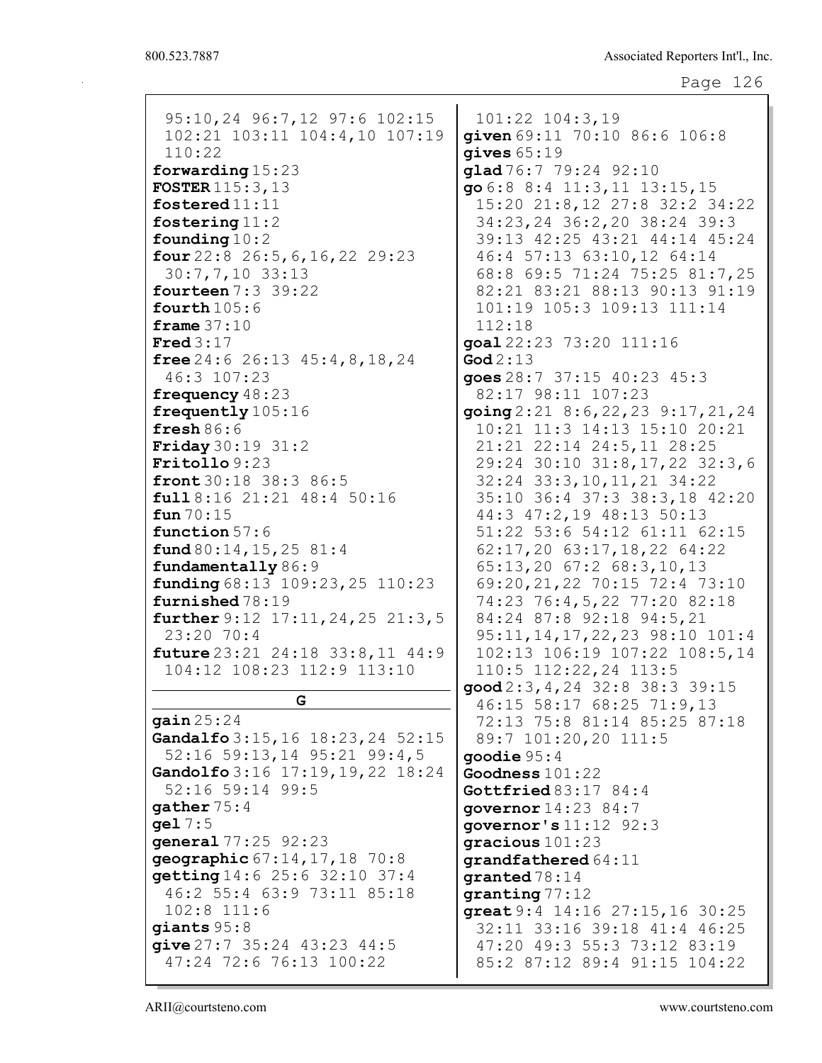| 95:10,24 96:7,12 97:6 102:15                                                                                                                                                                                                                                                                                                                                                                                                          | 101:22 104:3,19                                                                                                                                                                                                                                                                                                                                                                                                                                                                                                                                                                |
|---------------------------------------------------------------------------------------------------------------------------------------------------------------------------------------------------------------------------------------------------------------------------------------------------------------------------------------------------------------------------------------------------------------------------------------|--------------------------------------------------------------------------------------------------------------------------------------------------------------------------------------------------------------------------------------------------------------------------------------------------------------------------------------------------------------------------------------------------------------------------------------------------------------------------------------------------------------------------------------------------------------------------------|
| 102:21 103:11 104:4,10 107:19                                                                                                                                                                                                                                                                                                                                                                                                         | given 69:11 70:10 86:6 106:8                                                                                                                                                                                                                                                                                                                                                                                                                                                                                                                                                   |
| 110:22                                                                                                                                                                                                                                                                                                                                                                                                                                | gives $65:19$                                                                                                                                                                                                                                                                                                                                                                                                                                                                                                                                                                  |
| forwarding 15:23                                                                                                                                                                                                                                                                                                                                                                                                                      | glad 76:7 79:24 92:10                                                                                                                                                                                                                                                                                                                                                                                                                                                                                                                                                          |
| <b>FOSTER 115:3, 13</b>                                                                                                                                                                                                                                                                                                                                                                                                               | go 6:8 8:4 11:3, 11 13:15, 15                                                                                                                                                                                                                                                                                                                                                                                                                                                                                                                                                  |
| fostered $11:11$                                                                                                                                                                                                                                                                                                                                                                                                                      | 15:20 21:8,12 27:8 32:2 34:22                                                                                                                                                                                                                                                                                                                                                                                                                                                                                                                                                  |
| fostering $11:2$                                                                                                                                                                                                                                                                                                                                                                                                                      | 34:23,24 36:2,20 38:24 39:3                                                                                                                                                                                                                                                                                                                                                                                                                                                                                                                                                    |
| founding $10:2$                                                                                                                                                                                                                                                                                                                                                                                                                       | 39:13 42:25 43:21 44:14 45:24                                                                                                                                                                                                                                                                                                                                                                                                                                                                                                                                                  |
| four $22:8$ $26:5, 6, 16, 22$ $29:23$                                                                                                                                                                                                                                                                                                                                                                                                 | 46:4 57:13 63:10,12 64:14                                                                                                                                                                                                                                                                                                                                                                                                                                                                                                                                                      |
| $30:7,7,10$ 33:13                                                                                                                                                                                                                                                                                                                                                                                                                     | 68:8 69:5 71:24 75:25 81:7,25                                                                                                                                                                                                                                                                                                                                                                                                                                                                                                                                                  |
| fourteen 7:3 39:22                                                                                                                                                                                                                                                                                                                                                                                                                    | 82:21 83:21 88:13 90:13 91:19                                                                                                                                                                                                                                                                                                                                                                                                                                                                                                                                                  |
| fourth $105:6$                                                                                                                                                                                                                                                                                                                                                                                                                        | 101:19 105:3 109:13 111:14                                                                                                                                                                                                                                                                                                                                                                                                                                                                                                                                                     |
| frame $37:10$                                                                                                                                                                                                                                                                                                                                                                                                                         | 112:18                                                                                                                                                                                                                                                                                                                                                                                                                                                                                                                                                                         |
| Fred $3:17$                                                                                                                                                                                                                                                                                                                                                                                                                           | goal 22:23 73:20 111:16                                                                                                                                                                                                                                                                                                                                                                                                                                                                                                                                                        |
| free $24:6$ 26:13 $45:4$ , 8, 18, 24                                                                                                                                                                                                                                                                                                                                                                                                  | God $2:13$                                                                                                                                                                                                                                                                                                                                                                                                                                                                                                                                                                     |
| 46:3 107:23                                                                                                                                                                                                                                                                                                                                                                                                                           | goes $28:7$ 37:15 $40:23$ 45:3                                                                                                                                                                                                                                                                                                                                                                                                                                                                                                                                                 |
| frequency $48:23$<br>frequently 105:16<br>fresh $86:6$<br>Friday 30:19 31:2<br>$Fritollo$ 9:23<br>$front30:18$ 38:3 86:5<br>full 8:16 21:21 48:4 50:16<br>fun $70:15$<br>function 57:6<br>fund 80:14, 15, 25 81:4<br>fundamentally 86:9<br>funding 68:13 109:23, 25 110:23<br>furnished 78:19<br>further 9:12 17:11, 24, 25 21:3, 5<br>23:20 70:4<br><b>future</b> $23:21$ $24:18$ $33:8$ , $11$ $44:9$<br>104:12 108:23 112:9 113:10 | 82:17 98:11 107:23<br>going $2:21$ 8:6, 22, 23 9:17, 21, 24<br>10:21 11:3 14:13 15:10 20:21<br>21:21 22:14 24:5,11 28:25<br>29:24 30:10 31:8,17,22 32:3,6<br>32:24 33:3, 10, 11, 21 34:22<br>35:10 36:4 37:3 38:3,18 42:20<br>44:3 47:2,19 48:13 50:13<br>51:22 53:6 54:12 61:11 62:15<br>62:17,20 63:17,18,22 64:22<br>65:13,20 67:2 68:3,10,13<br>69:20, 21, 22 70:15 72:4 73:10<br>74:23 76:4,5,22 77:20 82:18<br>84:24 87:8 92:18 94:5,21<br>95:11, 14, 17, 22, 23 98:10 101:4<br>102:13 106:19 107:22 108:5,14<br>110:5 112:22,24 113:5<br>$good2:3,4,24$ 32:8 38:3 39:15 |
| G                                                                                                                                                                                                                                                                                                                                                                                                                                     | 46:15 58:17 68:25 71:9,13                                                                                                                                                                                                                                                                                                                                                                                                                                                                                                                                                      |
| gain25:24                                                                                                                                                                                                                                                                                                                                                                                                                             | 72:13 75:8 81:14 85:25 87:18                                                                                                                                                                                                                                                                                                                                                                                                                                                                                                                                                   |
| Gandalfo 3:15, 16 18:23, 24 52:15                                                                                                                                                                                                                                                                                                                                                                                                     | 89:7 101:20,20 111:5                                                                                                                                                                                                                                                                                                                                                                                                                                                                                                                                                           |
| 52:16 59:13,14 95:21 99:4,5                                                                                                                                                                                                                                                                                                                                                                                                           | $\texttt{qoodie} 95:4$                                                                                                                                                                                                                                                                                                                                                                                                                                                                                                                                                         |
| Gandolfo 3:16 17:19, 19, 22 18:24                                                                                                                                                                                                                                                                                                                                                                                                     | Goodness $101:22$                                                                                                                                                                                                                                                                                                                                                                                                                                                                                                                                                              |
| 52:16 59:14 99:5                                                                                                                                                                                                                                                                                                                                                                                                                      | Gottfried $83:17$ $84:4$                                                                                                                                                                                                                                                                                                                                                                                                                                                                                                                                                       |
| gather 75:4                                                                                                                                                                                                                                                                                                                                                                                                                           | governor $14:23$ 84:7                                                                                                                                                                                                                                                                                                                                                                                                                                                                                                                                                          |
| gel 7:5                                                                                                                                                                                                                                                                                                                                                                                                                               | qovernor's $11:12$ 92:3                                                                                                                                                                                                                                                                                                                                                                                                                                                                                                                                                        |
| general 77:25 92:23                                                                                                                                                                                                                                                                                                                                                                                                                   | gracious 101:23                                                                                                                                                                                                                                                                                                                                                                                                                                                                                                                                                                |
| geographic $67:14, 17, 18$ $70:8$                                                                                                                                                                                                                                                                                                                                                                                                     | grandfathered 64:11                                                                                                                                                                                                                                                                                                                                                                                                                                                                                                                                                            |
| qetting $14:6$ 25:6 32:10 37:4                                                                                                                                                                                                                                                                                                                                                                                                        | granted 78:14                                                                                                                                                                                                                                                                                                                                                                                                                                                                                                                                                                  |
| 46:2 55:4 63:9 73:11 85:18                                                                                                                                                                                                                                                                                                                                                                                                            | granting 77:12                                                                                                                                                                                                                                                                                                                                                                                                                                                                                                                                                                 |
| $102:8$ 111:6                                                                                                                                                                                                                                                                                                                                                                                                                         | great 9:4 14:16 27:15,16 30:25                                                                                                                                                                                                                                                                                                                                                                                                                                                                                                                                                 |
| giants $95:8$                                                                                                                                                                                                                                                                                                                                                                                                                         | 32:11 33:16 39:18 41:4 46:25                                                                                                                                                                                                                                                                                                                                                                                                                                                                                                                                                   |
| give $27:7$ 35:24 43:23 44:5                                                                                                                                                                                                                                                                                                                                                                                                          | 47:20 49:3 55:3 73:12 83:19                                                                                                                                                                                                                                                                                                                                                                                                                                                                                                                                                    |
| 47:24 72:6 76:13 100:22                                                                                                                                                                                                                                                                                                                                                                                                               | 85:2 87:12 89:4 91:15 104:22                                                                                                                                                                                                                                                                                                                                                                                                                                                                                                                                                   |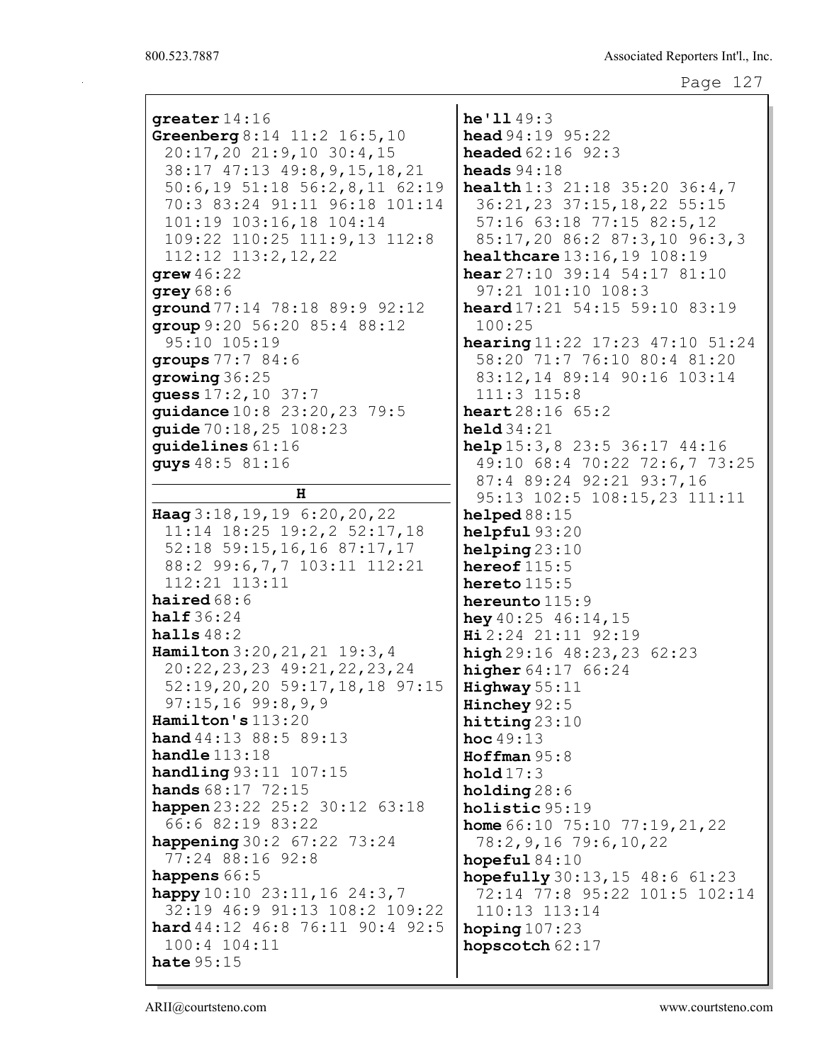| greater $14:16$                                                                                                                                                                                                                                                                 | he'1149:3                                                                                                                                                                                                                             |
|---------------------------------------------------------------------------------------------------------------------------------------------------------------------------------------------------------------------------------------------------------------------------------|---------------------------------------------------------------------------------------------------------------------------------------------------------------------------------------------------------------------------------------|
| Greenberg 8:14 11:2 16:5,10                                                                                                                                                                                                                                                     | <b>head</b> $94:19$ $95:22$                                                                                                                                                                                                           |
| 20:17,20 21:9,10 30:4,15                                                                                                                                                                                                                                                        | <b>headed</b> 62:16 92:3                                                                                                                                                                                                              |
| 38:17 47:13 49:8, 9, 15, 18, 21                                                                                                                                                                                                                                                 | heads $94:18$                                                                                                                                                                                                                         |
| $50:6, 19$ $51:18$ $56:2, 8, 11$ $62:19$                                                                                                                                                                                                                                        | <b>health</b> $1:3$ 21:18 35:20 36:4,7                                                                                                                                                                                                |
| 70:3 83:24 91:11 96:18 101:14                                                                                                                                                                                                                                                   | 36:21,23 37:15,18,22 55:15                                                                                                                                                                                                            |
| 101:19 103:16,18 104:14                                                                                                                                                                                                                                                         | 57:16 63:18 77:15 82:5,12                                                                                                                                                                                                             |
| 109:22 110:25 111:9,13 112:8                                                                                                                                                                                                                                                    | 85:17,20 86:2 87:3,10 96:3,3                                                                                                                                                                                                          |
| $112:12$ $113:2,12,22$                                                                                                                                                                                                                                                          | healthcare 13:16, 19 108:19                                                                                                                                                                                                           |
| grew $46:22$                                                                                                                                                                                                                                                                    | hear $27:10$ 39:14 54:17 81:10                                                                                                                                                                                                        |
| $q$ rey $68:6$                                                                                                                                                                                                                                                                  | 97:21 101:10 108:3                                                                                                                                                                                                                    |
| ground 77:14 78:18 89:9 92:12                                                                                                                                                                                                                                                   | heard 17:21 54:15 59:10 83:19                                                                                                                                                                                                         |
| group 9:20 56:20 85:4 88:12                                                                                                                                                                                                                                                     | 100:25                                                                                                                                                                                                                                |
| 95:10 105:19                                                                                                                                                                                                                                                                    | hearing 11:22 17:23 47:10 51:24                                                                                                                                                                                                       |
| groups 77:7 84:6                                                                                                                                                                                                                                                                | 58:20 71:7 76:10 80:4 81:20                                                                                                                                                                                                           |
| group36:25                                                                                                                                                                                                                                                                      | 83:12,14 89:14 90:16 103:14                                                                                                                                                                                                           |
| quess $17:2, 10$ 37:7                                                                                                                                                                                                                                                           | $111:3$ $115:8$                                                                                                                                                                                                                       |
| quidance 10:8 23:20, 23 79:5                                                                                                                                                                                                                                                    | <b>heart</b> $28:16$ $65:2$                                                                                                                                                                                                           |
| guide 70:18, 25 108:23                                                                                                                                                                                                                                                          | held34:21                                                                                                                                                                                                                             |
| quidelines 61:16                                                                                                                                                                                                                                                                | help 15:3, 8 23:5 36:17 44:16                                                                                                                                                                                                         |
| guys 48:5 81:16                                                                                                                                                                                                                                                                 | 49:10 68:4 70:22 72:6,7 73:25<br>87:4 89:24 92:21 93:7,16                                                                                                                                                                             |
| н                                                                                                                                                                                                                                                                               | 95:13 102:5 108:15,23 111:11                                                                                                                                                                                                          |
| Haag 3:18, 19, 19 6:20, 20, 22                                                                                                                                                                                                                                                  | helped $88:15$                                                                                                                                                                                                                        |
| 11:14 18:25 19:2,2 52:17,18                                                                                                                                                                                                                                                     | helpful93:20                                                                                                                                                                                                                          |
| $52:18$ $59:15,16,16$ $87:17,17$                                                                                                                                                                                                                                                | helping $23:10$                                                                                                                                                                                                                       |
| 88:2 99:6,7,7 103:11 112:21                                                                                                                                                                                                                                                     | hereof $115:5$                                                                                                                                                                                                                        |
| 112:21 113:11                                                                                                                                                                                                                                                                   | hereto $115:5$                                                                                                                                                                                                                        |
| haired $68:6$                                                                                                                                                                                                                                                                   | hereunto $115:9$                                                                                                                                                                                                                      |
| half $36:24$                                                                                                                                                                                                                                                                    | hey $40:25$ $46:14$ , $15$                                                                                                                                                                                                            |
| halls $48:2$                                                                                                                                                                                                                                                                    | Hi 2:24 21:11 92:19                                                                                                                                                                                                                   |
| Hamilton 3:20, 21, 21 19:3, 4                                                                                                                                                                                                                                                   | high29:1648:23,2362:23                                                                                                                                                                                                                |
| 20:22, 23, 23 49:21, 22, 23, 24                                                                                                                                                                                                                                                 | higher 64:17 66:24                                                                                                                                                                                                                    |
| 52:19, 20, 20, 59:17, 18, 18, 97:15                                                                                                                                                                                                                                             | Highway $55:11$                                                                                                                                                                                                                       |
| $97:15,16$ $99:8,9,9$                                                                                                                                                                                                                                                           | Hinchey $92:5$                                                                                                                                                                                                                        |
| Hamilton's $113:20$                                                                                                                                                                                                                                                             | hitting $23:10$                                                                                                                                                                                                                       |
| <b>hand</b> $44:13$ $88:5$ $89:13$                                                                                                                                                                                                                                              | <b>hoc</b> $49:13$                                                                                                                                                                                                                    |
| handle $113:18$                                                                                                                                                                                                                                                                 | $H$ offman $95:8$                                                                                                                                                                                                                     |
| <b>handling</b> $93:11$ $107:15$                                                                                                                                                                                                                                                | hold17:3                                                                                                                                                                                                                              |
| hands 68:17 72:15                                                                                                                                                                                                                                                               | holding 28:6                                                                                                                                                                                                                          |
| happen 23:22 25:2 30:12 63:18<br>66:6 82:19 83:22<br>happening 30:2 67:22 73:24<br>77:24 88:16 92:8<br>happens 66:5<br>happy $10:10$ 23:11, 16 24:3, 7<br>32:19 46:9 91:13 108:2 109:22<br><b>hard</b> $44:12$ $46:8$ $76:11$ $90:4$ $92:5$<br>$100:4$ $104:11$<br>hate $95:15$ | holistic 95:19<br><b>home</b> $66:10$ $75:10$ $77:19,21,22$<br>78:2, 9, 16 79:6, 10, 22<br>hopeful $84:10$<br>hopefully $30:13,15$ 48:6 61:23<br>72:14 77:8 95:22 101:5 102:14<br>110:13 113:14<br>hoping $107:23$<br>hopscotch 62:17 |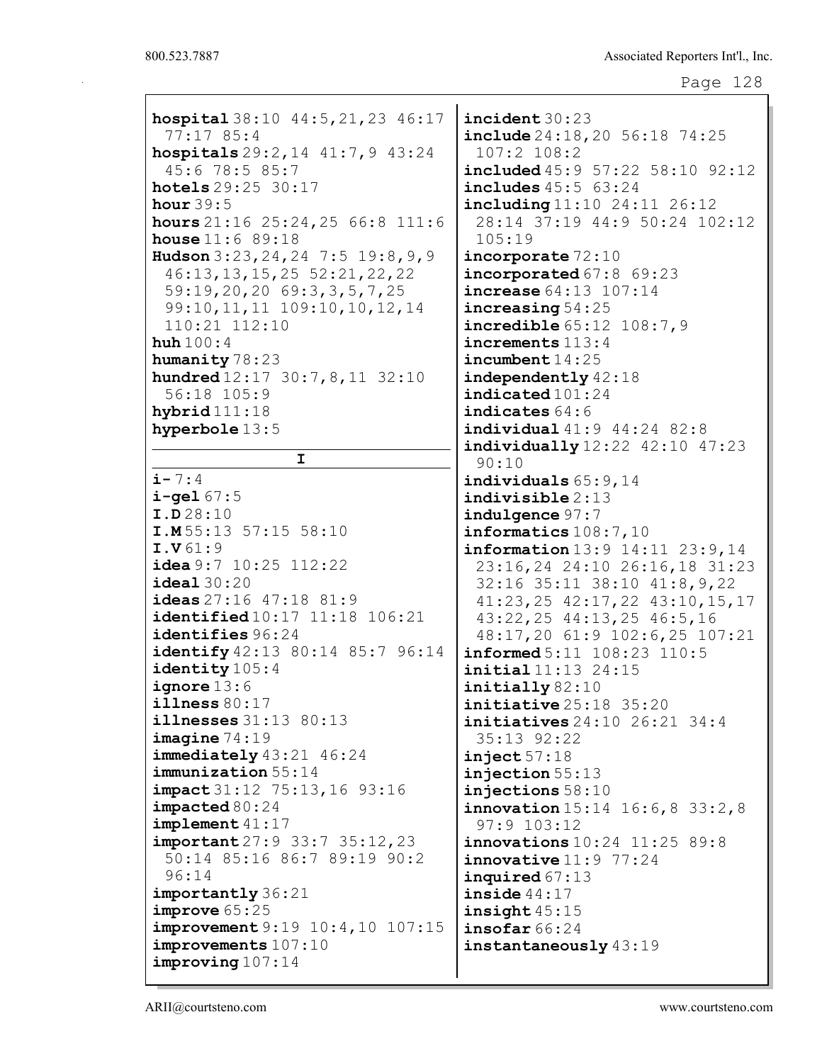| hospital $38:10$ $44:5,21,23$ $46:17$       | incident30:23                               |
|---------------------------------------------|---------------------------------------------|
| 77:1785:4                                   | include 24:18, 20 56:18 74:25               |
| hospitals 29:2, 14 41:7, 9 43:24            | 107:2 108:2                                 |
| 45:6 78:5 85:7                              | $include 45:9$ 57:22 58:10 92:12            |
| hotels 29:25 30:17                          | includes 45:5 63:24                         |
| hour $39:5$                                 | $\texttt{including} 11:10 24:11 26:12$      |
| hours $21:16$ $25:24$ , $25$ $66:8$ $111:6$ | 28:14 37:19 44:9 50:24 102:12               |
| <b>house</b> $11:6$ 89:18                   | 105:19                                      |
| Hudson 3:23, 24, 24 7:5 19:8, 9, 9          | incorporate $72:10$                         |
| 46:13, 13, 15, 25 52:21, 22, 22             | incorporated $67:8$ $69:23$                 |
| 59:19,20,20 69:3,3,5,7,25                   | increase 64:13 107:14                       |
| 99:10, 11, 11 109:10, 10, 12, 14            | increasing $54:25$                          |
| 110:21 112:10                               | increable 65:12 108:7,9                     |
| huh $100:4$                                 | increments $113:4$                          |
| humanity 78:23                              | $\texttt{incumbent}$ 14:25                  |
| hundred 12:17 30:7, 8, 11 32:10             | $independently$ 42:18                       |
| 56:18 105:9                                 | indicated 101:24                            |
| hybrid $111:18$                             | indicates $64:6$                            |
| hyperbole 13:5                              | individual 41:9 44:24 82:8                  |
|                                             | individually 12:22 42:10 47:23              |
| I.                                          | 90:10                                       |
| $i - 7:4$                                   | individuals $65:9,14$                       |
| $i$ -gel $67:5$                             | $\mathbf{indivisible}$ 2:13                 |
| I.D.28:10                                   | indulgence $97:7$                           |
| I.M55:13 57:15 58:10                        | informatics $108:7, 10$                     |
| I.V61:9                                     | information $13:9$ $14:11$ $23:9$ , $14$    |
| idea $9:7$ $10:25$ $112:22$                 | 23:16,24 24:10 26:16,18 31:23               |
|                                             |                                             |
| ideal30:20                                  | 32:16 35:11 38:10 41:8, 9, 22               |
| ideas $27:16$ $47:18$ $81:9$                | $41:23,25$ $42:17,22$ $43:10,15,17$         |
| <b>identified</b> 10:17 11:18 106:21        | 43:22,25 44:13,25 46:5,16                   |
| identifies 96:24                            | 48:17,20 61:9 102:6,25 107:21               |
| identify 42:13 80:14 85:7 96:14             | informed 5:11 108:23 110:5                  |
| identity 105:4                              | initial 11:13 24:15                         |
| ignore $13:6$                               | initially 82:10                             |
| $i$ llness 80:17                            | $\mathtt{initiative}$ $25:18$ $35:20$       |
| $i$ llnesses 31:13 80:13                    | initiatives 24:10 26:21 34:4                |
| image 74:19                                 | 35:13 92:22                                 |
| immediately 43:21 46:24                     | $inject$ 57:18                              |
| immunization 55:14                          | injection 55:13                             |
| <b>impact</b> 31:12 75:13, 16 93:16         | injections $58:10$                          |
| impared 80:24                               | <b>innovation</b> $15:14$ $16:6,8$ $33:2,8$ |
| implement41:17                              | $97:9$ $103:12$                             |
| <b>important</b> 27:9 33:7 35:12, 23        | innovations 10:24 11:25 89:8                |
| 50:14 85:16 86:7 89:19 90:2                 | innovative 11:9 77:24                       |
| 96:14                                       | inquired 67:13                              |
| importantly 36:21                           | inside $44:17$                              |
| improve 65:25                               | insight45:15                                |
| <b>improvement</b> 9:19 10:4,10 107:15      | insofar $66:24$                             |
| improvements 107:10<br>improving 107:14     | instantaneously 43:19                       |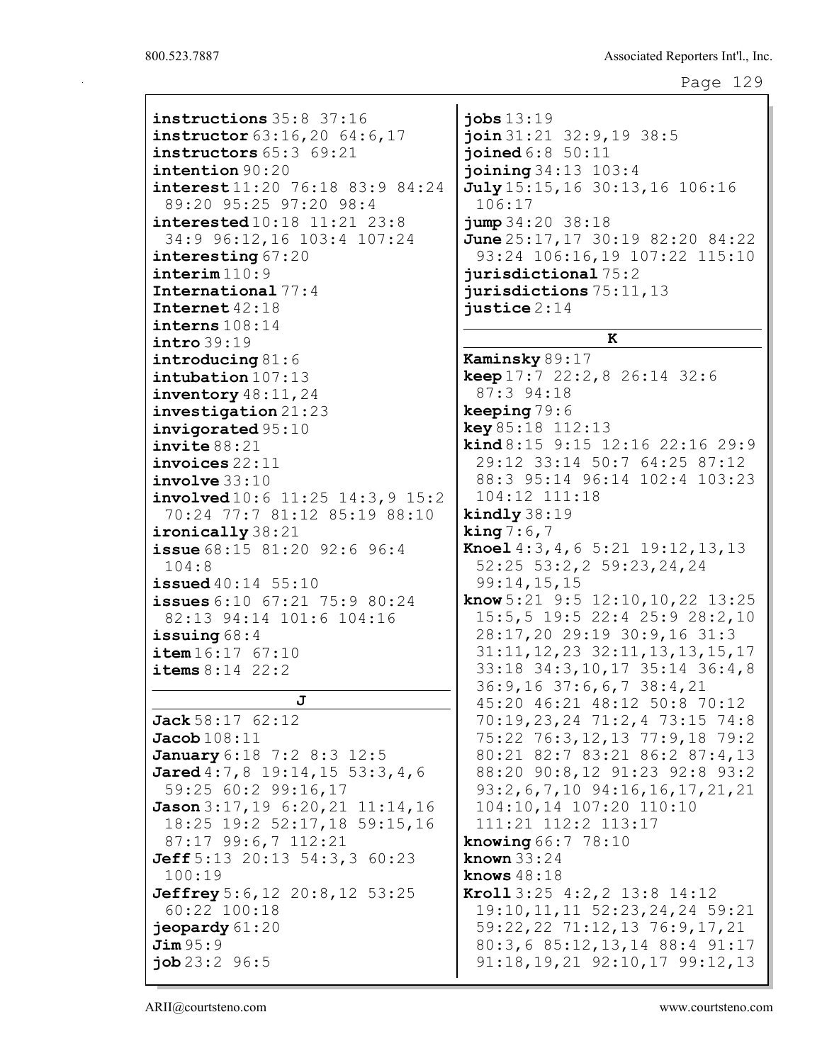| instructions 35:8 37:16                                                                                                                                                                                                                                                                                                                                                                         | jobs $13:19$                                                                                                                                                                                                                                                                                                                                                                                                                                                                                                                                            |
|-------------------------------------------------------------------------------------------------------------------------------------------------------------------------------------------------------------------------------------------------------------------------------------------------------------------------------------------------------------------------------------------------|---------------------------------------------------------------------------------------------------------------------------------------------------------------------------------------------------------------------------------------------------------------------------------------------------------------------------------------------------------------------------------------------------------------------------------------------------------------------------------------------------------------------------------------------------------|
| instructor 63:16,20 64:6,17                                                                                                                                                                                                                                                                                                                                                                     | join 31:21 32:9,19 38:5                                                                                                                                                                                                                                                                                                                                                                                                                                                                                                                                 |
| instructors 65:3 69:21                                                                                                                                                                                                                                                                                                                                                                          | joined6:8 50:11                                                                                                                                                                                                                                                                                                                                                                                                                                                                                                                                         |
| intention 90:20                                                                                                                                                                                                                                                                                                                                                                                 | joining 34:13 103:4                                                                                                                                                                                                                                                                                                                                                                                                                                                                                                                                     |
| interest 11:20 76:18 83:9 84:24                                                                                                                                                                                                                                                                                                                                                                 | July 15:15, 16 30:13, 16 106:16                                                                                                                                                                                                                                                                                                                                                                                                                                                                                                                         |
| 89:20 95:25 97:20 98:4                                                                                                                                                                                                                                                                                                                                                                          | 106:17                                                                                                                                                                                                                                                                                                                                                                                                                                                                                                                                                  |
| interested 10:18 11:21 23:8                                                                                                                                                                                                                                                                                                                                                                     | jump 34:20 38:18                                                                                                                                                                                                                                                                                                                                                                                                                                                                                                                                        |
| 34:9 96:12,16 103:4 107:24                                                                                                                                                                                                                                                                                                                                                                      | June $25:17,17$ 30:19 82:20 84:22                                                                                                                                                                                                                                                                                                                                                                                                                                                                                                                       |
| interesting 67:20                                                                                                                                                                                                                                                                                                                                                                               | 93:24 106:16,19 107:22 115:10                                                                                                                                                                                                                                                                                                                                                                                                                                                                                                                           |
| interval: 9                                                                                                                                                                                                                                                                                                                                                                                     | jurisdictional 75:2                                                                                                                                                                                                                                                                                                                                                                                                                                                                                                                                     |
| International 77:4                                                                                                                                                                                                                                                                                                                                                                              | jurisdictions 75:11, 13                                                                                                                                                                                                                                                                                                                                                                                                                                                                                                                                 |
| Internet 42:18                                                                                                                                                                                                                                                                                                                                                                                  | justice $2:14$                                                                                                                                                                                                                                                                                                                                                                                                                                                                                                                                          |
| interns 108:14                                                                                                                                                                                                                                                                                                                                                                                  | к                                                                                                                                                                                                                                                                                                                                                                                                                                                                                                                                                       |
| intro 39:19<br>introducing 81:6<br>intubation 107:13<br>inventory $48:11,24$<br>investigation 21:23<br>invigorated 95:10<br>invite 88:21<br>$invoices$ $22:11$                                                                                                                                                                                                                                  | Kaminsky 89:17<br><b>keep</b> $17:7$ $22:2$ , 8 $26:14$ $32:6$<br>87:3 94:18<br>keeping 79:6<br>key 85:18 112:13<br>$\text{kind } 8:15$ 9:15 12:16 22:16 29:9<br>29:12 33:14 50:7 64:25 87:12                                                                                                                                                                                                                                                                                                                                                           |
| involve 33:10                                                                                                                                                                                                                                                                                                                                                                                   | 88:3 95:14 96:14 102:4 103:23                                                                                                                                                                                                                                                                                                                                                                                                                                                                                                                           |
| involved 10:6 11:25 14:3,9 15:2                                                                                                                                                                                                                                                                                                                                                                 | 104:12 111:18                                                                                                                                                                                                                                                                                                                                                                                                                                                                                                                                           |
| 70:24 77:7 81:12 85:19 88:10                                                                                                                                                                                                                                                                                                                                                                    | kindly $38:19$                                                                                                                                                                                                                                                                                                                                                                                                                                                                                                                                          |
| ironically 38:21                                                                                                                                                                                                                                                                                                                                                                                | king $7:6,7$                                                                                                                                                                                                                                                                                                                                                                                                                                                                                                                                            |
| issue 68:15 81:20 92:6 96:4                                                                                                                                                                                                                                                                                                                                                                     | <b>Knoel</b> $4:3, 4, 6$ 5:21 19:12, 13, 13                                                                                                                                                                                                                                                                                                                                                                                                                                                                                                             |
| 104:8                                                                                                                                                                                                                                                                                                                                                                                           | 52:25 53:2,2 59:23,24,24                                                                                                                                                                                                                                                                                                                                                                                                                                                                                                                                |
| <b>issued</b> 40:14 55:10                                                                                                                                                                                                                                                                                                                                                                       | 99:14,15,15                                                                                                                                                                                                                                                                                                                                                                                                                                                                                                                                             |
| issues 6:10 67:21 75:9 80:24                                                                                                                                                                                                                                                                                                                                                                    | <b>know</b> 5:21 9:5 12:10, 10, 22 13:25                                                                                                                                                                                                                                                                                                                                                                                                                                                                                                                |
| 82:13 94:14 101:6 104:16                                                                                                                                                                                                                                                                                                                                                                        | 15:5,5 19:5 22:4 25:9 28:2,10                                                                                                                                                                                                                                                                                                                                                                                                                                                                                                                           |
| issuing $68:4$                                                                                                                                                                                                                                                                                                                                                                                  | 28:17,20 29:19 30:9,16 31:3                                                                                                                                                                                                                                                                                                                                                                                                                                                                                                                             |
| item 16:17 67:10                                                                                                                                                                                                                                                                                                                                                                                | $31:11, 12, 23$ $32:11, 13, 13, 15, 17$                                                                                                                                                                                                                                                                                                                                                                                                                                                                                                                 |
| items $8:14$ 22:2<br>J<br>Jack 58:17 62:12<br>Jacob108:11<br>January 6:18 7:2 8:3 12:5<br>Jared $4:7,8$ 19:14, 15 53:3, 4, 6<br>59:25 60:2 99:16,17<br>Jason 3:17, 19 6: 20, 21 11: 14, 16<br>18:25 19:2 52:17,18 59:15,16<br>87:17 99:6,7 112:21<br><b>Jeff</b> 5:13 20:13 54:3,3 60:23<br>100:19<br>Jeffrey 5:6, 12 20:8, 12 53:25<br>$60:22$ $100:18$<br>$j$ eopardy $61:20$<br>$Jim$ $95:9$ | 33:18 34:3,10,17 35:14 36:4,8<br>36: 9, 16 37: 6, 6, 7 38: 4, 21<br>45:20 46:21 48:12 50:8 70:12<br>70:19,23,24 71:2,4 73:15 74:8<br>75:22 76:3,12,13 77:9,18 79:2<br>80:21 82:7 83:21 86:2 87:4,13<br>88:20 90:8,12 91:23 92:8 93:2<br>$93:2, 6, 7, 10$ $94:16, 16, 17, 21, 21$<br>104:10,14 107:20 110:10<br>111:21 112:2 113:17<br><b>knowing</b> $66:7$ 78:10<br>known $33:24$<br>knows $48:18$<br><b>Kroll</b> $3:25$ $4:2,2$ $13:8$ $14:12$<br>19:10, 11, 11 52:23, 24, 24 59:21<br>59:22,22 71:12,13 76:9,17,21<br>80:3,6 85:12,13,14 88:4 91:17 |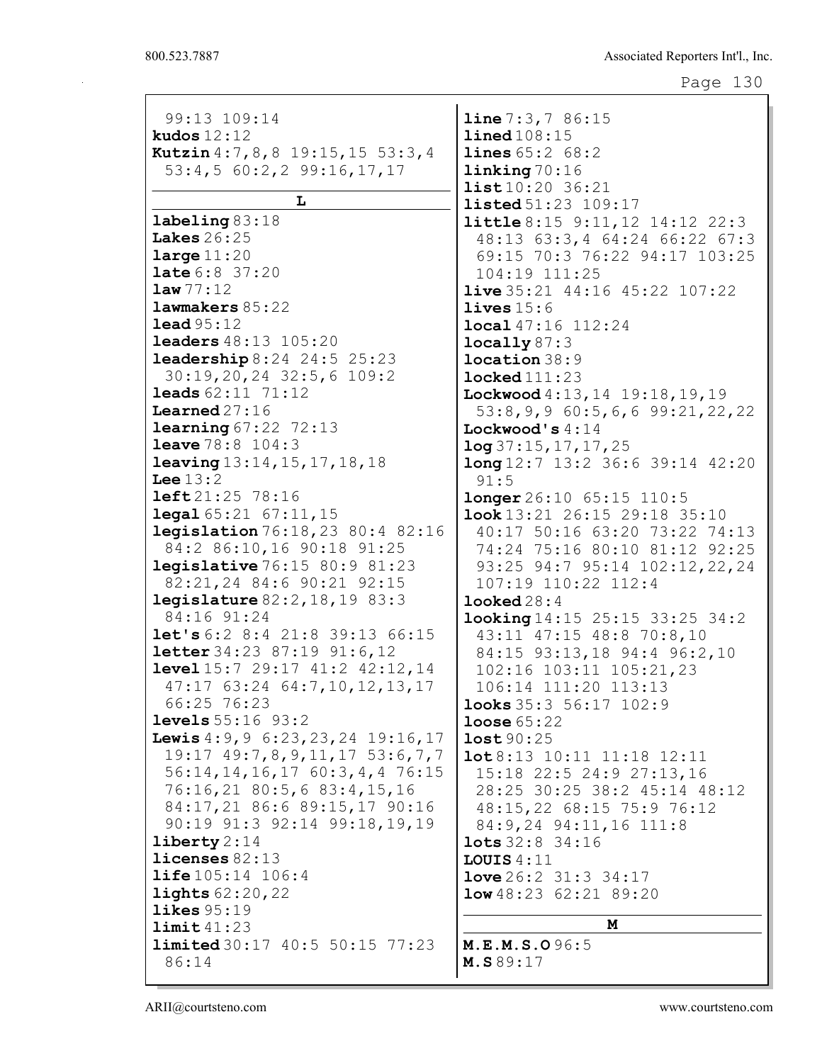99:13 109:14 kudos 12:12 Kutzin 4:7,8,8 19:15,15 53:3,4 53:4,5 60:2,2 99:16,17,17 L labeling 83:18 Lakes 26:25 large 11:20 late 6:8 37:20 law 77:12 lawmakers 85:22 lead 95:12 leaders 48:13 105:20 leadership 8:24 24:5 25:23 30:19,20,24 32:5,6 109:2 leads 62:11 71:12 Learned 27:16 **learning 67:22 72:13** leave 78:8 104:3 leaving 13:14,15,17,18,18 Lee  $13:2$ left 21:25 78:16 **legal** 65:21 67:11, 15 legislation 76:18,23 80:4 82:16 84:2 86:10,16 90:18 91:25 legislative 76:15 80:9 81:23 82:21,24 84:6 90:21 92:15 legislature 82:2,18,19 83:3 84:16 91:24 let's 6:2 8:4 21:8 39:13 66:15 letter 34:23 87:19 91:6,12 **level** 15:7 29:17 41:2 42:12, 14 47:17 63:24 64:7,10,12,13,17 66:25 76:23 levels 55:16 93:2 Lewis 4: 9, 9 6: 23, 23, 24 19: 16, 17 19:17 49:7,8,9,11,17 53:6,7,7 56:14,14,16,17 60:3,4,4 76:15 76:16,21 80:5,6 83:4,15,16 84:17,21 86:6 89:15,17 90:16 90:19 91:3 92:14 99:18,19,19 liberty 2:14 licenses 82:13 life 105:14 106:4 lights 62:20,22 likes 95:19 limit 41:23 limited 30:17 40:5 50:15 77:23 86:14 line 7:3,7 86:15 lined 108:15 lines 65:2 68:2 linking 70:16 list 10:20 36:21 listed 51:23 109:17 little 8:15 9:11,12 14:12 22:3 48:13 63:3,4 64:24 66:22 67:3 69:15 70:3 76:22 94:17 103:25 104:19 111:25 live 35:21 44:16 45:22 107:22 lives  $15:6$ local 47:16 112:24 locally 87:3 location 38:9 locked 111:23 Lockwood 4:13,14 19:18,19,19 53:8,9,9 60:5,6,6 99:21,22,22 Lockwood's 4:14 log 37:15,17,17,25 long 12:7 13:2 36:6 39:14 42:20 91:5 **longer** 26:10 65:15 110:5 look 13:21 26:15 29:18 35:10 40:17 50:16 63:20 73:22 74:13 74:24 75:16 80:10 81:12 92:25 93:25 94:7 95:14 102:12,22,24 107:19 110:22 112:4 looked 28:4 looking 14:15 25:15 33:25 34:2 43:11 47:15 48:8 70:8,10 84:15 93:13,18 94:4 96:2,10 102:16 103:11 105:21,23 106:14 111:20 113:13 looks 35:3 56:17 102:9 loose 65:22 lost 90:25 lot 8:13 10:11 11:18 12:11 15:18 22:5 24:9 27:13,16 28:25 30:25 38:2 45:14 48:12 48:15,22 68:15 75:9 76:12 84:9,24 94:11,16 111:8 lots 32:8 34:16 LOUIS  $4:11$ love 26:2 31:3 34:17 low 48:23 62:21 89:20 M M.E.M.S.O 96:5 M.S 89:17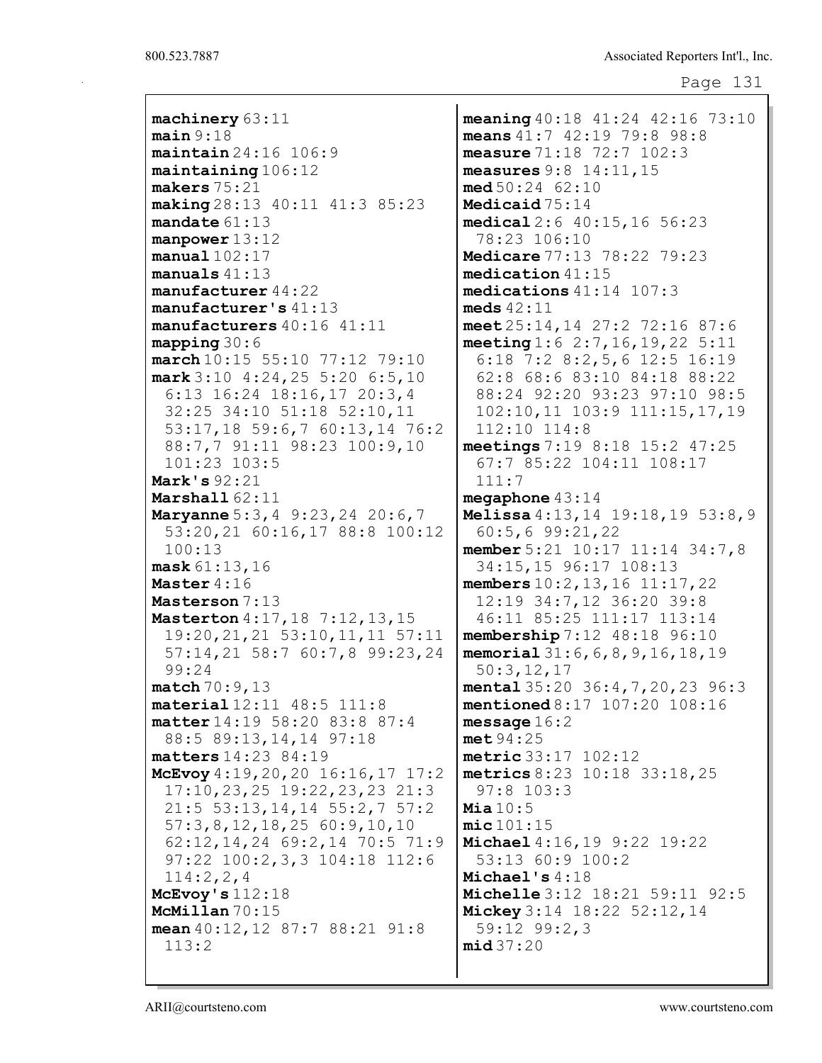machinery 63:11  $main 9:18$ maintain 24:16 106:9 maintaining 106:12 makers 75:21 making 28:13 40:11 41:3 85:23 mandate 61:13 manpower 13:12 manual 102:17 manuals 41:13 manufacturer 44:22 manufacturer's 41:13 manufacturers 40:16 41:11 mapping 30:6 march 10:15 55:10 77:12 79:10 mark 3:10 4:24,25 5:20 6:5,10 6:13 16:24 18:16,17 20:3,4 32:25 34:10 51:18 52:10,11 53:17,18 59:6,7 60:13,14 76:2 88:7,7 91:11 98:23 100:9,10 101:23 103:5 Mark's 92:21 Marshall  $62:11$ Maryanne 5:3, 4 9:23, 24 20:6, 7 53:20,21 60:16,17 88:8 100:12 100:13 mask 61:13,16 Master 4:16 Masterson 7:13 Masterton 4:17,18 7:12,13,15 19:20,21,21 53:10,11,11 57:11 57:14,21 58:7 60:7,8 99:23,24 99:24 match 70:9,13 material 12:11 48:5 111:8 matter 14:19 58:20 83:8 87:4 88:5 89:13,14,14 97:18 matters 14:23 84:19 McEvoy 4:19,20,20 16:16,17 17:2 17:10,23,25 19:22,23,23 21:3 21:5 53:13,14,14 55:2,7 57:2 57:3,8,12,18,25 60:9,10,10 62:12,14,24 69:2,14 70:5 71:9 97:22 100:2,3,3 104:18 112:6 114:2,2,4 McEvoy's  $112:18$ McMillan 70:15 mean 40:12,12 87:7 88:21 91:8 113:2

meaning 40:18 41:24 42:16 73:10 means 41:7 42:19 79:8 98:8 measure 71:18 72:7 102:3 measures 9:8 14:11,15 med 50:24 62:10 Medicaid 75:14 medical 2:6 40:15,16 56:23 78:23 106:10 Medicare 77:13 78:22 79:23 medication 41:15 medications 41:14 107:3 meds  $42:11$ meet 25:14,14 27:2 72:16 87:6 meeting 1:6 2:7,16,19,22 5:11 6:18 7:2 8:2,5,6 12:5 16:19 62:8 68:6 83:10 84:18 88:22 88:24 92:20 93:23 97:10 98:5 102:10,11 103:9 111:15,17,19 112:10 114:8 meetings 7:19 8:18 15:2 47:25 67:7 85:22 104:11 108:17 111:7 megaphone 43:14 Melissa 4:13,14 19:18,19 53:8,9 60:5,6 99:21,22 member 5:21 10:17 11:14 34:7,8 34:15,15 96:17 108:13 members 10:2,13,16 11:17,22 12:19 34:7,12 36:20 39:8 46:11 85:25 111:17 113:14 membership 7:12 48:18 96:10 memorial 31:6,6,8,9,16,18,19 50:3,12,17 mental 35:20 36:4,7,20,23 96:3 mentioned 8:17 107:20 108:16 message 16:2 met 94:25 metric 33:17 102:12 metrics 8:23 10:18 33:18,25 97:8 103:3 Mia  $10:5$ mic 101:15 Michael 4:16,19 9:22 19:22 53:13 60:9 100:2 Michael's 4:18 Michelle 3:12 18:21 59:11 92:5 Mickey 3:14 18:22 52:12,14 59:12 99:2,3 mid 37:20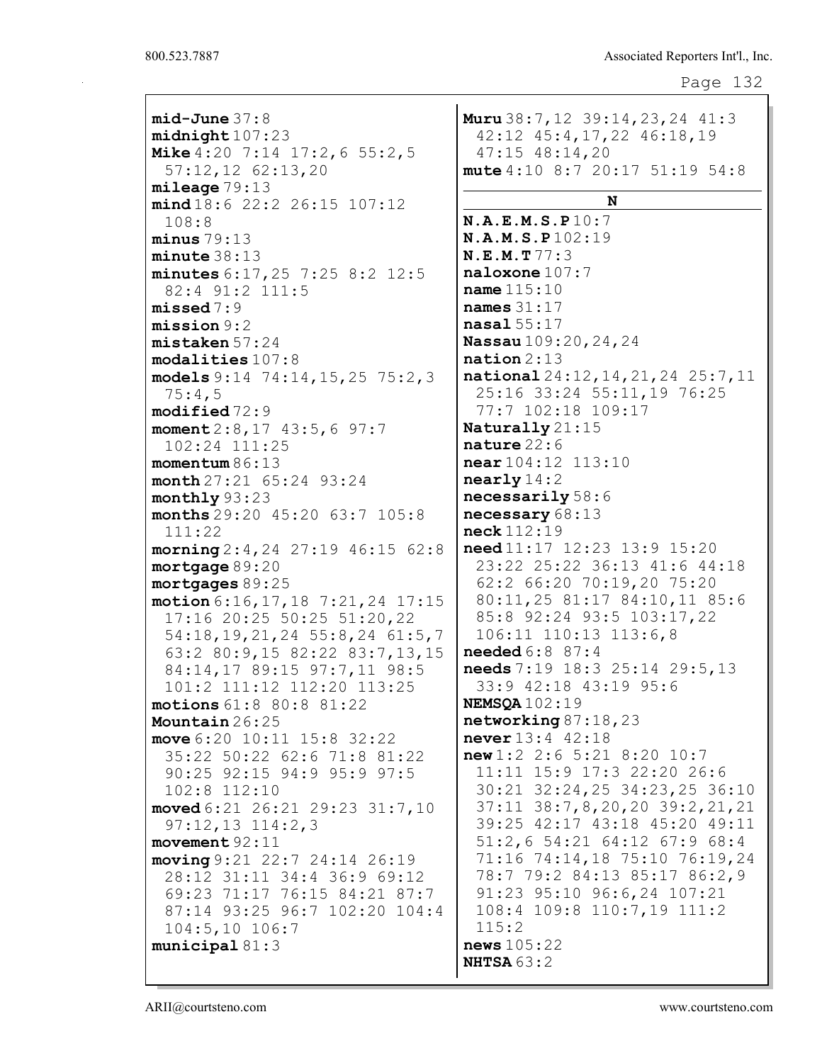| $mid$ -June $37:8$                             | Muru $38:7, 12$ $39:14, 23, 24$ $41:3$               |
|------------------------------------------------|------------------------------------------------------|
| $mid\\text{107:23}$                            | 42:12 45:4, 17, 22 46:18, 19                         |
| Mike $4:20$ 7:14 17:2, 6 55:2, 5               | 47:15 48:14,20                                       |
| $57:12,12$ 62:13,20                            | mute 4:10 8:7 20:17 51:19 54:8                       |
| mileage 79:13                                  |                                                      |
| mind18:6 22:2 26:15 107:12                     | N                                                    |
| 108:8                                          | N.A.E.M.S.P10:7                                      |
| minus 79:13                                    | N.A.M.S.P102:19                                      |
| minute 38:13                                   | N.E.M.T77:3                                          |
| minutes $6:17,25$ 7:25 8:2 12:5                | naloxone 107:7                                       |
| 82:4 91:2 111:5                                | name 115:10                                          |
| missed 7:9                                     | names $31:17$                                        |
| mission 9:2                                    | nasal $55:17$                                        |
| mistaken 57:24                                 | Nassau 109:20, 24, 24                                |
| $\texttt{modalities}$ 107:8                    | nation 2:13                                          |
| models $9:14$ $74:14$ , $15$ , $25$ $75:2$ , 3 | $\mathtt{national}\,24\!:\!12,14,21,24\,25\!:\!7,11$ |
| 75:4,5                                         | 25:16 33:24 55:11,19 76:25                           |
| $\texttt{modified}$ 72:9                       | 77:7 102:18 109:17                                   |
| moment $2:8, 17$ 43:5, 6 97:7                  | Naturally 21:15                                      |
| 102:24 111:25                                  | nature 22:6                                          |
| momentum $86:13$                               | near 104:12 113:10                                   |
| month $27:21$ $65:24$ $93:24$                  | $\text{nearly } 14:2$                                |
| monthly 93:23                                  | necessarily 58:6                                     |
| months 29:20 45:20 63:7 105:8                  | necessary 68:13                                      |
| 111:22                                         | neck 112:19                                          |
| morning $2:4, 24$ 27:19 $46:15$ 62:8           | need 11:17 12:23 13:9 15:20                          |
| mortgage 89:20                                 | 23:22 25:22 36:13 41:6 44:18                         |
| mortgages 89:25                                | 62:2 66:20 70:19,20 75:20                            |
| motion $6:16,17,18$ $7:21,24$ $17:15$          | 80:11,25 81:17 84:10,11 85:6                         |
| 17:16 20:25 50:25 51:20,22                     | 85:8 92:24 93:5 103:17,22                            |
| 54:18, 19, 21, 24 55:8, 24 61:5, 7             | 106:11 110:13 113:6,8                                |
| 63:2 80:9,15 82:22 83:7,13,15                  | <b>needed</b> $6:8$ $87:4$                           |
| 84:14,17 89:15 97:7,11 98:5                    | needs 7:19 18:3 25:14 29:5,13                        |
| 101:2 111:12 112:20 113:25                     | 33:9 42:18 43:19 95:6                                |
| motions 61:8 80:8 81:22                        | <b>NEMSQA</b> 102:19                                 |
| Mountain 26:25                                 | networking 87:18,23                                  |
| move $6:20$ 10:11 15:8 32:22                   | never 13:4 42:18                                     |
| 35:22 50:22 62:6 71:8 81:22                    | $new1:2$ 2:6 5:21 8:20 10:7                          |
| 90:25 92:15 94:9 95:9 97:5                     | 11:11 15:9 17:3 22:20 26:6                           |
| $102:8$ $112:10$                               | 30:21 32:24,25 34:23,25 36:10                        |
| moved 6:21 26:21 29:23 31:7,10                 | 37:11 38:7,8,20,20 39:2,21,21                        |
| $97:12,13$ $114:2,3$                           | 39:25 42:17 43:18 45:20 49:11                        |
| movement 92:11                                 | 51:2,6 54:21 64:12 67:9 68:4                         |
| moving 9:21 22:7 24:14 26:19                   | 71:16 74:14,18 75:10 76:19,24                        |
| 28:12 31:11 34:4 36:9 69:12                    | 78:7 79:2 84:13 85:17 86:2,9                         |
| 69:23 71:17 76:15 84:21 87:7                   | 91:23 95:10 96:6,24 107:21                           |
| 87:14 93:25 96:7 102:20 104:4                  | 108:4 109:8 110:7,19 111:2                           |
| $104:5, 10$ $106:7$                            | 115:2                                                |
| municipal 81:3                                 | news $105:22$                                        |
|                                                | <b>NHTSA</b> $63:2$                                  |
|                                                |                                                      |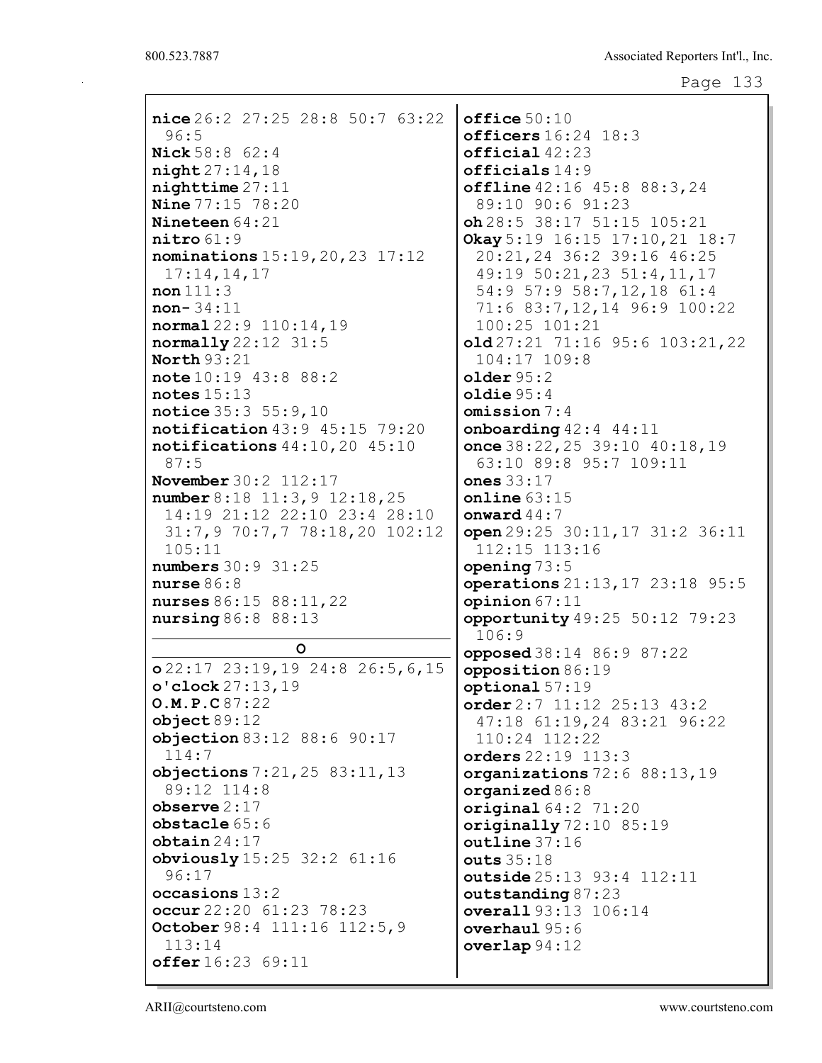```
Page 133
```

| nice 26:2 27:25 28:8 50:7 63:22         | office50:10                                       |
|-----------------------------------------|---------------------------------------------------|
| 96:5                                    | officers $16:24$ $18:3$                           |
| <b>Nick</b> $58:8$ 62:4                 | $official$ 42:23                                  |
| night27:14,18                           | officials14:9                                     |
| nighttime 27:11                         | offline 42:16 45:8 88:3, 24                       |
| <b>Nine</b> 77:15 78:20                 | 89:10 90:6 91:23                                  |
| Nineteen 64:21                          | $oh$ 28:5 38:17 51:15 105:21                      |
| $n$ itro $61:9$                         | Okay 5:19 16:15 17:10, 21 18:7                    |
| nominations $15:19,20,23$ $17:12$       | 20:21, 24 36:2 39:16 46:25                        |
| 17:14,14,17                             | 49:19 50:21,23 51:4,11,17                         |
| non 111:3                               | 54:9 57:9 58:7,12,18 61:4                         |
| $non-34:11$                             | 71:6 83:7,12,14 96:9 100:22                       |
| normal 22:9 110:14,19                   | 100:25 101:21                                     |
| normally 22:12 31:5                     | $old27:21$ 71:16 95:6 103:21,22                   |
| <b>North 93:21</b>                      | 104:17 109:8                                      |
| $note 10:19$ 43:8 88:2                  | older 95:2                                        |
| notes $15:13$                           | oldie 95:4                                        |
| <b>notice</b> 35:3 55:9, 10             | omission 7:4                                      |
| notification 43:9 45:15 79:20           | onboarding $42:4$ $44:11$                         |
| notifications $44:10,20$ $45:10$        | once $38:22$ , $25$ $39:10$ $40:18$ , 19          |
| 87:5                                    | 63:10 89:8 95:7 109:11                            |
| <b>November 30:2 112:17</b>             | ones $33:17$                                      |
| number 8:18 11:3, 9 12:18, 25           | online $63:15$                                    |
| 14:19 21:12 22:10 23:4 28:10            | onward $44:7$                                     |
| 31:7,9 70:7,7 78:18,20 102:12<br>105:11 | open 29:25 30:11, 17 31:2 36:11<br>112:15 113:16  |
| numbers 30:9 31:25                      |                                                   |
| nurse $86:8$                            | opening $73:5$<br>operations 21:13, 17 23:18 95:5 |
| nurses 86:15 88:11, 22                  | opinion $67:11$                                   |
| nursing 86:8 88:13                      | opportunity $49:25$ 50:12 79:23                   |
|                                         | 106:9                                             |
| $\circ$                                 | opposed 38:14 86:9 87:22                          |
| o22:1723:19,1924:826:5,6,15             | opposition 86:19                                  |
| o'clock 27:13,19                        | optional 57:19                                    |
| O.M.P.C 87:22                           | order $2:7$ 11:12 $25:13$ 43:2                    |
| object89:12                             | 47:18 61:19,24 83:21 96:22                        |
| objection $83:12$ $88:6$ $90:17$        | 110:24 112:22                                     |
| 114:7                                   | orders 22:19 113:3                                |
| objections $7:21,25$ 83:11,13           | organizations 72:6 88:13,19                       |
| 89:12 114:8                             | organized $86:8$                                  |
| observe $2:17$                          | original 64:2 71:20                               |
| obstacle $65:6$                         | originally $72:10$ $85:19$                        |
| obtain 24:17                            | outline 37:16                                     |
| obviously $15:25$ $32:2$ $61:16$        | outs $35:18$                                      |
| 96:17                                   | outside 25:13 93:4 112:11                         |
| occasions $13:2$                        | outstanding 87:23                                 |
| occur $22:20$ $61:23$ $78:23$           | overall 93:13 106:14                              |
| October 98:4 111:16 112:5, 9            | overhaul $95:6$                                   |
| 113:14                                  | overlap $94:12$                                   |
| offer 16:23 69:11                       |                                                   |

ARII@courtsteno.com www.courtsteno.com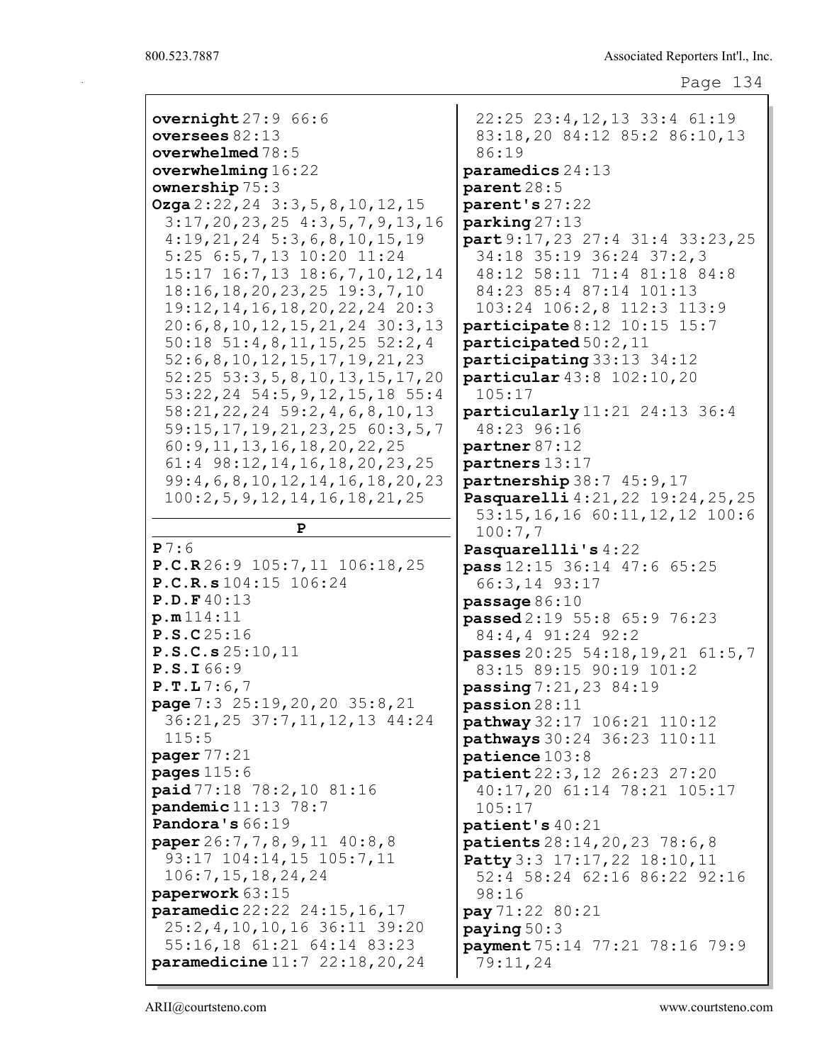| overnight $27:966:6$                                                           | 22:25 23:4,12,13 33:4 61:19                                         |
|--------------------------------------------------------------------------------|---------------------------------------------------------------------|
| oversees $82:13$                                                               | 83:18,20 84:12 85:2 86:10,13                                        |
| overwhelmed 78:5                                                               | 86:19                                                               |
| overwhelming 16:22                                                             | paramedics 24:13                                                    |
| ownership 75:3                                                                 | parent28:5                                                          |
| Ozga $2:22, 24$ 3:3, 5, 8, 10, 12, 15                                          | parent's 27:22                                                      |
| $3:17,20,23,25$ $4:3,5,7,9,13,16$                                              | parking 27:13                                                       |
| $4:19,21,24$ 5:3,6,8,10,15,19                                                  | part 9:17, 23 27:4 31:4 33:23, 25                                   |
| 5:25 6:5, 7, 13 10:20 11:24                                                    | 34:18 35:19 36:24 37:2,3                                            |
| 15:17 16:7,13 18:6,7,10,12,14                                                  | 48:12 58:11 71:4 81:18 84:8                                         |
| $18:16, 18, 20, 23, 25$ 19:3, 7, 10                                            | 84:23 85:4 87:14 101:13                                             |
| 19:12, 14, 16, 18, 20, 22, 24 20:3                                             | 103:24 106:2,8 112:3 113:9                                          |
| 20:6, 8, 10, 12, 15, 21, 24 30:3, 13                                           | participate 8:12 10:15 15:7                                         |
| 50:18 51:4,8,11,15,25 52:2,4                                                   | participated 50:2, 11                                               |
| 52:6, 8, 10, 12, 15, 17, 19, 21, 23                                            | participating 33:13 34:12                                           |
| $52:25$ $53:3,5,8,10,13,15,17,20$                                              | particular 43:8 102:10, 20                                          |
| 53:22,24 54:5,9,12,15,18 55:4                                                  | 105:17                                                              |
| $58:21, 22, 24$ $59:2, 4, 6, 8, 10, 13$                                        | particularly 11:21 24:13 36:4                                       |
| 59:15, 17, 19, 21, 23, 25 60: 3, 5, 7                                          | 48:23 96:16                                                         |
| 60:9, 11, 13, 16, 18, 20, 22, 25                                               | partner 87:12                                                       |
| $61:4$ $98:12,14,16,18,20,23,25$                                               | partners 13:17                                                      |
| 99:4,6,8,10,12,14,16,18,20,23                                                  | partnership $38:7$ $45:9$ , $17$                                    |
| 100:2, 5, 9, 12, 14, 16, 18, 21, 25                                            | Pasquarelli 4:21, 22 19:24, 25, 25<br>53:15,16,16 60:11,12,12 100:6 |
| P                                                                              | 100:7,7                                                             |
| P7:6                                                                           | Pasquarellli's 4:22                                                 |
| P.C.R26:9 105:7,11 106:18,25                                                   | pass 12:15 36:14 47:6 65:25                                         |
| P.C.R.s 104:15 106:24                                                          | 66:3,14 93:17                                                       |
| P.D.F40:13                                                                     | passage 86:10                                                       |
| p.m114:11                                                                      | passed 2:19 55:8 65:9 76:23                                         |
| P.S.C25:16                                                                     | 84:4,4 91:24 92:2                                                   |
| P.S.C.s 25:10,11                                                               | passes 20:25 54:18, 19, 21 61:5, 7                                  |
| P.S.I66:9                                                                      | 83:15 89:15 90:19 101:2                                             |
| P.T.L7:6,7                                                                     | passing 7:21, 23 84:19                                              |
| page 7:3 25:19, 20, 20 35:8, 21                                                | passion 28:11                                                       |
| 36:21,25 37:7,11,12,13 44:24                                                   | pathway 32:17 106:21 110:12                                         |
| 115:5                                                                          | pathways 30:24 36:23 110:11                                         |
| pager $77:21$                                                                  | patience 103:8                                                      |
| pages $115:6$                                                                  | patient 22:3, 12 26:23 27:20                                        |
| paid 77:18 78:2,10 81:16                                                       | 40:17,20 61:14 78:21 105:17                                         |
| pandemic 11:13 78:7                                                            | 105:17                                                              |
| Pandora's 66:19                                                                |                                                                     |
|                                                                                | patient's 40:21                                                     |
| paper 26:7, 7, 8, 9, 11 40:8, 8                                                | patients 28:14, 20, 23 78:6, 8                                      |
| 93:17 104:14,15 105:7,11                                                       | Patty 3:3 17:17, 22 18:10, 11                                       |
| 106:7, 15, 18, 24, 24                                                          | 52:4 58:24 62:16 86:22 92:16                                        |
| paperwork 63:15                                                                | 98:16                                                               |
| paramedic 22:22 24:15, 16, 17                                                  | pay 71:22 80:21                                                     |
| 25:2, 4, 10, 10, 16 36: 11 39: 20                                              | paying $50:3$                                                       |
| 55:16,18 61:21 64:14 83:23<br><b>paramedicine</b> $11:7$ $22:18$ , $20$ , $24$ | payment 75:14 77:21 78:16 79:9<br>79:11,24                          |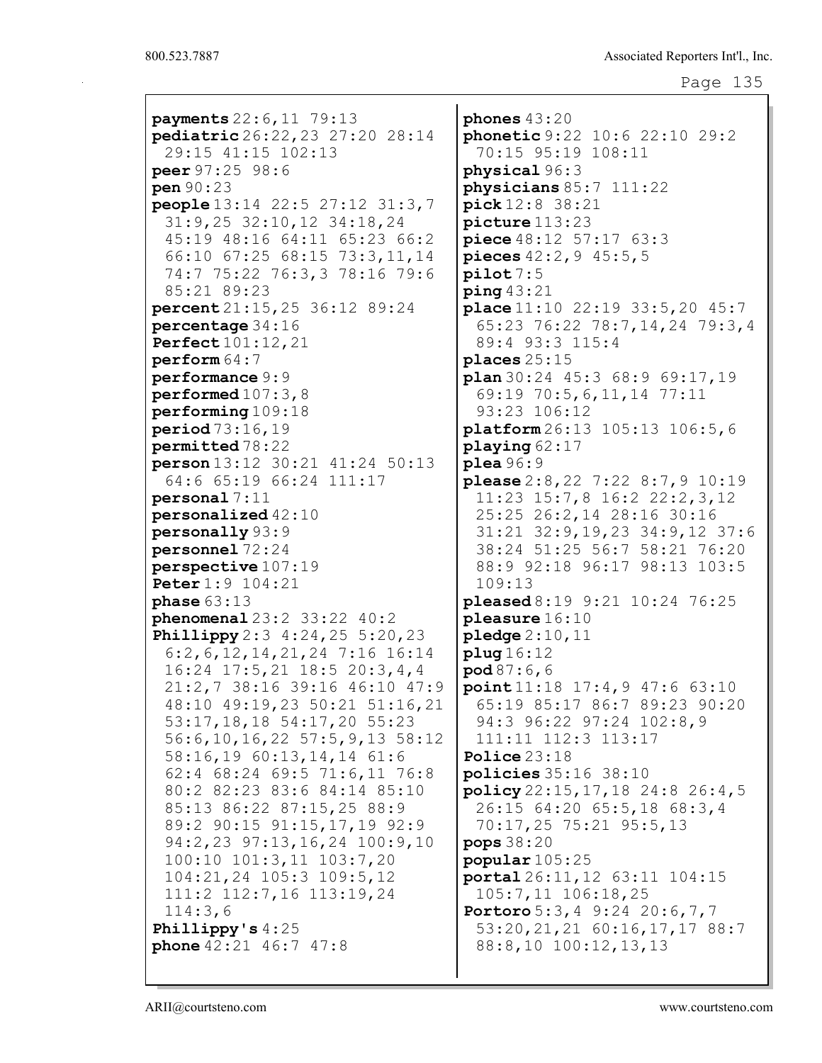```
Page 135
```

| payments 22:6, 11 79:13                  | phones $43:20$                                    |
|------------------------------------------|---------------------------------------------------|
| pediatric 26:22, 23 27:20 28:14          | phonetic 9:22 10:6 22:10 29:2                     |
| 29:15 41:15 102:13                       | 70:15 95:19 108:11                                |
| peer 97:25 98:6                          | physical 96:3                                     |
| pen 90:23                                | physicians 85:7 111:22                            |
| people 13:14 22:5 27:12 31:3,7           | pick 12:8 38:21                                   |
| 31:9,25 32:10,12 34:18,24                | picture 113:23                                    |
| 45:19 48:16 64:11 65:23 66:2             | piece $48:12$ 57:17 63:3                          |
| 66:10 67:25 68:15 73:3,11,14             | pieces $42:2, 9$ $45:5, 5$                        |
| 74:7 75:22 76:3,3 78:16 79:6             | pilot7:5                                          |
| 85:21 89:23                              | ping43:21                                         |
| percent 21:15, 25 36:12 89:24            | <b>place</b> $11:10$ $22:19$ $33:5$ , $20$ $45:7$ |
| percentage 34:16                         | 65:23 76:22 78:7,14,24 79:3,4                     |
| <b>Perfect</b> 101:12, 21                | 89:4 93:3 115:4                                   |
| perform 64:7                             | places $25:15$                                    |
| performance 9:9                          | plan $30:24$ 45:3 68:9 69:17, 19                  |
| performed $107:3$ , 8                    | 69:19 70:5, 6, 11, 14 77:11                       |
| performing 109:18                        | 93:23 106:12                                      |
| period 73:16,19                          | platform 26:13 105:13 106:5,6                     |
| permitted 78:22                          | playing $62:17$                                   |
| person 13:12 30:21 41:24 50:13           | $\n    plea 96:9\n$                               |
| 64:6 65:19 66:24 111:17                  | please $2:8,22 \t7:22 \t8:7,9 \t10:19$            |
| personal 7:11                            | $11:23$ $15:7,8$ $16:2$ $22:2,3,12$               |
| personalized 42:10                       | 25:25 26:2,14 28:16 30:16                         |
| personally 93:9                          | 31:21 32:9,19,23 34:9,12 37:6                     |
| personnel 72:24                          | 38:24 51:25 56:7 58:21 76:20                      |
| perspective 107:19                       | 88:9 92:18 96:17 98:13 103:5                      |
| Peter 1:9 104:21                         | 109:13                                            |
| phase $63:13$                            | pleased 8:19 9:21 10:24 76:25                     |
| phenomenal 23:2 33:22 40:2               | pleasure $16:10$                                  |
| Phillippy 2:3 4:24, 25 5:20, 23          | pledge 2:10,11                                    |
| 6:2, 6, 12, 14, 21, 24 7:16 16:14        | plug 16:12                                        |
| 16:24 17:5,21 18:5 20:3,4,4              | pod 87:6, 6                                       |
| 21:2,7 38:16 39:16 46:10 47:9            | point 11:18 17:4, 9 47:6 63:10                    |
| 48:10 49:19,23 50:21 51:16,21            | 65:19 85:17 86:7 89:23 90:20                      |
| 53:17,18,18 54:17,20 55:23               | 94:3 96:22 97:24 102:8,9                          |
| $56:6, 10, 16, 22$ $57:5, 9, 13$ $58:12$ | 111:11 112:3 113:17                               |
| 58:16,19 60:13,14,14 61:6                | Police $23:18$                                    |
| 62:4 68:24 69:5 71:6,11 76:8             | policies 35:16 38:10                              |
| 80:2 82:23 83:6 84:14 85:10              | policy 22:15, 17, 18 24:8 26:4, 5                 |
| 85:13 86:22 87:15,25 88:9                | 26:15 64:20 65:5,18 68:3,4                        |
| 89:2 90:15 91:15, 17, 19 92:9            | 70:17,25 75:21 95:5,13                            |
| 94:2,23 97:13,16,24 100:9,10             | pops38:20                                         |
| 100:10 101:3,11 103:7,20                 | popular 105:25                                    |
| 104:21,24 105:3 109:5,12                 | portal 26:11, 12 63:11 104:15                     |
| 111:2 112:7,16 113:19,24                 | $105:7,11$ $106:18,25$                            |
| 114:3,6                                  | Portoro 5:3, 4 9:24 20:6, 7, 7                    |
| Phillippy's $4:25$                       | 53:20, 21, 21 60:16, 17, 17 88:7                  |
| <b>phone</b> $42:21$ $46:7$ $47:8$       | 88:8,10 100:12,13,13                              |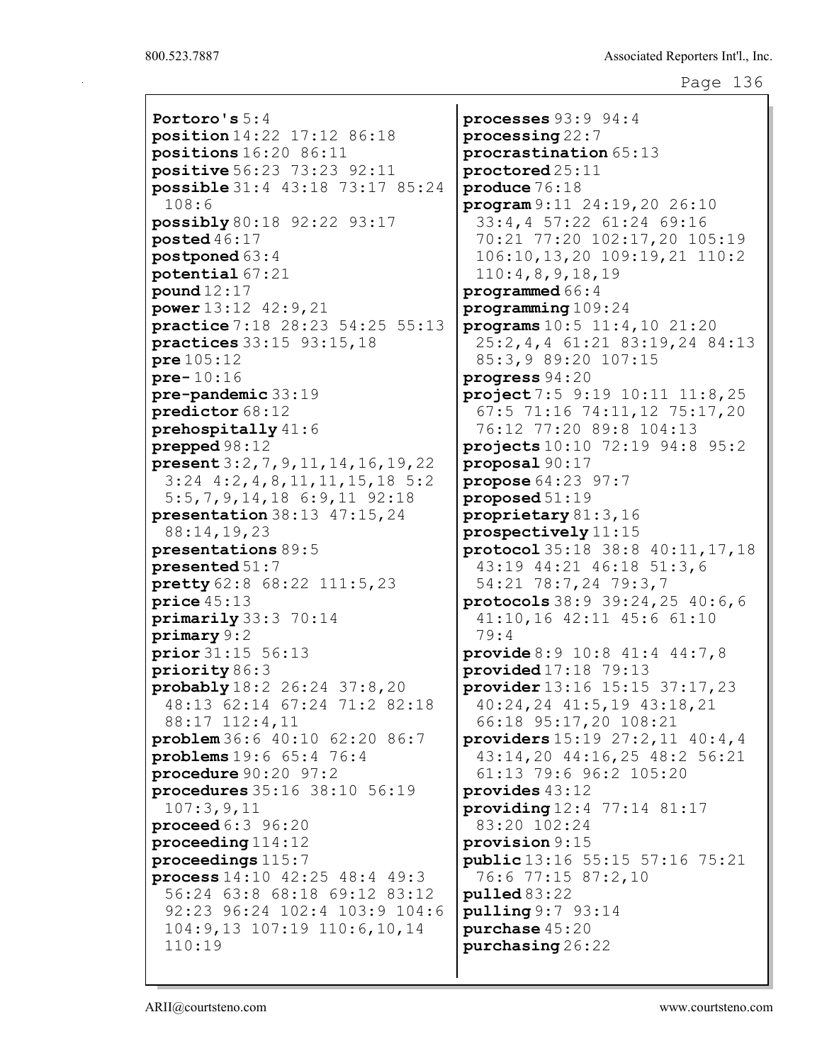Portoro's 5:4 position 14:22 17:12 86:18 positions 16:20 86:11 positive 56:23 73:23 92:11 possible 31:4 43:18 73:17 85:24 108:6 possibly 80:18 92:22 93:17 posted 46:17 postponed 63:4 potential 67:21 pound 12:17 power 13:12 42:9,21 practice 7:18 28:23 54:25 55:13 practices 33:15 93:15,18 pre 105:12 pre- 10:16 pre-pandemic 33:19 predictor 68:12 prehospitally 41:6 prepped 98:12 present 3:2,7,9,11,14,16,19,22 3:24 4:2,4,8,11,11,15,18 5:2 5:5,7,9,14,18 6:9,11 92:18 presentation 38:13 47:15,24 88:14,19,23 presentations 89:5 presented 51:7 pretty 62:8 68:22 111:5,23 price 45:13 primarily 33:3 70:14 primary 9:2 prior 31:15 56:13 priority 86:3 probably 18:2 26:24 37:8,20 48:13 62:14 67:24 71:2 82:18 88:17 112:4,11 problem 36:6 40:10 62:20 86:7 problems 19:6 65:4 76:4 procedure 90:20 97:2 procedures 35:16 38:10 56:19 107:3,9,11 proceed 6:3 96:20 proceeding 114:12 proceedings 115:7 process 14:10 42:25 48:4 49:3 56:24 63:8 68:18 69:12 83:12 92:23 96:24 102:4 103:9 104:6 104:9,13 107:19 110:6,10,14 110:19

processes 93:9 94:4 processing 22:7 procrastination 65:13 proctored 25:11 produce 76:18 program 9:11 24:19,20 26:10 33:4,4 57:22 61:24 69:16 70:21 77:20 102:17,20 105:19 106:10,13,20 109:19,21 110:2 110:4,8,9,18,19 programmed 66:4 programming 109:24 programs 10:5 11:4,10 21:20 25:2,4,4 61:21 83:19,24 84:13 85:3,9 89:20 107:15 progress 94:20 project 7:5 9:19 10:11 11:8,25 67:5 71:16 74:11,12 75:17,20 76:12 77:20 89:8 104:13 projects 10:10 72:19 94:8 95:2 proposal 90:17 propose 64:23 97:7 proposed 51:19 proprietary 81:3,16 prospectively 11:15 protocol 35:18 38:8 40:11,17,18 43:19 44:21 46:18 51:3,6 54:21 78:7,24 79:3,7 protocols 38:9 39:24,25 40:6,6 41:10,16 42:11 45:6 61:10 79:4 provide 8:9 10:8 41:4 44:7,8 provided 17:18 79:13 provider 13:16 15:15 37:17,23 40:24,24 41:5,19 43:18,21 66:18 95:17,20 108:21 providers 15:19 27:2,11 40:4,4 43:14,20 44:16,25 48:2 56:21 61:13 79:6 96:2 105:20 provides 43:12 providing 12:4 77:14 81:17 83:20 102:24 provision 9:15 public 13:16 55:15 57:16 75:21 76:6 77:15 87:2,10 pulled 83:22 pulling 9:7 93:14 purchase 45:20 purchasing 26:22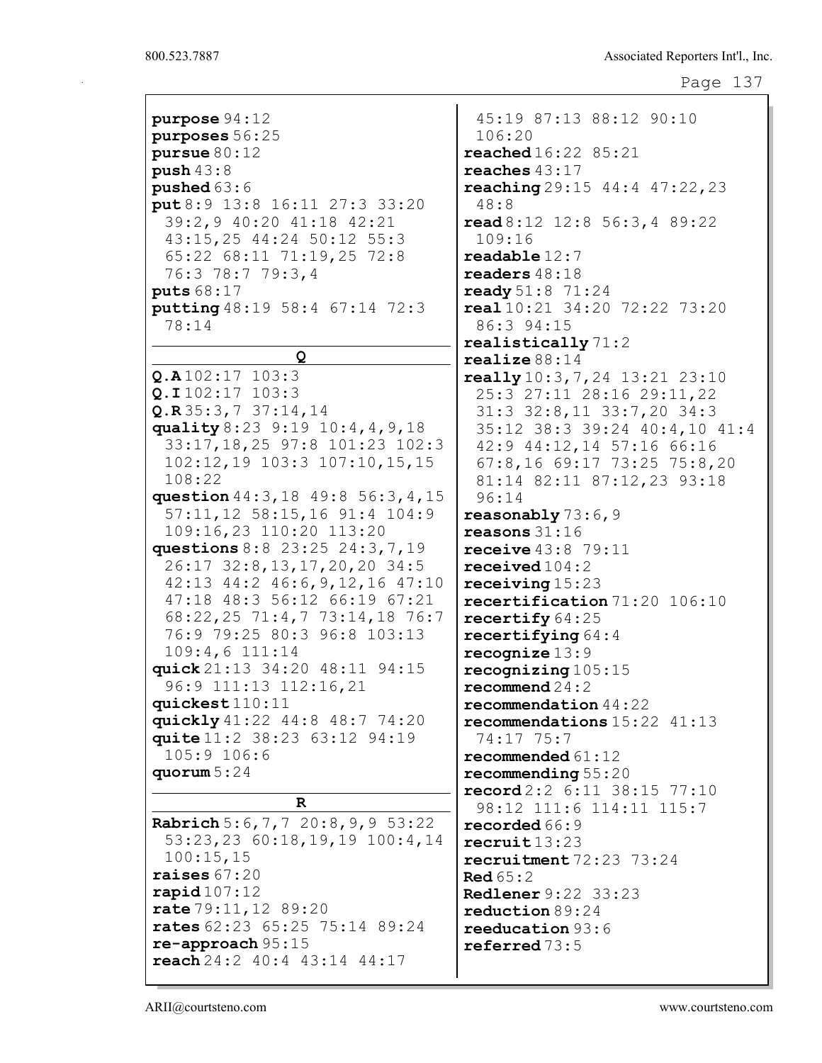```
Page 137
```
purpose 94:12 purposes 56:25 pursue 80:12 push 43:8 pushed 63:6 put 8:9 13:8 16:11 27:3 33:20 39:2,9 40:20 41:18 42:21 43:15,25 44:24 50:12 55:3 65:22 68:11 71:19,25 72:8 76:3 78:7 79:3,4 puts 68:17 putting 48:19 58:4 67:14 72:3 78:14  $\overline{O}$ Q.A 102:17 103:3 Q.I 102:17 103:3 Q.R 35:3,7 37:14,14 quality 8:23 9:19 10:4,4,9,18 33:17,18,25 97:8 101:23 102:3 102:12,19 103:3 107:10,15,15 108:22 question 44:3,18 49:8 56:3,4,15 57:11,12 58:15,16 91:4 104:9 109:16,23 110:20 113:20 questions 8:8 23:25 24:3,7,19 26:17 32:8,13,17,20,20 34:5 42:13 44:2 46:6,9,12,16 47:10 47:18 48:3 56:12 66:19 67:21 68:22,25 71:4,7 73:14,18 76:7 76:9 79:25 80:3 96:8 103:13 109:4,6 111:14 quick 21:13 34:20 48:11 94:15 96:9 111:13 112:16,21 quickest 110:11 quickly 41:22 44:8 48:7 74:20 quite 11:2 38:23 63:12 94:19 105:9 106:6 quorum 5:24 R Rabrich 5:6,7,7 20:8,9,9 53:22 53:23,23 60:18,19,19 100:4,14 100:15,15 raises 67:20 rapid 107:12 rate 79:11,12 89:20 rates 62:23 65:25 75:14 89:24 re-approach 95:15 reach 24:2 40:4 43:14 44:17

45:19 87:13 88:12 90:10 106:20 reached 16:22 85:21 reaches 43:17 reaching 29:15 44:4 47:22,23 48:8 read 8:12 12:8 56:3,4 89:22 109:16 readable 12:7 readers 48:18 ready 51:8 71:24 real 10:21 34:20 72:22 73:20 86:3 94:15 realistically 71:2 realize 88:14 really 10:3,7,24 13:21 23:10 25:3 27:11 28:16 29:11,22 31:3 32:8,11 33:7,20 34:3 35:12 38:3 39:24 40:4,10 41:4 42:9 44:12,14 57:16 66:16 67:8,16 69:17 73:25 75:8,20 81:14 82:11 87:12,23 93:18 96:14 reasonably 73:6, 9 reasons 31:16 receive 43:8 79:11 received 104:2 receiving 15:23 recertification 71:20 106:10 recertify 64:25 recertifying 64:4 recognize 13:9 recognizing 105:15 recommend 24:2 recommendation 44:22 recommendations 15:22 41:13 74:17 75:7 recommended 61:12 recommending 55:20 record 2:2 6:11 38:15 77:10 98:12 111:6 114:11 115:7 recorded 66:9 recruit 13:23 recruitment 72:23 73:24 Red 65:2 Redlener 9:22 33:23 reduction 89:24 reeducation 93:6 referred 73:5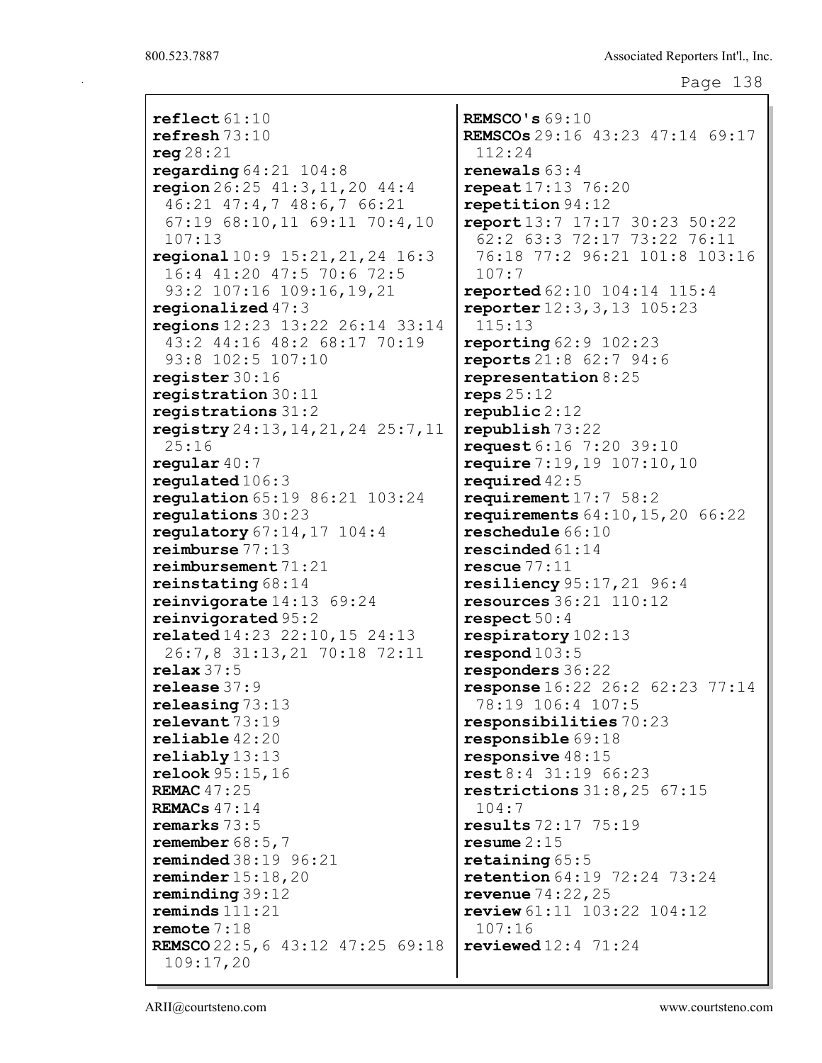reflect 61:10 refresh 73:10 reg 28:21 regarding  $64:21$   $104:8$ region 26:25 41:3,11,20 44:4 46:21 47:4,7 48:6,7 66:21 67:19 68:10,11 69:11 70:4,10 107:13 regional 10:9 15:21,21,24 16:3 16:4 41:20 47:5 70:6 72:5 93:2 107:16 109:16,19,21 regionalized 47:3 regions 12:23 13:22 26:14 33:14 43:2 44:16 48:2 68:17 70:19 93:8 102:5 107:10 register 30:16 registration 30:11 registrations 31:2 registry 24:13,14,21,24 25:7,11 25:16 regular 40:7 regulated 106:3 regulation 65:19 86:21 103:24 regulations 30:23 regulatory 67:14,17 104:4 reimburse 77:13 reimbursement 71:21 reinstating 68:14 reinvigorate  $14:13$  69:24 reinvigorated 95:2 related 14:23 22:10,15 24:13 26:7,8 31:13,21 70:18 72:11 relax  $37:5$ release 37:9 releasing 73:13 relevant 73:19 reliable 42:20 reliably 13:13 relook 95:15,16 REMAC 47:25 REMACs 47:14 remarks 73:5 remember 68:5,7 reminded 38:19 96:21 reminder 15:18,20 reminding 39:12 reminds 111:21 remote 7:18 REMSCO 22:5,6 43:12 47:25 69:18 109:17,20

REMSCO's 69:10 REMSCOs 29:16 43:23 47:14 69:17 112:24 renewals 63:4 repeat 17:13 76:20 repetition 94:12 report 13:7 17:17 30:23 50:22 62:2 63:3 72:17 73:22 76:11 76:18 77:2 96:21 101:8 103:16 107:7 reported 62:10 104:14 115:4 reporter 12:3,3,13 105:23 115:13 reporting  $62:9$   $102:23$ reports 21:8 62:7 94:6 representation 8:25 reps 25:12 republic 2:12 republish 73:22 request 6:16 7:20 39:10 require 7:19,19 107:10,10 required 42:5 requirement 17:7 58:2 requirements 64:10,15,20 66:22 reschedule 66:10 rescinded 61:14 rescue 77:11 resiliency 95:17,21 96:4 resources 36:21 110:12 respect 50:4 respiratory 102:13 respond 103:5 responders 36:22 response 16:22 26:2 62:23 77:14 78:19 106:4 107:5 responsibilities 70:23 responsible 69:18 responsive 48:15 rest 8:4 31:19 66:23 restrictions 31:8,25 67:15 104:7 results 72:17 75:19 resume 2:15 retaining 65:5 retention 64:19 72:24 73:24 revenue 74:22,25 review 61:11 103:22 104:12 107:16 reviewed  $12:4$   $71:24$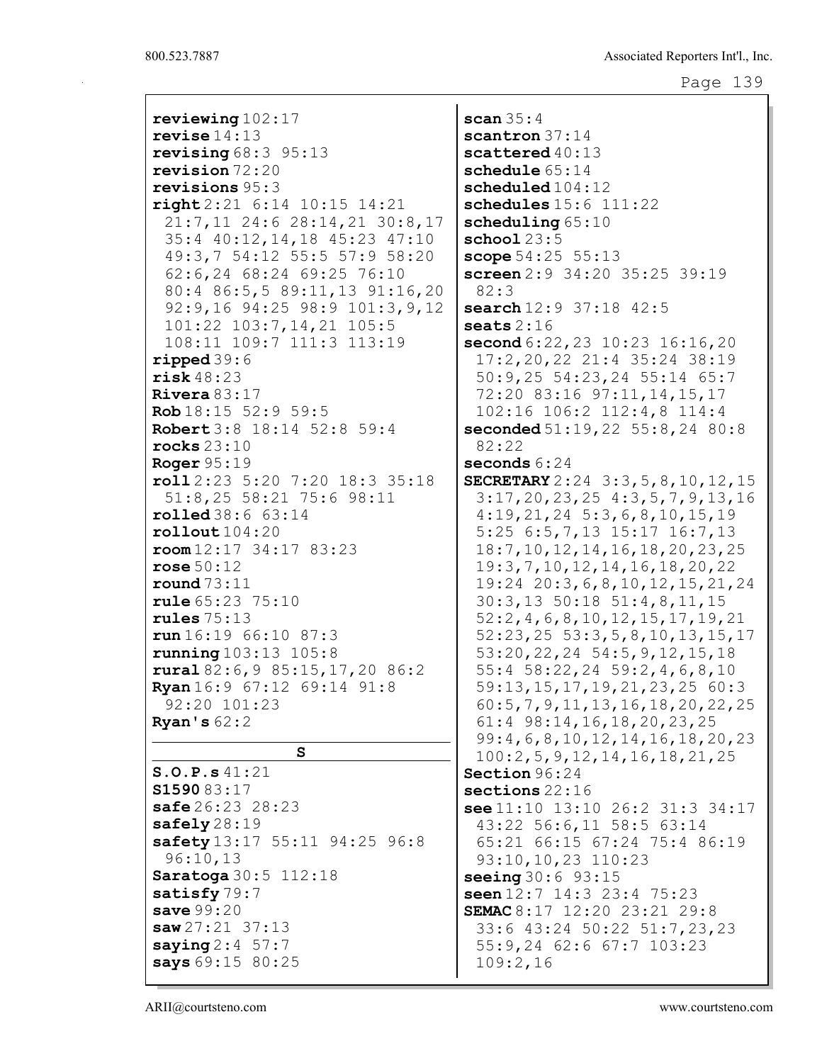```
Page 139
```

| reviewing102:17                              | scan $35:4$                                       |
|----------------------------------------------|---------------------------------------------------|
| revise 14:13                                 | scantron $37:14$                                  |
| revising 68:3 95:13                          | scattered $40:13$                                 |
| $revision$ $72:20$                           | schedule $65:14$                                  |
| revisions $95:3$                             |                                                   |
|                                              | scheduled 104:12                                  |
| right 2:21 6:14 10:15 14:21                  | schedules $15:6$ $111:22$                         |
| 21:7,11 24:6 28:14,21 30:8,17                | scheduling $65:10$                                |
| 35:4 40:12, 14, 18 45:23 47:10               | $\texttt{school} 23:5$                            |
| 49:3,7 54:12 55:5 57:9 58:20                 | scope $54:25$ $55:13$                             |
| 62:6,24 68:24 69:25 76:10                    | screen 2:9 34:20 35:25 39:19                      |
| 80:4 86:5,5 89:11,13 91:16,20                | 82:3                                              |
| 92:9,16 94:25 98:9 101:3,9,12                | search 12:9 37:18 42:5                            |
|                                              |                                                   |
| 101:22 103:7,14,21 105:5                     | seats $2:16$                                      |
| 108:11 109:7 111:3 113:19                    | second 6:22, 23 10:23 16:16, 20                   |
| ripped 39:6                                  | 17:2, 20, 22 21:4 35:24 38:19                     |
| risk 48:23                                   | 50:9,25 54:23,24 55:14 65:7                       |
| <b>Rivera</b> 83:17                          | 72:20 83:16 97:11, 14, 15, 17                     |
| Rob $18:15$ 52:9 59:5                        | 102:16 106:2 112:4,8 114:4                        |
| Robert 3:8 18:14 52:8 59:4                   | seconded 51:19, 22 55:8, 24 80:8                  |
| rocks 23:10                                  | 82:22                                             |
| Roger $95:19$                                | seconds $6:24$                                    |
| roll2:23 5:20 7:20 18:3 35:18                | SECRETARY $2:24$ 3:3, 5, 8, 10, 12, 15            |
|                                              |                                                   |
| 51:8,25 58:21 75:6 98:11                     | $3:17, 20, 23, 25$ $4:3, 5, 7, 9, 13, 16$         |
| <b>rolled</b> 38:6 63:14                     | $4:19,21,24$ 5:3, 6, 8, 10, 15, 19                |
| $\texttt{rollout}$ 104:20                    | 5:25 6:5, 7, 13 15:17 16:7, 13                    |
| $\texttt{room12:17} \quad 34:17 \quad 83:23$ | 18: 7, 10, 12, 14, 16, 18, 20, 23, 25             |
| $\texttt{rose}~50:12$                        | 19:3, 7, 10, 12, 14, 16, 18, 20, 22               |
| round 73:11                                  | 19:24 20:3, 6, 8, 10, 12, 15, 21, 24              |
| rule 65:23 75:10                             | 30:3,13 50:18 51:4,8,11,15                        |
| rules $75:13$                                | 52:2, 4, 6, 8, 10, 12, 15, 17, 19, 21             |
| run16:1966:1087:3                            | $52:23, 25$ $53:3, 5, 8, 10, 13, 15, 17$          |
|                                              | 53:20, 22, 24 54:5, 9, 12, 15, 18                 |
| <b>running</b> 103:13 105:8                  |                                                   |
| runal 82:6, 9 85:15, 17, 20 86:2             | 55:4 58:22, 24 59:2, 4, 6, 8, 10                  |
| <b>Ryan</b> 16:9 67:12 69:14 91:8            | 59:13, 15, 17, 19, 21, 23, 25 60:3                |
| 92:20 101:23                                 | 60: 5, 7, 9, 11, 13, 16, 18, 20, 22, 25           |
| <b>Ryan's</b> $62:2$                         | $61:4$ $98:14$ , $16$ , $18$ , $20$ , $23$ , $25$ |
|                                              | 99:4,6,8,10,12,14,16,18,20,23                     |
| $\mathbf{s}$                                 | 100:2, 5, 9, 12, 14, 16, 18, 21, 25               |
| S.O.P.s 41:21                                | Section 96:24                                     |
| \$159083:17                                  | sections $22:16$                                  |
| safe 26:23 28:23                             | see 11:10 13:10 26:2 31:3 34:17                   |
| safely $28:19$                               | 43:22 56:6,11 58:5 63:14                          |
| safety 13:17 55:11 94:25 96:8                |                                                   |
|                                              | 65:21 66:15 67:24 75:4 86:19                      |
| 96:10,13                                     | 93:10,10,23 110:23                                |
| Saratoga 30:5 112:18                         | seeing $30:6$ 93:15                               |
| satisfy 79:7                                 | seen 12:7 14:3 23:4 75:23                         |
| save 99:20                                   | SEMAC 8:17 12:20 23:21 29:8                       |
| saw27:2137:13                                | 33:6 43:24 50:22 51:7,23,23                       |
| saying 2:4 57:7                              | 55:9,24 62:6 67:7 103:23                          |
| says 69:15 80:25                             | 109:2,16                                          |
|                                              |                                                   |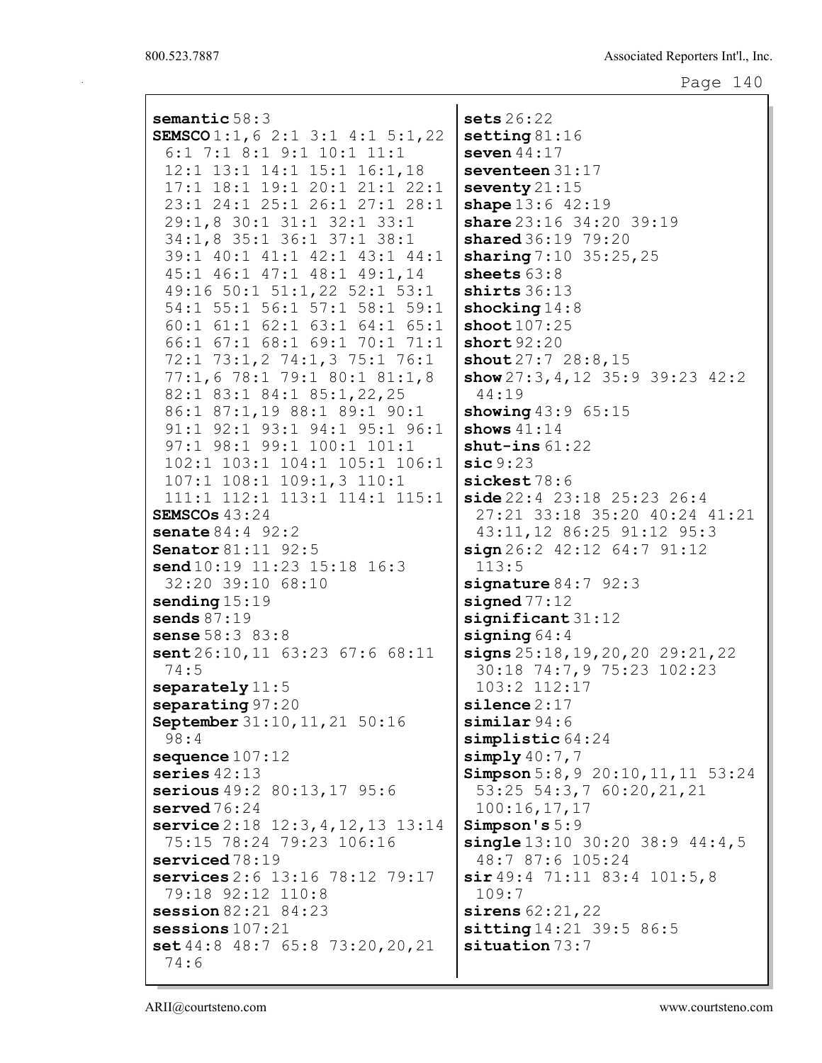```
Page 140
```

| semantic $58:3$                        | sets $26:22$                           |
|----------------------------------------|----------------------------------------|
| SEMSCO $1:1, 6$ 2:1 3:1 4:1 5:1, 22    | setting $81:16$                        |
| 6:1 7:1 8:1 9:1 10:1 11:1              | seven $44:17$                          |
| 12:1 13:1 14:1 15:1 16:1,18            | seventeen $31:17$                      |
| 17:1 18:1 19:1 20:1 21:1 22:1          |                                        |
|                                        | seventy $21:15$                        |
| 23:1 24:1 25:1 26:1 27:1 28:1          | shape $13:6$ $42:19$                   |
| 29:1,8 30:1 31:1 32:1 33:1             | share 23:16 34:20 39:19                |
| 34:1,8 35:1 36:1 37:1 38:1             | shared 36:19 79:20                     |
| 39:1 40:1 41:1 42:1 43:1 44:1          | sharing $7:10$ 35:25,25                |
| 45:1 46:1 47:1 48:1 49:1,14            | sheets $63:8$                          |
| 49:16 50:1 51:1,22 52:1 53:1           | shirts $36:13$                         |
| 54:1 55:1 56:1 57:1 58:1 59:1          | shocking $14:8$                        |
| 60:1 61:1 62:1 63:1 64:1 65:1          | shoot $107:25$                         |
| 66:1 67:1 68:1 69:1 70:1 71:1          | short $92:20$                          |
| 72:1 73:1,2 74:1,3 75:1 76:1           | shout $27:728:8,15$                    |
| 77:1,6 78:1 79:1 80:1 81:1,8           | show $27:3, 4, 12$ 35:9 39:23 42:2     |
| 82:1 83:1 84:1 85:1,22,25              | 44:19                                  |
| 86:1 87:1,19 88:1 89:1 90:1            | <b>showing</b> $43:9$ $65:15$          |
| 91:1 92:1 93:1 94:1 95:1 96:1          | shows $41:14$                          |
| 97:1 98:1 99:1 100:1 101:1             | shut-ins $61:22$                       |
| 102:1 103:1 104:1 105:1 106:1          | $\text{sic } 9:23$                     |
| 107:1 108:1 109:1,3 110:1              | sickst78:6                             |
| 111:1 112:1 113:1 114:1 115:1          | side $22:4$ $23:18$ $25:23$ $26:4$     |
| SEMSCOs $43:24$                        | 27:21 33:18 35:20 40:24 41:21          |
| <b>senate</b> $84:4$ 92:2              | 43:11,12 86:25 91:12 95:3              |
| <b>Senator 81:11 92:5</b>              | sign 26:2 42:12 64:7 91:12             |
| send 10:19 11:23 15:18 16:3            | 113:5                                  |
| 32:20 39:10 68:10                      | signature $84:7$ 92:3                  |
| sending $15:19$                        | signed $77:12$                         |
| sends $87:19$                          | $\texttt{significant}31:12$            |
| <b>sense</b> $58:383:8$                | signing $64:4$                         |
| $sent26:10, 11$ 63:23 67:6 68:11       | signs $25:18, 19, 20, 20, 29:21, 22$   |
| 74:5                                   | 30:18 74:7,9 75:23 102:23              |
| separately $11:5$                      | 103:2 112:17                           |
| separating 97:20                       | $\texttt{silence} 2:17$                |
| September 31:10, 11, 21 50:16          | $s$ imilar 94:6                        |
| 98:4                                   | simplistic 64:24                       |
| sequence $107:12$                      | simply $40:7,7$                        |
| series $42:13$                         | Simpson $5:8,9$ 20:10, 11, 11 53:24    |
| <b>serious</b> 49:2 80:13, 17 95:6     | 53:25 54:3,7 60:20,21,21               |
| served $76:24$                         | 100:16,17,17                           |
| service $2:18$ 12:3, 4, 12, 13 13:14   | Simpson's 5:9                          |
| 75:15 78:24 79:23 106:16               | single $13:10$ $30:20$ $38:9$ $44:4,5$ |
| served78:19                            | 48:7 87:6 105:24                       |
| services 2:6 13:16 78:12 79:17         | $\sin 49:4$ 71:11 83:4 101:5,8         |
| 79:18 92:12 110:8                      | 109:7                                  |
| sension 82:21 84:23                    | sirens $62:21,22$                      |
| sessions $107:21$                      | sitting 14:21 39:5 86:5                |
| set $44:8$ $48:7$ $65:8$ $73:20,20,21$ | situation 73:7                         |
| 74:6                                   |                                        |

ARII@courtsteno.com www.courtsteno.com

I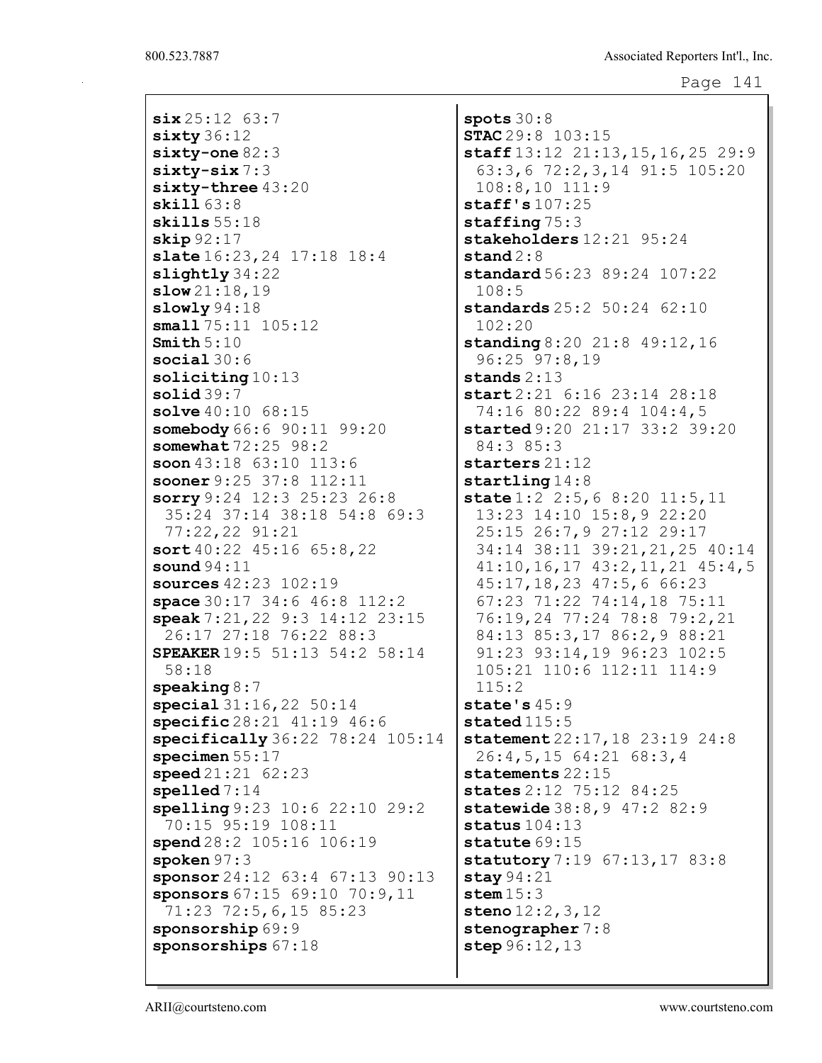six 25:12 63:7 sixty 36:12 sixty-one 82:3 sixty-six 7:3 sixty-three 43:20 skill 63:8 skills 55:18 skip 92:17 slate 16:23,24 17:18 18:4 slightly 34:22 slow 21:18,19 slowly 94:18 small 75:11 105:12  $Smith 5:10$ social 30:6 soliciting 10:13 solid 39:7 solve  $40:10$  68:15 somebody 66:6 90:11 99:20 somewhat 72:25 98:2 soon 43:18 63:10 113:6 sooner 9:25 37:8 112:11 sorry 9:24 12:3 25:23 26:8 35:24 37:14 38:18 54:8 69:3 77:22,22 91:21 sort 40:22 45:16 65:8,22 sound 94:11 sources 42:23 102:19 space 30:17 34:6 46:8 112:2 speak 7:21,22 9:3 14:12 23:15 26:17 27:18 76:22 88:3 SPEAKER 19:5 51:13 54:2 58:14 58:18 speaking 8:7 special 31:16,22 50:14 specific 28:21 41:19 46:6 specifically 36:22 78:24 105:14 specimen 55:17 speed 21:21 62:23 spelled 7:14 spelling 9:23 10:6 22:10 29:2 70:15 95:19 108:11 spend 28:2 105:16 106:19 spoken 97:3 sponsor 24:12 63:4 67:13 90:13 sponsors 67:15 69:10 70:9,11 71:23 72:5,6,15 85:23 sponsorship  $69:9$ sponsorships  $67:18$ 

spots 30:8 STAC 29:8 103:15 staff 13:12 21:13,15,16,25 29:9 63:3,6 72:2,3,14 91:5 105:20 108:8,10 111:9 staff's 107:25 staffing 75:3 stakeholders 12:21 95:24 stand 2:8 standard 56:23 89:24 107:22 108:5 standards 25:2 50:24 62:10 102:20 standing 8:20 21:8 49:12,16 96:25 97:8,19 stands 2:13 start 2:21 6:16 23:14 28:18 74:16 80:22 89:4 104:4,5 started 9:20 21:17 33:2 39:20 84:3 85:3 starters 21:12 startling  $14:8$ state 1:2 2:5, 6 8:20 11:5, 11 13:23 14:10 15:8,9 22:20 25:15 26:7,9 27:12 29:17 34:14 38:11 39:21,21,25 40:14 41:10,16,17 43:2,11,21 45:4,5 45:17,18,23 47:5,6 66:23 67:23 71:22 74:14,18 75:11 76:19,24 77:24 78:8 79:2,21 84:13 85:3,17 86:2,9 88:21 91:23 93:14,19 96:23 102:5 105:21 110:6 112:11 114:9 115:2 state's  $45:9$ stated 115:5 statement 22:17,18 23:19 24:8 26:4,5,15 64:21 68:3,4 statements 22:15 states 2:12 75:12 84:25 statewide 38:8,9 47:2 82:9 status 104:13 statute 69:15 statutory 7:19 67:13, 17 83:8 stay 94:21 stem 15:3 steno 12:2,3,12 stenographer 7:8 step 96:12,13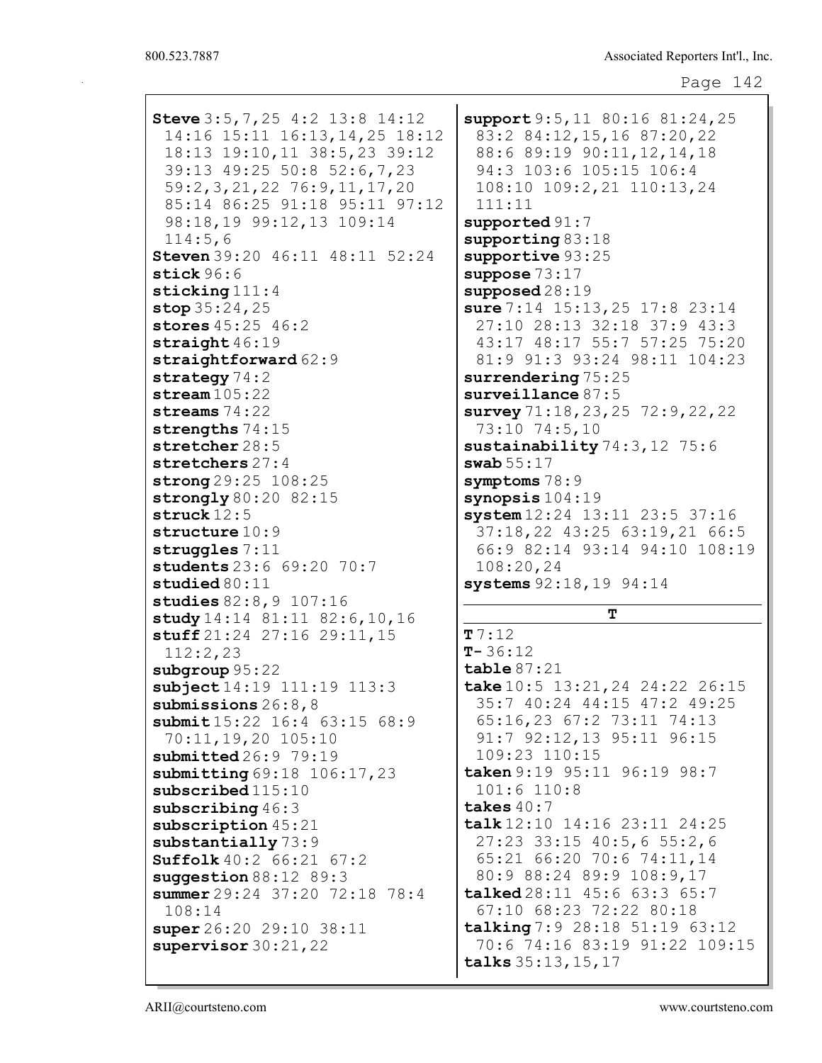```
Page 142
```
Steve 3:5,7,25 4:2 13:8 14:12 14:16 15:11 16:13,14,25 18:12 18:13 19:10,11 38:5,23 39:12 39:13 49:25 50:8 52:6,7,23 59:2,3,21,22 76:9,11,17,20 85:14 86:25 91:18 95:11 97:12 98:18,19 99:12,13 109:14 114:5,6 Steven 39:20 46:11 48:11 52:24 stick 96:6 sticking  $111:4$ stop  $35:24,25$ stores 45:25 46:2 straight  $46:19$ straightforward  $62:9$ strategy  $74:2$ stream 105:22 streams 74:22 strengths 74:15 stretcher 28:5 stretchers 27:4 strong 29:25 108:25 strongly 80:20 82:15 struck 12:5 structure  $10:9$ struggles  $7:11$ students 23:6 69:20 70:7 studied 80:11 studies 82:8, 9 107:16 study 14:14 81:11 82:6, 10, 16 stuff 21:24 27:16 29:11, 15 112:2,23 subgroup 95:22 subject 14:19 111:19 113:3 submissions 26:8,8 submit 15:22 16:4 63:15 68:9 70:11,19,20 105:10 submitted 26:9 79:19 submitting  $69:18$  106:17, 23 subscribed  $115:10$ subscribing  $46:3$ subscription 45:21 substantially 73:9 Suffolk 40:2 66:21 67:2 suggestion 88:12 89:3 summer 29:24 37:20 72:18 78:4 108:14 super 26:20 29:10 38:11 supervisor 30:21,22  $T7:12$ 

support 9:5, 11 80:16 81:24, 25 83:2 84:12,15,16 87:20,22 88:6 89:19 90:11,12,14,18 94:3 103:6 105:15 106:4 108:10 109:2,21 110:13,24 111:11 supported 91:7 supporting 83:18 supportive 93:25 suppose 73:17 supposed 28:19 sure 7:14 15:13,25 17:8 23:14 27:10 28:13 32:18 37:9 43:3 43:17 48:17 55:7 57:25 75:20 81:9 91:3 93:24 98:11 104:23 surrendering 75:25 surveillance 87:5 survey 71:18,23,25 72:9,22,22 73:10 74:5,10 sustainability 74:3,12 75:6 swab 55:17 symptoms 78:9 synopsis 104:19 system 12:24 13:11 23:5 37:16 37:18,22 43:25 63:19,21 66:5 66:9 82:14 93:14 94:10 108:19 108:20,24 systems 92:18,19 94:14 T

 $T - 36:12$ table 87:21 take 10:5 13:21,24 24:22 26:15 35:7 40:24 44:15 47:2 49:25 65:16,23 67:2 73:11 74:13 91:7 92:12,13 95:11 96:15 109:23 110:15 taken 9:19 95:11 96:19 98:7 101:6 110:8 takes  $40:7$ talk 12:10 14:16 23:11 24:25 27:23 33:15 40:5,6 55:2,6 65:21 66:20 70:6 74:11,14 80:9 88:24 89:9 108:9,17 talked 28:11 45:6 63:3 65:7 67:10 68:23 72:22 80:18 talking 7:9 28:18 51:19 63:12 70:6 74:16 83:19 91:22 109:15 talks 35:13,15,17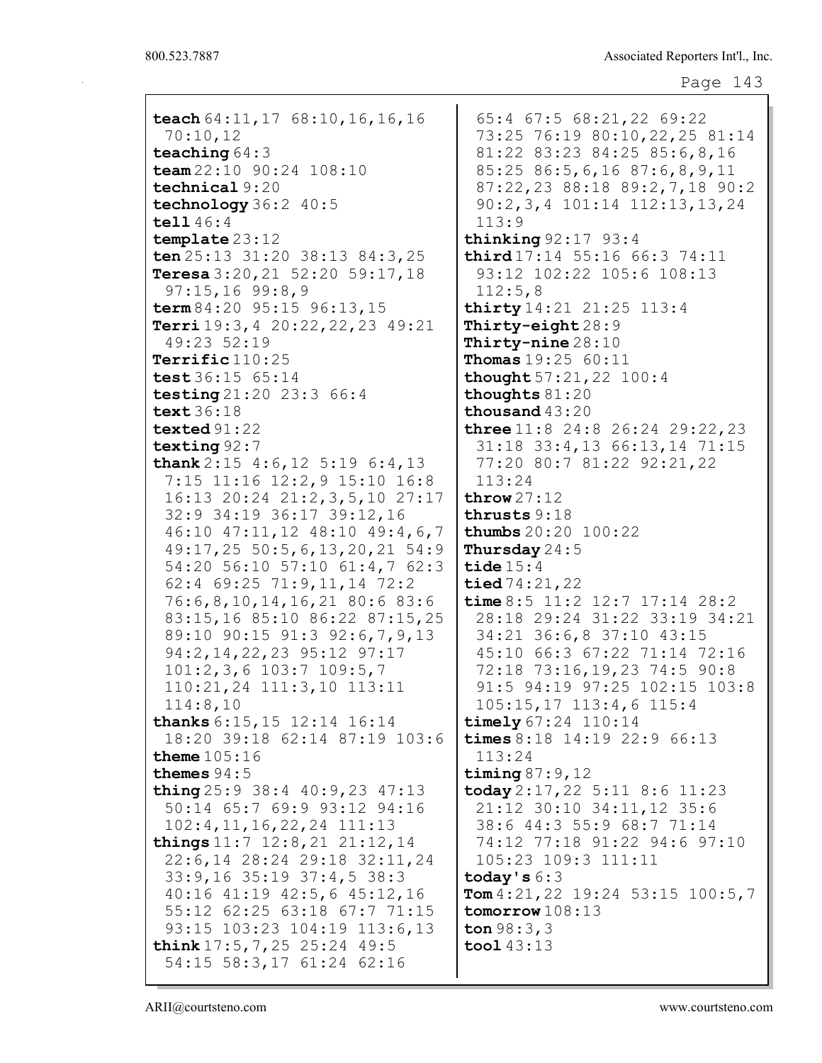teach 64:11,17 68:10,16,16,16 70:10,12 teaching 64:3 team 22:10 90:24 108:10 technical 9:20 technology 36:2 40:5 tell 46:4 template 23:12 ten 25:13 31:20 38:13 84:3,25 Teresa 3:20,21 52:20 59:17,18 97:15,16 99:8,9 term 84:20 95:15 96:13,15 Terri 19:3, 4 20:22, 22, 23 49:21 49:23 52:19 Terrific 110:25 test 36:15 65:14 testing 21:20 23:3 66:4 text 36:18 texted 91:22 texting 92:7 thank  $2:15$  4:6, 12 5:19 6:4, 13 7:15 11:16 12:2,9 15:10 16:8 16:13 20:24 21:2,3,5,10 27:17 32:9 34:19 36:17 39:12,16 46:10 47:11,12 48:10 49:4,6,7 49:17,25 50:5,6,13,20,21 54:9 54:20 56:10 57:10 61:4,7 62:3 62:4 69:25 71:9,11,14 72:2 76:6,8,10,14,16,21 80:6 83:6 83:15,16 85:10 86:22 87:15,25 89:10 90:15 91:3 92:6,7,9,13 94:2,14,22,23 95:12 97:17 101:2,3,6 103:7 109:5,7 110:21,24 111:3,10 113:11 114:8,10 thanks 6:15,15 12:14 16:14 18:20 39:18 62:14 87:19 103:6 theme 105:16 themes 94:5 thing 25:9 38:4 40:9,23 47:13 50:14 65:7 69:9 93:12 94:16 102:4,11,16,22,24 111:13 things 11:7 12:8,21 21:12,14 22:6,14 28:24 29:18 32:11,24 33:9,16 35:19 37:4,5 38:3 40:16 41:19 42:5,6 45:12,16 55:12 62:25 63:18 67:7 71:15 93:15 103:23 104:19 113:6,13 think 17:5,7,25 25:24 49:5 54:15 58:3,17 61:24 62:16 113:9 113:24 113:24

65:4 67:5 68:21,22 69:22 73:25 76:19 80:10,22,25 81:14 81:22 83:23 84:25 85:6,8,16 85:25 86:5,6,16 87:6,8,9,11 87:22,23 88:18 89:2,7,18 90:2 90:2,3,4 101:14 112:13,13,24 thinking 92:17 93:4 third 17:14 55:16 66:3 74:11 93:12 102:22 105:6 108:13 112:5,8 thirty 14:21 21:25 113:4 Thirty-eight 28:9 Thirty-nine 28:10 Thomas 19:25 60:11 thought 57:21,22 100:4 thoughts 81:20 thousand 43:20 three 11:8 24:8 26:24 29:22,23 31:18 33:4,13 66:13,14 71:15 77:20 80:7 81:22 92:21,22 throw  $27:12$ thrusts 9:18 thumbs 20:20 100:22 Thursday 24:5 tide  $15:4$ tied 74:21,22 time 8:5 11:2 12:7 17:14 28:2 28:18 29:24 31:22 33:19 34:21 34:21 36:6,8 37:10 43:15 45:10 66:3 67:22 71:14 72:16 72:18 73:16,19,23 74:5 90:8 91:5 94:19 97:25 102:15 103:8 105:15,17 113:4,6 115:4 timely 67:24 110:14 times 8:18 14:19 22:9 66:13 timing 87:9,12 today 2:17,22 5:11 8:6 11:23 21:12 30:10 34:11,12 35:6 38:6 44:3 55:9 68:7 71:14 74:12 77:18 91:22 94:6 97:10 105:23 109:3 111:11 today's 6:3  $\texttt{Tom} \, 4:21,22 \, 19:24 \, 53:15 \, 100:5,7$ tomorrow  $108:13$ ton 98:3,3 tool 43:13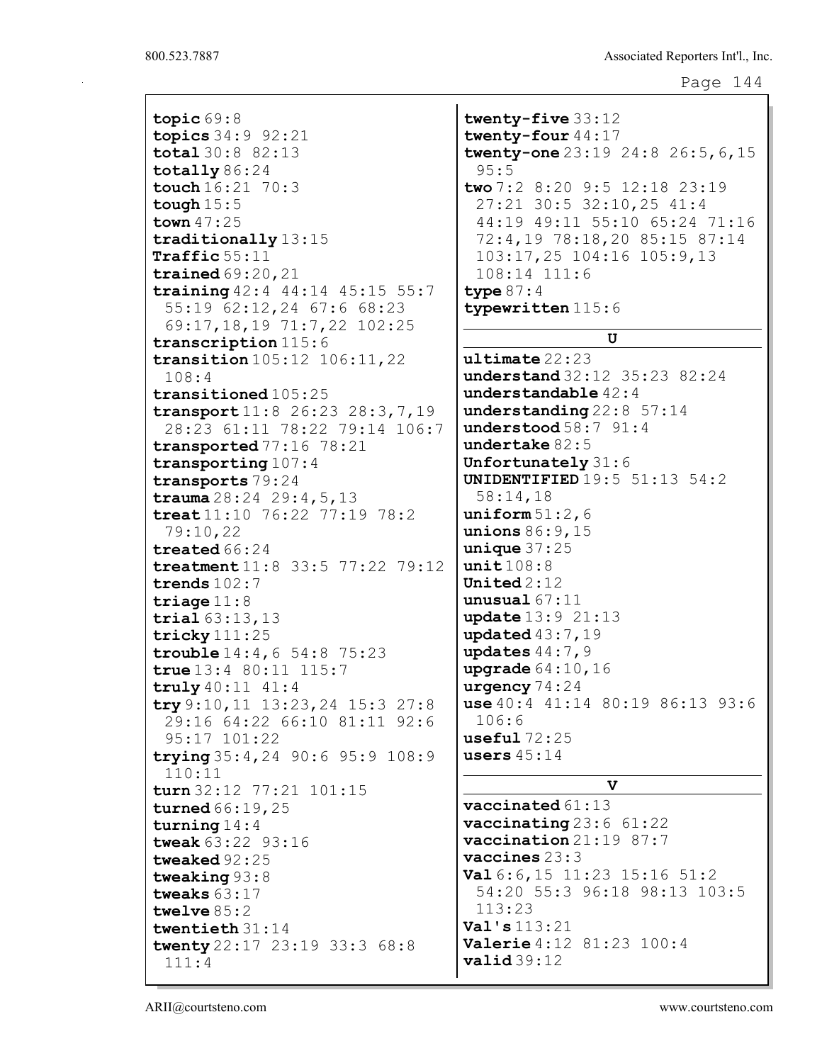```
Page 144
```
topic 69:8 topics 34:9 92:21 total 30:8 82:13 totally 86:24 touch 16:21 70:3 tough  $15:5$ town 47:25 traditionally 13:15 Traffic 55:11 trained 69:20,21 training 42:4 44:14 45:15 55:7 55:19 62:12,24 67:6 68:23 69:17,18,19 71:7,22 102:25 transcription 115:6 transition 105:12 106:11,22 108:4 transitioned 105:25 transport 11:8 26:23 28:3,7,19 28:23 61:11 78:22 79:14 106:7 transported 77:16 78:21 transporting 107:4 transports 79:24 trauma 28:24 29:4,5,13 treat 11:10 76:22 77:19 78:2 79:10,22 treated 66:24 treatment 11:8 33:5 77:22 79:12 trends 102:7 triage 11:8 trial 63:13,13 tricky 111:25 trouble 14:4,6 54:8 75:23 true 13:4 80:11 115:7 truly 40:11 41:4 try 9:10,11 13:23,24 15:3 27:8 29:16 64:22 66:10 81:11 92:6 95:17 101:22 trying 35:4,24 90:6 95:9 108:9 110:11  $turn 32:12 77:21 101:15$ turned 66:19,25 turning 14:4 tweak 63:22 93:16 tweaked 92:25 tweaking 93:8 tweaks 63:17 twelve 85:2 twentieth 31:14 twenty 22:17 23:19 33:3 68:8 111:4

```
twenty-five 33:12
twenty-four 44:17
twenty-one 23:19 24:8 26:5,6,15
 95:5
two 7:2 8:20 9:5 12:18 23:19
 27:21 30:5 32:10,25 41:4
 44:19 49:11 55:10 65:24 71:16
 72:4,19 78:18,20 85:15 87:14
 103:17,25 104:16 105:9,13
 108:14 111:6
type 87:4
typewritten 115:6
               U
ultime 22:23understand 32:12 35:23 82:24
understandable 42:4
understanding 22:8 57:14
understood 58:7 91:4
undertake 82:5
Unfortunately 31:6
UNIDENTIFIED 19:5 51:13 54:2
 58:14,18
uniform 51:2.6unions 86:9,15
unique 37:25unit 108:8
United 2:12unusual 67:11
update 13:9 21:13
updated 43:7,19
updates 44:7,9upgrade 64:10,16urgency 74:24
use 40:4 41:14 80:19 86:13 93:6
 106:6
useful 72:25users 45:14\mathbf{v}vaccinated 61:13
vaccinating 23:6 61:22
vaccination 21:19 87:7
vaccines 23:3
Val 6:6,15 11:23 15:16 51:2
 54:20 55:3 96:18 98:13 103:5
```
Val's 113:21 Valerie 4:12 81:23 100:4 valid 39:12

113:23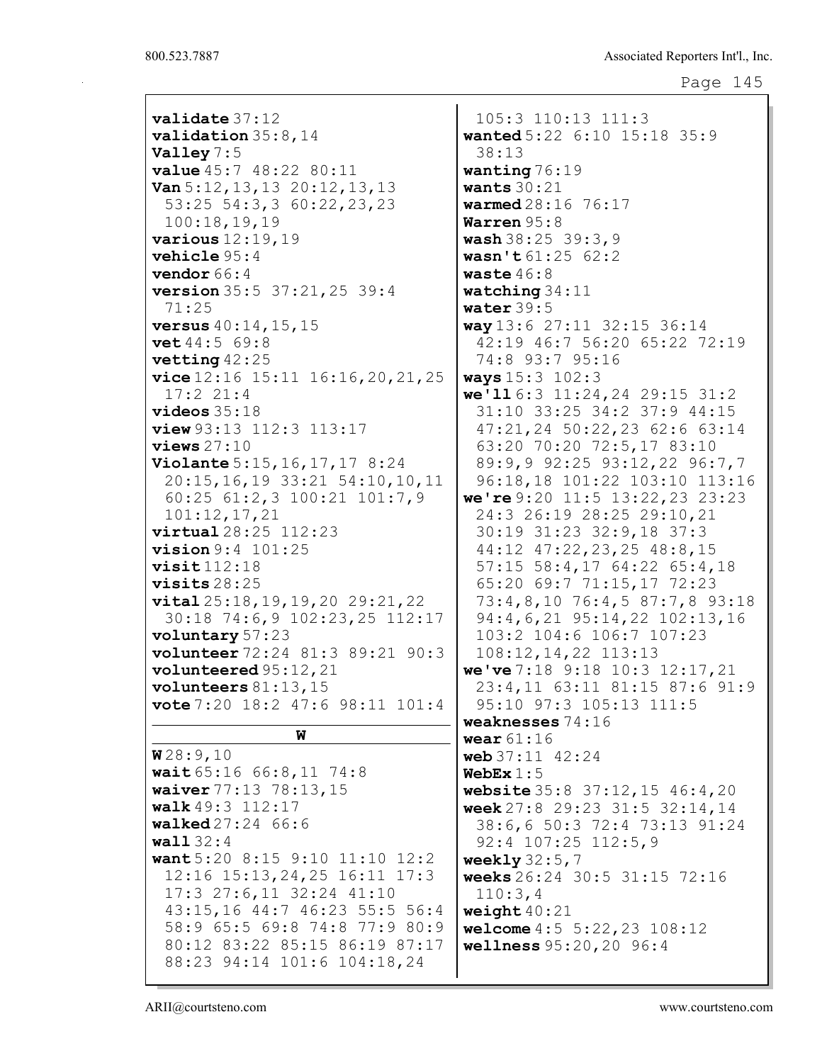| <b>validate</b> 37:12          |  |                                      |  |  |  |
|--------------------------------|--|--------------------------------------|--|--|--|
| $validation 35:8,14$           |  |                                      |  |  |  |
| Valley 7:5                     |  |                                      |  |  |  |
| value 45:7 48:22 80:11         |  |                                      |  |  |  |
| Van 5:12, 13, 13 20:12, 13, 13 |  |                                      |  |  |  |
| 53:25 54:3,3 60:22,23,23       |  |                                      |  |  |  |
| 100:18, 19, 19                 |  |                                      |  |  |  |
| various $12:19,19$             |  |                                      |  |  |  |
| vehicle 95:4                   |  |                                      |  |  |  |
| vendor 66:4                    |  |                                      |  |  |  |
| version 35:5 37:21, 25 39:4    |  |                                      |  |  |  |
| 71:25                          |  |                                      |  |  |  |
| versus 40:14, 15, 15           |  |                                      |  |  |  |
| vet 44:5 69:8                  |  |                                      |  |  |  |
| vetting $42:25$                |  |                                      |  |  |  |
|                                |  | vice $12:16$ 15:11 16:16, 20, 21, 25 |  |  |  |
| 17:221:4                       |  |                                      |  |  |  |
| videos 35:18                   |  |                                      |  |  |  |
| view 93:13 112:3 113:17        |  |                                      |  |  |  |
| views $27:10$                  |  |                                      |  |  |  |
| Violante 5:15, 16, 17, 17 8:24 |  |                                      |  |  |  |
|                                |  | 20:15, 16, 19 33: 21 54: 10, 10, 11  |  |  |  |
|                                |  | 60:25 61:2,3 100:21 101:7,9          |  |  |  |
| 101:12,17,21                   |  |                                      |  |  |  |
| virtual 28:25 112:23           |  |                                      |  |  |  |
| <b>vision</b> 9:4 101:25       |  |                                      |  |  |  |
| visit112:18                    |  |                                      |  |  |  |
| visits $28:25$                 |  |                                      |  |  |  |
|                                |  | vital 25:18, 19, 19, 20 29:21, 22    |  |  |  |
|                                |  | 30:18 74:6, 9 102:23, 25 112:17      |  |  |  |
| voluntary 57:23                |  |                                      |  |  |  |
|                                |  | volunteer 72:24 81:3 89:21 90:3      |  |  |  |
| volunteered 95:12, 21          |  |                                      |  |  |  |
| volunteers $81:13,15$          |  |                                      |  |  |  |
|                                |  | vote 7:20 18:2 47:6 98:11 101:4      |  |  |  |
|                                |  |                                      |  |  |  |
| W                              |  |                                      |  |  |  |
| W28:9,10                       |  |                                      |  |  |  |
| wait $65:16$ $66:8,11$ $74:8$  |  |                                      |  |  |  |
| waiver 77:13 78:13,15          |  |                                      |  |  |  |
| walk 49:3 112:17               |  |                                      |  |  |  |
| walked 27:24 66:6              |  |                                      |  |  |  |
| wall 32:4                      |  |                                      |  |  |  |
|                                |  | want 5:20 8:15 9:10 11:10 12:2       |  |  |  |
|                                |  | 12:16 15:13, 24, 25 16:11 17:3       |  |  |  |
| 17:3 27:6,11 32:24 41:10       |  |                                      |  |  |  |
|                                |  | 43:15,16 44:7 46:23 55:5 56:4        |  |  |  |
|                                |  | 58:9 65:5 69:8 74:8 77:9 80:9        |  |  |  |
|                                |  | 80:12 83:22 85:15 86:19 87:17        |  |  |  |
|                                |  | 88:23 94:14 101:6 104:18,24          |  |  |  |

105:3 110:13 111:3 wanted 5:22 6:10 15:18 35:9 38:13 wanting 76:19 wants 30:21 warmed 28:16 76:17 Warren 95:8 wash 38:25 39:3,9 wasn't 61:25 62:2 waste 46:8 watching 34:11 water 39:5 way 13:6 27:11 32:15 36:14 42:19 46:7 56:20 65:22 72:19 74:8 93:7 95:16 ways 15:3 102:3 we'll 6:3 11:24,24 29:15 31:2 31:10 33:25 34:2 37:9 44:15 47:21,24 50:22,23 62:6 63:14 63:20 70:20 72:5,17 83:10 89:9,9 92:25 93:12,22 96:7,7 96:18,18 101:22 103:10 113:16 we're 9:20 11:5 13:22,23 23:23 24:3 26:19 28:25 29:10,21 30:19 31:23 32:9,18 37:3 44:12 47:22,23,25 48:8,15 57:15 58:4,17 64:22 65:4,18 65:20 69:7 71:15,17 72:23 73:4,8,10 76:4,5 87:7,8 93:18 94:4,6,21 95:14,22 102:13,16 103:2 104:6 106:7 107:23 108:12,14,22 113:13 we've 7:18 9:18 10:3 12:17,21 23:4,11 63:11 81:15 87:6 91:9 95:10 97:3 105:13 111:5 weaknesses 74:16 wear 61:16 web 37:11 42:24 WebEx  $1:5$ website 35:8 37:12, 15 46:4, 20 week 27:8 29:23 31:5 32:14,14 38:6,6 50:3 72:4 73:13 91:24 92:4 107:25 112:5,9 weekly 32:5,7 weeks 26:24 30:5 31:15 72:16 110:3,4 weight 40:21 welcome 4:5 5:22,23 108:12 wellness 95:20,20 96:4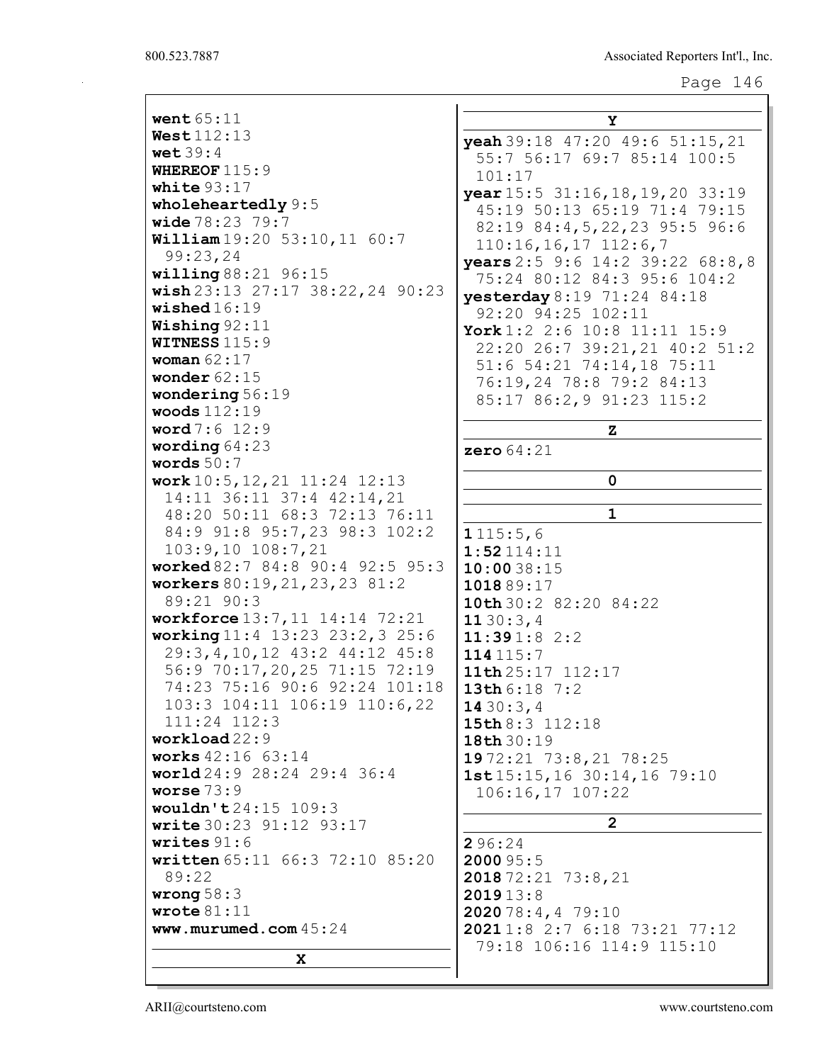| went $65:11$                            | Y                               |
|-----------------------------------------|---------------------------------|
| <b>West</b> 112:13                      | yeah 39:18 47:20 49:6 51:15, 21 |
| wet $39:4$                              | 55:7 56:17 69:7 85:14 100:5     |
| WHEREOF $115:9$                         | 101:17                          |
| white $93:17$                           | year 15:5 31:16,18,19,20 33:19  |
| wholeheartedly 9:5                      | 45:19 50:13 65:19 71:4 79:15    |
| wide $78:23$ $79:7$                     | 82:19 84:4,5,22,23 95:5 96:6    |
| <b>William</b> $19:20$ 53:10, 11 60:7   | $110:16, 16, 17$ $112:6, 7$     |
| 99:23,24                                | years 2:5 9:6 14:2 39:22 68:8,8 |
| willing 88:21 96:15                     | 75:24 80:12 84:3 95:6 104:2     |
| wish $23:13$ $27:17$ $38:22,24$ $90:23$ | yesterday 8:19 71:24 84:18      |
| wished $16:19$                          | 92:20 94:25 102:11              |
| Wishing $92:11$                         | York 1:2 2:6 10:8 11:11 15:9    |
| <b>WITNESS 115:9</b>                    | 22:20 26:7 39:21, 21 40:2 51:2  |
| woman $62:17$                           | 51:6 54:21 74:14,18 75:11       |
| wonder $62:15$                          |                                 |
| wondering $56:19$                       | 76:19,24 78:8 79:2 84:13        |
| woods $112:19$                          | 85:17 86:2, 9 91:23 115:2       |
| word $7:6$ 12:9                         | z                               |
| wording $64:23$                         | zero $64:21$                    |
| words $50:7$                            |                                 |
| work 10:5, 12, 21 11:24 12:13           | $\mathbf 0$                     |
| 14:11 36:11 37:4 42:14,21               |                                 |
| 48:20 50:11 68:3 72:13 76:11            | $\mathbf{1}$                    |
| 84:9 91:8 95:7,23 98:3 102:2            | 1115:5,6                        |
| $103:9,10$ $108:7,21$                   | 1:52114:11                      |
| worked 82:7 84:8 90:4 92:5 95:3         | 10:0038:15                      |
| workers 80:19, 21, 23, 23 81:2          | 101889:17                       |
| 89:21 90:3                              | 10th 30:2 82:20 84:22           |
| workforce 13:7, 11 14:14 72:21          | 1130:3,4                        |
| working 11:4 13:23 23:2, 3 25:6         | 11:391:82:2                     |
| 29:3,4,10,12 43:2 44:12 45:8            | 114115:7                        |
| 56:9 70:17, 20, 25 71:15 72:19          | 11th 25:17 112:17               |
| 74:23 75:16 90:6 92:24 101:18           | 13th 6:18 7:2                   |
| 103:3 104:11 106:19 110:6,22            | 1430:3,4                        |
| 111:24 112:3                            | 15th 8:3 112:18                 |
| workload22:9                            | 18th 30:19                      |
| <b>works</b> $42:16$ $63:14$            | 1972:21 73:8,21 78:25           |
| world 24:9 28:24 29:4 36:4              | 1st15:15,1630:14,1679:10        |
| worse $73:9$                            | $106:16,17$ $107:22$            |
| wouldn't $24:15$ 109:3                  |                                 |
| write 30:23 91:12 93:17                 | $\overline{2}$                  |
| writes $91:6$                           | 296:24                          |
| written 65:11 66:3 72:10 85:20          | 2000 95:5                       |
| 89:22                                   | 2018 72:21 73:8,21              |
| wrong $58:3$                            | 201913:8                        |
|                                         |                                 |
|                                         |                                 |
| wrote 81:11                             | 2020 78:4,4 79:10               |
| www.murumed.com $45:24$                 | 20211:8 2:7 6:18 73:21 77:12    |
| X                                       | 79:18 106:16 114:9 115:10       |

П